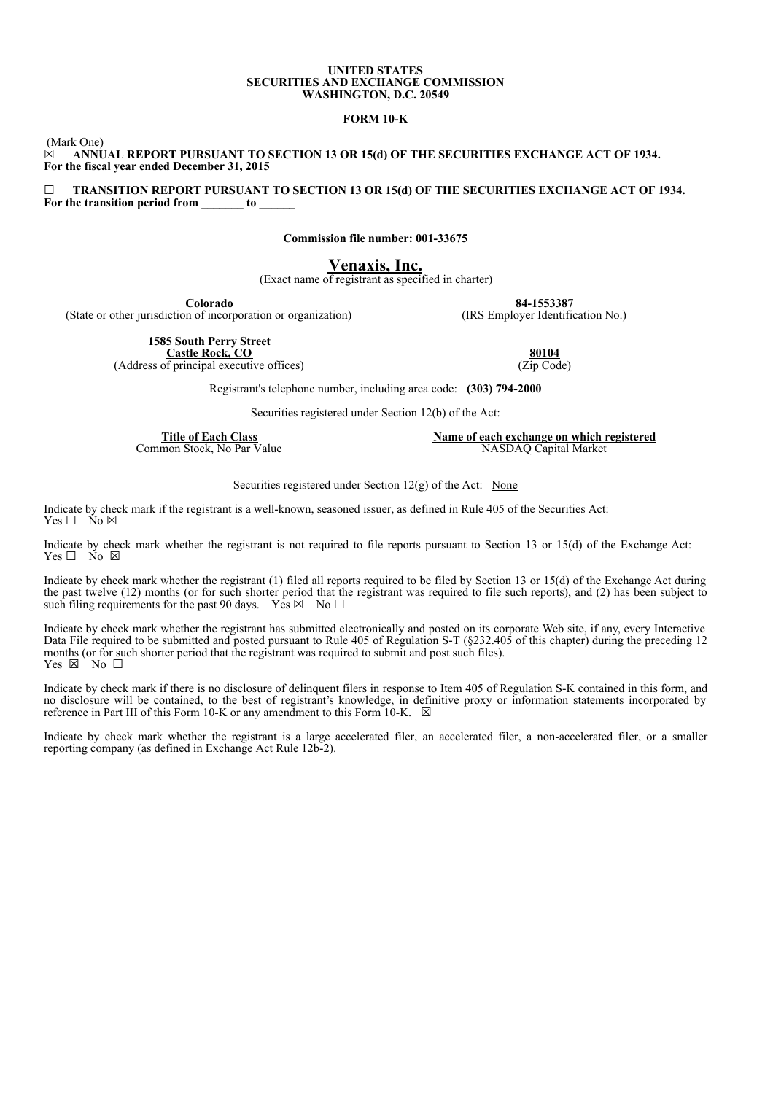#### **UNITED STATES SECURITIES AND EXCHANGE COMMISSION WASHINGTON, D.C. 20549**

# **FORM 10-K**

(Mark One)<br> **EX** ANNI

☒ **ANNUAL REPORT PURSUANT TO SECTION 13 OR 15(d) OF THE SECURITIES EXCHANGE ACT OF 1934. For the fiscal year ended December 31, 2015**

☐ **TRANSITION REPORT PURSUANT TO SECTION 13 OR 15(d) OF THE SECURITIES EXCHANGE ACT OF 1934. For the transition period from \_\_\_\_\_\_\_ to \_\_\_\_\_\_**

# **Commission file number: 001-33675**

# **Venaxis, Inc.**

(Exact name of registrant as specified in charter)

**Colorado 84-1553387**

(State or other jurisdiction of incorporation or organization) (IRS Employer Identification No.)

**1585 South Perry Street Castle Rock, CO 80104**

(Address of principal executive offices) (Zip Code)

Registrant's telephone number, including area code: **(303) 794-2000**

Securities registered under Section 12(b) of the Act:

Common Stock, No Par Value

**Title of Each Class**<br> **Name of each exchange on which registered**<br> **NASDAQ Capital Market** 

Securities registered under Section 12(g) of the Act: None

Indicate by check mark if the registrant is a well-known, seasoned issuer, as defined in Rule 405 of the Securities Act:  $Yes \Box \ No \boxtimes$ 

Indicate by check mark whether the registrant is not required to file reports pursuant to Section 13 or 15(d) of the Exchange Act:  $Yes \Box No \boxtimes$ 

Indicate by check mark whether the registrant (1) filed all reports required to be filed by Section 13 or 15(d) of the Exchange Act during the past twelve (12) months (or for such shorter period that the registrant was required to file such reports), and (2) has been subject to such filing requirements for the past 90 days. Yes  $\boxtimes$  No  $\Box$ 

Indicate by check mark whether the registrant has submitted electronically and posted on its corporate Web site, if any, every Interactive Data File required to be submitted and posted pursuant to Rule 405 of Regulation S-T (§232.405 of this chapter) during the preceding 12 months (or for such shorter period that the registrant was required to submit and post such files). Yes  $\boxtimes$  No  $\Box$ 

Indicate by check mark if there is no disclosure of delinquent filers in response to Item 405 of Regulation S-K contained in this form, and no disclosure will be contained, to the best of registrant's knowledge, in definitive proxy or information statements incorporated by reference in Part III of this Form 10-K or any amendment to this Form 10-K.  $\boxtimes$ 

Indicate by check mark whether the registrant is a large accelerated filer, an accelerated filer, a non-accelerated filer, or a smaller reporting company (as defined in Exchange Act Rule 12b-2).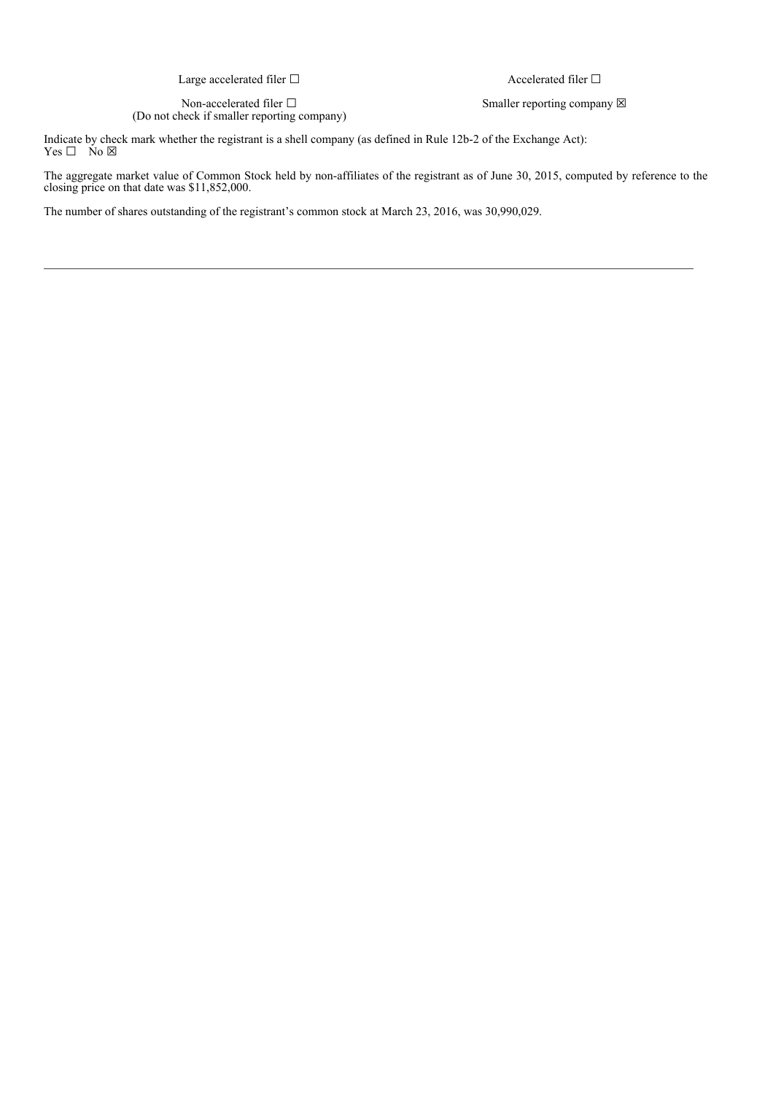Large accelerated filer  $□$ 

Non-accelerated filer  $\Box$ (Do not check if smaller reporting company)

Indicate by check mark whether the registrant is a shell company (as defined in Rule 12b-2 of the Exchange Act):  $Yes \Box$  No  $\boxtimes$ 

The aggregate market value of Common Stock held by non-affiliates of the registrant as of June 30, 2015, computed by reference to the closing price on that date was \$11,852,000.

The number of shares outstanding of the registrant's common stock at March 23, 2016, was 30,990,029.

Accelerated filer  $\Box$ 

Smaller reporting company  $\boxtimes$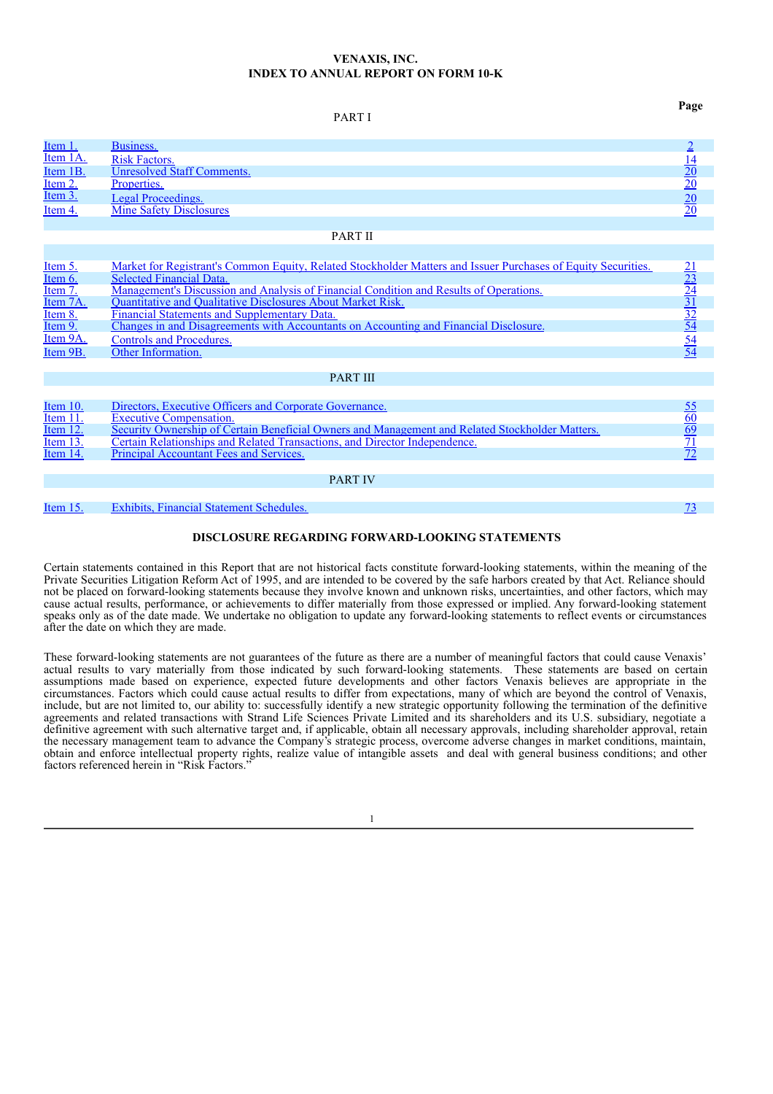# **VENAXIS, INC. INDEX TO ANNUAL REPORT ON FORM 10-K**

| PART I                 |                                                                                                               |                                                                 |  |  |  |
|------------------------|---------------------------------------------------------------------------------------------------------------|-----------------------------------------------------------------|--|--|--|
| Item 1.                | Business.                                                                                                     | $\overline{2}$                                                  |  |  |  |
| Item 1A.               | <b>Risk Factors.</b>                                                                                          |                                                                 |  |  |  |
| Item 1B.               | <b>Unresolved Staff Comments.</b>                                                                             |                                                                 |  |  |  |
| Item 2.                | Properties.                                                                                                   |                                                                 |  |  |  |
| Item 3.                | Legal Proceedings.                                                                                            | $\frac{14}{20}$ $\frac{20}{20}$ $\frac{20}{20}$                 |  |  |  |
| Item 4.                | <b>Mine Safety Disclosures</b>                                                                                |                                                                 |  |  |  |
|                        |                                                                                                               |                                                                 |  |  |  |
|                        | <b>PART II</b>                                                                                                |                                                                 |  |  |  |
|                        |                                                                                                               |                                                                 |  |  |  |
| Item 5.                | Market for Registrant's Common Equity, Related Stockholder Matters and Issuer Purchases of Equity Securities. |                                                                 |  |  |  |
| Item 6.                | <b>Selected Financial Data.</b>                                                                               |                                                                 |  |  |  |
| Item 7.                | Management's Discussion and Analysis of Financial Condition and Results of Operations.                        |                                                                 |  |  |  |
| Item 7A.               | <b>Ouantitative and Oualitative Disclosures About Market Risk.</b>                                            | $\frac{21}{23}$ $\frac{24}{31}$ $\frac{31}{54}$ $\frac{54}{54}$ |  |  |  |
| Item 8.                | Financial Statements and Supplementary Data.                                                                  |                                                                 |  |  |  |
| Item $\overline{9}$ .  | Changes in and Disagreements with Accountants on Accounting and Financial Disclosure.                         |                                                                 |  |  |  |
| Item $9\overline{A}$ . | Controls and Procedures.                                                                                      |                                                                 |  |  |  |
| Item 9B.               | Other Information.                                                                                            |                                                                 |  |  |  |
|                        |                                                                                                               |                                                                 |  |  |  |
|                        | <b>PART III</b>                                                                                               |                                                                 |  |  |  |
|                        |                                                                                                               |                                                                 |  |  |  |
| Item $10$ .            | Directors, Executive Officers and Corporate Governance.                                                       |                                                                 |  |  |  |
| Item 11.               | <b>Executive Compensation.</b>                                                                                |                                                                 |  |  |  |
| Item 12.               | Security Ownership of Certain Beneficial Owners and Management and Related Stockholder Matters.               | $rac{55}{60}$<br>$rac{69}{71}$<br>$rac{71}{72}$                 |  |  |  |
| Item 13.               | Certain Relationships and Related Transactions, and Director Independence.                                    |                                                                 |  |  |  |
| Item 14.               | <b>Principal Accountant Fees and Services.</b>                                                                |                                                                 |  |  |  |
|                        |                                                                                                               |                                                                 |  |  |  |
|                        | <b>PART IV</b>                                                                                                |                                                                 |  |  |  |
|                        |                                                                                                               |                                                                 |  |  |  |
| Item $15$ .            | Exhibits, Financial Statement Schedules.                                                                      | 73                                                              |  |  |  |
|                        |                                                                                                               |                                                                 |  |  |  |

# **DISCLOSURE REGARDING FORWARD-LOOKING STATEMENTS**

Certain statements contained in this Report that are not historical facts constitute forward-looking statements, within the meaning of the Private Securities Litigation Reform Act of 1995, and are intended to be covered by the safe harbors created by that Act. Reliance should not be placed on forward-looking statements because they involve known and unknown risks, uncertainties, and other factors, which may cause actual results, performance, or achievements to differ materially from those expressed or implied. Any forward-looking statement speaks only as of the date made. We undertake no obligation to update any forward-looking statements to reflect events or circumstances after the date on which they are made.

These forward-looking statements are not guarantees of the future as there are a number of meaningful factors that could cause Venaxis' actual results to vary materially from those indicated by such forward-looking statements. These statements are based on certain assumptions made based on experience, expected future developments and other factors Venaxis believes are appropriate in the circumstances. Factors which could cause actual results to differ from expectations, many of which are beyond the control of Venaxis, include, but are not limited to, our ability to: successfully identify a new strategic opportunity following the termination of the definitive include, but are not limited to, our ability to: successfully identify a new st agreements and related transactions with Strand Life Sciences Private Limited and its shareholders and its U.S. subsidiary, negotiate a definitive agreement with such alternative target and, if applicable, obtain all necessary approvals, including shareholder approval, retain the necessary management team to advance the Company's strategic process, overcome adverse changes in market conditions, maintain, obtain and enforce intellectual property rights, realize value of intangible assets and deal with general business conditions; and other factors referenced herein in "Risk Factors."

1

**Page**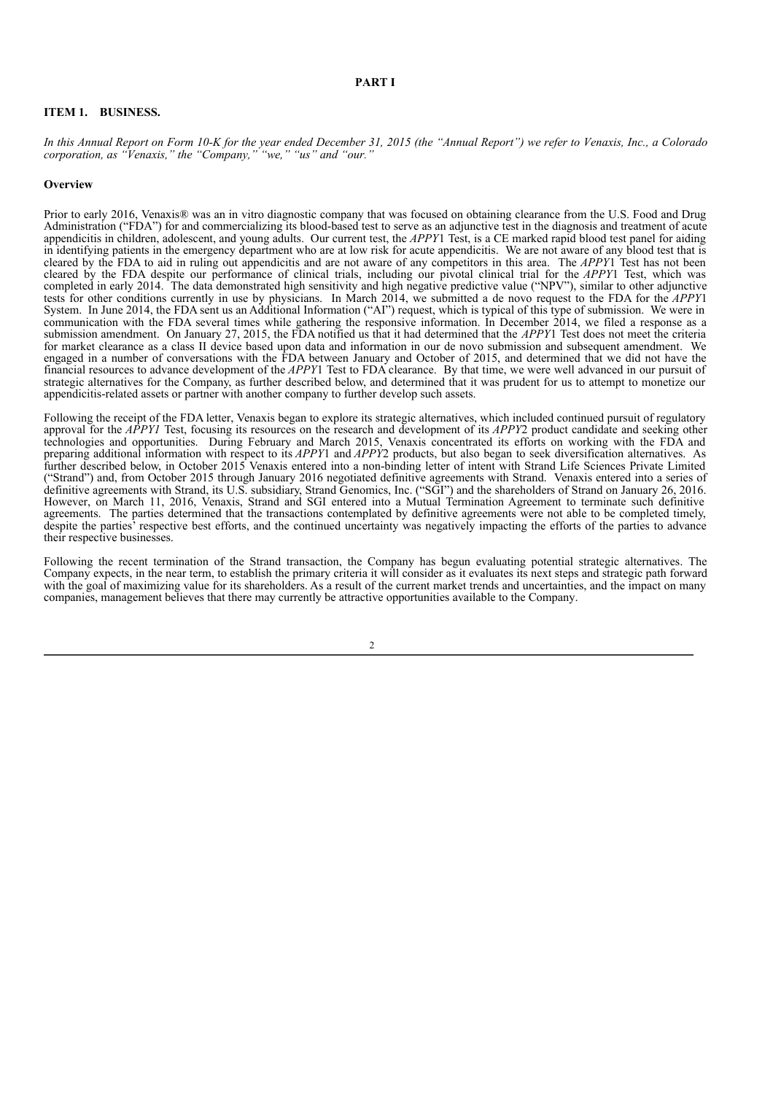## **PART I**

# **ITEM 1. BUSINESS.**

In this Annual Report on Form 10-K for the year ended December 31, 2015 (the "Annual Report") we refer to Venaxis, Inc., a Colorado *corporation, as "Venaxis," the "Company," "we," "us" and "our."*

#### **Overview**

Prior to early 2016, Venaxis® was an in vitro diagnostic company that was focused on obtaining clearance from the U.S. Food and Drug Administration ("FDA") for and commercializing its blood-based test to serve as an adjunctive test in the diagnosis and treatment of acute appendicitis in children, adolescent, and young adults. Our current test, the *APPY*1 Test, is a CE marked rapid blood test panel for aiding in identifying patients in the emergency department who are at low risk for acute appendicitis. We are not aware of any blood test that is cleared by the FDA to aid in ruling out appendicitis and are not aware of any competitors in this area. The *APPY*1 Test has not been cleared by the FDA despite our performance of clinical trials, including our pivotal clinical trial for the *APPY*1 Test, which was completed in early 2014. The data demonstrated high sensitivity and high negative predictive value ("NPV"), similar to other adjunctive tests for other conditions currently in use by physicians. In March 2014, we submitted a de novo request to the FDA for the *APPY*1 System. In June 2014, the FDA sent us an Additional Information ("AI") request, which is typical of this type of submission. We were in communication with the FDA several times while gathering the responsive information. In December 2014, we filed a response as a submission amendment. On January 27, 2015, the FDA notified us that it had determined that the *APPY*1 Test does not meet the criteria for market clearance as a class II device based upon data and information in our de novo submission and subsequent amendment. We engaged in a number of conversations with the FDA between January and October of 2015, and determined that we did not have the financial resources to advance development of the *APPY*1 Test to FDA clearance. By that time, we were well advanced in our pursuit of strategic alternatives for the Company, as further described below, and determined that it was prudent for us to attempt to monetize our appendicitis-related assets or partner with another company to further develop such assets.

Following the receipt of the FDA letter, Venaxis began to explore its strategic alternatives, which included continued pursuit of regulatory approval for the *APPY1* Test, focusing its resources on the research and development of its *APPY*2 product candidate and seeking other technologies and opportunities. During February and March 2015, Venaxis concentrated its efforts on working with the FDA and preparing additional information with respect to its *APPY*1 and *APPY*2 products, but also began to seek diversification alternatives. As further described below, in October 2015 Venaxis entered into a non-binding letter of intent with Strand Life Sciences Private Limited ("Strand") and, from October 2015 through January 2016 negotiated definitive agreements with Strand. Venaxis entered into a series of definitive agreements with Strand, its U.S. subsidiary, Strand Genomics, Inc. ("SGI") and the shareholders of Strand on January 26, 2016. However, on March 11, 2016, Venaxis, Strand and SGI entered into a Mutual Termination Agreement to terminate such definitive agreements. The parties determined that the transactions contemplated by definitive agreements were not able to be completed timely, despite the parties' respective best efforts, and the continued uncertainty was negatively impacting the efforts of the parties to advance their respective businesses.

Following the recent termination of the Strand transaction, the Company has begun evaluating potential strategic alternatives. The Company expects, in the near term, to establish the primary criteria it will consider as it evaluates its next steps and strategic path forward with the goal of maximizing value for its shareholders. As a result of the current market trends and uncertainties, and the impact on many companies, management believes that there may currently be attractive opportunities available to the Company.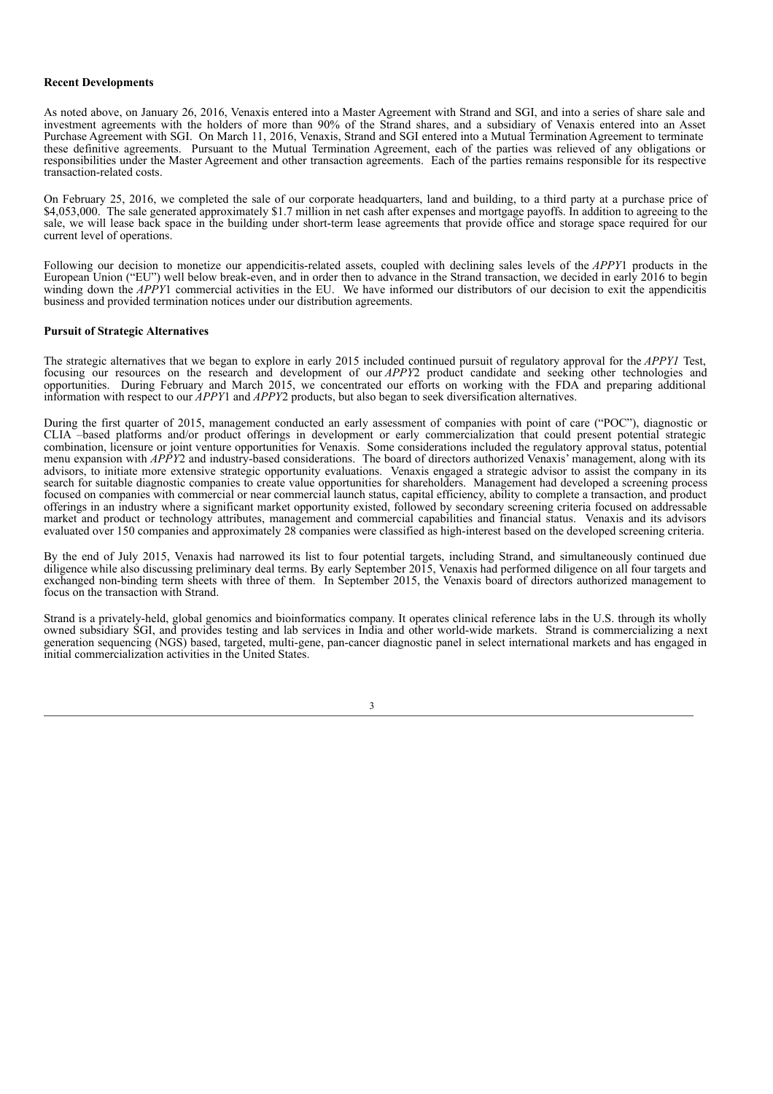## **Recent Developments**

As noted above, on January 26, 2016, Venaxis entered into a Master Agreement with Strand and SGI, and into a series of share sale and investment agreements with the holders of more than 90% of the Strand shares, and a subsidiary of Venaxis entered into an Asset Purchase Agreement with SGI. On March 11, 2016, Venaxis, Strand and SGI entered into a Mutual Termination Agreement to terminate these definitive agreements. Pursuant to the Mutual Termination Agreement, each of the parties was relieved of any obligations or responsibilities under the Master Agreement and other transaction agreements. Each of the parties remains responsible for its respective transaction-related costs.

On February 25, 2016, we completed the sale of our corporate headquarters, land and building, to a third party at a purchase price of \$4,053,000. The sale generated approximately \$1.7 million in net cash after expenses and mortgage payoffs. In addition to agreeing to the sale, we will lease back space in the building under short-term lease agreements that provide office and storage space required for our current level of operations.

Following our decision to monetize our appendicitis-related assets, coupled with declining sales levels of the *APPY*1 products in the European Union ("EU") well below break-even, and in order then to advance in the Strand transaction, we decided in early 2016 to begin winding down the *APPY*1 commercial activities in the EU. We have informed our distributors of our decision to exit the appendicitis business and provided termination notices under our distribution agreements.

# **Pursuit of Strategic Alternatives**

The strategic alternatives that we began to explore in early 2015 included continued pursuit of regulatory approval for the *APPY1* Test, focusing our resources on the research and development of our *APPY*2 product candidate and seeking other technologies and opportunities. During February and March 2015, we concentrated our efforts on working with the FDA and preparing additional information with respect to our *APPY*1 and *APPY*2 products, but also began to seek diversification alternatives.

During the first quarter of 2015, management conducted an early assessment of companies with point of care ("POC"), diagnostic or CLIA –based platforms and/or product offerings in development or early commercialization that could present potential strategic combination, licensure or joint venture opportunities for Venaxis. Some considerations included the regulatory approval status, potential menu expansion with *APPY*2 and industry-based considerations. The board of directors authorized Venaxis' management, along with its advisors, to initiate more extensive strategic opportunity evaluations. Venaxis engaged a strategic advisor to assist the company in its search for suitable diagnostic companies to create value opportunities for shareholders. Management had developed a screening process focused on companies with commercial or near commercial launch status, capital efficiency, ability to complete a transaction, and product offerings in an industry where a significant market opportunity existed, followed by secondary screening criteria focused on addressable market and product or technology attributes, management and commercial capabilities and financial status. Venaxis and its advisors evaluated over 150 companies and approximately 28 companies were classified as high-interest based on the developed screening criteria.

By the end of July 2015, Venaxis had narrowed its list to four potential targets, including Strand, and simultaneously continued due diligence while also discussing preliminary deal terms. By early September 2015, Venaxis had performed diligence on all four targets and exchanged non-binding term sheets with three of them. In September 2015, the Venaxis board of directors authorized management to focus on the transaction with Strand.

Strand is a privately-held, global genomics and bioinformatics company. It operates clinical reference labs in the U.S. through its wholly owned subsidiary SGI, and provides testing and lab services in India and other world-wide markets. Strand is commercializing a next generation sequencing (NGS) based, targeted, multi-gene, pan-cancer diagnostic panel in select international markets and has engaged in initial commercialization activities in the United States.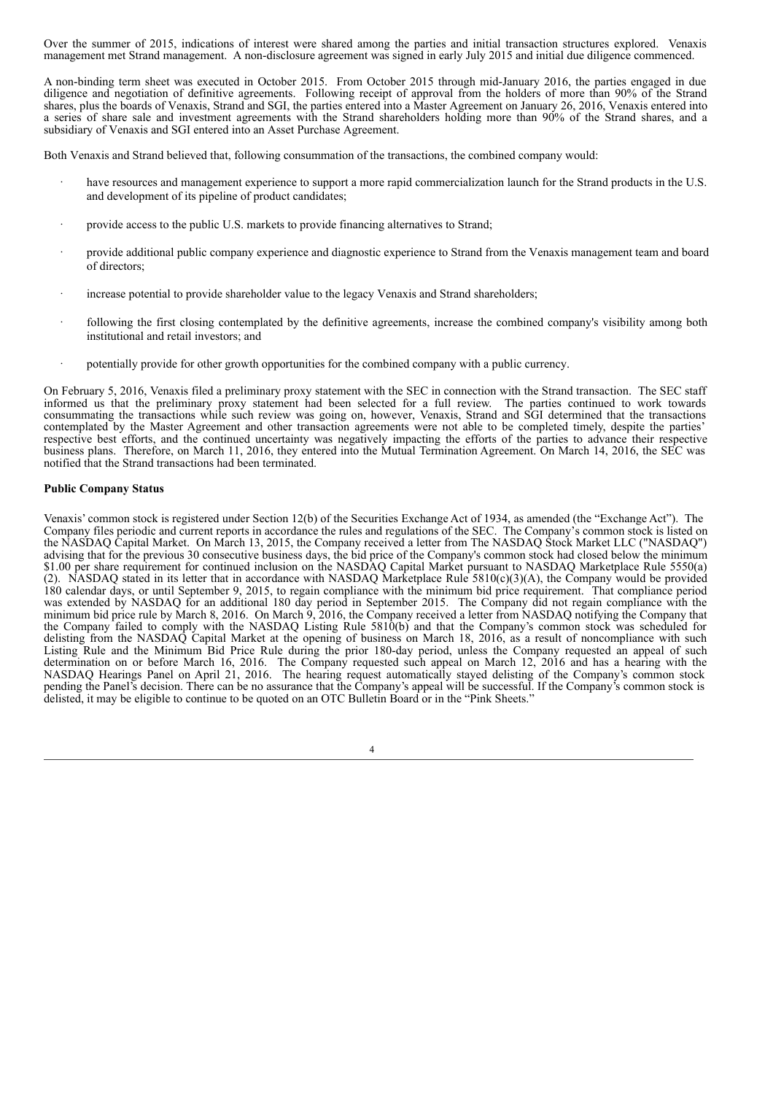Over the summer of 2015, indications of interest were shared among the parties and initial transaction structures explored. Venaxis management met Strand management. A non-disclosure agreement was signed in early July 2015 and initial due diligence commenced.

A non-binding term sheet was executed in October 2015. From October 2015 through mid-January 2016, the parties engaged in due diligence and negotiation of definitive agreements. Following receipt of approval from the holders of more than 90% of the Strand shares, plus the boards of Venaxis, Strand and SGI, the parties entered into a Master Agreement on January 26, 2016, Venaxis entered into a series of share sale and investment agreements with the Strand shareholders holding more than 90% of the Strand shares, and a subsidiary of Venaxis and SGI entered into an Asset Purchase Agreement.

Both Venaxis and Strand believed that, following consummation of the transactions, the combined company would:

- have resources and management experience to support a more rapid commercialization launch for the Strand products in the U.S. and development of its pipeline of product candidates;
- provide access to the public U.S. markets to provide financing alternatives to Strand;
- · provide additional public company experience and diagnostic experience to Strand from the Venaxis management team and board of directors;
- increase potential to provide shareholder value to the legacy Venaxis and Strand shareholders;
- following the first closing contemplated by the definitive agreements, increase the combined company's visibility among both institutional and retail investors; and
- · potentially provide for other growth opportunities for the combined company with a public currency.

On February 5, 2016, Venaxis filed a preliminary proxy statement with the SEC in connection with the Strand transaction. The SEC staff informed us that the preliminary proxy statement had been selected for a full review. The parties continued to work towards consummating the transactions while such review was going on, however, Venaxis, Strand and SGI determined that the transactions contemplated by the Master Agreement and other transaction agreements were not able to be completed timely, despite the parties' respective best efforts, and the continued uncertainty was negatively impacting the efforts of the parties to advance their respective business plans. Therefore, on March 11, 2016, they entered into the Mutual Termination Agreement. On March 14, 2016, the SEC was notified that the Strand transactions had been terminated.

# **Public Company Status**

Venaxis' common stock is registered under Section 12(b) of the Securities Exchange Act of 1934, as amended (the "Exchange Act"). The Company files periodic and current reports in accordance the rules and regulations of the SEC. The Company's common stock is listed on the NASDAQ Capital Market. On March 13, 2015, the Company received a letter from The NASDAQ Stock Market LLC ("NASDAQ") advising that for the previous 30 consecutive business days, the bid price of the Company's common stock had closed below the minimum \$1.00 per share requirement for continued inclusion on the NASDAQ Capital Market pursuant to NASDAQ Marketplace Rule 5550(a) (2). NASDAQ stated in its letter that in accordance with NASDAQ Marketplace Rule  $5810(c)(3)(A)$ , the Company would be provided 180 calendar days, or until September 9, 2015, to regain compliance with the minimum bid price requirement. That compliance period was extended by NASDAQ for an additional 180 day period in September 2015. The Company did not regain compliance with the minimum bid price rule by March 8, 2016. On March 9, 2016, the Company received a letter from NASDAQ notifying the Company that the Company failed to comply with the NASDAQ Listing Rule 5810(b) and that the Company's common stock was scheduled for delisting from the NASDAQ Capital Market at the opening of business on March 18, 2016, as a result of noncompliance with such Listing Rule and the Minimum Bid Price Rule during the prior 180-day period, unless the Company requested an appeal of such determination on or before March 16, 2016. The Company requested such appeal on March 12, 2016 and has a hearing with the NASDAQ Hearings Panel on April 21, 2016. The hearing request automatically stayed delisting of the Company's common stock pending the Panel's decision. There can be no assurance that the Company's appeal will be successful. If the Company's common stock is delisted, it may be eligible to continue to be quoted on an OTC Bulletin Board or in the "Pink Sheets."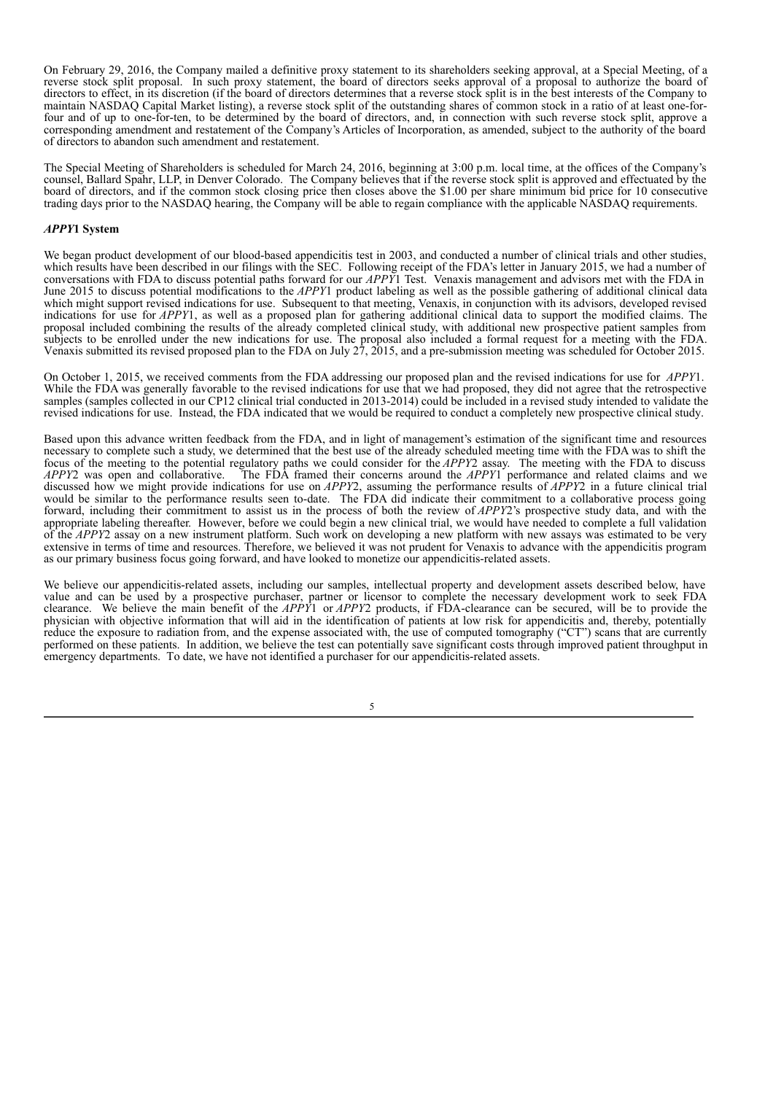On February 29, 2016, the Company mailed a definitive proxy statement to its shareholders seeking approval, at a Special Meeting, of a reverse stock split proposal. In such proxy statement, the board of directors seeks approval of a proposal to authorize the board of directors to effect, in its discretion (if the board of directors determines that a reverse stock split is in the best interests of the Company to maintain NASDAQ Capital Market listing), a reverse stock split of the outstanding shares of common stock in a ratio of at least one-forfour and of up to one-for-ten, to be determined by the board of directors, and, in connection with such reverse stock split, approve a corresponding amendment and restatement of the Company's Articles of Incorporation, as amended, subject to the authority of the board of directors to abandon such amendment and restatement.

The Special Meeting of Shareholders is scheduled for March 24, 2016, beginning at 3:00 p.m. local time, at the offices of the Company's counsel, Ballard Spahr, LLP, in Denver Colorado. The Company believes that if the reverse stock split is approved and effectuated by the board of directors, and if the common stock closing price then closes above the \$1.00 per share minimum bid price for 10 consecutive trading days prior to the NASDAQ hearing, the Company will be able to regain compliance with the applicable NASDAQ requirements.

## *APPY***1 System**

We began product development of our blood-based appendicitis test in 2003, and conducted a number of clinical trials and other studies, which results have been described in our filings with the SEC. Following receipt of the FDA's letter in January 2015, we had a number of conversations with FDA to discuss potential paths forward for our *APPY*1 Test. Venaxis management and advisors met with the FDA in June 2015 to discuss potential modifications to the *APPY*1 product labeling as well as the possible gathering of additional clinical data which might support revised indications for use. Subsequent to that meeting, Venaxis, in conjunction with its advisors, developed revised indications for use for *APPY*1, as well as a proposed plan for gathering additional clinical data to support the modified claims. The proposal included combining the results of the already completed clinical study, with additional new prospective patient samples from subjects to be enrolled under the new indications for use. The proposal also included a formal request for a meeting with the FDA. Venaxis submitted its revised proposed plan to the FDA on July 27, 2015, and a pre-submission meeting was scheduled for October 2015.

On October 1, 2015, we received comments from the FDA addressing our proposed plan and the revised indications for use for *APPY*1. While the FDA was generally favorable to the revised indications for use that we had proposed, they did not agree that the retrospective samples (samples collected in our CP12 clinical trial conducted in 2013-2014) could be included in a revised study intended to validate the revised indications for use. Instead, the FDA indicated that we would be required to conduct a completely new prospective clinical study.

Based upon this advance written feedback from the FDA, and in light of management's estimation of the significant time and resources necessary to complete such a study, we determined that the best use of the already scheduled meeting time with the FDA was to shift the focus of the meeting to the potential regulatory paths we could consider for the *APPY*2 assay. The meeting with the FDA to discuss *APPY*2 was open and collaborative. The FDA framed their concerns around the *APPY*1 performance and related claims and we discussed how we might provide indications for use on *APPY*2, assuming the performance results of *APPY*2 in a future clinical trial would be similar to the performance results seen to-date. The FDA did indicate their commitment to a collaborative process going forward, including their commitment to assist us in the process of both the review of *APPY*2's prospective study data, and with the appropriate labeling thereafter. However, before we could begin a new clinical trial, we would have needed to complete a full validation of the *APPY*2 assay on a new instrument platform. Such work on developing a new platform with new assays was estimated to be very extensive in terms of time and resources. Therefore, we believed it was not prudent for Venaxis to advance with the appendicitis program as our primary business focus going forward, and have looked to monetize our appendicitis-related assets.

We believe our appendicitis-related assets, including our samples, intellectual property and development assets described below, have value and can be used by a prospective purchaser, partner or licensor to complete the necessary development work to seek FDA clearance. We believe the main benefit of the *APPY*1 or *APPY*2 products, if FDA-clearance can be secured, will be to provide the physician with objective information that will aid in the identification of patients at low risk for appendicitis and, thereby, potentially reduce the exposure to radiation from, and the expense associated with, the use of computed tomography ("CT") scans that are currently performed on these patients. In addition, we believe the test can potentially save significant costs through improved patient throughput in emergency departments. To date, we have not identified a purchaser for our appendicitis-related assets.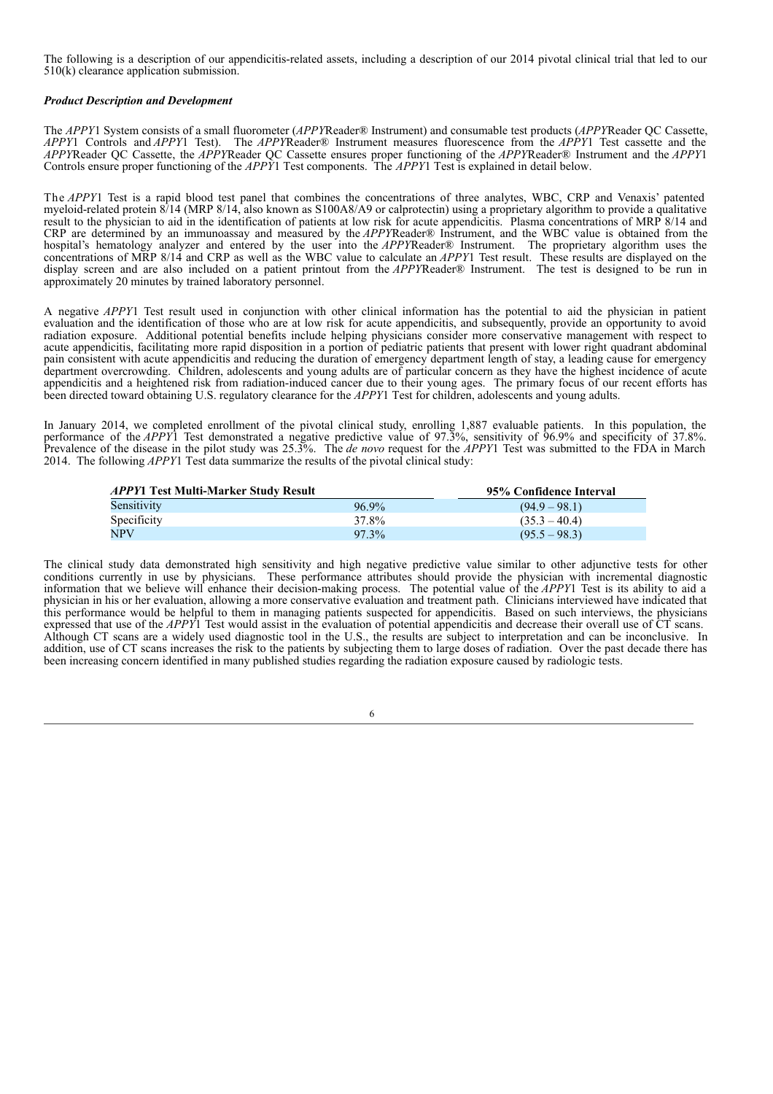The following is a description of our appendicitis-related assets, including a description of our 2014 pivotal clinical trial that led to our 510(k) clearance application submission.

## *Product Description and Development*

The *APPY*1 System consists of a small fluorometer (*APPY*Reader® Instrument) and consumable test products (*APPY*Reader QC Cassette, *APPY*1 Controls and *APPY*1 Test). The *APPY*Reader® Instrument measures fluorescence from the *APPY*1 Test cassette and the *APPY*Reader QC Cassette, the *APPY*Reader QC Cassette ensures proper functioning of the *APPY*Reader® Instrument and the *APPY*1 Controls ensure proper functioning of the *APPY*1 Test components. The *APPY*1 Test is explained in detail below.

The *APPY*1 Test is a rapid blood test panel that combines the concentrations of three analytes, WBC, CRP and Venaxis' patented myeloid-related protein 8/14 (MRP 8/14, also known as S100A8/A9 or calprotectin) using a proprietary algorithm to provide a qualitative result to the physician to aid in the identification of patients at low risk for acute appendicitis. Plasma concentrations of MRP 8/14 and CRP are determined by an immunoassay and measured by the *APPY*Reader® Instrument, and the WBC value is obtained from the hospital's hematology analyzer and entered by the user into the *APPY*Reader® Instrument. The proprietary algorithm uses the concentrations of MRP 8/14 and CRP as well as the WBC value to calculate an *APPY*1 Test result. These results are displayed on the display screen and are also included on a patient printout from the *APPY*Reader® Instrument. The test is designed to be run in approximately 20 minutes by trained laboratory personnel.

A negative *APPY*1 Test result used in conjunction with other clinical information has the potential to aid the physician in patient evaluation and the identification of those who are at low risk for acute appendicitis, and subsequently, provide an opportunity to avoid radiation exposure. Additional potential benefits include helping physicians consider more conservative management with respect to acute appendicitis, facilitating more rapid disposition in a portion of pediatric patients that present with lower right quadrant abdominal pain consistent with acute appendicitis and reducing the duration of emergency department length of stay, a leading cause for emergency department overcrowding. Children, adolescents and young adults are of particular concern as they have the highest incidence of acute appendicitis and a heightened risk from radiation-induced cancer due to their young ages. The primary focus of our recent efforts has been directed toward obtaining U.S. regulatory clearance for the *APPY*1 Test for children, adolescents and young adults.

In January 2014, we completed enrollment of the pivotal clinical study, enrolling 1,887 evaluable patients. In this population, the performance of the *APPY*1 Test demonstrated a negative predictive value of 97.3%, sensitivity of 96.9% and specificity of 37.8%. Prevalence of the disease in the pilot study was 25.3%. The *de novo* request for the *APPY*1 Test was submitted to the FDA in March 2014. The following *APPY*1 Test data summarize the results of the pivotal clinical study:

| <i>APPY</i> 1 Test Multi-Marker Study Result | 95% Confidence Interval |                 |
|----------------------------------------------|-------------------------|-----------------|
| Sensitivity                                  | $96.9\%$                | $(94.9 - 98.1)$ |
| Specificity                                  | 37.8%                   | $(35.3 - 40.4)$ |
| NPV                                          | 97.3%                   | $(95.5 - 98.3)$ |

The clinical study data demonstrated high sensitivity and high negative predictive value similar to other adjunctive tests for other conditions currently in use by physicians. These performance attributes should provide the physician with incremental diagnostic information that we believe will enhance their decision-making process. The potential value of the *APPY*1 Test is its ability to aid a physician in his or her evaluation, allowing a more conservative evaluation and treatment path. Clinicians interviewed have indicated that this performance would be helpful to them in managing patients suspected for appendicitis. Based on such interviews, the physicians expressed that use of the *APPY*1 Test would assist in the evaluation of potential appendicitis and decrease their overall use of CT scans. Although CT scans are a widely used diagnostic tool in the U.S., the results are subject to interpretation and can be inconclusive. In addition, use of CT scans increases the risk to the patients by subjecting them to large doses of radiation. Over the past decade there has been increasing concern identified in many published studies regarding the radiation exposure caused by radiologic tests.

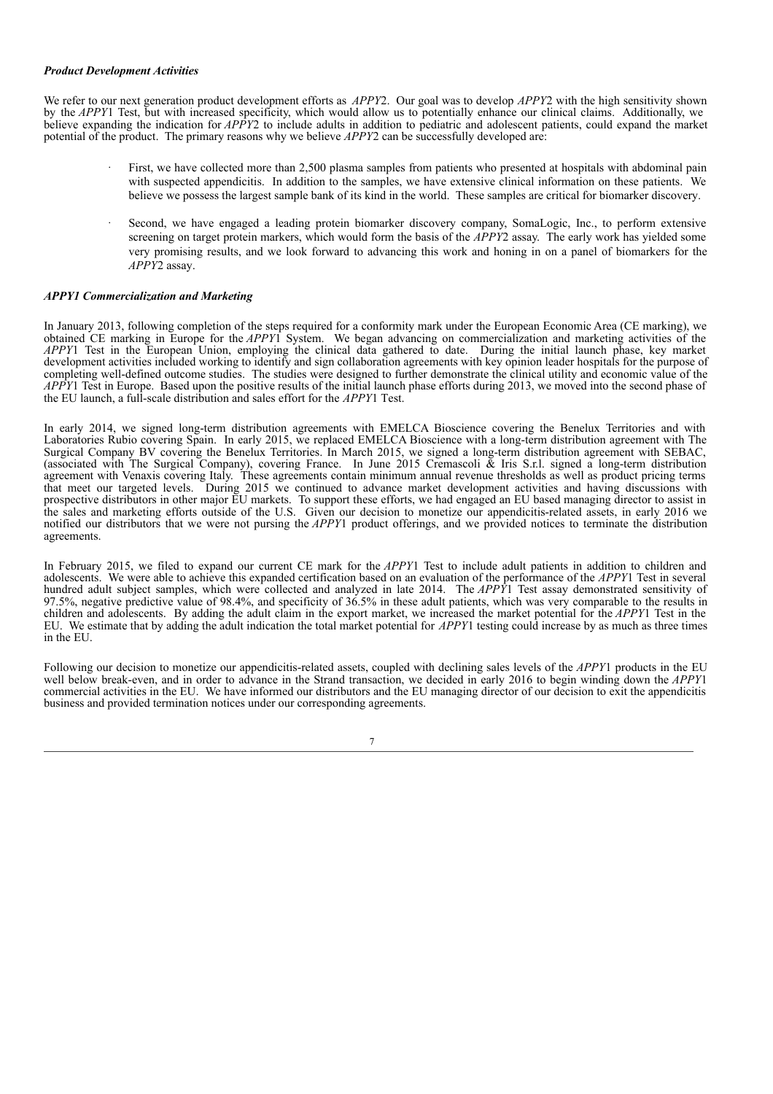# *Product Development Activities*

We refer to our next generation product development efforts as *APPY*2. Our goal was to develop *APPY*2 with the high sensitivity shown by the *APPY*1 Test, but with increased specificity, which would allow us to potentially enhance our clinical claims. Additionally, we believe expanding the indication for *APPY*2 to include adults in addition to pediatric and adolescent patients, could expand the market potential of the product. The primary reasons why we believe *APPY*2 can be successfully developed are:

- First, we have collected more than 2,500 plasma samples from patients who presented at hospitals with abdominal pain with suspected appendicitis. In addition to the samples, we have extensive clinical information on these patients. We believe we possess the largest sample bank of its kind in the world. These samples are critical for biomarker discovery.
- Second, we have engaged a leading protein biomarker discovery company, SomaLogic, Inc., to perform extensive screening on target protein markers, which would form the basis of the *APPY*2 assay. The early work has yielded some very promising results, and we look forward to advancing this work and honing in on a panel of biomarkers for the *APPY*2 assay.

# *APPY1 Commercialization and Marketing*

In January 2013, following completion of the steps required for a conformity mark under the European Economic Area (CE marking), we obtained CE marking in Europe for the *APPY*1 System. We began advancing on commercialization and marketing activities of the *APPY*1 Test in the European Union, employing the clinical data gathered to date. During the initial launch phase, key market development activities included working to identify and sign collaboration agreements with key opinion leader hospitals for the purpose of completing well-defined outcome studies. The studies were designed to further demonstrate the clinical utility and economic value of the *APPY*1 Test in Europe. Based upon the positive results of the initial launch phase efforts during 2013, we moved into the second phase of the EU launch, a full-scale distribution and sales effort for the *APPY*1 Test.

In early 2014, we signed long-term distribution agreements with EMELCA Bioscience covering the Benelux Territories and with Laboratories Rubio covering Spain. In early 2015, we replaced EMELCA Bioscience with a long-term distribution agreement with The Surgical Company BV covering the Benelux Territories. In March 2015, we signed a long-term distribution agreement with SEBAC, (associated with The Surgical Company), covering France. In June 2015 Cremascoli & Iris S.r.l. signed a long-term distribution agreement with Venaxis covering Italy. These agreements contain minimum annual revenue thresholds as well as product pricing terms that meet our targeted levels. During 2015 we continued to advance market development activities and having discussions with prospective distributors in other major EU markets. To support these efforts, we had engaged an EU based managing director to assist in the sales and marketing efforts outside of the U.S. Given our decision to monetize our appendicitis-related assets, in early 2016 we notified our distributors that we were not pursing the *APPY*1 product offerings, and we provided notices to terminate the distribution agreements.

In February 2015, we filed to expand our current CE mark for the *APPY*1 Test to include adult patients in addition to children and adolescents. We were able to achieve this expanded certification based on an evaluation of the performance of the *APPY*1 Test in several hundred adult subject samples, which were collected and analyzed in late 2014. The *APPY*1 Test assay demonstrated sensitivity of 97.5%, negative predictive value of 98.4%, and specificity of 36.5% in these adult patients, which was very comparable to the results in children and adolescents. By adding the adult claim in the export market, we increased the market potential for the *APPY*1 Test in the EU. We estimate that by adding the adult indication the total market potential for *APPY*1 testing could increase by as much as three times in the EU.

Following our decision to monetize our appendicitis-related assets, coupled with declining sales levels of the *APPY*1 products in the EU well below break-even, and in order to advance in the Strand transaction, we decided in early 2016 to begin winding down the *APPY*1 commercial activities in the EU. We have informed our distributors and the EU managing director of our decision to exit the appendicitis business and provided termination notices under our corresponding agreements.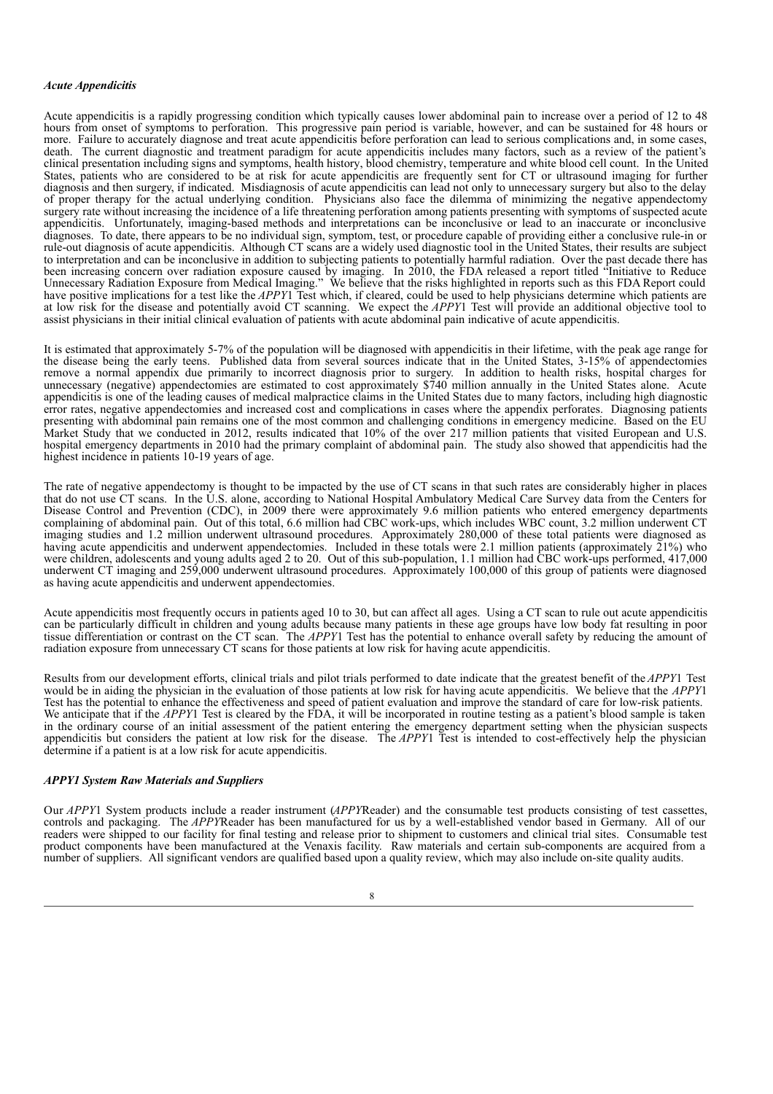# *Acute Appendicitis*

Acute appendicitis is a rapidly progressing condition which typically causes lower abdominal pain to increase over a period of 12 to 48 hours from onset of symptoms to perforation. This progressive pain period is variable, however, and can be sustained for 48 hours or more. Failure to accurately diagnose and treat acute appendicitis before perforation can lead to serious complications and, in some cases, death. The current diagnostic and treatment paradigm for acute appendicitis includes many factors, such as a review of the patient's clinical presentation including signs and symptoms, health history, blood chemistry, temperature and white blood cell count. In the United States, patients who are considered to be at risk for acute appendicitis are frequently sent for CT or ultrasound imaging for further diagnosis and then surgery, if indicated. Misdiagnosis of acute appendicitis can lead not only to unnecessary surgery but also to the delay of proper therapy for the actual underlying condition. Physicians also face the dilemma of minimizing the negative appendectomy surgery rate without increasing the incidence of a life threatening perforation among patients presenting with symptoms of suspected acute appendicitis. Unfortunately, imaging-based methods and interpretations can be inconclusive or lead to an inaccurate or inconclusive diagnoses. To date, there appears to be no individual sign, symptom, test, or procedure capable of providing either a conclusive rule-in or rule-out diagnosis of acute appendicitis. Although CT scans are a widely used diagnostic tool in the United States, their results are subject to interpretation and can be inconclusive in addition to subjecting patients to potentially harmful radiation. Over the past decade there has been increasing concern over radiation exposure caused by imaging. In 2010, the FDA released a report titled "Initiative to Reduce Unnecessary Radiation Exposure from Medical Imaging." We believe that the risks highlighted in reports such as this FDA Report could have positive implications for a test like the *APPY*1 Test which, if cleared, could be used to help physicians determine which patients are at low risk for the disease and potentially avoid CT scanning. We expect the *APPY*1 Test will provide an additional objective tool to assist physicians in their initial clinical evaluation of patients with acute abdominal pain indicative of acute appendicitis.

It is estimated that approximately 5-7% of the population will be diagnosed with appendicitis in their lifetime, with the peak age range for the disease being the early teens. Published data from several sources indicate that in the United States, 3-15% of appendectomies remove a normal appendix due primarily to incorrect diagnosis prior to surgery. In addition to health risks, hospital charges for unnecessary (negative) appendectomies are estimated to cost approximately \$740 million annually in the United States alone. Acute appendicitis is one of the leading causes of medical malpractice claims in the United States due to many factors, including high diagnostic error rates, negative appendectomies and increased cost and complications in cases where the appendix perforates. Diagnosing patients presenting with abdominal pain remains one of the most common and challenging conditions in emergency medicine. Based on the EU Market Study that we conducted in 2012, results indicated that 10% of the over 217 million patients that visited European and U.S. hospital emergency departments in 2010 had the primary complaint of abdominal pain. The study also showed that appendicitis had the highest incidence in patients 10-19 years of age.

The rate of negative appendectomy is thought to be impacted by the use of CT scans in that such rates are considerably higher in places that do not use CT scans. In the U.S. alone, according to National Hospital Ambulatory Medical Care Survey data from the Centers for Disease Control and Prevention (CDC), in 2009 there were approximately 9.6 million patients who entered emergency departments complaining of abdominal pain. Out of this total, 6.6 million had CBC work-ups, which includes WBC count, 3.2 million underwent CT imaging studies and 1.2 million underwent ultrasound procedures. Approximately 280,000 of these total patients were diagnosed as having acute appendicitis and underwent appendectomies. Included in these totals were 2.1 million patients (approximately 21%) who were children, adolescents and young adults aged 2 to 20. Out of this sub-population, 1.1 million had CBC work-ups performed, 417,000 underwent CT imaging and 259,000 underwent ultrasound procedures. Approximately 100,000 of this group of patients were diagnosed as having acute appendicitis and underwent appendectomies.

Acute appendicitis most frequently occurs in patients aged 10 to 30, but can affect all ages. Using a CT scan to rule out acute appendicitis can be particularly difficult in children and young adults because many patients in these age groups have low body fat resulting in poor tissue differentiation or contrast on the CT scan. The *APPY*1 Test has the potential to enhance overall safety by reducing the amount of radiation exposure from unnecessary CT scans for those patients at low risk for having acute appendicitis.

Results from our development efforts, clinical trials and pilot trials performed to date indicate that the greatest benefit of the *APPY*1 Test would be in aiding the physician in the evaluation of those patients at low risk for having acute appendicitis. We believe that the *APPY*1 Test has the potential to enhance the effectiveness and speed of patient evaluation and improve the standard of care for low-risk patients. We anticipate that if the *APPY*1 Test is cleared by the FDA, it will be incorporated in routine testing as a patient's blood sample is taken in the ordinary course of an initial assessment of the patient entering the emergency department setting when the physician suspects appendicitis but considers the patient at low risk for the disease. The *APPY*1 Test is intended to cost-effectively help the physician determine if a patient is at a low risk for acute appendicitis.

### *APPY1 System Raw Materials and Suppliers*

Our *APPY*1 System products include a reader instrument (*APPY*Reader) and the consumable test products consisting of test cassettes, controls and packaging. The *APPY*Reader has been manufactured for us by a well-established vendor based in Germany. All of our readers were shipped to our facility for final testing and release prior to shipment to customers and clinical trial sites. Consumable test product components have been manufactured at the Venaxis facility. Raw materials and certain sub-components are acquired from a number of suppliers. All significant vendors are qualified based upon a quality review, which may also include on-site quality audits.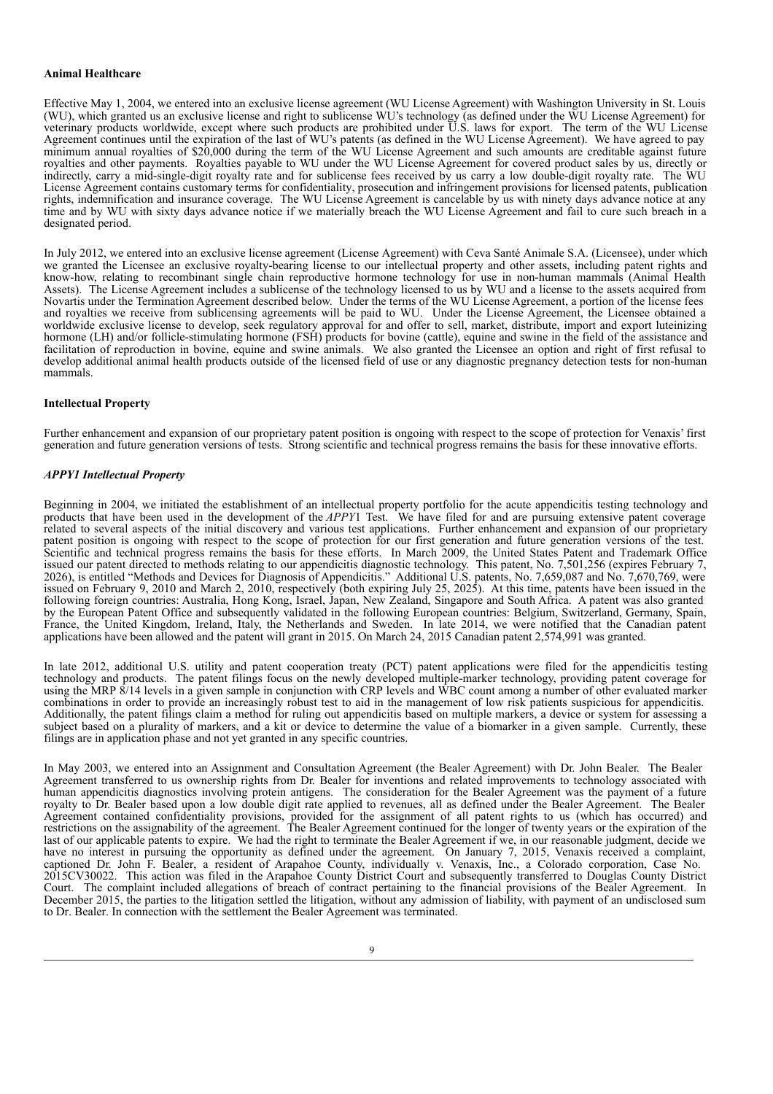# **Animal Healthcare**

Effective May 1, 2004, we entered into an exclusive license agreement (WU License Agreement) with Washington University in St. Louis (WU), which granted us an exclusive license and right to sublicense WU's technology (as defined under the WU License Agreement) for veterinary products worldwide, except where such products are prohibited under U.S. laws for export. The term of the WU License Agreement continues until the expiration of the last of WU's patents (as defined in the WU License Agreement). We have agreed to pay minimum annual royalties of \$20,000 during the term of the WU License Agreement and such amounts are creditable against future royalties and other payments. Royalties payable to WU under the WU License Agreement for covered product sales by us, directly or indirectly, carry a mid-single-digit royalty rate and for sublicense fees received by us carry a low double-digit royalty rate. The WU License Agreement contains customary terms for confidentiality, prosecution and infringement provisions for licensed patents, publication rights, indemnification and insurance coverage. The WU License Agreement is cancelable by us with ninety days advance notice at any time and by WU with sixty days advance notice if we materially breach the WU License Agreement and fail to cure such breach in a designated period.

In July 2012, we entered into an exclusive license agreement (License Agreement) with Ceva Santé Animale S.A. (Licensee), under which we granted the Licensee an exclusive royalty-bearing license to our intellectual property and other assets, including patent rights and know-how, relating to recombinant single chain reproductive hormone technology for use in non-human mammals (Animal Health Assets). The License Agreement includes a sublicense of the technology licensed to us by WU and a license to the assets acquired from Novartis under the Termination Agreement described below. Under the terms of the WU License Agreement, a portion of the license fees and royalties we receive from sublicensing agreements will be paid to WU. Under the License Agreement, the Licensee obtained a worldwide exclusive license to develop, seek regulatory approval for and offer to sell, market, distribute, import and export luteinizing hormone (LH) and/or follicle-stimulating hormone (FSH) products for bovine (cattle), equine and swine in the field of the assistance and facilitation of reproduction in bovine, equine and swine animals. We also granted the Licensee an option and right of first refusal to develop additional animal health products outside of the licensed field of use or any diagnostic pregnancy detection tests for non-human mammals.

# **Intellectual Property**

Further enhancement and expansion of our proprietary patent position is ongoing with respect to the scope of protection for Venaxis' first generation and future generation versions of tests. Strong scientific and technical progress remains the basis for these innovative efforts.

# *APPY1 Intellectual Property*

Beginning in 2004, we initiated the establishment of an intellectual property portfolio for the acute appendicitis testing technology and products that have been used in the development of the *APPY*1 Test. We have filed for and are pursuing extensive patent coverage related to several aspects of the initial discovery and various test applications. Further enhancement and expansion of our proprietary patent position is ongoing with respect to the scope of protection for our first generation and future generation versions of the test. Scientific and technical progress remains the basis for these efforts. In March 2009, the United States Patent and Trademark Office issued our patent directed to methods relating to our appendicitis diagnostic technology. This patent, No. 7,501,256 (expires February 7, 2026), is entitled "Methods and Devices for Diagnosis of Appendicitis." Additional U.S. patents, No. 7,659,087 and No. 7,670,769, were issued on February 9, 2010 and March 2, 2010, respectively (both expiring July 25, 2025). At this time, patents have been issued in the following foreign countries: Australia, Hong Kong, Israel, Japan, New Zealand, Singapore and South Africa. A patent was also granted by the European Patent Office and subsequently validated in the following European countries: Belgium, Switzerland, Germany, Spain, France, the United Kingdom, Ireland, Italy, the Netherlands and Sweden. In late 2014, we were notified that the Canadian patent applications have been allowed and the patent will grant in 2015. On March 24, 2015 Canadian patent 2,574,991 was granted.

In late 2012, additional U.S. utility and patent cooperation treaty (PCT) patent applications were filed for the appendicitis testing technology and products. The patent filings focus on the newly developed multiple-marker technology, providing patent coverage for using the MRP 8/14 levels in a given sample in conjunction with CRP levels and WBC count among a number of other evaluated marker combinations in order to provide an increasingly robust test to aid in the management of low risk patients suspicious for appendicitis. Additionally, the patent filings claim a method for ruling out appendicitis based on multiple markers, a device or system for assessing a subject based on a plurality of markers, and a kit or device to determine the value of a biomarker in a given sample. Currently, these filings are in application phase and not yet granted in any specific countries.

In May 2003, we entered into an Assignment and Consultation Agreement (the Bealer Agreement) with Dr. John Bealer. The Bealer Agreement transferred to us ownership rights from Dr. Bealer for inventions and related improvements to technology associated with human appendicitis diagnostics involving protein antigens. The consideration for the Bealer Agreement was the payment of a future royalty to Dr. Bealer based upon a low double digit rate applied to revenues, all as defined under the Bealer Agreement. The Bealer Agreement contained confidentiality provisions, provided for the assignment of all patent rights to us (which has occurred) and restrictions on the assignability of the agreement. The Bealer Agreement continued for the longer of twenty years or the expiration of the last of our applicable patents to expire. We had the right to terminate the Bealer Agreement if we, in our reasonable judgment, decide we have no interest in pursuing the opportunity as defined under the agreement. On January 7, 2015, Venaxis received a complaint, captioned Dr. John F. Bealer, a resident of Arapahoe County, individually v. Venaxis, Inc., a Colorado corporation, Case No. 2015CV30022. This action was filed in the Arapahoe County District Court and subsequently transferred to Douglas County District Court. The complaint included allegations of breach of contract pertaining to the financial provisions of the Bealer Agreement. In December 2015, the parties to the litigation settled the litigation, without any admission of liability, with payment of an undisclosed sum to Dr. Bealer. In connection with the settlement the Bealer Agreement was terminated.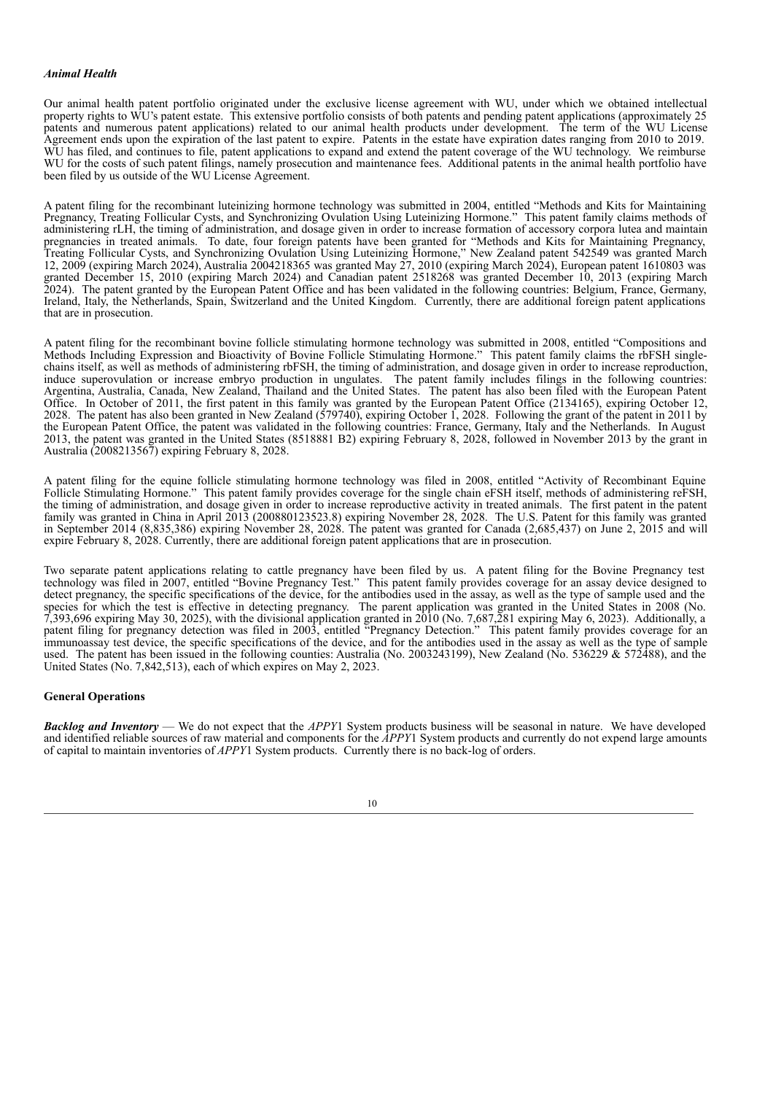# *Animal Health*

Our animal health patent portfolio originated under the exclusive license agreement with WU, under which we obtained intellectual property rights to WU's patent estate. This extensive portfolio consists of both patents and pending patent applications (approximately 25 patents and numerous patent applications) related to our animal health products under development. The term of the WU License Agreement ends upon the expiration of the last patent to expire. Patents in the estate have expiration dates ranging from 2010 to 2019. WU has filed, and continues to file, patent applications to expand and extend the patent coverage of the WU technology. We reimburse WU for the costs of such patent filings, namely prosecution and maintenance fees. Additional patents in the animal health portfolio have been filed by us outside of the WU License Agreement.

A patent filing for the recombinant luteinizing hormone technology was submitted in 2004, entitled "Methods and Kits for Maintaining Pregnancy, Treating Follicular Cysts, and Synchronizing Ovulation Using Luteinizing Hormone." This patent family claims methods of administering rLH, the timing of administration, and dosage given in order to increase formation of accessory corpora lutea and maintain pregnancies in treated animals. To date, four foreign patents have been granted for "Methods and Kits for Maintaining Pregnancy, Treating Follicular Cysts, and Synchronizing Ovulation Using Luteinizing Hormone," New Zealand patent 542549 was granted March 12, 2009 (expiring March 2024), Australia 2004218365 was granted May 27, 2010 (expiring March 2024), European patent 1610803 was granted December 15, 2010 (expiring March 2024) and Canadian patent 2518268 was granted December 10, 2013 (expiring March 2024). The patent granted by the European Patent Office and has been validated in the following countries: Belgium, France, Germany, Ireland, Italy, the Netherlands, Spain, Switzerland and the United Kingdom. Currently, there are additional foreign patent applications that are in prosecution.

A patent filing for the recombinant bovine follicle stimulating hormone technology was submitted in 2008, entitled "Compositions and Methods Including Expression and Bioactivity of Bovine Follicle Stimulating Hormone." This patent family claims the rbFSH singlechains itself, as well as methods of administering rbFSH, the timing of administration, and dosage given in order to increase reproduction, induce superovulation or increase embryo production in ungulates. The patent family includes filings in the following countries: Argentina, Australia, Canada, New Zealand, Thailand and the United States. The patent has also been filed with the European Patent Office. In October of 2011, the first patent in this family was granted by the European Patent Office (2134165), expiring October 12, 2028. The patent has also been granted in New Zealand (579740), expiring October 1, 2028. Following the grant of the patent in 2011 by the European Patent Office, the patent was validated in the following countries: France, Germany, Italy and the Netherlands. In August 2013, the patent was granted in the United States (8518881 B2) expiring February 8, 2028, followed in November 2013 by the grant in Australia (2008213567) expiring February 8, 2028.

A patent filing for the equine follicle stimulating hormone technology was filed in 2008, entitled "Activity of Recombinant Equine Follicle Stimulating Hormone." This patent family provides coverage for the single chain eFSH itself, methods of administering reFSH, the timing of administration, and dosage given in order to increase reproductive activity in treated animals. The first patent in the patent family was granted in China in April 2013 (200880123523.8) expiring November 28, 2028. The U.S. Patent for this family was granted in September 2014 (8,835,386) expiring November 28, 2028. The patent was granted for Canada (2,685,437) on June 2, 2015 and will expire February 8, 2028. Currently, there are additional foreign patent applications that are in prosecution.

Two separate patent applications relating to cattle pregnancy have been filed by us. A patent filing for the Bovine Pregnancy test technology was filed in 2007, entitled "Bovine Pregnancy Test." This patent family provides coverage for an assay device designed to detect pregnancy, the specific specifications of the device, for the antibodies used in the assay, as well as the type of sample used and the species for which the test is effective in detecting pregnancy. The parent application was granted in the United States in 2008 (No. 7,393,696 expiring May 30, 2025), with the divisional application granted in 2010 (No. 7,687,281 expiring May 6, 2023). Additionally, a patent filing for pregnancy detection was filed in 2003, entitled "Pregnancy Detection." This patent family provides coverage for an immunoassay test device, the specific specifications of the device, and for the antibodies used in the assay as well as the type of sample used. The patent has been issued in the following counties: Australia (No. 2003243199), New Zealand (No. 536229 & 572488), and the United States (No. 7,842,513), each of which expires on May 2, 2023.

# **General Operations**

*Backlog and Inventory* — We do not expect that the *APPY*1 System products business will be seasonal in nature. We have developed and identified reliable sources of raw material and components for the *APPY*1 System products and currently do not expend large amounts of capital to maintain inventories of *APPY*1 System products. Currently there is no back-log of orders.

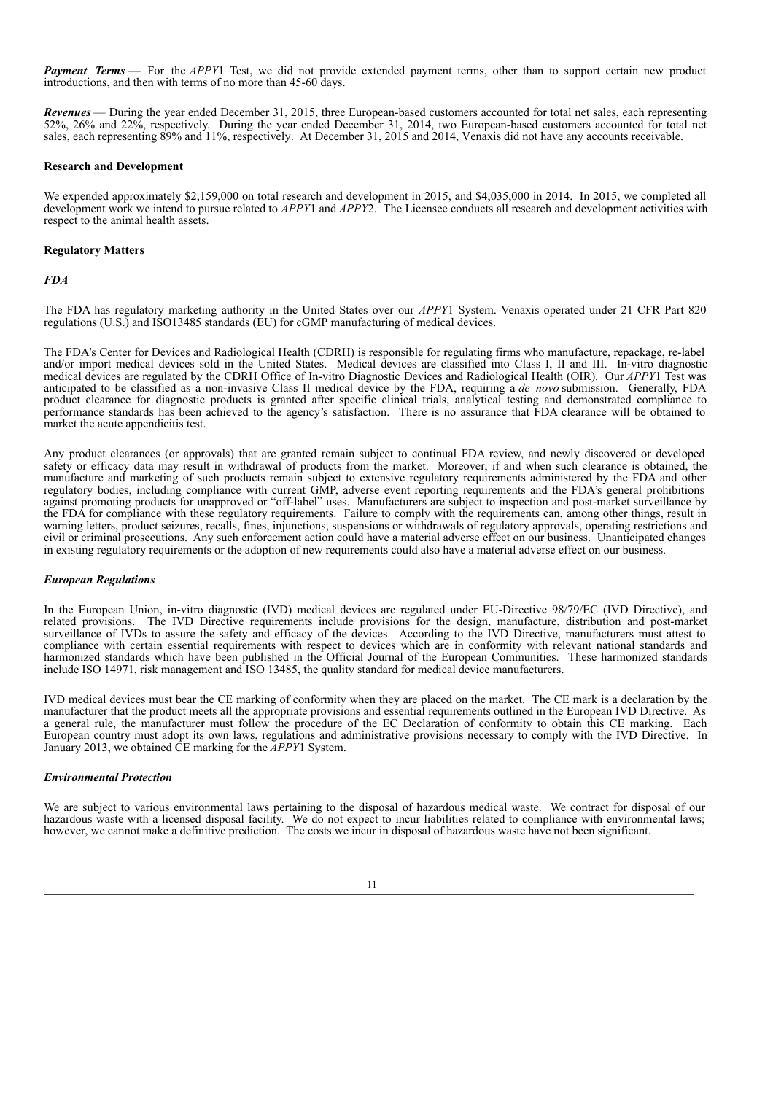*Payment Terms* — For the *APPY*1 Test, we did not provide extended payment terms, other than to support certain new product introductions, and then with terms of no more than 45-60 days.

*Revenues* — During the year ended December 31, 2015, three European-based customers accounted for total net sales, each representing 52%, 26% and 22%, respectively. During the year ended December 31, 2014, two European-based customers accounted for total net sales, each representing 89% and 11%, respectively. At December 31, 2015 and 2014, Venaxis did not have any accounts receivable.

#### **Research and Development**

We expended approximately \$2,159,000 on total research and development in 2015, and \$4,035,000 in 2014. In 2015, we completed all development work we intend to pursue related to *APPY*1 and *APPY*2. The Licensee conducts all research and development activities with respect to the animal health assets.

#### **Regulatory Matters**

### *FDA*

The FDA has regulatory marketing authority in the United States over our *APPY*1 System. Venaxis operated under 21 CFR Part 820 regulations (U.S.) and ISO13485 standards (EU) for cGMP manufacturing of medical devices.

The FDA's Center for Devices and Radiological Health (CDRH) is responsible for regulating firms who manufacture, repackage, re-label and/or import medical devices sold in the United States. Medical devices are classified into Class I, II and III. In-vitro diagnostic medical devices are regulated by the CDRH Office of In-vitro Diagnostic Devices and Radiological Health (OIR). Our *APPY*1 Test was anticipated to be classified as a non-invasive Class II medical device by the FDA, requiring a *de novo* submission. Generally, FDA product clearance for diagnostic products is granted after specific clinical trials, analytical testing and demonstrated compliance to performance standards has been achieved to the agency's satisfaction. There is no assurance that FDA clearance will be obtained to market the acute appendicitis test.

Any product clearances (or approvals) that are granted remain subject to continual FDA review, and newly discovered or developed safety or efficacy data may result in withdrawal of products from the market. Moreover, if and when such clearance is obtained, the manufacture and marketing of such products remain subject to extensive regulatory requirements administered by the FDA and other regulatory bodies, including compliance with current GMP, adverse event reporting requirements and the FDA's general prohibitions against promoting products for unapproved or "off-label" uses. Manufacturers are subject to inspection and post-market surveillance by the FDA for compliance with these regulatory requirements. Failure to comply with the requirements can, among other things, result in warning letters, product seizures, recalls, fines, injunctions, suspensions or withdrawals of regulatory approvals, operating restrictions and civil or criminal prosecutions. Any such enforcement action could have a material adverse effect on our business. Unanticipated changes in existing regulatory requirements or the adoption of new requirements could also have a material adverse effect on our business.

# *European Regulations*

In the European Union, in-vitro diagnostic (IVD) medical devices are regulated under EU-Directive 98/79/EC (IVD Directive), and related provisions. The IVD Directive requirements include provisions for the design, manufacture, distribution and post-market surveillance of IVDs to assure the safety and efficacy of the devices. According to the IVD Directive, manufacturers must attest to compliance with certain essential requirements with respect to devices which are in conformity with relevant national standards and harmonized standards which have been published in the Official Journal of the European Communities. These harmonized standards include ISO 14971, risk management and ISO 13485, the quality standard for medical device manufacturers.

IVD medical devices must bear the CE marking of conformity when they are placed on the market. The CE mark is a declaration by the manufacturer that the product meets all the appropriate provisions and essential requirements outlined in the European IVD Directive. As a general rule, the manufacturer must follow the procedure of the EC Declaration of conformity to obtain this CE marking. Each European country must adopt its own laws, regulations and administrative provisions necessary to comply with the IVD Directive. In January 2013, we obtained CE marking for the *APPY*1 System.

## *Environmental Protection*

We are subject to various environmental laws pertaining to the disposal of hazardous medical waste. We contract for disposal of our hazardous waste with a licensed disposal facility. We do not expect to incur liabilities related to compliance with environmental laws; however, we cannot make a definitive prediction. The costs we incur in disposal of hazardous waste have not been significant.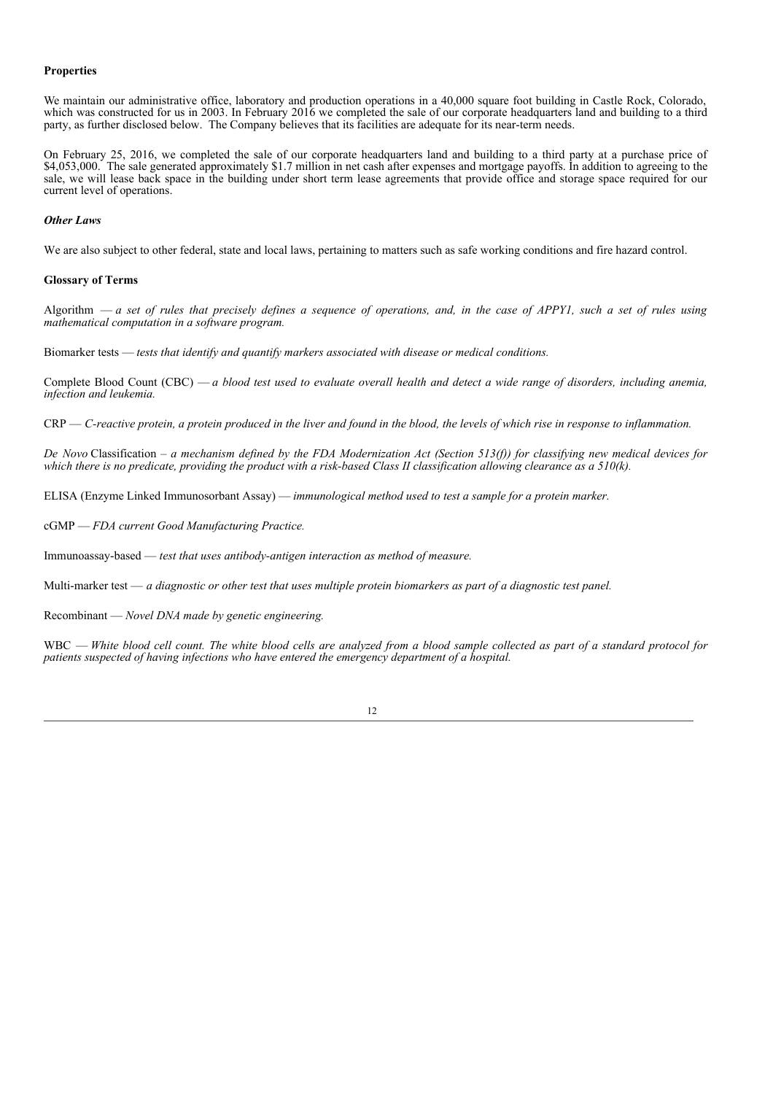# **Properties**

We maintain our administrative office, laboratory and production operations in a 40,000 square foot building in Castle Rock, Colorado, which was constructed for us in 2003. In February 2016 we completed the sale of our corporate headquarters land and building to a third party, as further disclosed below. The Company believes that its facilities are adequate for its near-term needs.

On February 25, 2016, we completed the sale of our corporate headquarters land and building to a third party at a purchase price of \$4,053,000. The sale generated approximately \$1.7 million in net cash after expenses and mortgage payoffs. In addition to agreeing to the sale, we will lease back space in the building under short term lease agreements that provide office and storage space required for our current level of operations.

# *Other Laws*

We are also subject to other federal, state and local laws, pertaining to matters such as safe working conditions and fire hazard control.

# **Glossary of Terms**

Algorithm  $-a$  set of rules that precisely defines a sequence of operations, and, in the case of APPY1, such a set of rules using *mathematical computation in a software program.*

Biomarker tests — *tests that identify and quantify markers associated with disease or medical conditions.*

Complete Blood Count (CBC) — a blood test used to evaluate overall health and detect a wide range of disorders, including anemia, *infection and leukemia.*

 $CRP - C$ -reactive protein, a protein produced in the liver and found in the blood, the levels of which rise in response to inflammation.

De Novo Classification - a mechanism defined by the FDA Modernization Act (Section 513(f)) for classifying new medical devices for which there is no predicate, providing the product with a risk-based Class II classification allowing clearance as a  $510(k)$ .

ELISA (Enzyme Linked Immunosorbant Assay) — *immunological method used to test a sample for a protein marker.*

cGMP — *FDA current Good Manufacturing Practice.*

Immunoassay-based — *test that uses antibody-antigen interaction as method of measure.*

Multi-marker test — a diagnostic or other test that uses multiple protein biomarkers as part of a diagnostic test panel.

Recombinant — *Novel DNA made by genetic engineering.*

WBC — White blood cell count. The white blood cells are analyzed from a blood sample collected as part of a standard protocol for *patients suspected of having infections who have entered the emergency department of a hospital.*

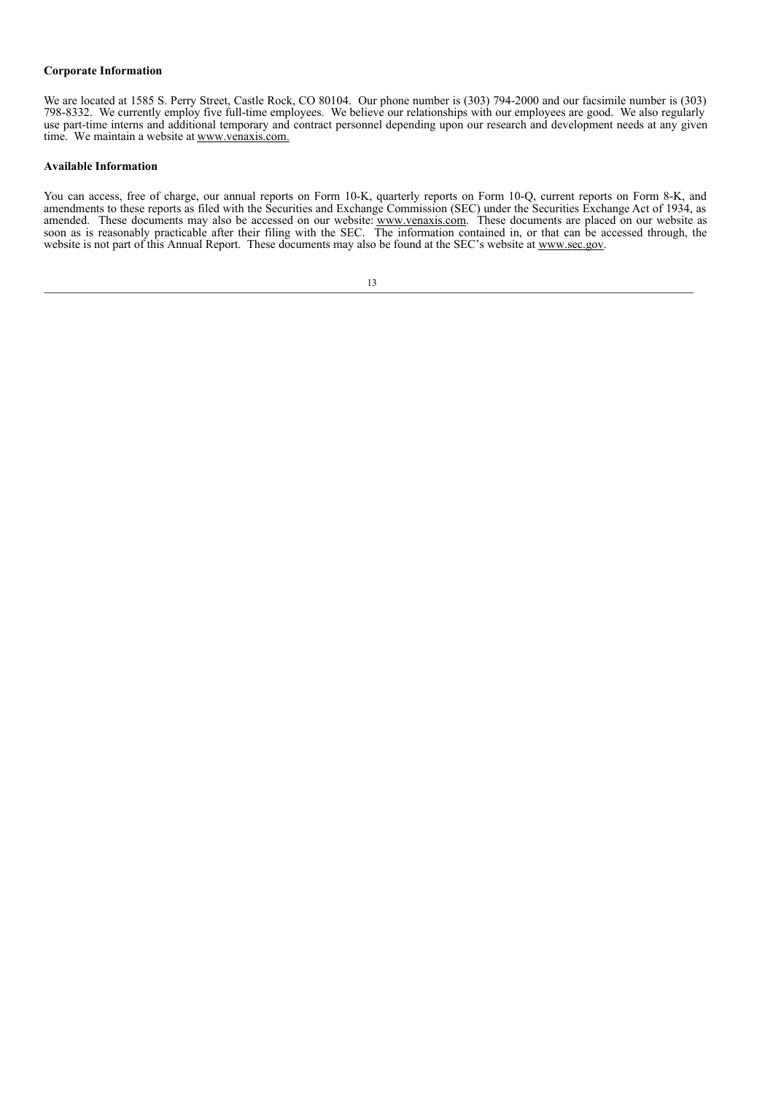### **Corporate Information**

We are located at 1585 S. Perry Street, Castle Rock, CO 80104. Our phone number is (303) 794-2000 and our facsimile number is (303) 798-8332. We currently employ five full-time employees. We believe our relationships with our employees are good. We also regularly use part-time interns and additional temporary and contract personnel depending upon our research and development needs at any given time. We maintain a website at www.venaxis.com.

## **Available Information**

You can access, free of charge, our annual reports on Form 10-K, quarterly reports on Form 10-Q, current reports on Form 8-K, and amendments to these reports as filed with the Securities and Exchange Commission (SEC) under the Securities Exchange Act of 1934, as amended. These documents may also be accessed on our website: www.venaxis.com. These documents are placed on our website as soon as is reasonably practicable after their filing with the SEC. The information contained in, or that can be accessed through, the website is not part of this Annual Report. These documents may also be found at the SEC's website at www.sec.gov.

| ×, | i       |
|----|---------|
|    |         |
|    | ¢<br>۰. |
|    | v<br>۰. |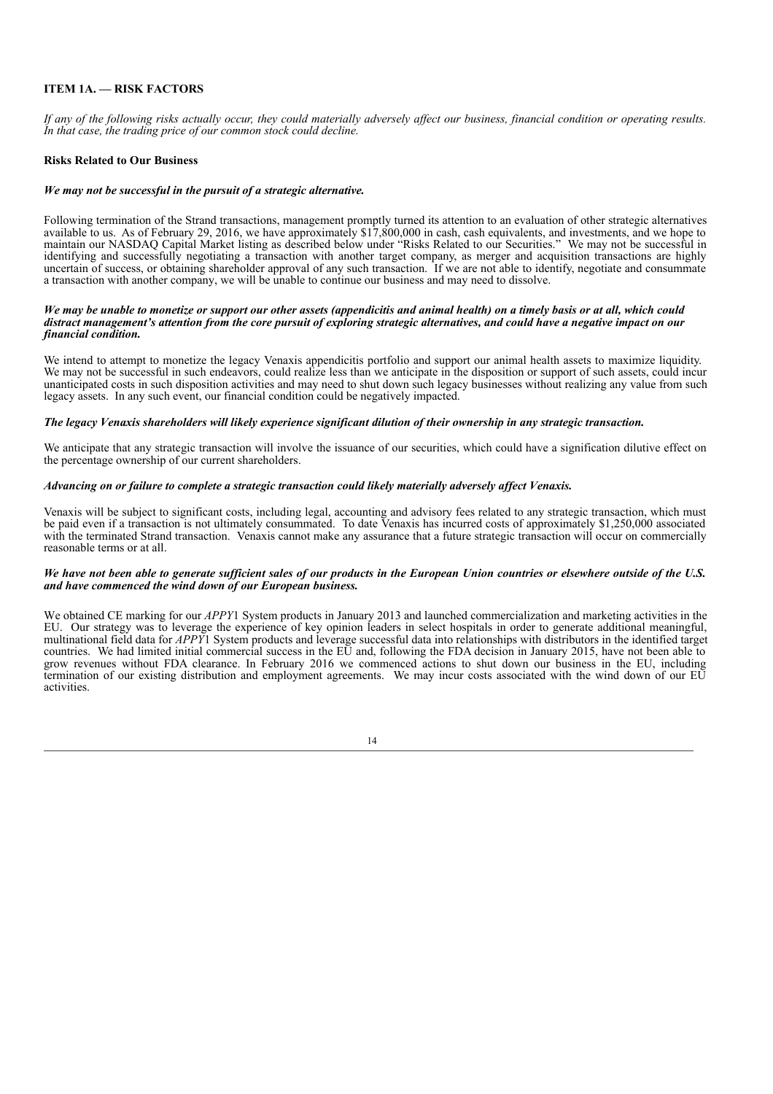# **ITEM 1A. — RISK FACTORS**

If any of the following risks actually occur, they could materially adversely affect our business, financial condition or operating results. *In that case, the trading price of our common stock could decline.*

# **Risks Related to Our Business**

## *We may not be successful in the pursuit of a strategic alternative.*

Following termination of the Strand transactions, management promptly turned its attention to an evaluation of other strategic alternatives available to us. As of February 29, 2016, we have approximately \$17,800,000 in cash, cash equivalents, and investments, and we hope to maintain our NASDAQ Capital Market listing as described below under "Risks Related to our Securities." We may not be successful in identifying and successfully negotiating a transaction with another target company, as merger and acquisition transactions are highly uncertain of success, or obtaining shareholder approval of any such transaction. If we are not able to identify, negotiate and consummate a transaction with another company, we will be unable to continue our business and may need to dissolve.

#### We may be unable to monetize or support our other assets (appendicitis and animal health) on a timely basis or at all, which could distract management's attention from the core pursuit of exploring strategic alternatives, and could have a negative impact on our *financial condition.*

We intend to attempt to monetize the legacy Venaxis appendicitis portfolio and support our animal health assets to maximize liquidity. We may not be successful in such endeavors, could realize less than we anticipate in the disposition or support of such assets, could incur unanticipated costs in such disposition activities and may need to shut down such legacy businesses without realizing any value from such legacy assets. In any such event, our financial condition could be negatively impacted.

### The legacy Venaxis shareholders will likely experience significant dilution of their ownership in any strategic transaction.

We anticipate that any strategic transaction will involve the issuance of our securities, which could have a signification dilutive effect on the percentage ownership of our current shareholders.

### *Advancing on or failure to complete a strategic transaction could likely materially adversely af ect Venaxis.*

Venaxis will be subject to significant costs, including legal, accounting and advisory fees related to any strategic transaction, which must be paid even if a transaction is not ultimately consummated. To date Venaxis has incurred costs of approximately \$1,250,000 associated with the terminated Strand transaction. Venaxis cannot make any assurance that a future strategic transaction will occur on commercially reasonable terms or at all.

## We have not been able to generate sufficient sales of our products in the European Union countries or elsewhere outside of the U.S. *and have commenced the wind down of our European business.*

We obtained CE marking for our *APPY*1 System products in January 2013 and launched commercialization and marketing activities in the EU. Our strategy was to leverage the experience of key opinion leaders in select hospitals in order to generate additional meaningful, multinational field data for *APPY*1 System products and leverage successful data into relationships with distributors in the identified target countries. We had limited initial commercial success in the EU and, following the FDA decision in January 2015, have not been able to grow revenues without FDA clearance. In February 2016 we commenced actions to shut down our business in the EU, including termination of our existing distribution and employment agreements. We may incur costs associated with the wind down of our EU activities.

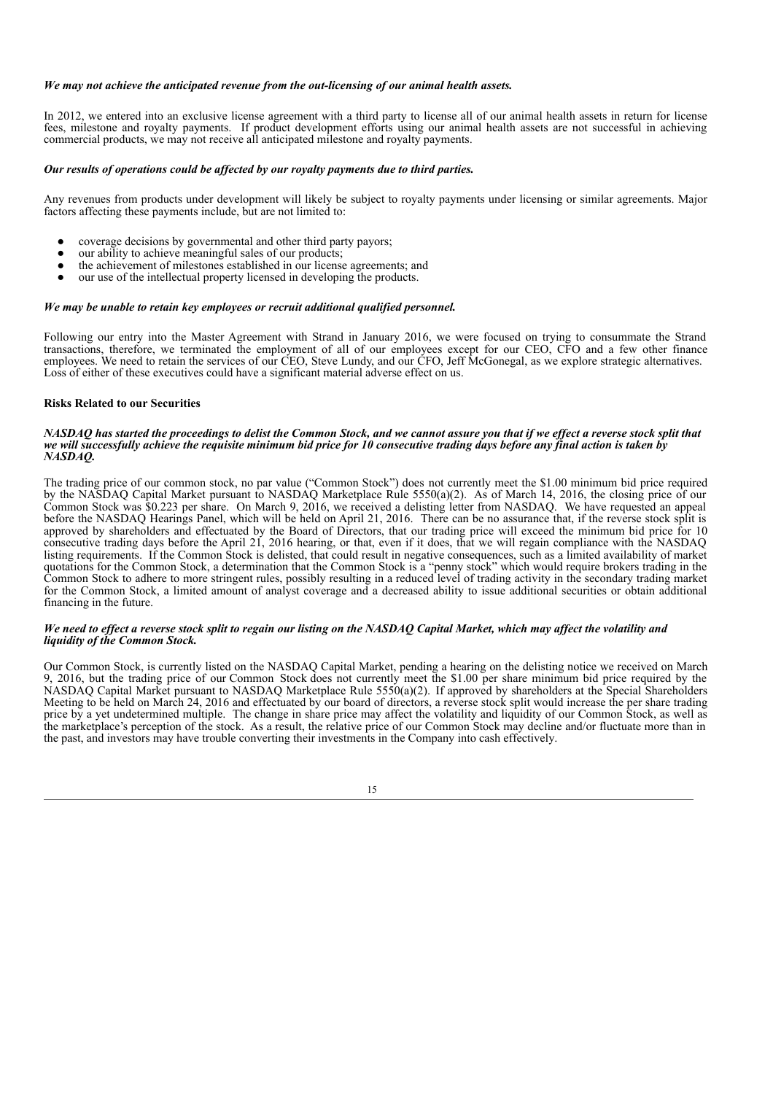## *We may not achieve the anticipated revenue from the out-licensing of our animal health assets.*

In 2012, we entered into an exclusive license agreement with a third party to license all of our animal health assets in return for license fees, milestone and royalty payments. If product development efforts using our animal health assets are not successful in achieving commercial products, we may not receive all anticipated milestone and royalty payments.

## *Our results of operations could be af ected by our royalty payments due to third parties.*

Any revenues from products under development will likely be subject to royalty payments under licensing or similar agreements. Major factors affecting these payments include, but are not limited to:

- coverage decisions by governmental and other third party payors;
- our ability to achieve meaningful sales of our products;
- the achievement of milestones established in our license agreements; and
- our use of the intellectual property licensed in developing the products.

# *We may be unable to retain key employees or recruit additional qualified personnel.*

Following our entry into the Master Agreement with Strand in January 2016, we were focused on trying to consummate the Strand transactions, therefore, we terminated the employment of all of our employees except for our CEO, CFO and a few other finance employees. We need to retain the services of our CEO, Steve Lundy, and our CFO, Jeff McGonegal, as we explore strategic alternatives. Loss of either of these executives could have a significant material adverse effect on us.

# **Risks Related to our Securities**

#### NASDAQ has started the proceedings to delist the Common Stock, and we cannot assure you that if we effect a reverse stock split that we will successfully achieve the requisite minimum bid price for 10 consecutive trading days before any final action is taken by *NASDAQ.*

The trading price of our common stock, no par value ("Common Stock") does not currently meet the \$1.00 minimum bid price required by the NASDAQ Capital Market pursuant to NASDAQ Marketplace Rule 5550(a)(2). As of March 14, 2016, the closing price of our Common Stock was \$0.223 per share. On March 9, 2016, we received a delisting letter from NASDAQ. We have requested an appeal before the NASDAQ Hearings Panel, which will be held on April 21, 2016. There can be no assurance that, if the reverse stock split is approved by shareholders and effectuated by the Board of Directors, that our trading price will exceed the minimum bid price for 10 consecutive trading days before the April 21, 2016 hearing, or that, even if it does, that we will regain compliance with the NASDAQ listing requirements. If the Common Stock is delisted, that could result in negative consequences, such as a limited availability of market quotations for the Common Stock, a determination that the Common Stock is a "penny stock" which would require brokers trading in the Common Stock to adhere to more stringent rules, possibly resulting in a reduced level of trading activity in the secondary trading market for the Common Stock, a limited amount of analyst coverage and a decreased ability to issue additional securities or obtain additional financing in the future.

### We need to effect a reverse stock split to regain our listing on the NASDAQ Capital Market, which may affect the volatility and *liquidity of the Common Stock.*

Our Common Stock, is currently listed on the NASDAQ Capital Market, pending a hearing on the delisting notice we received on March 9, 2016, but the trading price of our Common Stock does not currently meet the \$1.00 per share minimum bid price required by the NASDAQ Capital Market pursuant to NASDAQ Marketplace Rule 5550(a)(2). If approved by shareholders at the Special Shareholders Meeting to be held on March 24, 2016 and effectuated by our board of directors, a reverse stock split would increase the per share trading price by a yet undetermined multiple. The change in share price may affect the volatility and liquidity of our Common Stock, as well as the marketplace's perception of the stock. As a result, the relative price of our Common Stock may decline and/or fluctuate more than in the past, and investors may have trouble converting their investments in the Company into cash effectively.

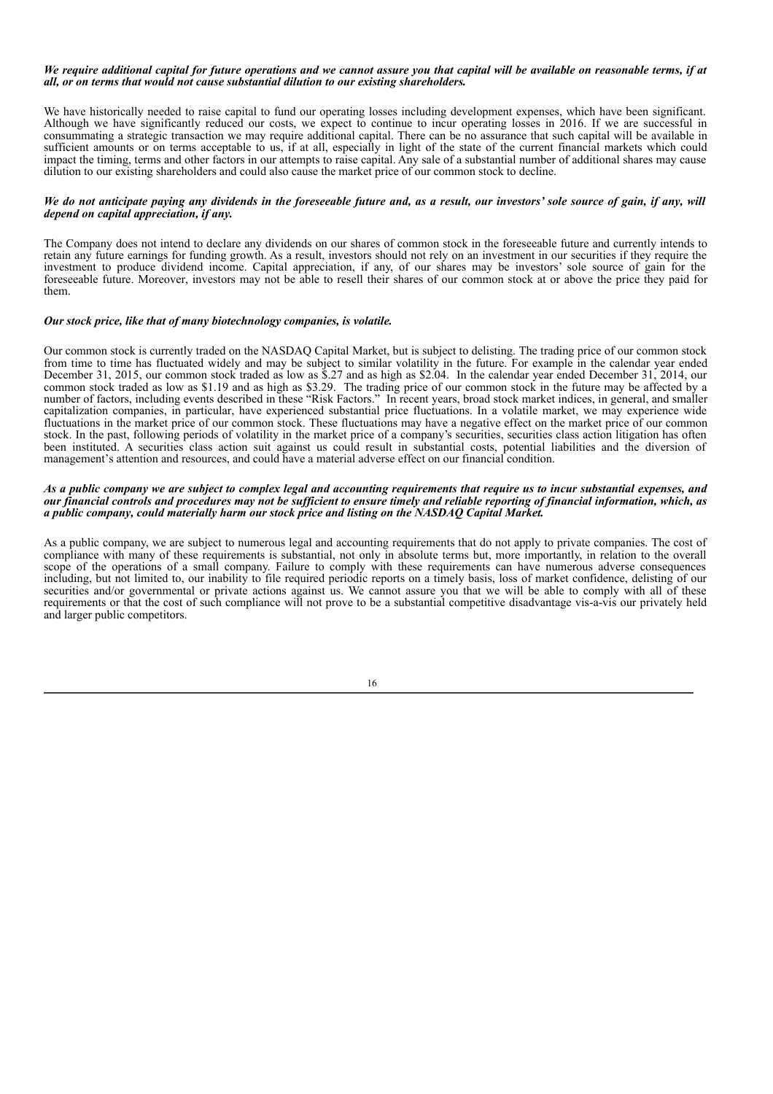#### We require additional capital for future operations and we cannot assure you that capital will be available on reasonable terms, if at *all, or on terms that would not cause substantial dilution to our existing shareholders.*

We have historically needed to raise capital to fund our operating losses including development expenses, which have been significant. Although we have significantly reduced our costs, we expect to continue to incur operating losses in 2016. If we are successful in consummating a strategic transaction we may require additional capital. There can be no assurance that such capital will be available in sufficient amounts or on terms acceptable to us, if at all, especially in light of the state of the current financial markets which could impact the timing, terms and other factors in our attempts to raise capital. Any sale of a substantial number of additional shares may cause dilution to our existing shareholders and could also cause the market price of our common stock to decline.

### We do not anticipate paying any dividends in the foreseeable future and, as a result, our investors' sole source of gain, if any, will *depend on capital appreciation, if any.*

The Company does not intend to declare any dividends on our shares of common stock in the foreseeable future and currently intends to retain any future earnings for funding growth. As a result, investors should not rely on an investment in our securities if they require the investment to produce dividend income. Capital appreciation, if any, of our shares may be investors' sole source of gain for the foreseeable future. Moreover, investors may not be able to resell their shares of our common stock at or above the price they paid for them.

# *Our stock price, like that of many biotechnology companies, is volatile.*

Our common stock is currently traded on the NASDAQ Capital Market, but is subject to delisting. The trading price of our common stock from time to time has fluctuated widely and may be subject to similar volatility in the future. For example in the calendar year ended December 31, 2015, our common stock traded as low as \$.27 and as high as \$2.04. In the calendar year ended December 31, 2014, our common stock traded as low as \$1.19 and as high as \$3.29. The trading price of our common stock in the future may be affected by a number of factors, including events described in these "Risk Factors." In recent years, broad stock market indices, in general, and smaller capitalization companies, in particular, have experienced substantial price fluctuations. In a volatile market, we may experience wide fluctuations in the market price of our common stock. These fluctuations may have a negative effect on the market price of our common stock. In the past, following periods of volatility in the market price of a company's securities, securities class action litigation has often been instituted. A securities class action suit against us could result in substantial costs, potential liabilities and the diversion of management's attention and resources, and could have a material adverse effect on our financial condition.

#### As a public company we are subject to complex legal and accounting requirements that require us to incur substantial expenses, and our financial controls and procedures may not be sufficient to ensure timely and reliable reporting of financial information, which, as *a public company, could materially harm our stock price and listing on the NASDAQ Capital Market.*

As a public company, we are subject to numerous legal and accounting requirements that do not apply to private companies. The cost of compliance with many of these requirements is substantial, not only in absolute terms but, more importantly, in relation to the overall scope of the operations of a small company. Failure to comply with these requirements can have numerous adverse consequences including, but not limited to, our inability to file required periodic reports on a timely basis, loss of market confidence, delisting of our securities and/or governmental or private actions against us. We cannot assure you that we will be able to comply with all of these requirements or that the cost of such compliance will not prove to be a substantial competitive disadvantage vis-а-vis our privately held and larger public competitors.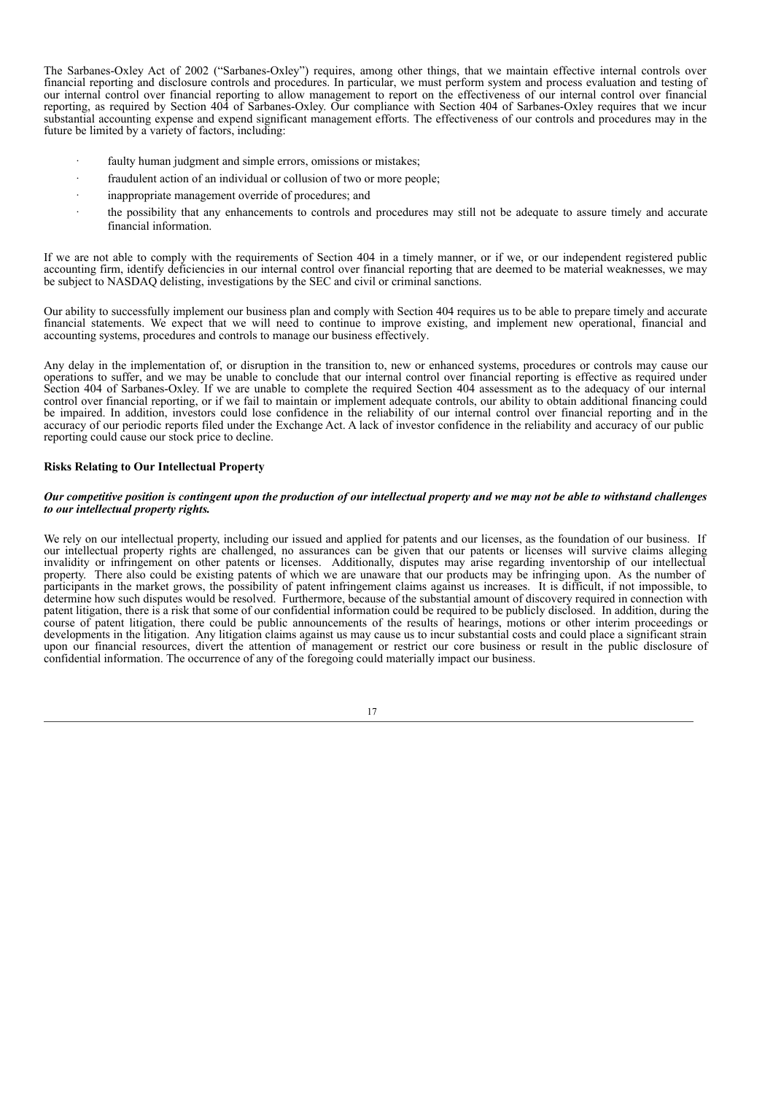The Sarbanes-Oxley Act of 2002 ("Sarbanes-Oxley") requires, among other things, that we maintain effective internal controls over financial reporting and disclosure controls and procedures. In particular, we must perform system and process evaluation and testing of our internal control over financial reporting to allow management to report on the effectiveness of our internal control over financial reporting, as required by Section 404 of Sarbanes-Oxley. Our compliance with Section 404 of Sarbanes-Oxley requires that we incur substantial accounting expense and expend significant management efforts. The effectiveness of our controls and procedures may in the future be limited by a variety of factors, including:

- faulty human judgment and simple errors, omissions or mistakes;
- fraudulent action of an individual or collusion of two or more people;
- inappropriate management override of procedures; and
- · the possibility that any enhancements to controls and procedures may still not be adequate to assure timely and accurate financial information.

If we are not able to comply with the requirements of Section 404 in a timely manner, or if we, or our independent registered public accounting firm, identify deficiencies in our internal control over financial reporting that are deemed to be material weaknesses, we may be subject to NASDAQ delisting, investigations by the SEC and civil or criminal sanctions.

Our ability to successfully implement our business plan and comply with Section 404 requires us to be able to prepare timely and accurate financial statements. We expect that we will need to continue to improve existing, and implement new operational, financial and accounting systems, procedures and controls to manage our business effectively.

Any delay in the implementation of, or disruption in the transition to, new or enhanced systems, procedures or controls may cause our operations to suffer, and we may be unable to conclude that our internal control over financial reporting is effective as required under Section 404 of Sarbanes-Oxley. If we are unable to complete the required Section 404 assessment as to the adequacy of our internal control over financial reporting, or if we fail to maintain or implement adequate controls, our ability to obtain additional financing could be impaired. In addition, investors could lose confidence in the reliability of our internal control over financial reporting and in the accuracy of our periodic reports filed under the Exchange Act. A lack of investor confidence in the reliability and accuracy of our public reporting could cause our stock price to decline.

# **Risks Relating to Our Intellectual Property**

### Our competitive position is contingent upon the production of our intellectual property and we may not be able to withstand challenges *to our intellectual property rights.*

We rely on our intellectual property, including our issued and applied for patents and our licenses, as the foundation of our business. If our intellectual property rights are challenged, no assurances can be given that our patents or licenses will survive claims alleging invalidity or infringement on other patents or licenses. Additionally, disputes may arise regarding inventorship of our intellectual property. There also could be existing patents of which we are unaware that our products may be infringing upon. As the number of participants in the market grows, the possibility of patent infringement claims against us increases. It is difficult, if not impossible, to determine how such disputes would be resolved. Furthermore, because of the substantial amount of discovery required in connection with patent litigation, there is a risk that some of our confidential information could be required to be publicly disclosed. In addition, during the course of patent litigation, there could be public announcements of the results of hearings, motions or other interim proceedings or developments in the litigation. Any litigation claims against us may cause us to incur substantial costs and could place a significant strain upon our financial resources, divert the attention of management or restrict our core business or result in the public disclosure of confidential information. The occurrence of any of the foregoing could materially impact our business.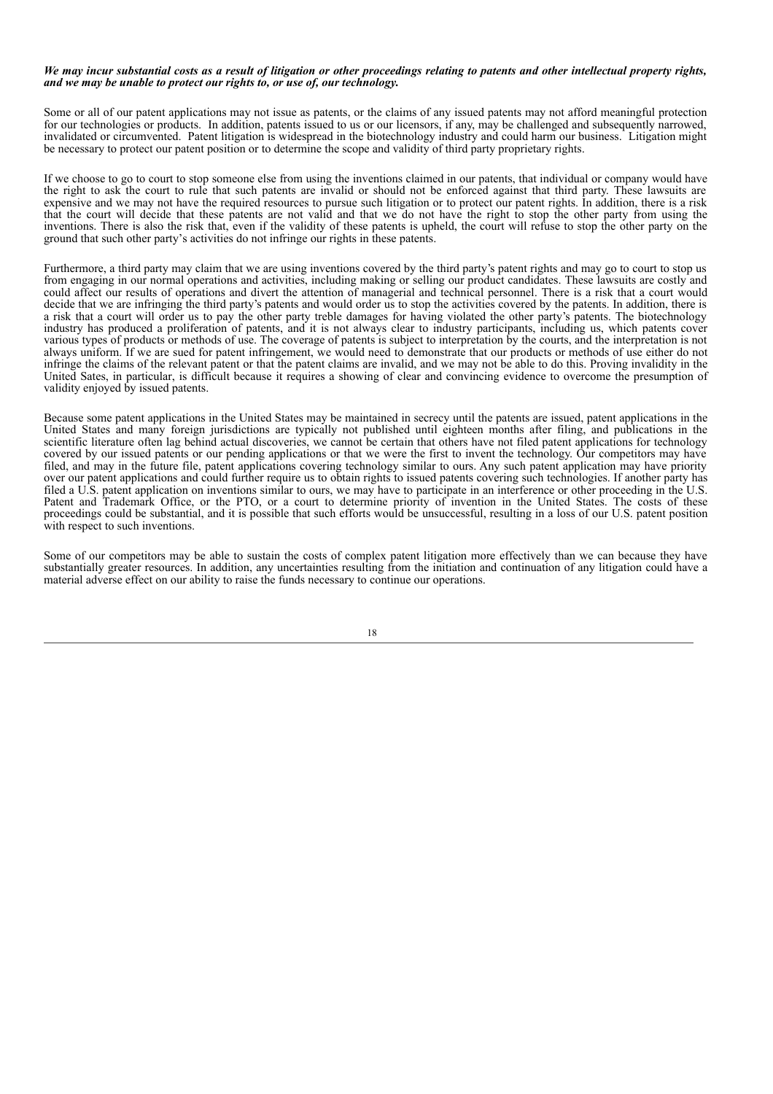#### We may incur substantial costs as a result of litigation or other proceedings relating to patents and other intellectual property rights, *and we may be unable to protect our rights to, or use of, our technology.*

Some or all of our patent applications may not issue as patents, or the claims of any issued patents may not afford meaningful protection for our technologies or products. In addition, patents issued to us or our licensors, if any, may be challenged and subsequently narrowed, invalidated or circumvented. Patent litigation is widespread in the biotechnology industry and could harm our business. Litigation might be necessary to protect our patent position or to determine the scope and validity of third party proprietary rights.

If we choose to go to court to stop someone else from using the inventions claimed in our patents, that individual or company would have the right to ask the court to rule that such patents are invalid or should not be enforced against that third party. These lawsuits are expensive and we may not have the required resources to pursue such litigation or to protect our patent rights. In addition, there is a risk that the court will decide that these patents are not valid and that we do not have the right to stop the other party from using the inventions. There is also the risk that, even if the validity of these patents is upheld, the court will refuse to stop the other party on the ground that such other party's activities do not infringe our rights in these patents.

Furthermore, a third party may claim that we are using inventions covered by the third party's patent rights and may go to court to stop us from engaging in our normal operations and activities, including making or selling our product candidates. These lawsuits are costly and could affect our results of operations and divert the attention of managerial and technical personnel. There is a risk that a court would decide that we are infringing the third party's patents and would order us to stop the activities covered by the patents. In addition, there is a risk that a court will order us to pay the other party treble damages for having violated the other party's patents. The biotechnology industry has produced a proliferation of patents, and it is not always clear to industry participants, including us, which patents cover various types of products or methods of use. The coverage of patents is subject to interpretation by the courts, and the interpretation is not always uniform. If we are sued for patent infringement, we would need to demonstrate that our products or methods of use either do not infringe the claims of the relevant patent or that the patent claims are invalid, and we may not be able to do this. Proving invalidity in the United Sates, in particular, is difficult because it requires a showing of clear and convincing evidence to overcome the presumption of validity enjoyed by issued patents.

Because some patent applications in the United States may be maintained in secrecy until the patents are issued, patent applications in the United States and many foreign jurisdictions are typically not published until eighteen months after filing, and publications in the scientific literature often lag behind actual discoveries, we cannot be certain that others have not filed patent applications for technology covered by our issued patents or our pending applications or that we were the first to invent the technology. Our competitors may have filed, and may in the future file, patent applications covering technology similar to ours. Any such patent application may have priority over our patent applications and could further require us to obtain rights to issued patents covering such technologies. If another party has filed a U.S. patent application on inventions similar to ours, we may have to participate in an interference or other proceeding in the U.S. Patent and Trademark Office, or the PTO, or a court to determine priority of invention in the United States. The costs of these proceedings could be substantial, and it is possible that such efforts would be unsuccessful, resulting in a loss of our U.S. patent position with respect to such inventions.

Some of our competitors may be able to sustain the costs of complex patent litigation more effectively than we can because they have substantially greater resources. In addition, any uncertainties resulting from the initiation and continuation of any litigation could have a material adverse effect on our ability to raise the funds necessary to continue our operations.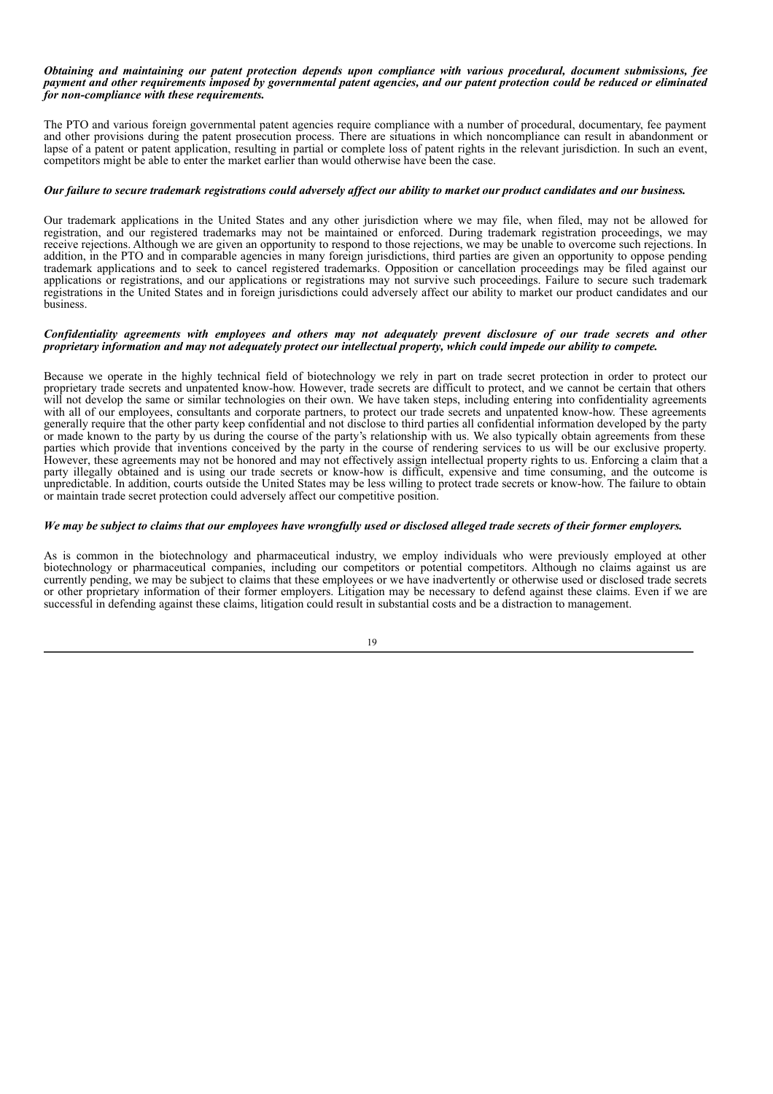#### Obtaining and maintaining our patent protection depends upon compliance with various procedural, document submissions, fee payment and other requirements imposed by governmental patent agencies, and our patent protection could be reduced or eliminated *for non-compliance with these requirements.*

The PTO and various foreign governmental patent agencies require compliance with a number of procedural, documentary, fee payment and other provisions during the patent prosecution process. There are situations in which noncompliance can result in abandonment or lapse of a patent or patent application, resulting in partial or complete loss of patent rights in the relevant jurisdiction. In such an event, competitors might be able to enter the market earlier than would otherwise have been the case.

### Our failure to secure trademark registrations could adversely affect our ability to market our product candidates and our business.

Our trademark applications in the United States and any other jurisdiction where we may file, when filed, may not be allowed for registration, and our registered trademarks may not be maintained or enforced. During trademark registration proceedings, we may receive rejections. Although we are given an opportunity to respond to those rejections, we may be unable to overcome such rejections. In addition, in the PTO and in comparable agencies in many foreign jurisdictions, third parties are given an opportunity to oppose pending trademark applications and to seek to cancel registered trademarks. Opposition or cancellation proceedings may be filed against our applications or registrations, and our applications or registrations may not survive such proceedings. Failure to secure such trademark registrations in the United States and in foreign jurisdictions could adversely affect our ability to market our product candidates and our business.

#### Confidentiality agreements with employees and others may not adequately prevent disclosure of our trade secrets and other proprietary information and may not adequately protect our intellectual property, which could impede our ability to compete.

Because we operate in the highly technical field of biotechnology we rely in part on trade secret protection in order to protect our proprietary trade secrets and unpatented know-how. However, trade secrets are difficult to protect, and we cannot be certain that others will not develop the same or similar technologies on their own. We have taken steps, including entering into confidentiality agreements with all of our employees, consultants and corporate partners, to protect our trade secrets and unpatented know-how. These agreements generally require that the other party keep confidential and not disclose to third parties all confidential information developed by the party or made known to the party by us during the course of the party's relationship with us. We also typically obtain agreements from these parties which provide that inventions conceived by the party in the course of rendering services to us will be our exclusive property. However, these agreements may not be honored and may not effectively assign intellectual property rights to us. Enforcing a claim that a party illegally obtained and is using our trade secrets or know-how is difficult, expensive and time consuming, and the outcome is unpredictable. In addition, courts outside the United States may be less willing to protect trade secrets or know-how. The failure to obtain or maintain trade secret protection could adversely affect our competitive position.

# We may be subject to claims that our employees have wrongfully used or disclosed alleged trade secrets of their former employers.

As is common in the biotechnology and pharmaceutical industry, we employ individuals who were previously employed at other biotechnology or pharmaceutical companies, including our competitors or potential competitors. Although no claims against us are currently pending, we may be subject to claims that these employees or we have inadvertently or otherwise used or disclosed trade secrets or other proprietary information of their former employers. Litigation may be necessary to defend against these claims. Even if we are successful in defending against these claims, litigation could result in substantial costs and be a distraction to management.

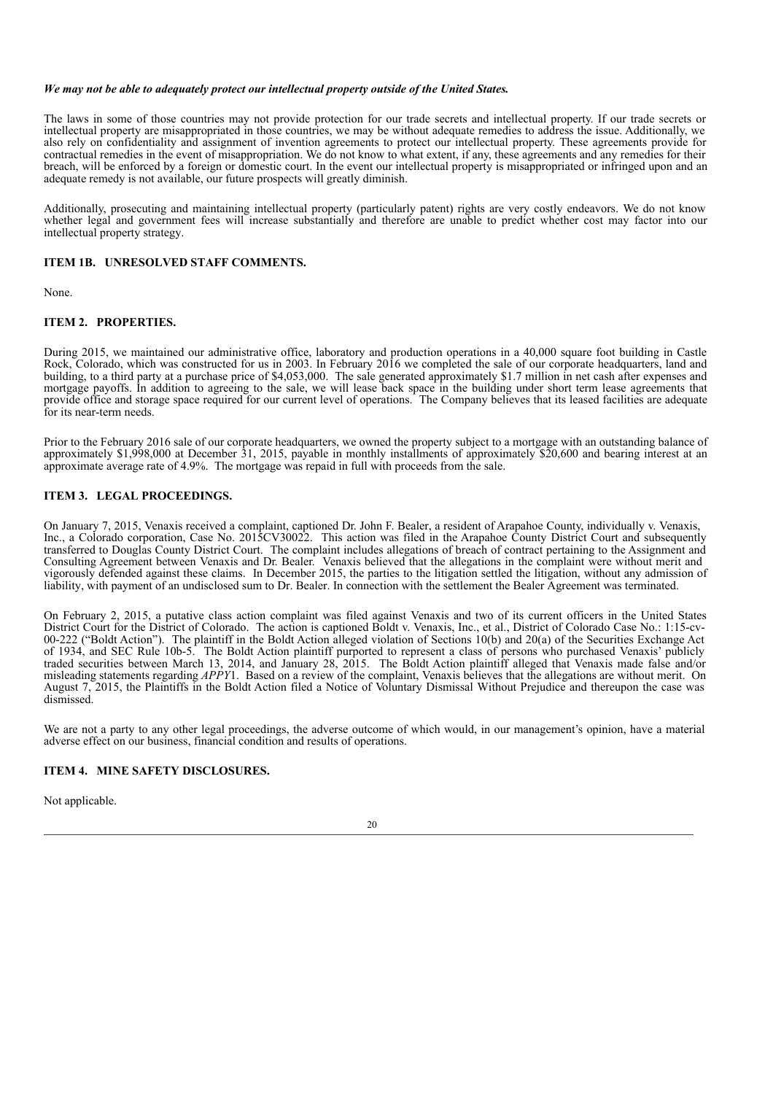#### *We may not be able to adequately protect our intellectual property outside of the United States.*

The laws in some of those countries may not provide protection for our trade secrets and intellectual property. If our trade secrets or intellectual property are misappropriated in those countries, we may be without adequate remedies to address the issue. Additionally, we also rely on confidentiality and assignment of invention agreements to protect our intellectual property. These agreements provide for contractual remedies in the event of misappropriation. We do not know to what extent, if any, these agreements and any remedies for their breach, will be enforced by a foreign or domestic court. In the event our intellectual property is misappropriated or infringed upon and an adequate remedy is not available, our future prospects will greatly diminish.

Additionally, prosecuting and maintaining intellectual property (particularly patent) rights are very costly endeavors. We do not know whether legal and government fees will increase substantially and therefore are unable to predict whether cost may factor into our intellectual property strategy.

## **ITEM 1B. UNRESOLVED STAFF COMMENTS.**

None.

# **ITEM 2. PROPERTIES.**

During 2015, we maintained our administrative office, laboratory and production operations in a 40,000 square foot building in Castle Rock, Colorado, which was constructed for us in 2003. In February 2016 we completed the sale of our corporate headquarters, land and building, to a third party at a purchase price of \$4,053,000. The sale generated approximately \$1.7 million in net cash after expenses and mortgage payoffs. In addition to agreeing to the sale, we will lease back space in the building under short term lease agreements that provide office and storage space required for our current level of operations. The Company believes that its leased facilities are adequate for its near-term needs.

Prior to the February 2016 sale of our corporate headquarters, we owned the property subject to a mortgage with an outstanding balance of approximately \$1,998,000 at December 31, 2015, payable in monthly installments of approximately \$20,600 and bearing interest at an approximate average rate of 4.9%. The mortgage was repaid in full with proceeds from the sale.

# **ITEM 3. LEGAL PROCEEDINGS.**

On January 7, 2015, Venaxis received a complaint, captioned Dr. John F. Bealer, a resident of Arapahoe County, individually v. Venaxis, Inc., a Colorado corporation, Case No. 2015CV30022. This action was filed in the Arapahoe County District Court and subsequently transferred to Douglas County District Court. The complaint includes allegations of breach of contract pertaining to the Assignment and Consulting Agreement between Venaxis and Dr. Bealer. Venaxis believed that the allegations in the complaint were without merit and vigorously defended against these claims. In December 2015, the parties to the litigation settled the litigation, without any admission of liability, with payment of an undisclosed sum to Dr. Bealer. In connection with the settlement the Bealer Agreement was terminated.

On February 2, 2015, a putative class action complaint was filed against Venaxis and two of its current officers in the United States District Court for the District of Colorado. The action is captioned Boldt v. Venaxis, Inc., et al., District of Colorado Case No.: 1:15-cv-00-222 ("Boldt Action"). The plaintiff in the Boldt Action alleged violation of Sections 10(b) and 20(a) of the Securities Exchange Act of 1934, and SEC Rule 10b-5. The Boldt Action plaintiff purported to represent a class of persons who purchased Venaxis' publicly traded securities between March 13, 2014, and January 28, 2015. The Boldt Action plaintiff alleged that Venaxis made false and/or misleading statements regarding *APPY*1. Based on a review of the complaint, Venaxis believes that the allegations are without merit. On August 7, 2015, the Plaintiffs in the Boldt Action filed a Notice of Voluntary Dismissal Without Prejudice and thereupon the case was dismissed.

We are not a party to any other legal proceedings, the adverse outcome of which would, in our management's opinion, have a material adverse effect on our business, financial condition and results of operations.

# **ITEM 4. MINE SAFETY DISCLOSURES.**

Not applicable.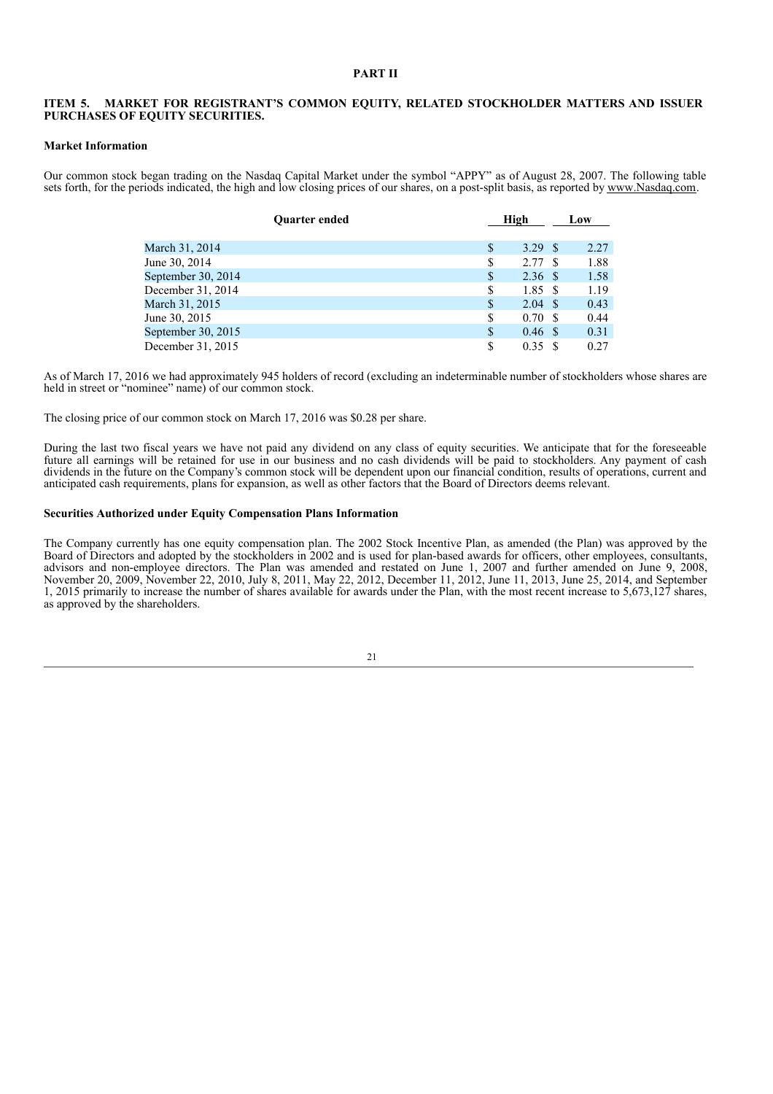# **PART II**

# **ITEM 5. MARKET FOR REGISTRANT'S COMMON EQUITY, RELATED STOCKHOLDER MATTERS AND ISSUER PURCHASES OF EQUITY SECURITIES.**

#### **Market Information**

Our common stock began trading on the Nasdaq Capital Market under the symbol "APPY" as of August 28, 2007. The following table sets forth, for the periods indicated, the high and low closing prices of our shares, on a post-split basis, as reported by www.Nasdaq.com.

| <b>Ouarter</b> ended |     | High               |     | Low  |
|----------------------|-----|--------------------|-----|------|
|                      |     |                    |     |      |
| March 31, 2014       | S   | 3.29S              |     | 2.27 |
| June 30, 2014        | \$  | 2.77 \$            |     | 1.88 |
| September 30, 2014   | S   | 2.36 <sup>°</sup>  |     | 1.58 |
| December 31, 2014    | \$  | 1.85S              |     | 1.19 |
| March 31, 2015       | S   | $2.04 \text{ } $s$ |     | 0.43 |
| June 30, 2015        | S   | 0.70 <sup>5</sup>  |     | 0.44 |
| September 30, 2015   | \$. | $0.46 \text{ }$ \$ |     | 0.31 |
| December 31, 2015    | \$  | 0.35               | - S | 0.27 |

As of March 17, 2016 we had approximately 945 holders of record (excluding an indeterminable number of stockholders whose shares are held in street or "nominee" name) of our common stock.

The closing price of our common stock on March 17, 2016 was \$0.28 per share.

During the last two fiscal years we have not paid any dividend on any class of equity securities. We anticipate that for the foreseeable future all earnings will be retained for use in our business and no cash dividends will be paid to stockholders. Any payment of cash dividends in the future on the Company's common stock will be dependent upon our financial condition, results of operations, current and anticipated cash requirements, plans for expansion, as well as other factors that the Board of Directors deems relevant.

#### **Securities Authorized under Equity Compensation Plans Information**

The Company currently has one equity compensation plan. The 2002 Stock Incentive Plan, as amended (the Plan) was approved by the Board of Directors and adopted by the stockholders in 2002 and is used for plan-based awards for officers, other employees, consultants, advisors and non-employee directors. The Plan was amended and restated on June 1, 2007 and further amended on June 9, 2008, November 20, 2009, November 22, 2010, July 8, 2011, May 22, 2012, December 11, 2012, June 11, 2013, June 25, 2014, and September 1, 2015 primarily to increase the number of shares available for awards under the Plan, with the most recent increase to 5,673,127 shares, as approved by the shareholders.

| I | × |
|---|---|
|   |   |
|   |   |
|   |   |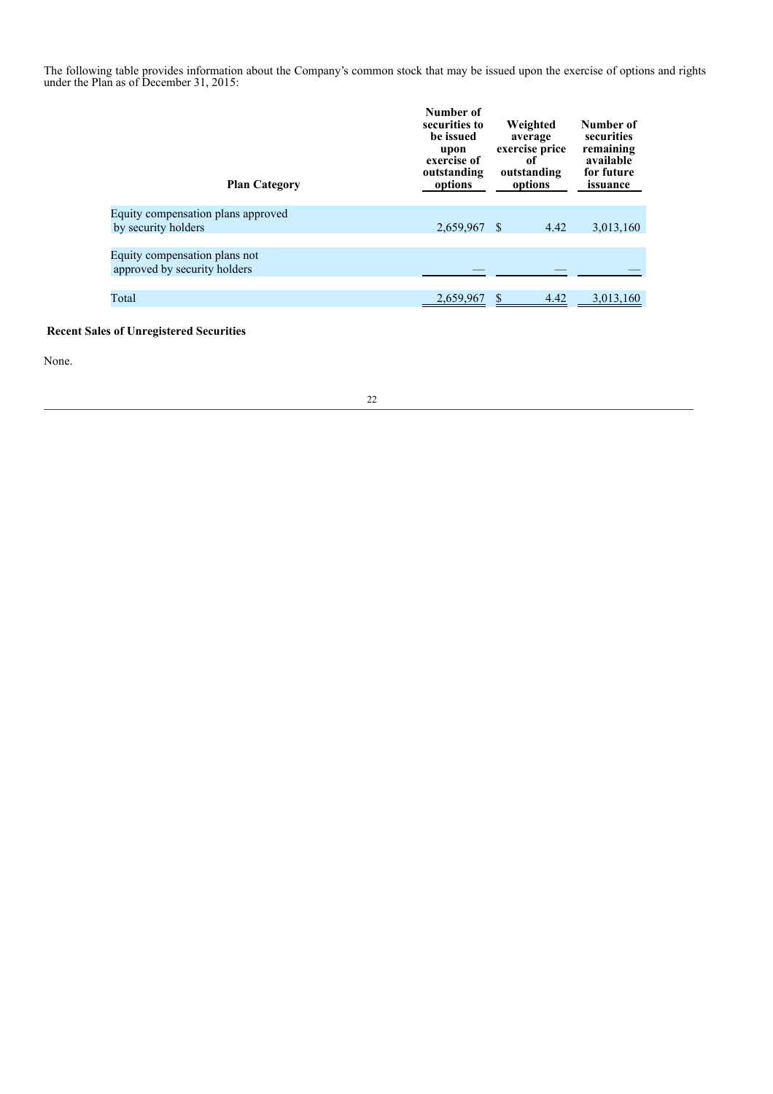The following table provides information about the Company's common stock that may be issued upon the exercise of options and rights under the Plan as of December 31, 2015:

| <b>Plan Category</b>                                          | Number of<br>securities to<br>be issued<br>upon<br>exercise of<br>outstanding<br>options | Weighted<br>average<br>exercise price<br>0Ť<br>outstanding<br>options | Number of<br>securities<br>remaining<br>available<br>for future<br>issuance |  |
|---------------------------------------------------------------|------------------------------------------------------------------------------------------|-----------------------------------------------------------------------|-----------------------------------------------------------------------------|--|
| Equity compensation plans approved                            |                                                                                          |                                                                       |                                                                             |  |
| by security holders                                           | 2,659,967 \$                                                                             | 4.42                                                                  | 3,013,160                                                                   |  |
| Equity compensation plans not<br>approved by security holders |                                                                                          |                                                                       |                                                                             |  |
| Total                                                         | 2.659.967                                                                                | -S<br>4.42                                                            | 3.013.160                                                                   |  |

# **Recent Sales of Unregistered Securities**

None.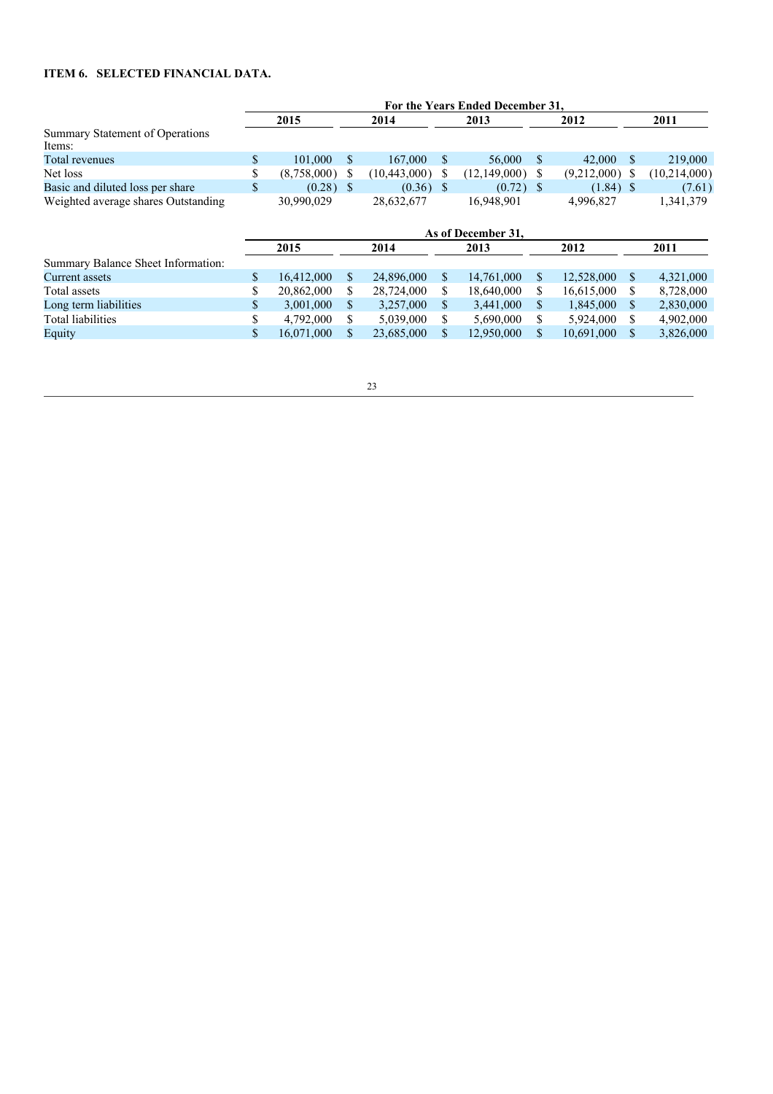# **ITEM 6. SELECTED FINANCIAL DATA.**

|                                           | For the Years Ended December 31, |             |  |                |  |              |  |                  |  |                |
|-------------------------------------------|----------------------------------|-------------|--|----------------|--|--------------|--|------------------|--|----------------|
|                                           | 2015                             |             |  | 2014           |  | 2013         |  | 2012             |  | 2011           |
| Summary Statement of Operations<br>Items: |                                  |             |  |                |  |              |  |                  |  |                |
| Total revenues                            |                                  | 101,000     |  | 167,000        |  | 56,000       |  | 42,000           |  | 219,000        |
| Net loss                                  |                                  | (8,758,000) |  | (10, 443, 000) |  | (12,149,000) |  | $(9,212,000)$ \$ |  | (10, 214, 000) |
| Basic and diluted loss per share          |                                  | $(0.28)$ \$ |  | $(0.36)$ \$    |  | $(0.72)$ \$  |  | $(1.84)$ \$      |  | (7.61)         |
| Weighted average shares Outstanding       |                                  | 30,990,029  |  | 28,632,677     |  | 16,948,901   |  | 4.996.827        |  | 1,341,379      |

|                                    | As of December 31, |            |      |            |      |            |      |            |  |           |
|------------------------------------|--------------------|------------|------|------------|------|------------|------|------------|--|-----------|
|                                    | 2015               |            | 2014 |            | 2013 |            | 2012 |            |  | 2011      |
| Summary Balance Sheet Information: |                    |            |      |            |      |            |      |            |  |           |
| Current assets                     |                    | 16,412,000 |      | 24,896,000 |      | 14,761,000 |      | 12,528,000 |  | 4,321,000 |
| Total assets                       |                    | 20,862,000 |      | 28,724,000 |      | 18,640,000 |      | 16,615,000 |  | 8,728,000 |
| Long term liabilities              |                    | 3.001.000  | S    | 3.257,000  |      | 3,441,000  |      | 1,845,000  |  | 2,830,000 |
| Total liabilities                  |                    | 4.792.000  |      | 5,039,000  |      | 5,690,000  |      | 5.924.000  |  | 4,902,000 |
| Equity                             |                    | 16,071,000 | S    | 23,685,000 |      | 12,950,000 |      | 10,691,000 |  | 3,826,000 |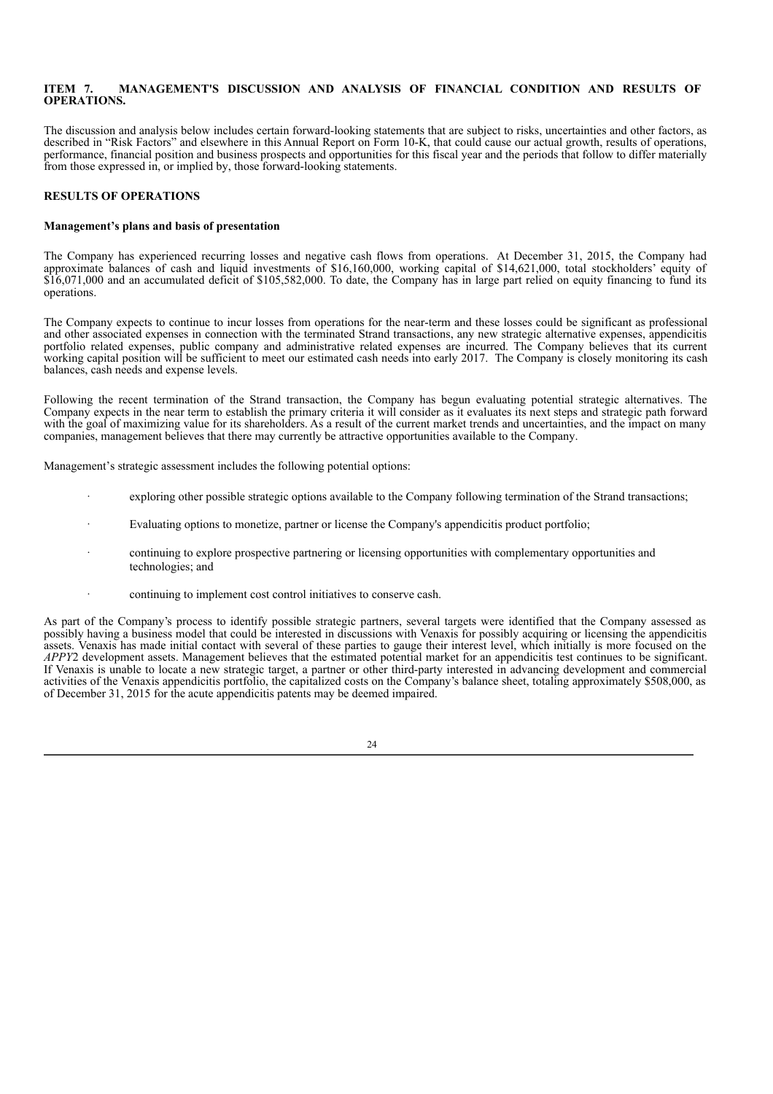# **ITEM 7. MANAGEMENT'S DISCUSSION AND ANALYSIS OF FINANCIAL CONDITION AND RESULTS OF OPERATIONS.**

The discussion and analysis below includes certain forward-looking statements that are subject to risks, uncertainties and other factors, as described in "Risk Factors" and elsewhere in this Annual Report on Form 10-K, that could cause our actual growth, results of operations, performance, financial position and business prospects and opportunities for this fiscal year and the periods that follow to differ materially from those expressed in, or implied by, those forward-looking statements.

# **RESULTS OF OPERATIONS**

# **Management's plans and basis of presentation**

The Company has experienced recurring losses and negative cash flows from operations. At December 31, 2015, the Company had approximate balances of cash and liquid investments of \$16,160,000, working capital of \$14,621,000, total stockholders' equity of \$16,071,000 and an accumulated deficit of \$105,582,000. To date, the Company has in large part relied on equity financing to fund its operations.

The Company expects to continue to incur losses from operations for the near-term and these losses could be significant as professional and other associated expenses in connection with the terminated Strand transactions, any new strategic alternative expenses, appendicitis portfolio related expenses, public company and administrative related expenses are incurred. The Company believes that its current working capital position will be sufficient to meet our estimated cash needs into early 2017. The Company is closely monitoring its cash balances, cash needs and expense levels.

Following the recent termination of the Strand transaction, the Company has begun evaluating potential strategic alternatives. The Company expects in the near term to establish the primary criteria it will consider as it evaluates its next steps and strategic path forward with the goal of maximizing value for its shareholders. As a result of the current market trends and uncertainties, and the impact on many companies, management believes that there may currently be attractive opportunities available to the Company.

Management's strategic assessment includes the following potential options:

- exploring other possible strategic options available to the Company following termination of the Strand transactions;
- Evaluating options to monetize, partner or license the Company's appendicitis product portfolio;
- · continuing to explore prospective partnering or licensing opportunities with complementary opportunities and technologies; and
	- continuing to implement cost control initiatives to conserve cash.

As part of the Company's process to identify possible strategic partners, several targets were identified that the Company assessed as possibly having a business model that could be interested in discussions with Venaxis for possibly acquiring or licensing the appendicitis assets. Venaxis has made initial contact with several of these parties to gauge their interest level, which initially is more focused on the *APPY*2 development assets. Management believes that the estimated potential market for an appendicitis test continues to be significant. If Venaxis is unable to locate a new strategic target, a partner or other third-party interested in advancing development and commercial activities of the Venaxis appendicitis portfolio, the capitalized costs on the Company's balance sheet, totaling approximately \$508,000, as of December 31, 2015 for the acute appendicitis patents may be deemed impaired.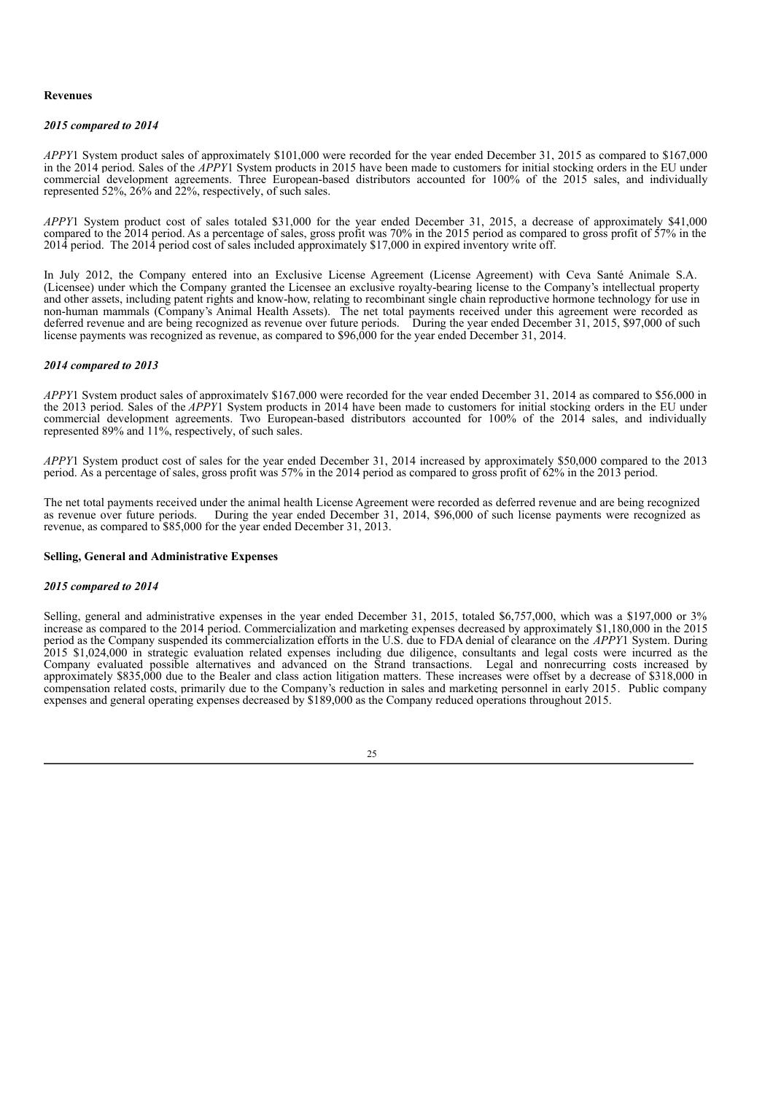# **Revenues**

# *2015 compared to 2014*

*APPY*1 System product sales of approximately \$101,000 were recorded for the year ended December 31, 2015 as compared to \$167,000 in the 2014 period. Sales of the *APPY*1 System products in 2015 have been made to customers for initial stocking orders in the EU under commercial development agreements. Three European-based distributors accounted for 100% of the 2015 sales, and individually represented 52%, 26% and 22%, respectively, of such sales.

*APPY*1 System product cost of sales totaled \$31,000 for the year ended December 31, 2015, a decrease of approximately \$41,000 compared to the 2014 period. As a percentage of sales, gross profit was 70% in the 2015 period as compared to gross profit of 57% in the 2014 period. The 2014 period cost of sales included approximately \$17,000 in expired inventory write off.

In July 2012, the Company entered into an Exclusive License Agreement (License Agreement) with Ceva Santé Animale S.A. (Licensee) under which the Company granted the Licensee an exclusive royalty-bearing license to the Company's intellectual property and other assets, including patent rights and know-how, relating to recombinant single chain reproductive hormone technology for use in non-human mammals (Company's Animal Health Assets). The net total payments received under this agreement were recorded as deferred revenue and are being recognized as revenue over future periods. During the year ended December 31, 2015, \$97,000 of such license payments was recognized as revenue, as compared to \$96,000 for the year ended December 31, 2014.

# *2014 compared to 2013*

*APPY*1 System product sales of approximately \$167,000 were recorded for the year ended December 31, 2014 as compared to \$56,000 in the 2013 period. Sales of the *APPY*1 System products in 2014 have been made to customers for initial stocking orders in the EU under commercial development agreements. Two European-based distributors accounted for 100% of the 2014 sales, and individually represented 89% and 11%, respectively, of such sales.

*APPY*1 System product cost of sales for the year ended December 31, 2014 increased by approximately \$50,000 compared to the 2013 period. As a percentage of sales, gross profit was 57% in the 2014 period as compared to gross profit of 62% in the 2013 period.

The net total payments received under the animal health License Agreement were recorded as deferred revenue and are being recognized as revenue over future periods. During the year ended December 31, 2014, \$96,000 of such license payments were recognized as revenue, as compared to \$85,000 for the year ended December 31, 2013.

### **Selling, General and Administrative Expenses**

### *2015 compared to 2014*

Selling, general and administrative expenses in the year ended December 31, 2015, totaled \$6,757,000, which was a \$197,000 or 3% increase as compared to the 2014 period. Commercialization and marketing expenses decreased by approximately \$1,180,000 in the 2015 period as the Company suspended its commercialization efforts in the U.S. due to FDA denial of clearance on the *APPY*1 System. During 2015 \$1,024,000 in strategic evaluation related expenses including due diligence, consultants and legal costs were incurred as the Company evaluated possible alternatives and advanced on the Strand transactions. Legal and nonrecurring costs increased by approximately \$835,000 due to the Bealer and class action litigation matters. These increases were offset by a decrease of \$318,000 in compensation related costs, primarily due to the Company's reduction in sales and marketing personnel in early 2015. Public company expenses and general operating expenses decreased by \$189,000 as the Company reduced operations throughout 2015.

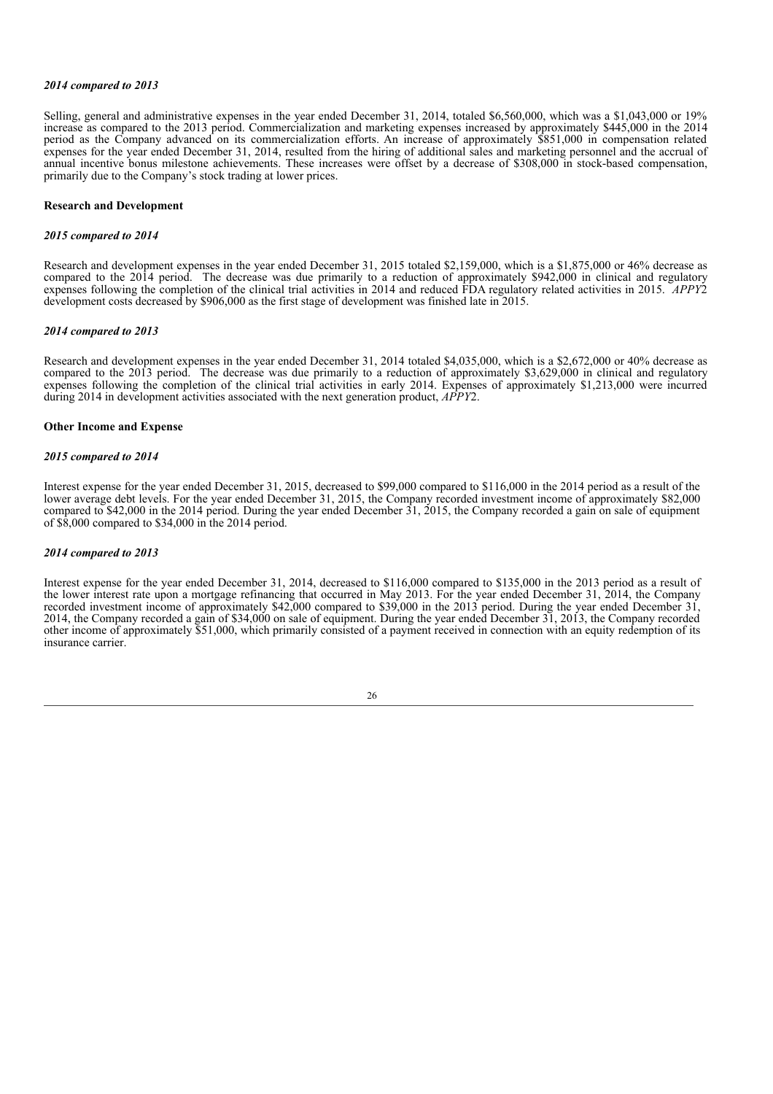#### *2014 compared to 2013*

Selling, general and administrative expenses in the year ended December 31, 2014, totaled \$6,560,000, which was a \$1,043,000 or 19% increase as compared to the 2013 period. Commercialization and marketing expenses increased by approximately \$445,000 in the 2014 period as the Company advanced on its commercialization efforts. An increase of approximately \$851,000 in compensation related expenses for the year ended December 31, 2014, resulted from the hiring of additional sales and marketing personnel and the accrual of annual incentive bonus milestone achievements. These increases were offset by a decrease of \$308,000 in stock-based compensation, primarily due to the Company's stock trading at lower prices.

#### **Research and Development**

#### *2015 compared to 2014*

Research and development expenses in the year ended December 31, 2015 totaled \$2,159,000, which is a \$1,875,000 or 46% decrease as compared to the 2014 period. The decrease was due primarily to a reduction of approximately \$942,000 in clinical and regulatory expenses following the completion of the clinical trial activities in 2014 and reduced FDA regulatory related activities in 2015. *APPY*2 development costs decreased by \$906,000 as the first stage of development was finished late in 2015.

#### *2014 compared to 2013*

Research and development expenses in the year ended December 31, 2014 totaled \$4,035,000, which is a \$2,672,000 or 40% decrease as compared to the 2013 period. The decrease was due primarily to a reduction of approximately \$3,629,000 in clinical and regulatory expenses following the completion of the clinical trial activities in early 2014. Expenses of approximately \$1,213,000 were incurred during 2014 in development activities associated with the next generation product, *APPY*2.

#### **Other Income and Expense**

#### *2015 compared to 2014*

Interest expense for the year ended December 31, 2015, decreased to \$99,000 compared to \$116,000 in the 2014 period as a result of the lower average debt levels. For the year ended December 31, 2015, the Company recorded investment income of approximately \$82,000 compared to \$42,000 in the 2014 period. During the year ended December 31, 2015, the Company recorded a gain on sale of equipment of \$8,000 compared to \$34,000 in the 2014 period.

#### *2014 compared to 2013*

Interest expense for the year ended December 31, 2014, decreased to \$116,000 compared to \$135,000 in the 2013 period as a result of the lower interest rate upon a mortgage refinancing that occurred in May 2013. For the year ended December 31, 2014, the Company recorded investment income of approximately \$42,000 compared to \$39,000 in the 2013 period. During the year ended December 31, 2014, the Company recorded a gain of \$34,000 on sale of equipment. During the year ended December 31, 2013, the Company recorded other income of approximately \$51,000, which primarily consisted of a payment received in connection with an equity redemption of its insurance carrier.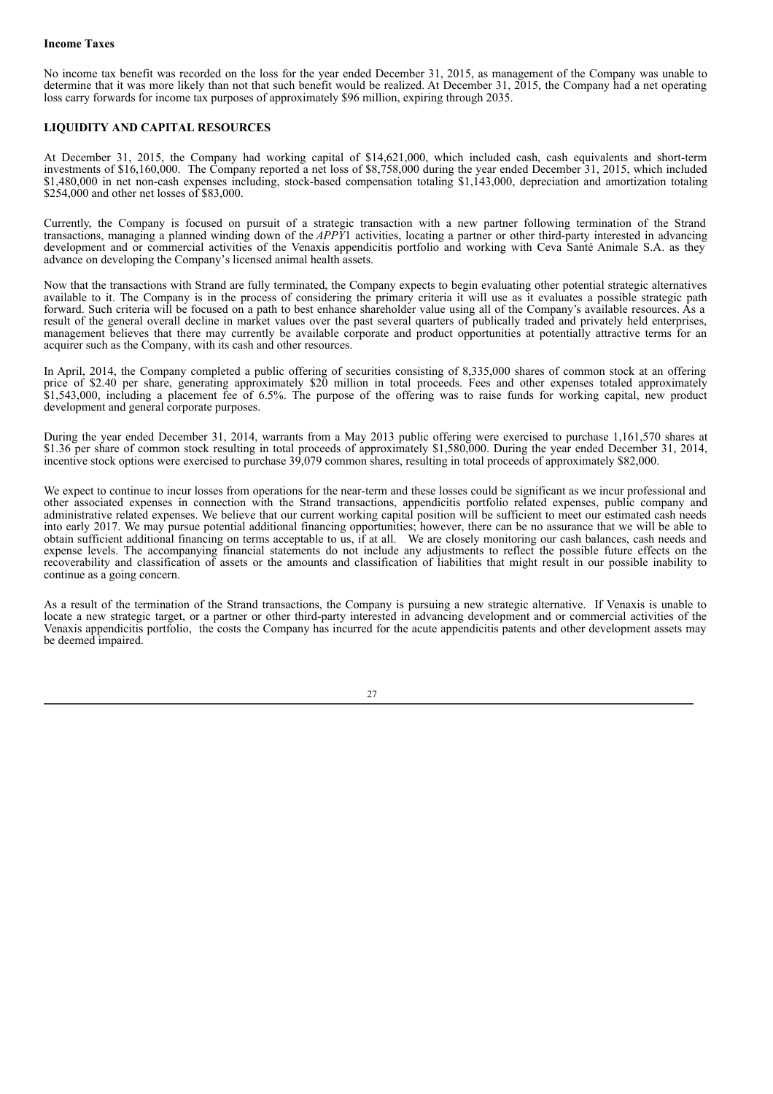### **Income Taxes**

No income tax benefit was recorded on the loss for the year ended December 31, 2015, as management of the Company was unable to determine that it was more likely than not that such benefit would be realized. At December 31, 2015, the Company had a net operating loss carry forwards for income tax purposes of approximately \$96 million, expiring through 2035.

# **LIQUIDITY AND CAPITAL RESOURCES**

At December 31, 2015, the Company had working capital of \$14,621,000, which included cash, cash equivalents and short-term investments of \$16,160,000. The Company reported a net loss of \$8,758,000 during the year ended December 31, 2015, which included \$1,480,000 in net non-cash expenses including, stock-based compensation totaling \$1,143,000, depreciation and amortization totaling \$254,000 and other net losses of \$83,000.

Currently, the Company is focused on pursuit of a strategic transaction with a new partner following termination of the Strand transactions, managing a planned winding down of the *APPY*1 activities, locating a partner or other third-party interested in advancing development and or commercial activities of the Venaxis appendicitis portfolio and working with Ceva Santé Animale S.A. as they advance on developing the Company's licensed animal health assets.

Now that the transactions with Strand are fully terminated, the Company expects to begin evaluating other potential strategic alternatives available to it. The Company is in the process of considering the primary criteria it will use as it evaluates a possible strategic path forward. Such criteria will be focused on a path to best enhance shareholder value using all of the Company's available resources. As a result of the general overall decline in market values over the past several quarters of publically traded and privately held enterprises, management believes that there may currently be available corporate and product opportunities at potentially attractive terms for an acquirer such as the Company, with its cash and other resources.

In April, 2014, the Company completed a public offering of securities consisting of 8,335,000 shares of common stock at an offering price of \$2.40 per share, generating approximately \$20 million in total proceeds. Fees and other expenses totaled approximately \$1,543,000, including a placement fee of 6.5%. The purpose of the offering was to raise funds for working capital, new product development and general corporate purposes.

During the year ended December 31, 2014, warrants from a May 2013 public offering were exercised to purchase 1,161,570 shares at \$1.36 per share of common stock resulting in total proceeds of approximately \$1,580,000. During the year ended December 31, 2014, incentive stock options were exercised to purchase 39,079 common shares, resulting in total proceeds of approximately \$82,000.

We expect to continue to incur losses from operations for the near-term and these losses could be significant as we incur professional and other associated expenses in connection with the Strand transactions, appendicitis portfolio related expenses, public company and administrative related expenses. We believe that our current working capital position will be sufficient to meet our estimated cash needs into early 2017. We may pursue potential additional financing opportunities; however, there can be no assurance that we will be able to obtain sufficient additional financing on terms acceptable to us, if at all. We are closely monitoring our cash balances, cash needs and expense levels. The accompanying financial statements do not include any adjustments to reflect the possible future effects on the recoverability and classification of assets or the amounts and classification of liabilities that might result in our possible inability to continue as a going concern.

As a result of the termination of the Strand transactions, the Company is pursuing a new strategic alternative. If Venaxis is unable to locate a new strategic target, or a partner or other third-party interested in advancing development and or commercial activities of the Venaxis appendicitis portfolio, the costs the Company has incurred for the acute appendicitis patents and other development assets may be deemed impaired.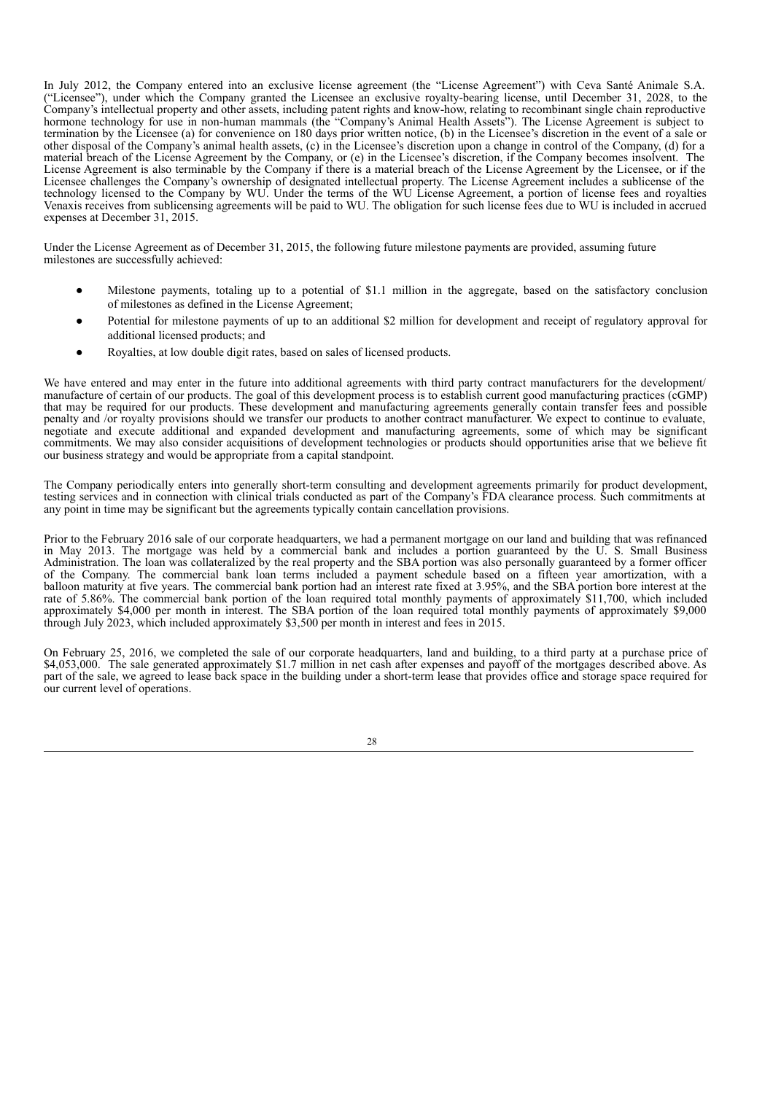In July 2012, the Company entered into an exclusive license agreement (the "License Agreement") with Ceva Santé Animale S.A. ("Licensee"), under which the Company granted the Licensee an exclusive royalty-bearing license, until December 31, 2028, to the Company's intellectual property and other assets, including patent rights and know-how, relating to recombinant single chain reproductive hormone technology for use in non-human mammals (the "Company's Animal Health Assets"). The License Agreement is subject to termination by the Licensee (a) for convenience on 180 days prior written notice, (b) in the Licensee's discretion in the event of a sale or other disposal of the Company's animal health assets, (c) in the Licensee's discretion upon a change in control of the Company, (d) for a material breach of the License Agreement by the Company, or (e) in the Licensee's discretion, if the Company becomes insolvent. The License Agreement is also terminable by the Company if there is a material breach of the License Agreement by the Licensee, or if the Licensee challenges the Company's ownership of designated intellectual property. The License Agreement includes a sublicense of the technology licensed to the Company by WU. Under the terms of the WU License Agreement, a portion of license fees and royalties Venaxis receives from sublicensing agreements will be paid to WU. The obligation for such license fees due to WU is included in accrued expenses at December 31, 2015.

Under the License Agreement as of December 31, 2015, the following future milestone payments are provided, assuming future milestones are successfully achieved:

- Milestone payments, totaling up to a potential of \$1.1 million in the aggregate, based on the satisfactory conclusion of milestones as defined in the License Agreement;
- Potential for milestone payments of up to an additional \$2 million for development and receipt of regulatory approval for additional licensed products; and
- Royalties, at low double digit rates, based on sales of licensed products.

We have entered and may enter in the future into additional agreements with third party contract manufacturers for the development/ manufacture of certain of our products. The goal of this development process is to establish current good manufacturing practices (cGMP) that may be required for our products. These development and manufacturing agreements generally contain transfer fees and possible penalty and /or royalty provisions should we transfer our products to another contract manufacturer. We expect to continue to evaluate, negotiate and execute additional and expanded development and manufacturing agreements, some of which may be significant commitments. We may also consider acquisitions of development technologies or products should opportunities arise that we believe fit our business strategy and would be appropriate from a capital standpoint.

The Company periodically enters into generally short-term consulting and development agreements primarily for product development, testing services and in connection with clinical trials conducted as part of the Company's FDA clearance process. Such commitments at any point in time may be significant but the agreements typically contain cancellation provisions.

Prior to the February 2016 sale of our corporate headquarters, we had a permanent mortgage on our land and building that was refinanced in May 2013. The mortgage was held by a commercial bank and includes a portion guaranteed by the U. S. Small Business Administration. The loan was collateralized by the real property and the SBA portion was also personally guaranteed by a former officer of the Company. The commercial bank loan terms included a payment schedule based on a fifteen year amortization, with a balloon maturity at five years. The commercial bank portion had an interest rate fixed at 3.95%, and the SBA portion bore interest at the rate of 5.86%. The commercial bank portion of the loan required total monthly payments of approximately \$11,700, which included approximately \$4,000 per month in interest. The SBA portion of the loan required total monthly payments of approximately \$9,000 through July 2023, which included approximately \$3,500 per month in interest and fees in 2015.

On February 25, 2016, we completed the sale of our corporate headquarters, land and building, to a third party at a purchase price of \$4,053,000. The sale generated approximately \$1.7 million in net cash after expenses and payoff of the mortgages described above. As part of the sale, we agreed to lease back space in the building under a short-term lease that provides office and storage space required for our current level of operations.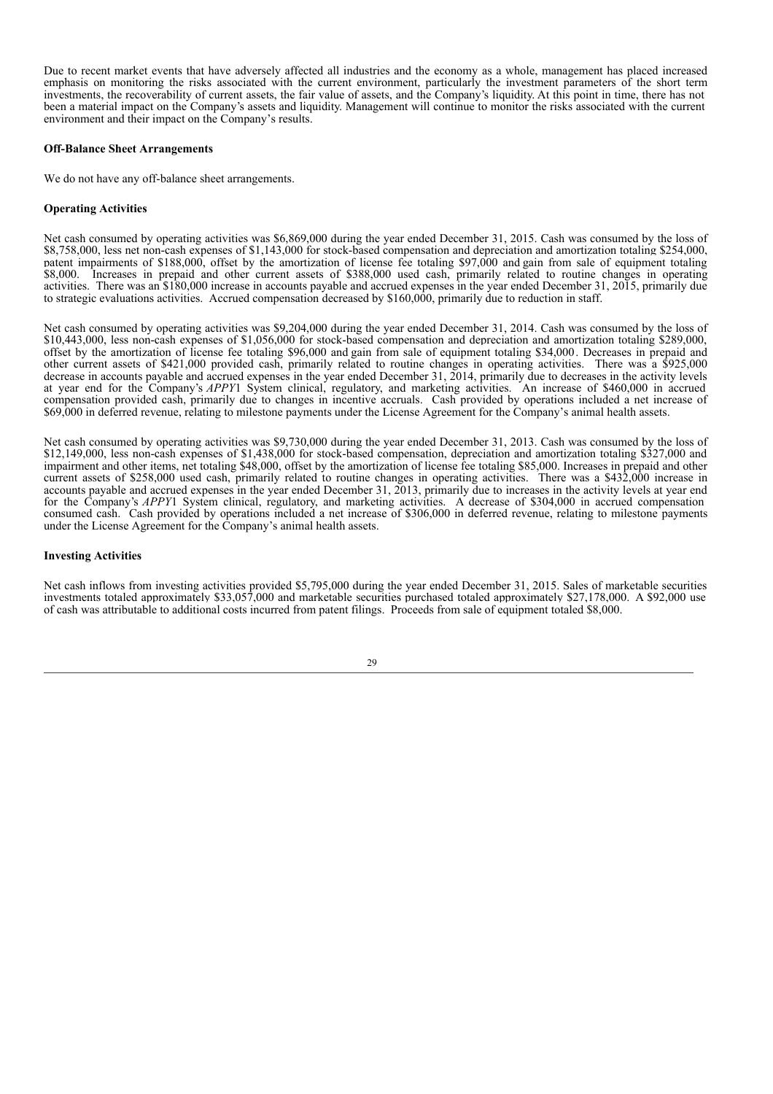Due to recent market events that have adversely affected all industries and the economy as a whole, management has placed increased emphasis on monitoring the risks associated with the current environment, particularly the investment parameters of the short term investments, the recoverability of current assets, the fair value of assets, and the Company's liquidity. At this point in time, there has not been a material impact on the Company's assets and liquidity. Management will continue to monitor the risks associated with the current environment and their impact on the Company's results.

### **Off-Balance Sheet Arrangements**

We do not have any off-balance sheet arrangements.

# **Operating Activities**

Net cash consumed by operating activities was \$6,869,000 during the year ended December 31, 2015. Cash was consumed by the loss of \$8,758,000, less net non-cash expenses of \$1,143,000 for stock-based compensation and depreciation and amortization totaling \$254,000, patent impairments of \$188,000, offset by the amortization of license fee totaling \$97,000 and gain from sale of equipment totaling \$8,000. Increases in prepaid and other current assets of \$388,000 used cash, primarily related to routine changes in operating activities. There was an \$180,000 increase in accounts payable and accrued expenses in the year ended December 31, 2015, primarily due to strategic evaluations activities. Accrued compensation decreased by \$160,000, primarily due to reduction in staff.

Net cash consumed by operating activities was \$9,204,000 during the year ended December 31, 2014. Cash was consumed by the loss of \$10,443,000, less non-cash expenses of \$1,056,000 for stock-based compensation and depreciation and amortization totaling \$289,000, offset by the amortization of license fee totaling \$96,000 and gain from sale of equipment totaling \$34,000. Decreases in prepaid and other current assets of \$421,000 provided cash, primarily related to routine changes in operating activities. There was a \$925,000 decrease in accounts payable and accrued expenses in the year ended December 31, 2014, primarily due to decreases in the activity levels at year end for the Company's *APPY*1 System clinical, regulatory, and marketing activities. An increase of \$460,000 in accrued compensation provided cash, primarily due to changes in incentive accruals. Cash provided by operations included a net increase of \$69,000 in deferred revenue, relating to milestone payments under the License Agreement for the Company's animal health assets.

Net cash consumed by operating activities was \$9,730,000 during the year ended December 31, 2013. Cash was consumed by the loss of \$12,149,000, less non-cash expenses of \$1,438,000 for stock-based compensation, depreciation and amortization totaling \$327,000 and impairment and other items, net totaling \$48,000, offset by the amortization of license fee totaling \$85,000. Increases in prepaid and other current assets of \$258,000 used cash, primarily related to routine changes in operating activities. There was a \$432,000 increase in accounts payable and accrued expenses in the year ended December 31, 2013, primarily due to increases in the activity levels at year end for the Company's *APPY*1 System clinical, regulatory, and marketing activities. A decrease of \$304,000 in accrued compensation consumed cash. Cash provided by operations included a net increase of \$306,000 in deferred revenue, relating to milestone payments under the License Agreement for the Company's animal health assets.

### **Investing Activities**

Net cash inflows from investing activities provided \$5,795,000 during the year ended December 31, 2015. Sales of marketable securities investments totaled approximately \$33,057,000 and marketable securities purchased totaled approximately \$27,178,000. A \$92,000 use of cash was attributable to additional costs incurred from patent filings. Proceeds from sale of equipment totaled \$8,000.

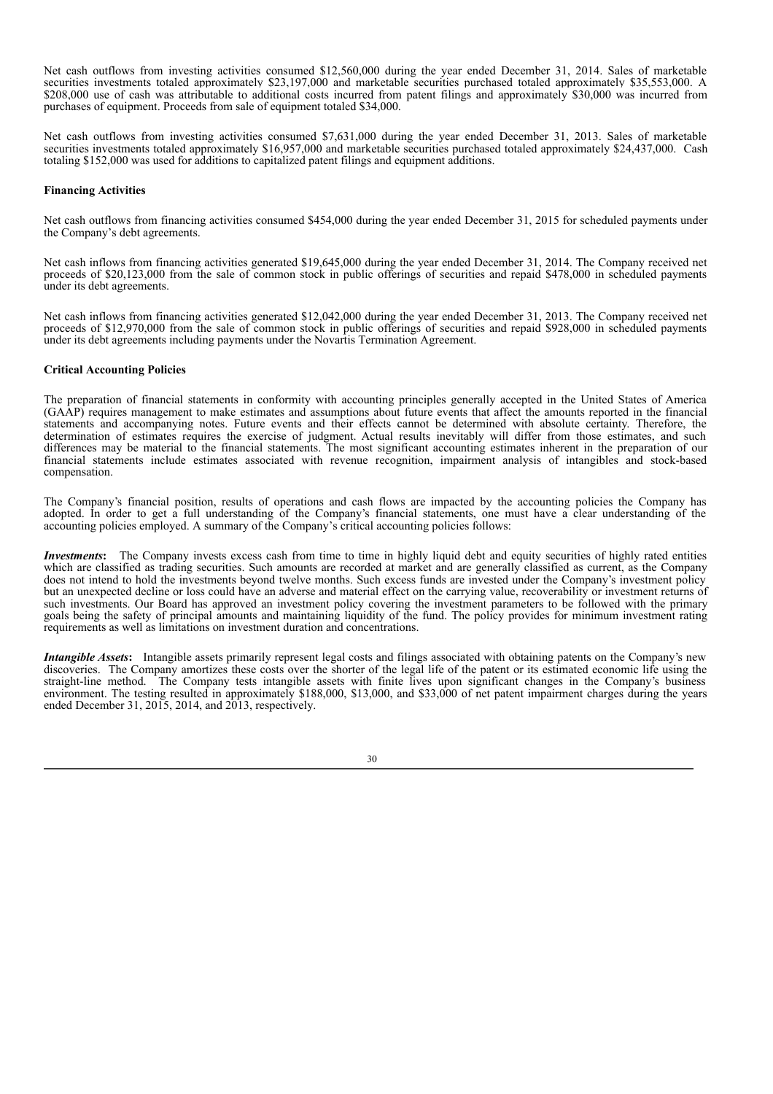Net cash outflows from investing activities consumed \$12,560,000 during the year ended December 31, 2014. Sales of marketable securities investments totaled approximately \$23,197,000 and marketable securities purchased totaled approximately \$35,553,000. A \$208,000 use of cash was attributable to additional costs incurred from patent filings and approximately \$30,000 was incurred from purchases of equipment. Proceeds from sale of equipment totaled \$34,000.

Net cash outflows from investing activities consumed \$7,631,000 during the year ended December 31, 2013. Sales of marketable securities investments totaled approximately \$16,957,000 and marketable securities purchased totaled approximately \$24,437,000. Cash totaling \$152,000 was used for additions to capitalized patent filings and equipment additions.

# **Financing Activities**

Net cash outflows from financing activities consumed \$454,000 during the year ended December 31, 2015 for scheduled payments under the Company's debt agreements.

Net cash inflows from financing activities generated \$19,645,000 during the year ended December 31, 2014. The Company received net proceeds of \$20,123,000 from the sale of common stock in public offerings of securities and repaid \$478,000 in scheduled payments under its debt agreements.

Net cash inflows from financing activities generated \$12,042,000 during the year ended December 31, 2013. The Company received net proceeds of \$12,970,000 from the sale of common stock in public offerings of securities and repaid \$928,000 in scheduled payments under its debt agreements including payments under the Novartis Termination Agreement.

# **Critical Accounting Policies**

The preparation of financial statements in conformity with accounting principles generally accepted in the United States of America (GAAP) requires management to make estimates and assumptions about future events that affect the amounts reported in the financial statements and accompanying notes. Future events and their effects cannot be determined with absolute certainty. Therefore, the determination of estimates requires the exercise of judgment. Actual results inevitably will differ from those estimates, and such differences may be material to the financial statements. The most significant accounting estimates inherent in the preparation of our financial statements include estimates associated with revenue recognition, impairment analysis of intangibles and stock-based compensation.

The Company's financial position, results of operations and cash flows are impacted by the accounting policies the Company has adopted. In order to get a full understanding of the Company's financial statements, one must have a clear understanding of the accounting policies employed. A summary of the Company's critical accounting policies follows:

*Investments***:** The Company invests excess cash from time to time in highly liquid debt and equity securities of highly rated entities which are classified as trading securities. Such amounts are recorded at market and are generally classified as current, as the Company does not intend to hold the investments beyond twelve months. Such excess funds are invested under the Company's investment policy but an unexpected decline or loss could have an adverse and material effect on the carrying value, recoverability or investment returns of such investments. Our Board has approved an investment policy covering the investment parameters to be followed with the primary goals being the safety of principal amounts and maintaining liquidity of the fund. The policy provides for minimum investment rating requirements as well as limitations on investment duration and concentrations.

*Intangible Assets***:** Intangible assets primarily represent legal costs and filings associated with obtaining patents on the Company's new discoveries. The Company amortizes these costs over the shorter of the legal life of the patent or its estimated economic life using the straight-line method. The Company tests intangible assets with finite lives upon significant changes in the Company's business environment. The testing resulted in approximately \$188,000, \$13,000, and \$33,000 of net patent impairment charges during the years ended December 31, 2015, 2014, and 2013, respectively.

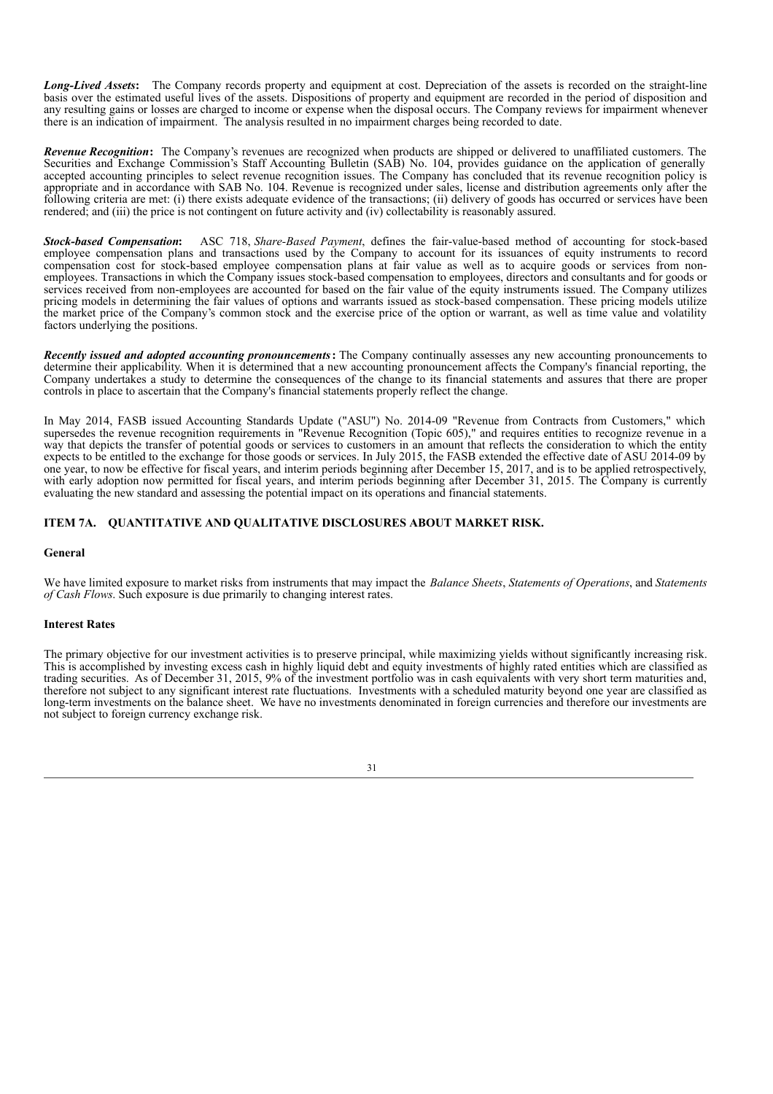*Long-Lived Assets***:** The Company records property and equipment at cost. Depreciation of the assets is recorded on the straight-line basis over the estimated useful lives of the assets. Dispositions of property and equipment are recorded in the period of disposition and any resulting gains or losses are charged to income or expense when the disposal occurs. The Company reviews for impairment whenever there is an indication of impairment. The analysis resulted in no impairment charges being recorded to date.

*Revenue Recognition***:** The Company's revenues are recognized when products are shipped or delivered to unaffiliated customers. The Securities and Exchange Commission's Staff Accounting Bulletin (SAB) No. 104, provides guidance on the application of generally accepted accounting principles to select revenue recognition issues. The Company has concluded that its revenue recognition policy is appropriate and in accordance with SAB No. 104. Revenue is recognized under sales, license and distribution agreements only after the following criteria are met: (i) there exists adequate evidence of the transactions; (ii) delivery of goods has occurred or services have been rendered; and (iii) the price is not contingent on future activity and (iv) collectability is reasonably assured.

*Stock-based Compensation***:** ASC 718, *Share-Based Payment*, defines the fair-value-based method of accounting for stock-based employee compensation plans and transactions used by the Company to account for its issuances of equity instruments to record compensation cost for stock-based employee compensation plans at fair value as well as to acquire goods or services from nonemployees. Transactions in which the Company issues stock-based compensation to employees, directors and consultants and for goods or services received from non-employees are accounted for based on the fair value of the equity instruments issued. The Company utilizes pricing models in determining the fair values of options and warrants issued as stock-based compensation. These pricing models utilize the market price of the Company's common stock and the exercise price of the option or warrant, as well as time value and volatility factors underlying the positions.

*Recently issued and adopted accounting pronouncements***:** The Company continually assesses any new accounting pronouncements to determine their applicability. When it is determined that a new accounting pronouncement affects the Company's financial reporting, the Company undertakes a study to determine the consequences of the change to its financial statements and assures that there are proper controls in place to ascertain that the Company's financial statements properly reflect the change.

In May 2014, FASB issued Accounting Standards Update ("ASU") No. 2014-09 "Revenue from Contracts from Customers," which supersedes the revenue recognition requirements in "Revenue Recognition (Topic 605)," and requires entities to recognize revenue in a way that depicts the transfer of potential goods or services to customers in an amount that reflects the consideration to which the entity expects to be entitled to the exchange for those goods or services. In July 2015, the FASB extended the effective date of ASU 2014-09 by one year, to now be effective for fiscal years, and interim periods beginning after December 15, 2017, and is to be applied retrospectively, with early adoption now permitted for fiscal years, and interim periods beginning after December 31, 2015. The Company is currently evaluating the new standard and assessing the potential impact on its operations and financial statements.

# **ITEM 7A. QUANTITATIVE AND QUALITATIVE DISCLOSURES ABOUT MARKET RISK.**

### **General**

We have limited exposure to market risks from instruments that may impact the *Balance Sheets*, *Statements of Operations*, and *Statements of Cash Flows*. Such exposure is due primarily to changing interest rates.

# **Interest Rates**

The primary objective for our investment activities is to preserve principal, while maximizing yields without significantly increasing risk. This is accomplished by investing excess cash in highly liquid debt and equity investments of highly rated entities which are classified as trading securities. As of December 31, 2015, 9% of the investment portfolio was in cash equivalents with very short term maturities and, therefore not subject to any significant interest rate fluctuations. Investments with a scheduled maturity beyond one year are classified as long-term investments on the balance sheet. We have no investments denominated in foreign currencies and therefore our investments are not subject to foreign currency exchange risk.

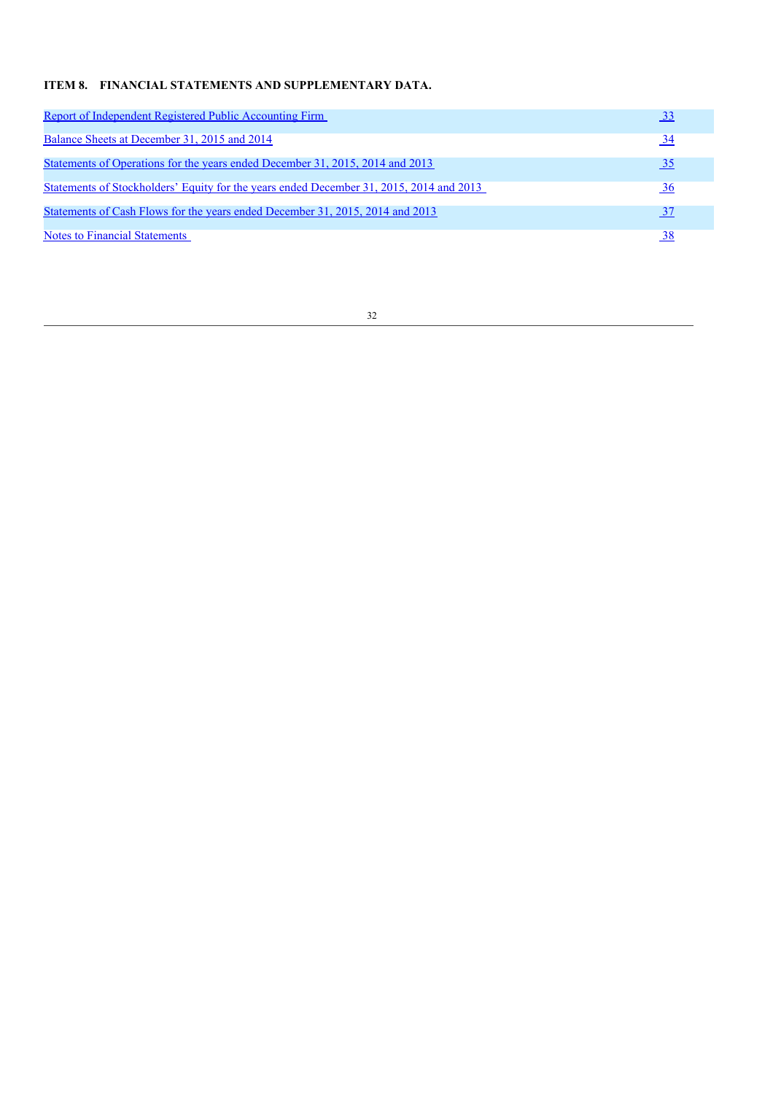# **ITEM 8. FINANCIAL STATEMENTS AND SUPPLEMENTARY DATA.**

| Report of Independent Registered Public Accounting Firm                                 | <u>33</u> |
|-----------------------------------------------------------------------------------------|-----------|
| Balance Sheets at December 31, 2015 and 2014                                            | <u>34</u> |
| Statements of Operations for the years ended December 31, 2015, 2014 and 2013           | <u>35</u> |
| Statements of Stockholders' Equity for the years ended December 31, 2015, 2014 and 2013 | <u>36</u> |
| Statements of Cash Flows for the years ended December 31, 2015, 2014 and 2013           | 37        |
| <b>Notes to Financial Statements</b>                                                    | 38        |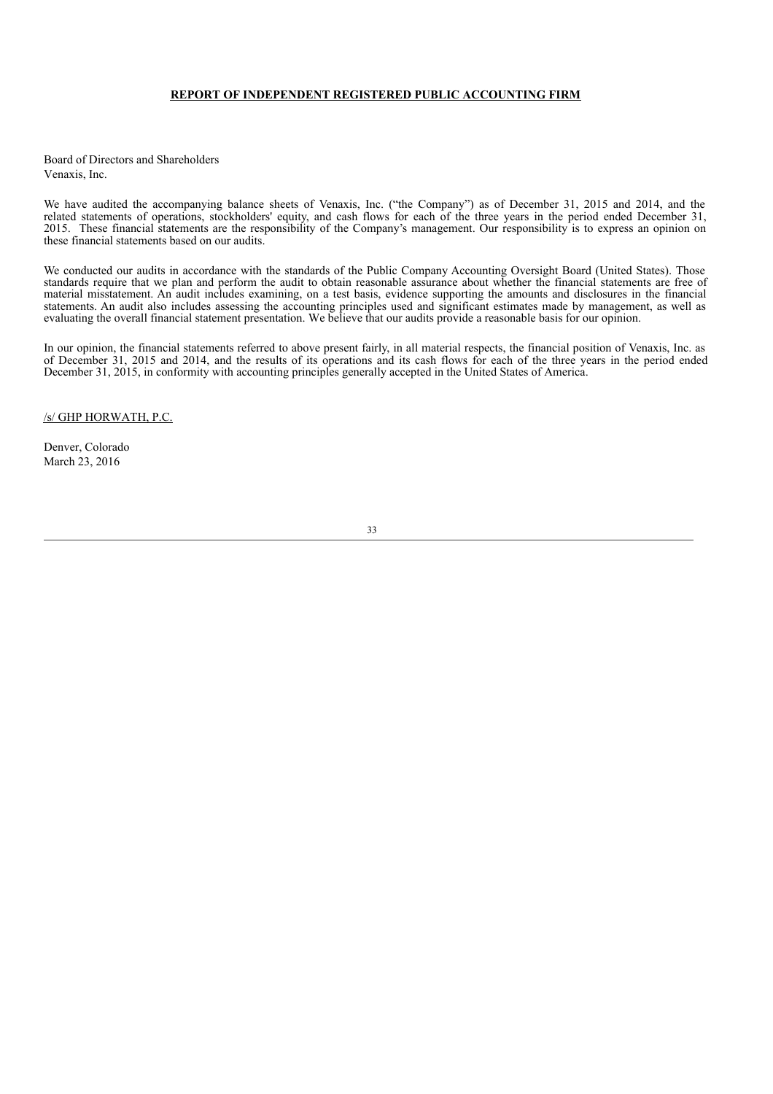# **REPORT OF INDEPENDENT REGISTERED PUBLIC ACCOUNTING FIRM**

Board of Directors and Shareholders Venaxis, Inc.

We have audited the accompanying balance sheets of Venaxis, Inc. ("the Company") as of December 31, 2015 and 2014, and the related statements of operations, stockholders' equity, and cash flows for each of the three years in the period ended December 31, 2015. These financial statements are the responsibility of the Company's management. Our responsibility is to express an opinion on these financial statements based on our audits.

We conducted our audits in accordance with the standards of the Public Company Accounting Oversight Board (United States). Those standards require that we plan and perform the audit to obtain reasonable assurance about whether the financial statements are free of material misstatement. An audit includes examining, on a test basis, evidence supporting the amounts and disclosures in the financial statements. An audit also includes assessing the accounting principles used and significant estimates made by management, as well as evaluating the overall financial statement presentation. We believe that our audits provide a reasonable basis for our opinion.

In our opinion, the financial statements referred to above present fairly, in all material respects, the financial position of Venaxis, Inc. as of December 31, 2015 and 2014, and the results of its operations and its cash flows for each of the three years in the period ended December 31, 2015, in conformity with accounting principles generally accepted in the United States of America.

/s/ GHP HORWATH, P.C.

Denver, Colorado March 23, 2016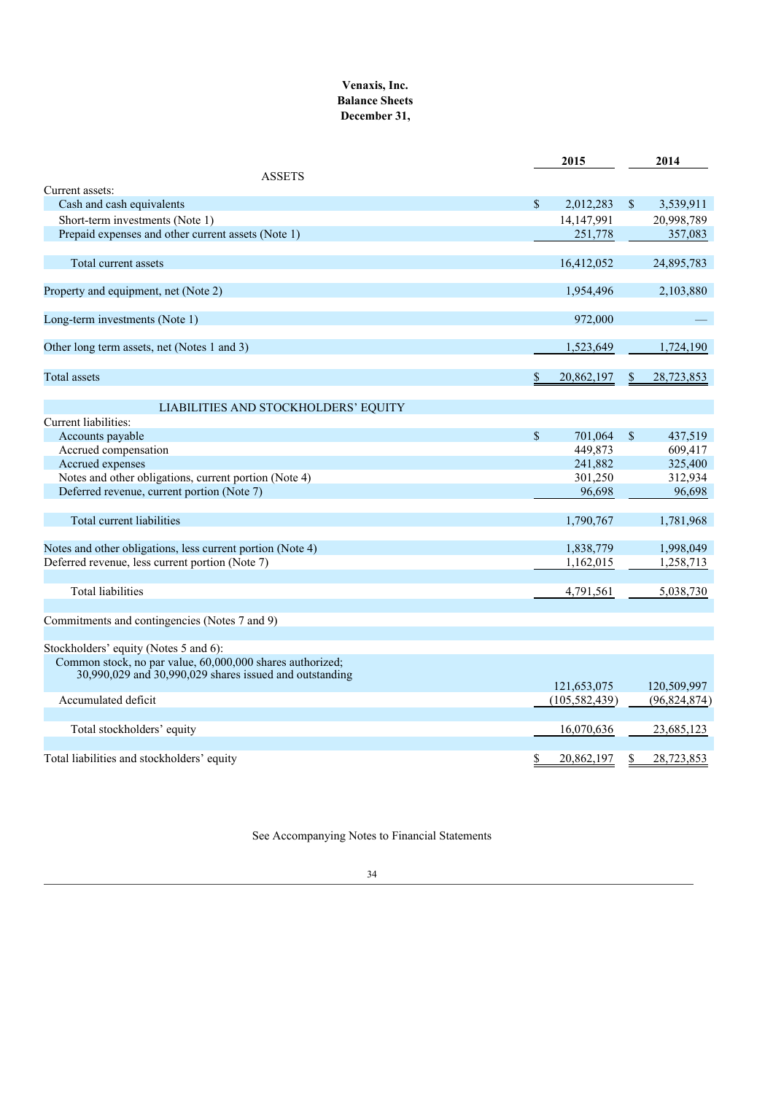# **Venaxis, Inc. Balance Sheets December 31,**

|                                                            |    | 2015            |              | 2014         |
|------------------------------------------------------------|----|-----------------|--------------|--------------|
| <b>ASSETS</b>                                              |    |                 |              |              |
| Current assets:                                            |    |                 |              |              |
| Cash and cash equivalents                                  | \$ | 2,012,283       | $\mathbb{S}$ | 3,539,911    |
| Short-term investments (Note 1)                            |    | 14,147,991      |              | 20,998,789   |
| Prepaid expenses and other current assets (Note 1)         |    | 251,778         |              | 357,083      |
|                                                            |    |                 |              |              |
| Total current assets                                       |    | 16,412,052      |              | 24,895,783   |
|                                                            |    |                 |              |              |
| Property and equipment, net (Note 2)                       |    | 1,954,496       |              | 2,103,880    |
| Long-term investments (Note 1)                             |    | 972,000         |              |              |
|                                                            |    |                 |              |              |
| Other long term assets, net (Notes 1 and 3)                |    | 1,523,649       |              | 1,724,190    |
|                                                            |    |                 |              |              |
| Total assets                                               | S  | 20,862,197      | S            | 28,723,853   |
|                                                            |    |                 |              |              |
| LIABILITIES AND STOCKHOLDERS' EQUITY                       |    |                 |              |              |
| Current liabilities:                                       |    |                 |              |              |
| Accounts payable                                           | \$ | 701,064         | \$           | 437,519      |
| Accrued compensation                                       |    | 449,873         |              | 609,417      |
| Accrued expenses                                           |    | 241,882         |              | 325,400      |
| Notes and other obligations, current portion (Note 4)      |    | 301,250         |              | 312,934      |
| Deferred revenue, current portion (Note 7)                 |    | 96,698          |              | 96,698       |
|                                                            |    |                 |              |              |
| Total current liabilities                                  |    | 1,790,767       |              | 1,781,968    |
|                                                            |    |                 |              |              |
| Notes and other obligations, less current portion (Note 4) |    | 1,838,779       |              | 1,998,049    |
| Deferred revenue, less current portion (Note 7)            |    | 1,162,015       |              | 1,258,713    |
| Total liabilities                                          |    |                 |              | 5,038,730    |
|                                                            |    | 4,791,561       |              |              |
| Commitments and contingencies (Notes 7 and 9)              |    |                 |              |              |
|                                                            |    |                 |              |              |
| Stockholders' equity (Notes 5 and 6):                      |    |                 |              |              |
| Common stock, no par value, 60,000,000 shares authorized;  |    |                 |              |              |
| 30,990,029 and 30,990,029 shares issued and outstanding    |    |                 |              |              |
|                                                            |    | 121,653,075     |              | 120.509.997  |
| Accumulated deficit                                        |    | (105, 582, 439) |              | (96,824,874) |
|                                                            |    |                 |              |              |
| Total stockholders' equity                                 |    | 16,070,636      |              | 23,685,123   |
|                                                            |    |                 |              |              |
| Total liabilities and stockholders' equity                 |    | 20,862,197      |              | 28,723,853   |

See Accompanying Notes to Financial Statements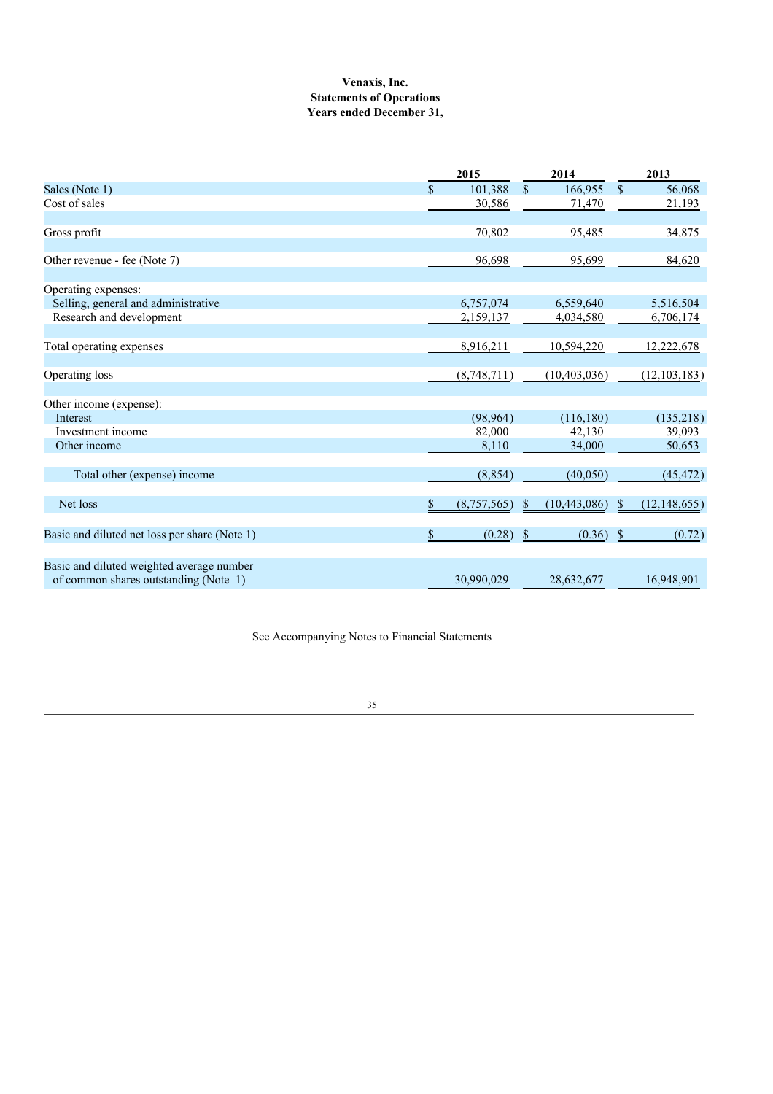# **Venaxis, Inc. Statements of Operations Years ended December 31,**

|                                                                                    |               | 2015        | 2014                 |                           | 2013           |
|------------------------------------------------------------------------------------|---------------|-------------|----------------------|---------------------------|----------------|
| Sales (Note 1)                                                                     | $\mathcal{S}$ | 101,388     | \$<br>166,955        | $\mathbb{S}$              | 56,068         |
| Cost of sales                                                                      |               | 30,586      | 71,470               |                           | 21,193         |
| Gross profit                                                                       |               | 70,802      | 95,485               |                           | 34,875         |
| Other revenue - fee (Note 7)                                                       |               | 96,698      | 95,699               |                           | 84,620         |
| Operating expenses:                                                                |               |             |                      |                           |                |
| Selling, general and administrative                                                |               | 6,757,074   | 6,559,640            |                           | 5,516,504      |
| Research and development                                                           |               | 2,159,137   | 4,034,580            |                           | 6,706,174      |
| Total operating expenses                                                           |               | 8,916,211   | 10,594,220           |                           | 12,222,678     |
| Operating loss                                                                     |               | (8,748,711) | (10, 403, 036)       |                           | (12, 103, 183) |
| Other income (expense):                                                            |               |             |                      |                           |                |
| <b>Interest</b>                                                                    |               | (98, 964)   | (116, 180)           |                           | (135,218)      |
| Investment income                                                                  |               | 82,000      | 42,130               |                           | 39,093         |
| Other income                                                                       |               | 8,110       | 34,000               |                           | 50,653         |
| Total other (expense) income                                                       |               | (8, 854)    | (40,050)             |                           | (45, 472)      |
| Net loss                                                                           |               | (8,757,565) | \$<br>(10, 443, 086) | $\mathbb{S}$              | (12, 148, 655) |
| Basic and diluted net loss per share (Note 1)                                      | \$            | (0.28)      | \$<br>(0.36)         | $\boldsymbol{\mathsf{S}}$ | (0.72)         |
| Basic and diluted weighted average number<br>of common shares outstanding (Note 1) |               | 30,990,029  | 28,632,677           |                           | 16,948,901     |

See Accompanying Notes to Financial Statements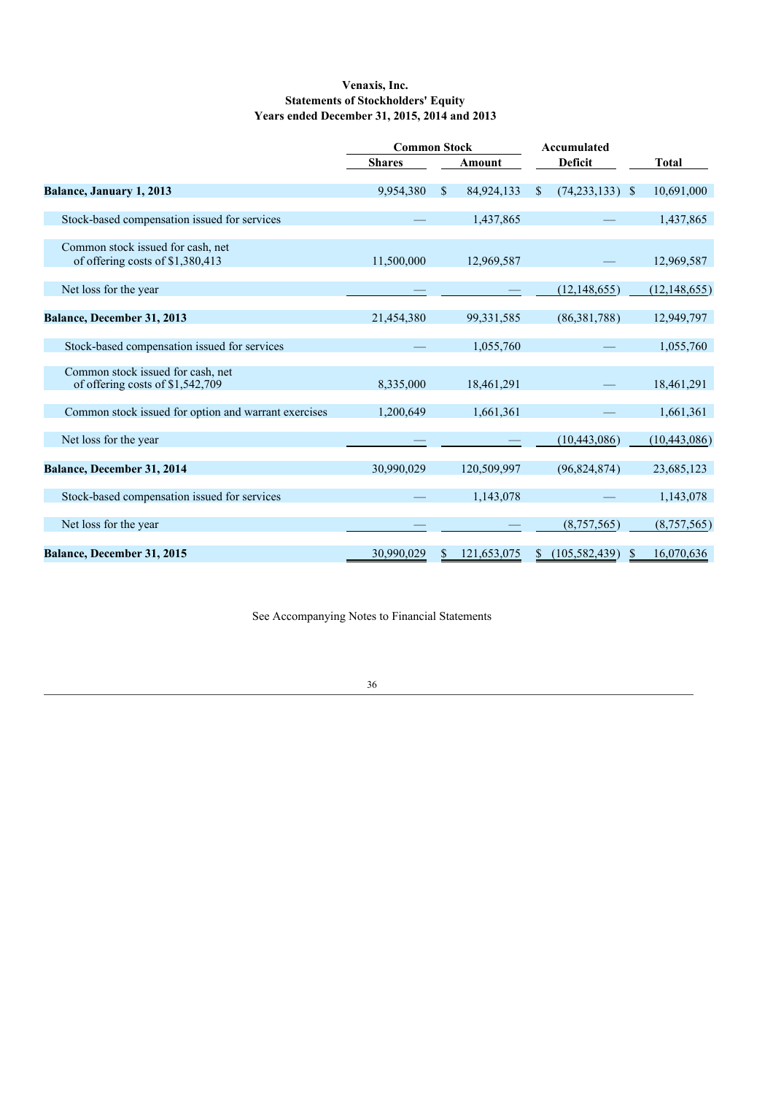# **Venaxis, Inc. Statements of Stockholders' Equity Years ended December 31, 2015, 2014 and 2013**

|                                                                       |               | <b>Common Stock</b>         | Accumulated                |                  |  |
|-----------------------------------------------------------------------|---------------|-----------------------------|----------------------------|------------------|--|
|                                                                       | <b>Shares</b> | Amount                      | Deficit                    | <b>Total</b>     |  |
| Balance, January 1, 2013                                              | 9,954,380     | <sup>\$</sup><br>84,924,133 | $(74, 233, 133)$ \$<br>\$. | 10,691,000       |  |
| Stock-based compensation issued for services                          |               | 1,437,865                   |                            | 1,437,865        |  |
| Common stock issued for cash, net<br>of offering costs of \$1,380,413 | 11,500,000    | 12,969,587                  |                            | 12,969,587       |  |
| Net loss for the year                                                 |               |                             | (12, 148, 655)             | (12, 148, 655)   |  |
| Balance, December 31, 2013                                            | 21,454,380    | 99, 331, 585                | (86, 381, 788)             | 12,949,797       |  |
| Stock-based compensation issued for services                          |               | 1,055,760                   |                            | 1,055,760        |  |
| Common stock issued for cash, net<br>of offering costs of \$1,542,709 | 8.335,000     | 18.461.291                  |                            | 18.461.291       |  |
| Common stock issued for option and warrant exercises                  | 1,200,649     | 1,661,361                   |                            | 1,661,361        |  |
| Net loss for the year                                                 |               |                             | (10, 443, 086)             | (10, 443, 086)   |  |
| Balance, December 31, 2014                                            | 30,990,029    | 120,509,997                 | (96,824,874)               | 23,685,123       |  |
| Stock-based compensation issued for services                          |               | 1,143,078                   |                            | 1,143,078        |  |
| Net loss for the year                                                 |               |                             | (8,757,565)                | (8,757,565)      |  |
| Balance, December 31, 2015                                            | 30,990,029    | 121,653,075<br>\$           | (105, 582, 439)<br>S.      | 16,070,636<br>\$ |  |

See Accompanying Notes to Financial Statements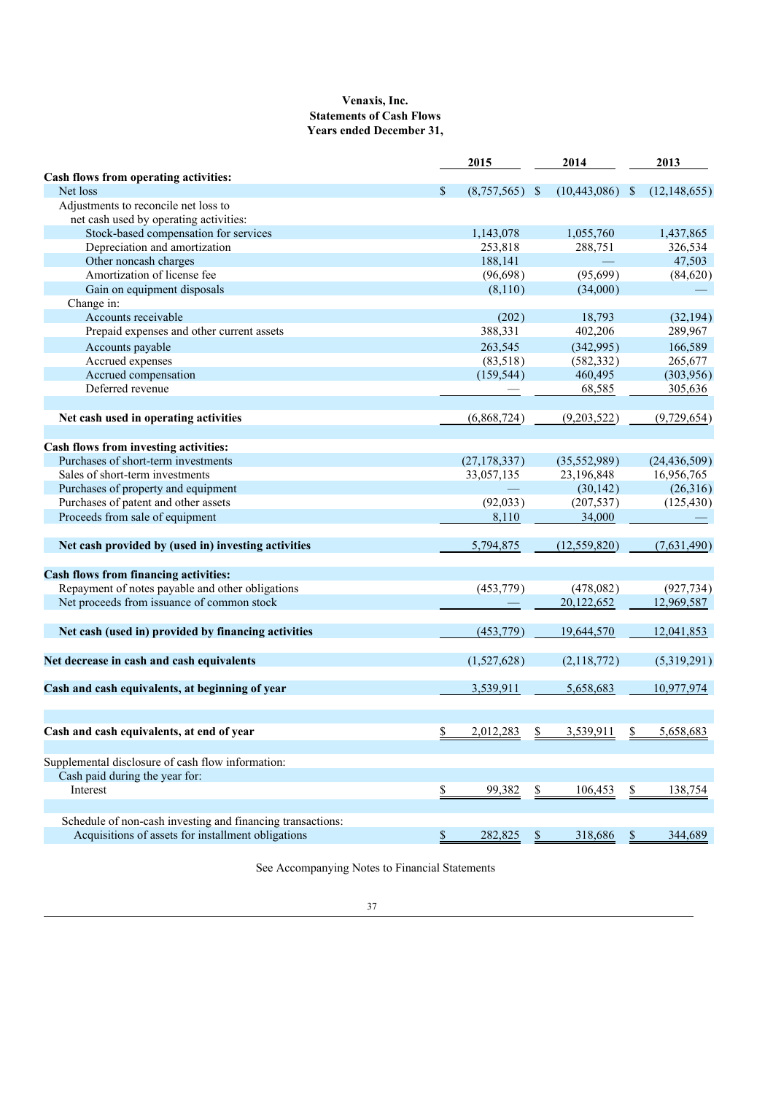# **Venaxis, Inc. Statements of Cash Flows Years ended December 31,**

|                                                            |           | 2015           |                                 | 2014           |                                 | 2013           |
|------------------------------------------------------------|-----------|----------------|---------------------------------|----------------|---------------------------------|----------------|
| Cash flows from operating activities:                      |           |                |                                 |                |                                 |                |
| Net loss                                                   | \$        | (8,757,565)    | -\$                             | (10, 443, 086) | -S                              | (12, 148, 655) |
| Adjustments to reconcile net loss to                       |           |                |                                 |                |                                 |                |
| net cash used by operating activities:                     |           |                |                                 |                |                                 |                |
| Stock-based compensation for services                      |           | 1,143,078      |                                 | 1,055,760      |                                 | 1,437,865      |
| Depreciation and amortization                              |           | 253,818        |                                 | 288,751        |                                 | 326,534        |
| Other noncash charges                                      |           | 188,141        |                                 |                |                                 | 47,503         |
| Amortization of license fee                                |           | (96, 698)      |                                 | (95, 699)      |                                 | (84, 620)      |
| Gain on equipment disposals                                |           | (8,110)        |                                 | (34,000)       |                                 |                |
| Change in:                                                 |           |                |                                 |                |                                 |                |
| Accounts receivable                                        |           | (202)          |                                 | 18,793         |                                 | (32, 194)      |
| Prepaid expenses and other current assets                  |           | 388,331        |                                 | 402,206        |                                 | 289,967        |
| Accounts payable                                           |           | 263,545        |                                 | (342,995)      |                                 | 166,589        |
| Accrued expenses                                           |           | (83,518)       |                                 | (582, 332)     |                                 | 265,677        |
| Accrued compensation                                       |           | (159, 544)     |                                 | 460,495        |                                 | (303,956)      |
| Deferred revenue                                           |           |                |                                 | 68,585         |                                 | 305,636        |
|                                                            |           |                |                                 |                |                                 |                |
| Net cash used in operating activities                      |           | (6,868,724)    |                                 | (9,203,522)    |                                 | (9,729,654)    |
|                                                            |           |                |                                 |                |                                 |                |
| Cash flows from investing activities:                      |           |                |                                 |                |                                 |                |
| Purchases of short-term investments                        |           | (27, 178, 337) |                                 | (35,552,989)   |                                 | (24, 436, 509) |
| Sales of short-term investments                            |           | 33,057,135     |                                 | 23,196,848     |                                 | 16,956,765     |
| Purchases of property and equipment                        |           |                |                                 | (30, 142)      |                                 | (26,316)       |
| Purchases of patent and other assets                       |           | (92, 033)      |                                 | (207, 537)     |                                 | (125, 430)     |
| Proceeds from sale of equipment                            |           | 8,110          |                                 | 34,000         |                                 |                |
|                                                            |           |                |                                 |                |                                 |                |
| Net cash provided by (used in) investing activities        |           | 5,794,875      |                                 | (12, 559, 820) |                                 | (7,631,490)    |
| <b>Cash flows from financing activities:</b>               |           |                |                                 |                |                                 |                |
| Repayment of notes payable and other obligations           |           | (453, 779)     |                                 | (478,082)      |                                 | (927, 734)     |
| Net proceeds from issuance of common stock                 |           |                |                                 | 20,122,652     |                                 | 12,969,587     |
|                                                            |           |                |                                 |                |                                 |                |
| Net cash (used in) provided by financing activities        |           | (453, 779)     |                                 | 19,644,570     |                                 | 12,041,853     |
|                                                            |           |                |                                 |                |                                 |                |
| Net decrease in cash and cash equivalents                  |           | (1,527,628)    |                                 | (2,118,772)    |                                 | (5,319,291)    |
|                                                            |           |                |                                 |                |                                 |                |
| Cash and cash equivalents, at beginning of year            |           | 3,539,911      |                                 | 5,658,683      |                                 | 10,977,974     |
|                                                            |           |                |                                 |                |                                 |                |
| Cash and cash equivalents, at end of year                  | \$        | 2,012,283      | \$                              | 3,539,911      | \$                              | 5,658,683      |
|                                                            |           |                |                                 |                |                                 |                |
| Supplemental disclosure of cash flow information:          |           |                |                                 |                |                                 |                |
| Cash paid during the year for:                             |           |                |                                 |                |                                 |                |
| Interest                                                   | \$        | 99,382         | $\frac{\mathsf{s}}{\mathsf{s}}$ | 106,453        | $\frac{\mathsf{s}}{\mathsf{b}}$ | 138,754        |
|                                                            |           |                |                                 |                |                                 |                |
| Schedule of non-cash investing and financing transactions: |           |                |                                 |                |                                 |                |
| Acquisitions of assets for installment obligations         | <u>\$</u> | 282,825        | \$                              | 318,686        | \$                              | 344,689        |
|                                                            |           |                |                                 |                |                                 |                |

See Accompanying Notes to Financial Statements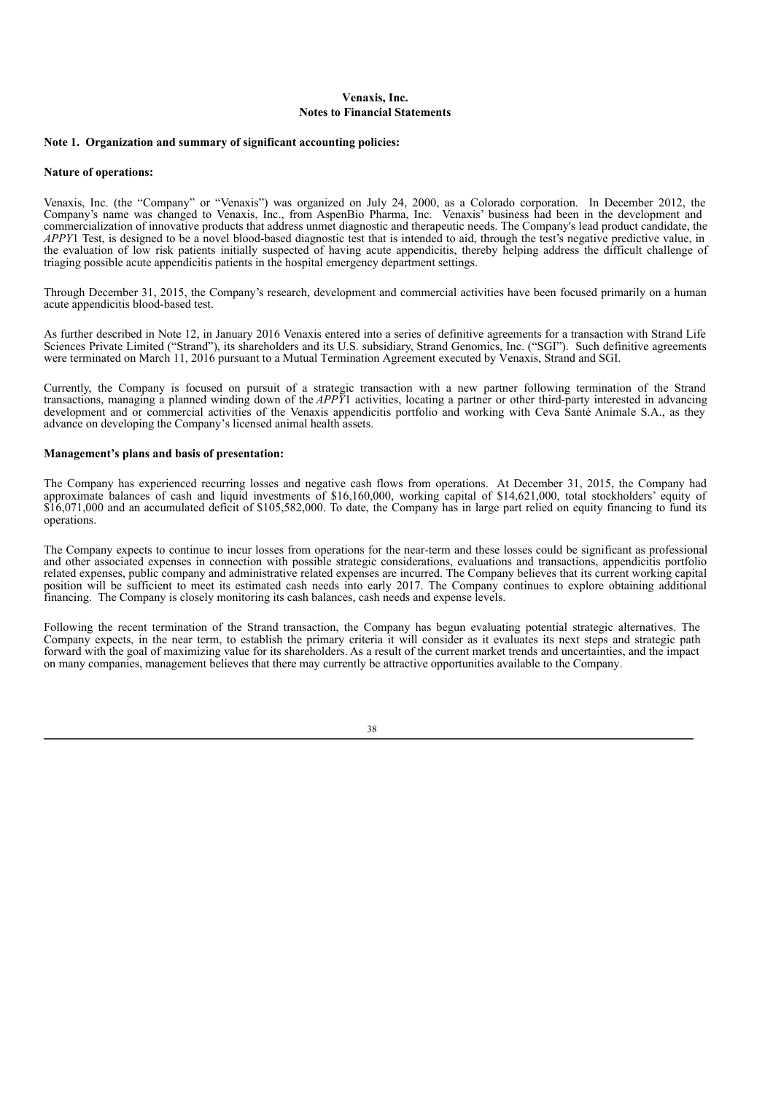# **Venaxis, Inc. Notes to Financial Statements**

## **Note 1. Organization and summary of significant accounting policies:**

#### **Nature of operations:**

Venaxis, Inc. (the "Company" or "Venaxis") was organized on July 24, 2000, as a Colorado corporation. In December 2012, the Company's name was changed to Venaxis, Inc., from AspenBio Pharma, Inc. Venaxis' business had been in the development and commercialization of innovative products that address unmet diagnostic and therapeutic needs. The Company's lead product candidate, the *APPY*1 Test, is designed to be a novel blood-based diagnostic test that is intended to aid, through the test's negative predictive value, in the evaluation of low risk patients initially suspected of having acute appendicitis, thereby helping address the difficult challenge of triaging possible acute appendicitis patients in the hospital emergency department settings.

Through December 31, 2015, the Company's research, development and commercial activities have been focused primarily on a human acute appendicitis blood-based test.

As further described in Note 12, in January 2016 Venaxis entered into a series of definitive agreements for a transaction with Strand Life Sciences Private Limited ("Strand"), its shareholders and its U.S. subsidiary, Strand Genomics, Inc. ("SGI"). Such definitive agreements were terminated on March 11, 2016 pursuant to a Mutual Termination Agreement executed by Venaxis, Strand and SGI.

Currently, the Company is focused on pursuit of a strategic transaction with a new partner following termination of the Strand transactions, managing a planned winding down of the *APPY*1 activities, locating a partner or other third-party interested in advancing development and or commercial activities of the Venaxis appendicitis portfolio and working with Ceva Santé Animale S.A., as they advance on developing the Company's licensed animal health assets.

#### **Management's plans and basis of presentation:**

The Company has experienced recurring losses and negative cash flows from operations. At December 31, 2015, the Company had approximate balances of cash and liquid investments of \$16,160,000, working capital of \$14,621,000, total stockholders' equity of \$16,071,000 and an accumulated deficit of \$105,582,000. To date, the Company has in large part relied on equity financing to fund its operations.

The Company expects to continue to incur losses from operations for the near-term and these losses could be significant as professional and other associated expenses in connection with possible strategic considerations, evaluations and transactions, appendicitis portfolio related expenses, public company and administrative related expenses are incurred. The Company believes that its current working capital position will be sufficient to meet its estimated cash needs into early 2017. The Company continues to explore obtaining additional financing. The Company is closely monitoring its cash balances, cash needs and expense levels.

Following the recent termination of the Strand transaction, the Company has begun evaluating potential strategic alternatives. The Company expects, in the near term, to establish the primary criteria it will consider as it evaluates its next steps and strategic path forward with the goal of maximizing value for its shareholders. As a result of the current market trends and uncertainties, and the impact on many companies, management believes that there may currently be attractive opportunities available to the Company.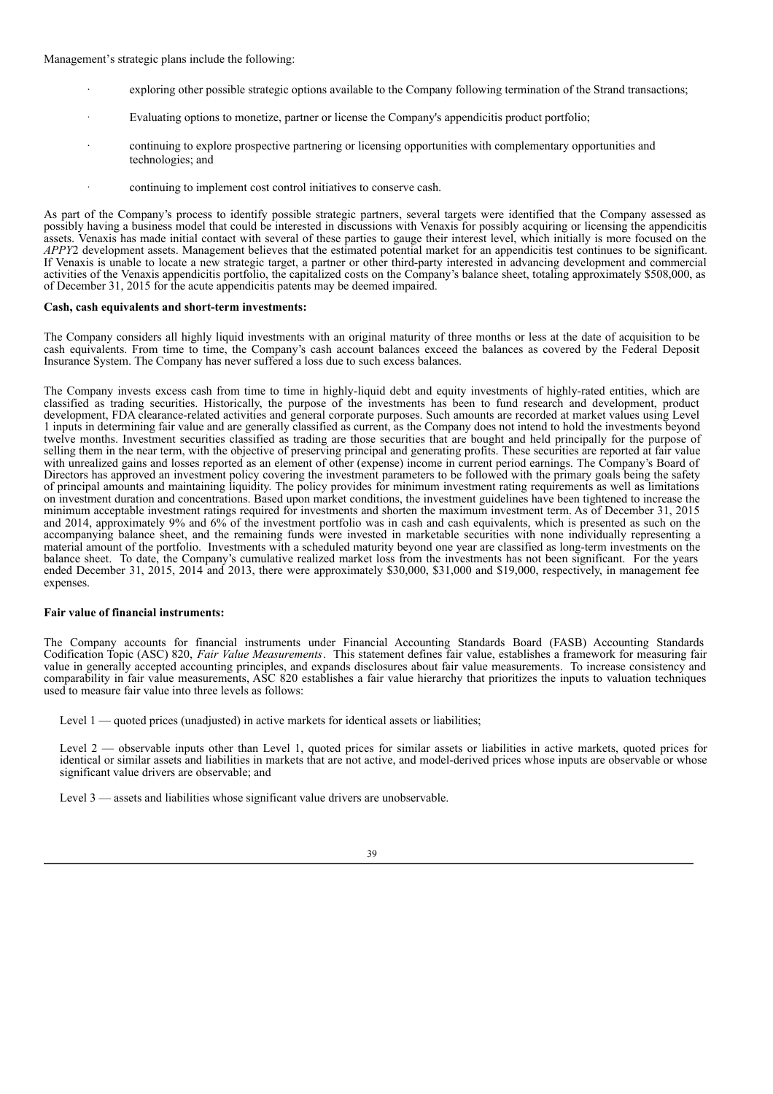# Management's strategic plans include the following:

- exploring other possible strategic options available to the Company following termination of the Strand transactions;
- Evaluating options to monetize, partner or license the Company's appendicitis product portfolio;
- · continuing to explore prospective partnering or licensing opportunities with complementary opportunities and technologies; and
- continuing to implement cost control initiatives to conserve cash.

As part of the Company's process to identify possible strategic partners, several targets were identified that the Company assessed as possibly having a business model that could be interested in discussions with Venaxis for possibly acquiring or licensing the appendicitis assets. Venaxis has made initial contact with several of these parties to gauge their interest level, which initially is more focused on the *APPY*2 development assets. Management believes that the estimated potential market for an appendicitis test continues to be significant. If Venaxis is unable to locate a new strategic target, a partner or other third-party interested in advancing development and commercial activities of the Venaxis appendicitis portfolio, the capitalized costs on the Company's balance sheet, totaling approximately \$508,000, as of December 31, 2015 for the acute appendicitis patents may be deemed impaired.

## **Cash, cash equivalents and short-term investments:**

The Company considers all highly liquid investments with an original maturity of three months or less at the date of acquisition to be cash equivalents. From time to time, the Company's cash account balances exceed the balances as covered by the Federal Deposit Insurance System. The Company has never suffered a loss due to such excess balances.

The Company invests excess cash from time to time in highly-liquid debt and equity investments of highly-rated entities, which are classified as trading securities. Historically, the purpose of the investments has been to fund research and development, product development, FDA clearance-related activities and general corporate purposes. Such amounts are recorded at market values using Level 1 inputs in determining fair value and are generally classified as current, as the Company does not intend to hold the investments beyond twelve months. Investment securities classified as trading are those securities that are bought and held principally for the purpose of selling them in the near term, with the objective of preserving principal and generating profits. These securities are reported at fair value with unrealized gains and losses reported as an element of other (expense) income in current period earnings. The Company's Board of Directors has approved an investment policy covering the investment parameters to be followed with the primary goals being the safety of principal amounts and maintaining liquidity. The policy provides for minimum investment rating requirements as well as limitations on investment duration and concentrations. Based upon market conditions, the investment guidelines have been tightened to increase the minimum acceptable investment ratings required for investments and shorten the maximum investment term. As of December 31, 2015 and 2014, approximately 9% and 6% of the investment portfolio was in cash and cash equivalents, which is presented as such on the accompanying balance sheet, and the remaining funds were invested in marketable securities with none individually representing a material amount of the portfolio. Investments with a scheduled maturity beyond one year are classified as long-term investments on the balance sheet. To date, the Company's cumulative realized market loss from the investments has not been significant. For the years ended December 31, 2015, 2014 and 2013, there were approximately \$30,000, \$31,000 and \$19,000, respectively, in management fee expenses.

#### **Fair value of financial instruments:**

The Company accounts for financial instruments under Financial Accounting Standards Board (FASB) Accounting Standards Codification Topic (ASC) 820, *Fair Value Measurements*. This statement defines fair value, establishes a framework for measuring fair value in generally accepted accounting principles, and expands disclosures about fair value measurements. To increase consistency and comparability in fair value measurements, ASC 820 establishes a fair value hierarchy that prioritizes the inputs to valuation techniques used to measure fair value into three levels as follows:

Level 1 — quoted prices (unadjusted) in active markets for identical assets or liabilities;

Level 2 — observable inputs other than Level 1, quoted prices for similar assets or liabilities in active markets, quoted prices for identical or similar assets and liabilities in markets that are not active, and model-derived prices whose inputs are observable or whose significant value drivers are observable; and

Level 3 — assets and liabilities whose significant value drivers are unobservable.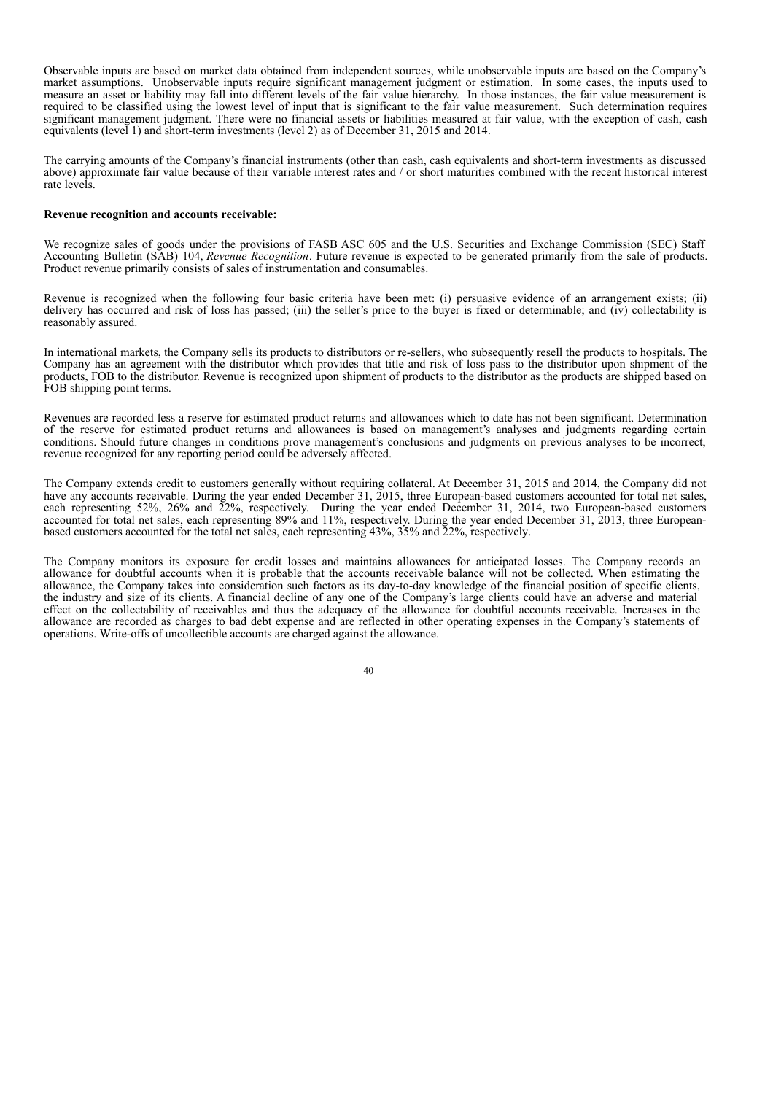Observable inputs are based on market data obtained from independent sources, while unobservable inputs are based on the Company's market assumptions. Unobservable inputs require significant management judgment or estimation. In some cases, the inputs used to measure an asset or liability may fall into different levels of the fair value hierarchy. In those instances, the fair value measurement is required to be classified using the lowest level of input that is significant to the fair value measurement. Such determination requires significant management judgment. There were no financial assets or liabilities measured at fair value, with the exception of cash, cash equivalents (level 1) and short-term investments (level 2) as of December 31, 2015 and 2014.

The carrying amounts of the Company's financial instruments (other than cash, cash equivalents and short-term investments as discussed above) approximate fair value because of their variable interest rates and / or short maturities combined with the recent historical interest rate levels.

#### **Revenue recognition and accounts receivable:**

We recognize sales of goods under the provisions of FASB ASC 605 and the U.S. Securities and Exchange Commission (SEC) Staff Accounting Bulletin (SAB) 104, *Revenue Recognition*. Future revenue is expected to be generated primarily from the sale of products. Product revenue primarily consists of sales of instrumentation and consumables.

Revenue is recognized when the following four basic criteria have been met: (i) persuasive evidence of an arrangement exists; (ii) delivery has occurred and risk of loss has passed; (iii) the seller's price to the buyer is fixed or determinable; and (iv) collectability is reasonably assured.

In international markets, the Company sells its products to distributors or re-sellers, who subsequently resell the products to hospitals. The Company has an agreement with the distributor which provides that title and risk of loss pass to the distributor upon shipment of the products, FOB to the distributor. Revenue is recognized upon shipment of products to the distributor as the products are shipped based on FOB shipping point terms.

Revenues are recorded less a reserve for estimated product returns and allowances which to date has not been significant. Determination of the reserve for estimated product returns and allowances is based on management's analyses and judgments regarding certain conditions. Should future changes in conditions prove management's conclusions and judgments on previous analyses to be incorrect, revenue recognized for any reporting period could be adversely affected.

The Company extends credit to customers generally without requiring collateral. At December 31, 2015 and 2014, the Company did not have any accounts receivable. During the year ended December 31, 2015, three European-based customers accounted for total net sales, each representing 52%, 26% and 22%, respectively. During the year ended December 31, 2014, two European-based customers accounted for total net sales, each representing 89% and 11%, respectively. During the year ended December 31, 2013, three Europeanbased customers accounted for the total net sales, each representing 43%, 35% and 22%, respectively.

The Company monitors its exposure for credit losses and maintains allowances for anticipated losses. The Company records an allowance for doubtful accounts when it is probable that the accounts receivable balance will not be collected. When estimating the allowance, the Company takes into consideration such factors as its day-to-day knowledge of the financial position of specific clients, the industry and size of its clients. A financial decline of any one of the Company's large clients could have an adverse and material effect on the collectability of receivables and thus the adequacy of the allowance for doubtful accounts receivable. Increases in the allowance are recorded as charges to bad debt expense and are reflected in other operating expenses in the Company's statements of operations. Write-offs of uncollectible accounts are charged against the allowance.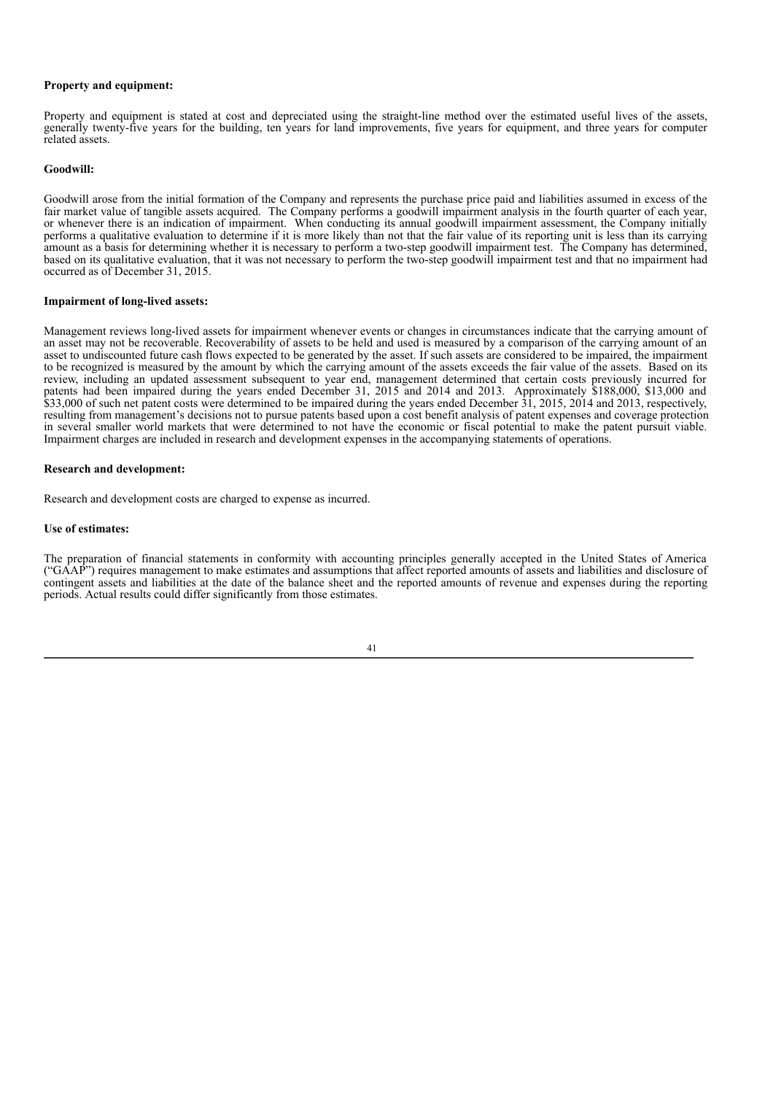#### **Property and equipment:**

Property and equipment is stated at cost and depreciated using the straight-line method over the estimated useful lives of the assets, generally twenty-five years for the building, ten years for land improvements, five years for equipment, and three years for computer related assets.

#### **Goodwill:**

Goodwill arose from the initial formation of the Company and represents the purchase price paid and liabilities assumed in excess of the fair market value of tangible assets acquired. The Company performs a goodwill impairment analysis in the fourth quarter of each year, or whenever there is an indication of impairment. When conducting its annual goodwill impairment assessment, the Company initially performs a qualitative evaluation to determine if it is more likely than not that the fair value of its reporting unit is less than its carrying amount as a basis for determining whether it is necessary to perform a two-step goodwill impairment test. The Company has determined, based on its qualitative evaluation, that it was not necessary to perform the two-step goodwill impairment test and that no impairment had occurred as of December 31, 2015.

#### **Impairment of long-lived assets:**

Management reviews long-lived assets for impairment whenever events or changes in circumstances indicate that the carrying amount of an asset may not be recoverable. Recoverability of assets to be held and used is measured by a comparison of the carrying amount of an asset to undiscounted future cash flows expected to be generated by the asset. If such assets are considered to be impaired, the impairment to be recognized is measured by the amount by which the carrying amount of the assets exceeds the fair value of the assets. Based on its review, including an updated assessment subsequent to year end, management determined that certain costs previously incurred for patents had been impaired during the years ended December 31, 2015 and 2014 and 2013. Approximately \$188,000, \$13,000 and \$33,000 of such net patent costs were determined to be impaired during the years ended December 31, 2015, 2014 and 2013, respectively, resulting from management's decisions not to pursue patents based upon a cost benefit analysis of patent expenses and coverage protection in several smaller world markets that were determined to not have the economic or fiscal potential to make the patent pursuit viable. Impairment charges are included in research and development expenses in the accompanying statements of operations.

#### **Research and development:**

Research and development costs are charged to expense as incurred.

#### **Use of estimates:**

The preparation of financial statements in conformity with accounting principles generally accepted in the United States of America ("GAAP") requires management to make estimates and assumptions that affect reported amounts of assets and liabilities and disclosure of contingent assets and liabilities at the date of the balance sheet and the reported amounts of revenue and expenses during the reporting periods. Actual results could differ significantly from those estimates.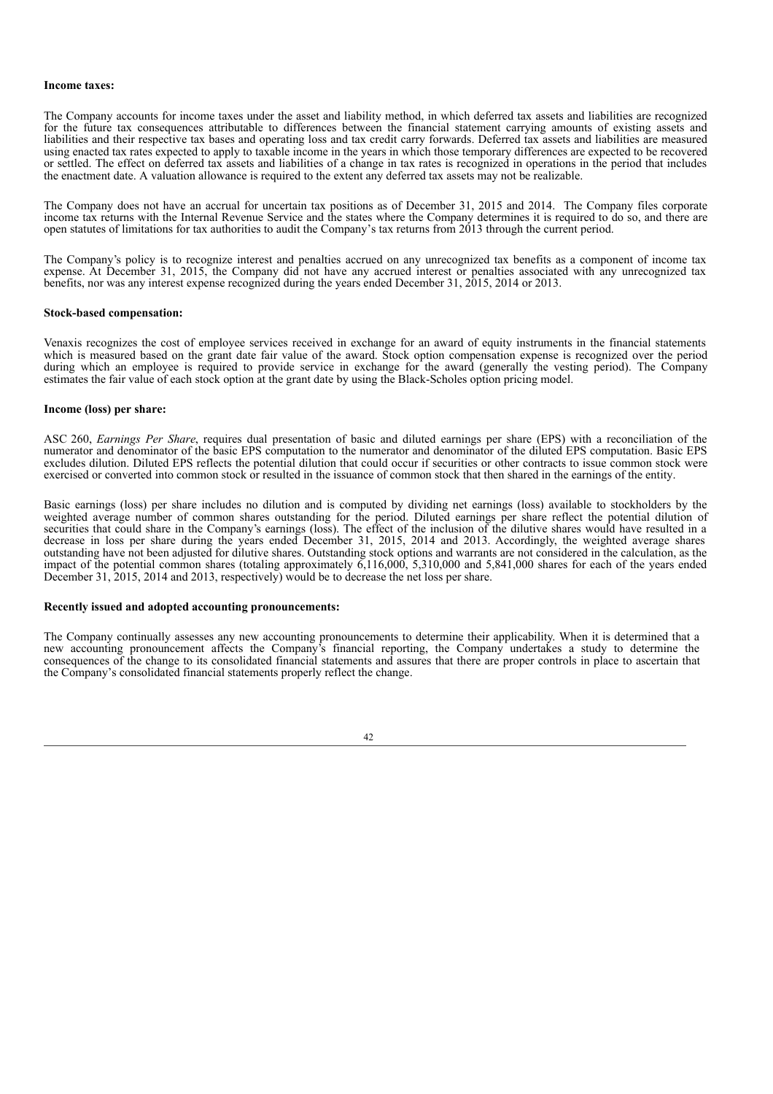#### **Income taxes:**

The Company accounts for income taxes under the asset and liability method, in which deferred tax assets and liabilities are recognized for the future tax consequences attributable to differences between the financial statement carrying amounts of existing assets and liabilities and their respective tax bases and operating loss and tax credit carry forwards. Deferred tax assets and liabilities are measured using enacted tax rates expected to apply to taxable income in the years in which those temporary differences are expected to be recovered or settled. The effect on deferred tax assets and liabilities of a change in tax rates is recognized in operations in the period that includes the enactment date. A valuation allowance is required to the extent any deferred tax assets may not be realizable.

The Company does not have an accrual for uncertain tax positions as of December 31, 2015 and 2014. The Company files corporate income tax returns with the Internal Revenue Service and the states where the Company determines it is required to do so, and there are open statutes of limitations for tax authorities to audit the Company's tax returns from 2013 through the current period.

The Company's policy is to recognize interest and penalties accrued on any unrecognized tax benefits as a component of income tax expense. At December 31, 2015, the Company did not have any accrued interest or penalties associated with any unrecognized tax benefits, nor was any interest expense recognized during the years ended December 31, 2015, 2014 or 2013.

#### **Stock-based compensation:**

Venaxis recognizes the cost of employee services received in exchange for an award of equity instruments in the financial statements which is measured based on the grant date fair value of the award. Stock option compensation expense is recognized over the period during which an employee is required to provide service in exchange for the award (generally the vesting period). The Company estimates the fair value of each stock option at the grant date by using the Black-Scholes option pricing model.

#### **Income (loss) per share:**

ASC 260, *Earnings Per Share*, requires dual presentation of basic and diluted earnings per share (EPS) with a reconciliation of the numerator and denominator of the basic EPS computation to the numerator and denominator of the diluted EPS computation. Basic EPS excludes dilution. Diluted EPS reflects the potential dilution that could occur if securities or other contracts to issue common stock were exercised or converted into common stock or resulted in the issuance of common stock that then shared in the earnings of the entity.

Basic earnings (loss) per share includes no dilution and is computed by dividing net earnings (loss) available to stockholders by the weighted average number of common shares outstanding for the period. Diluted earnings per share reflect the potential dilution of securities that could share in the Company's earnings (loss). The effect of the inclusion of the dilutive shares would have resulted in a decrease in loss per share during the years ended December 31, 2015, 2014 and 2013. Accordingly, the weighted average shares outstanding have not been adjusted for dilutive shares. Outstanding stock options and warrants are not considered in the calculation, as the impact of the potential common shares (totaling approximately 6,116,000, 5,310,000 and 5,841,000 shares for each of the years ended December 31, 2015, 2014 and 2013, respectively) would be to decrease the net loss per share.

#### **Recently issued and adopted accounting pronouncements:**

The Company continually assesses any new accounting pronouncements to determine their applicability. When it is determined that a new accounting pronouncement affects the Company's financial reporting, the Company undertakes a study to determine the consequences of the change to its consolidated financial statements and assures that there are proper controls in place to ascertain that the Company's consolidated financial statements properly reflect the change.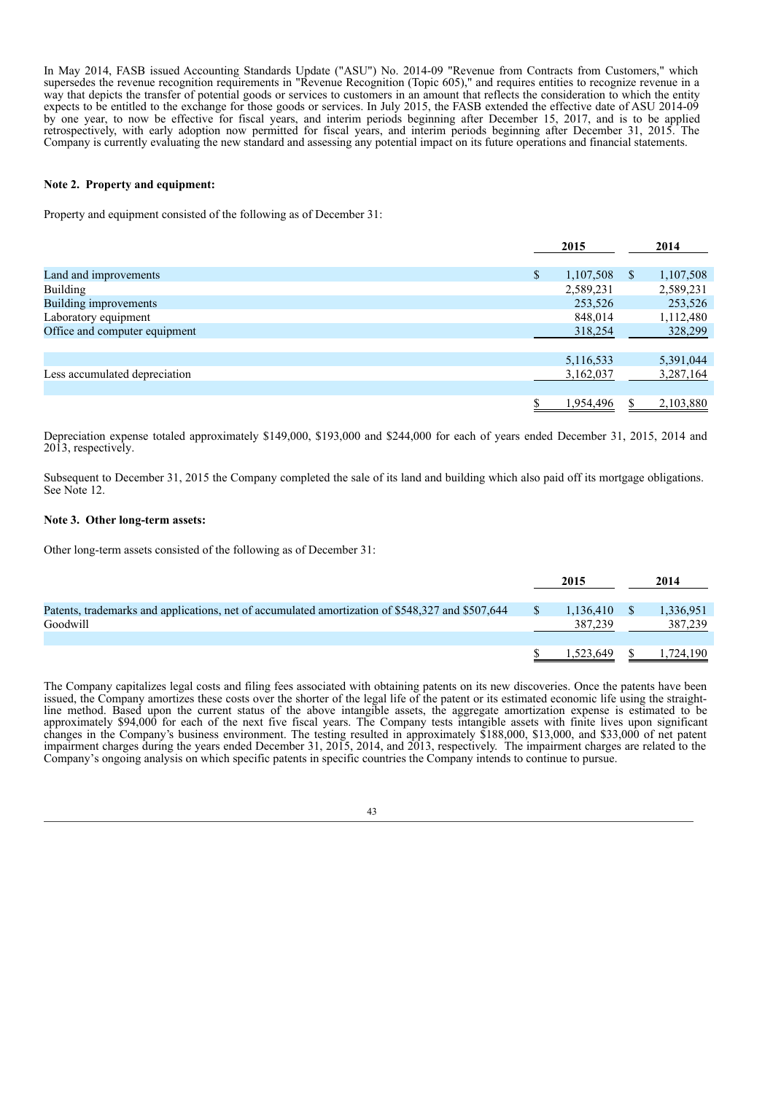In May 2014, FASB issued Accounting Standards Update ("ASU") No. 2014-09 "Revenue from Contracts from Customers," which supersedes the revenue recognition requirements in "Revenue Recognition (Topic 605)," and requires entities to recognize revenue in a way that depicts the transfer of potential goods or services to customers in an amount that reflects the consideration to which the entity expects to be entitled to the exchange for those goods or services. In July 2015, the FASB extended the effective date of ASU 2014-09 by one year, to now be effective for fiscal years, and interim periods beginning after December 15, 2017, and is to be applied retrospectively, with early adoption now permitted for fiscal years, and interim periods beginning after December 31, 2015. The Company is currently evaluating the new standard and assessing any potential impact on its future operations and financial statements.

## **Note 2. Property and equipment:**

Property and equipment consisted of the following as of December 31:

|                               | 2015            |              | 2014      |
|-------------------------------|-----------------|--------------|-----------|
| Land and improvements         | \$<br>1,107,508 | <sup>S</sup> | 1,107,508 |
| <b>Building</b>               | 2,589,231       |              | 2,589,231 |
| <b>Building improvements</b>  | 253,526         |              | 253,526   |
| Laboratory equipment          | 848,014         |              | 1,112,480 |
| Office and computer equipment | 318,254         |              | 328,299   |
|                               |                 |              |           |
|                               | 5,116,533       |              | 5,391,044 |
| Less accumulated depreciation | 3,162,037       |              | 3,287,164 |
|                               |                 |              |           |
|                               | 1,954,496       |              | 2,103,880 |

Depreciation expense totaled approximately \$149,000, \$193,000 and \$244,000 for each of years ended December 31, 2015, 2014 and 2013, respectively.

Subsequent to December 31, 2015 the Company completed the sale of its land and building which also paid off its mortgage obligations. See Note 12.

## **Note 3. Other long-term assets:**

Other long-term assets consisted of the following as of December 31:

|                                                                                                  | 2015      | 2014      |
|--------------------------------------------------------------------------------------------------|-----------|-----------|
| Patents, trademarks and applications, net of accumulated amortization of \$548,327 and \$507,644 | 1.136.410 | 1,336,951 |
| Goodwill                                                                                         | 387,239   | 387,239   |
|                                                                                                  |           |           |
|                                                                                                  | 1,523,649 | 1.724.190 |

The Company capitalizes legal costs and filing fees associated with obtaining patents on its new discoveries. Once the patents have been issued, the Company amortizes these costs over the shorter of the legal life of the patent or its estimated economic life using the straightline method. Based upon the current status of the above intangible assets, the aggregate amortization expense is estimated to be approximately \$94,000 for each of the next five fiscal years. The Company tests intangible assets with finite lives upon significant changes in the Company's business environment. The testing resulted in approximately \$188,000, \$13,000, and \$33,000 of net patent impairment charges during the years ended December 31, 2015, 2014, and 2013, respectively. The impairment charges are related to the Company's ongoing analysis on which specific patents in specific countries the Company intends to continue to pursue.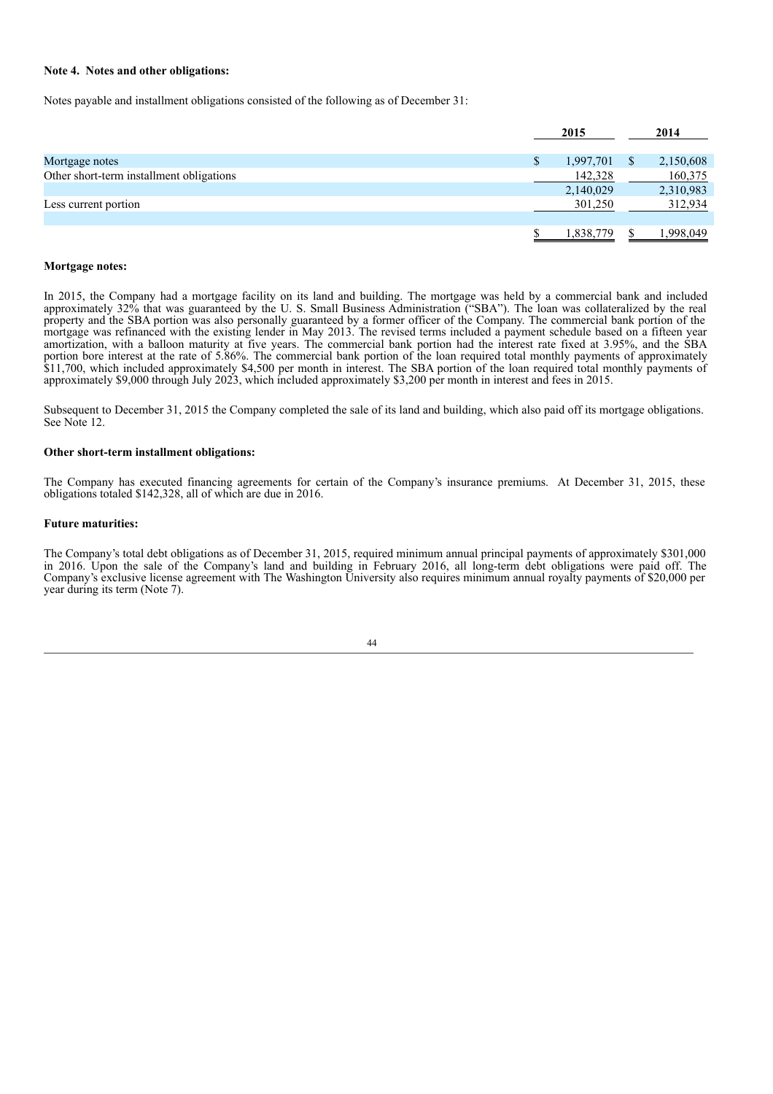#### **Note 4. Notes and other obligations:**

Notes payable and installment obligations consisted of the following as of December 31:

|                                          | 2015      | 2014      |
|------------------------------------------|-----------|-----------|
| Mortgage notes                           | 1,997,701 | 2,150,608 |
| Other short-term installment obligations | 142,328   | 160,375   |
|                                          | 2,140,029 | 2,310,983 |
| Less current portion                     | 301,250   | 312,934   |
|                                          |           |           |
|                                          | 1,838,779 | 1.998.049 |

## **Mortgage notes:**

In 2015, the Company had a mortgage facility on its land and building. The mortgage was held by a commercial bank and included approximately 32% that was guaranteed by the U. S. Small Business Administration ("SBA"). The loan was collateralized by the real property and the SBA portion was also personally guaranteed by a former officer of the Company. The commercial bank portion of the mortgage was refinanced with the existing lender in May 2013. The revised terms included a payment schedule based on a fifteen year amortization, with a balloon maturity at five years. The commercial bank portion had the interest rate fixed at 3.95%, and the SBA portion bore interest at the rate of 5.86%. The commercial bank portion of the loan required total monthly payments of approximately \$11,700, which included approximately \$4,500 per month in interest. The SBA portion of the loan required total monthly payments of approximately \$9,000 through July 2023, which included approximately \$3,200 per month in interest and fees in 2015.

Subsequent to December 31, 2015 the Company completed the sale of its land and building, which also paid off its mortgage obligations. See Note 12.

## **Other short-term installment obligations:**

The Company has executed financing agreements for certain of the Company's insurance premiums. At December 31, 2015, these obligations totaled \$142,328, all of which are due in 2016.

#### **Future maturities:**

The Company's total debt obligations as of December 31, 2015, required minimum annual principal payments of approximately \$301,000 in 2016. Upon the sale of the Company's land and building in February 2016, all long-term debt obligations were paid off. The Company's exclusive license agreement with The Washington University also requires minimum annual royalty payments of \$20,000 per year during its term (Note 7).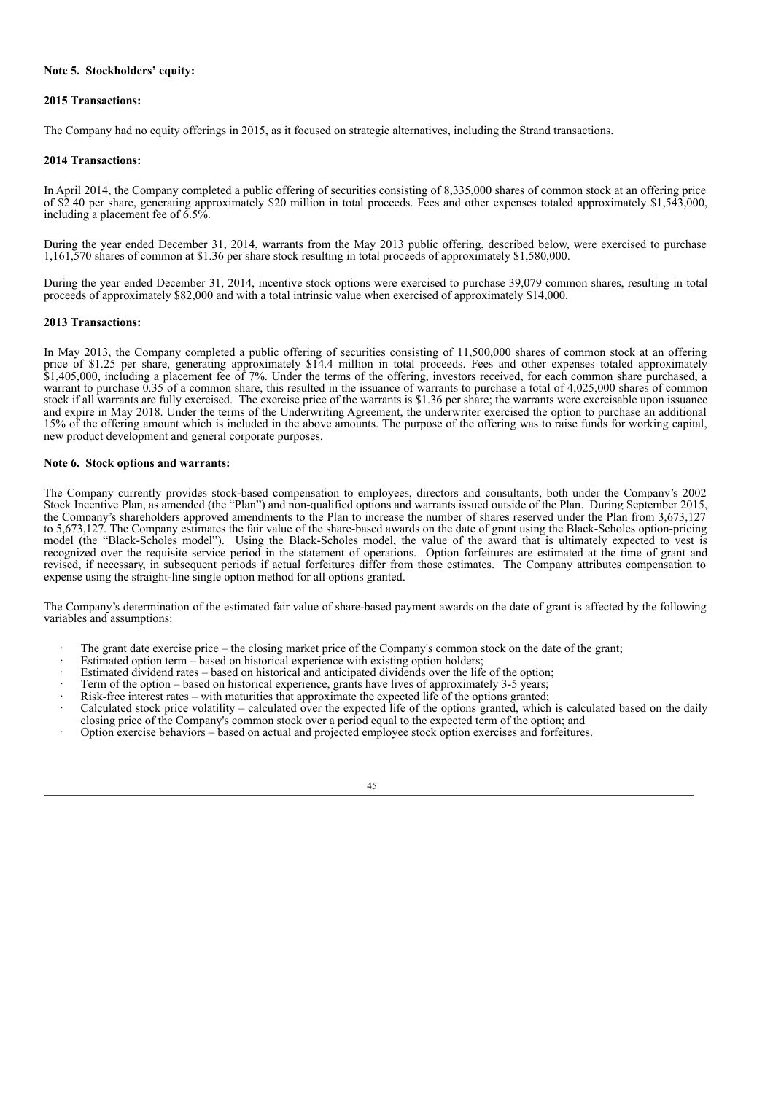## **Note 5. Stockholders' equity:**

## **2015 Transactions:**

The Company had no equity offerings in 2015, as it focused on strategic alternatives, including the Strand transactions.

## **2014 Transactions:**

In April 2014, the Company completed a public offering of securities consisting of 8,335,000 shares of common stock at an offering price of \$2.40 per share, generating approximately \$20 million in total proceeds. Fees and other expenses totaled approximately \$1,543,000, including a placement fee of  $6.5\%$ .

During the year ended December 31, 2014, warrants from the May 2013 public offering, described below, were exercised to purchase 1,161,570 shares of common at \$1.36 per share stock resulting in total proceeds of approximately \$1,580,000.

During the year ended December 31, 2014, incentive stock options were exercised to purchase 39,079 common shares, resulting in total proceeds of approximately \$82,000 and with a total intrinsic value when exercised of approximately \$14,000.

#### **2013 Transactions:**

In May 2013, the Company completed a public offering of securities consisting of 11,500,000 shares of common stock at an offering price of \$1.25 per share, generating approximately \$14.4 million in total proceeds. Fees and other expenses totaled approximately \$1,405,000, including a placement fee of 7%. Under the terms of the offering, investors received, for each common share purchased, a warrant to purchase  $0.35$  of a common share, this resulted in the issuance of warrants to purchase a total of 4,025,000 shares of common stock if all warrants are fully exercised. The exercise price of the warrants is \$1.36 per share; the warrants were exercisable upon issuance and expire in May 2018. Under the terms of the Underwriting Agreement, the underwriter exercised the option to purchase an additional 15% of the offering amount which is included in the above amounts. The purpose of the offering was to raise funds for working capital, new product development and general corporate purposes.

# **Note 6. Stock options and warrants:**

The Company currently provides stock-based compensation to employees, directors and consultants, both under the Company's 2002 Stock Incentive Plan, as amended (the "Plan") and non-qualified options and warrants issued outside of the Plan. During September 2015, the Company's shareholders approved amendments to the Plan to increase the number of shares reserved under the Plan from 3,673,127 to 5,673,127. The Company estimates the fair value of the share-based awards on the date of grant using the Black-Scholes option-pricing model (the "Black-Scholes model"). Using the Black-Scholes model, the value of the award that is ultimately expected to vest is recognized over the requisite service period in the statement of operations. Option forfeitures are estimated at the time of grant and revised, if necessary, in subsequent periods if actual forfeitures differ from those estimates. The Company attributes compensation to expense using the straight-line single option method for all options granted.

The Company's determination of the estimated fair value of share-based payment awards on the date of grant is affected by the following variables and assumptions:

- The grant date exercise price the closing market price of the Company's common stock on the date of the grant;
- Estimated option term  $-\dot{b}$  based on historical experience with existing option holders;
- Estimated dividend rates based on historical and anticipated dividends over the life of the option;
- Term of the option based on historical experience, grants have lives of approximately 3-5 years;
- Risk-free interest rates with maturities that approximate the expected life of the options granted;
- · Calculated stock price volatility calculated over the expected life of the options granted, which is calculated based on the daily closing price of the Company's common stock over a period equal to the expected term of the option; and
- · Option exercise behaviors based on actual and projected employee stock option exercises and forfeitures.

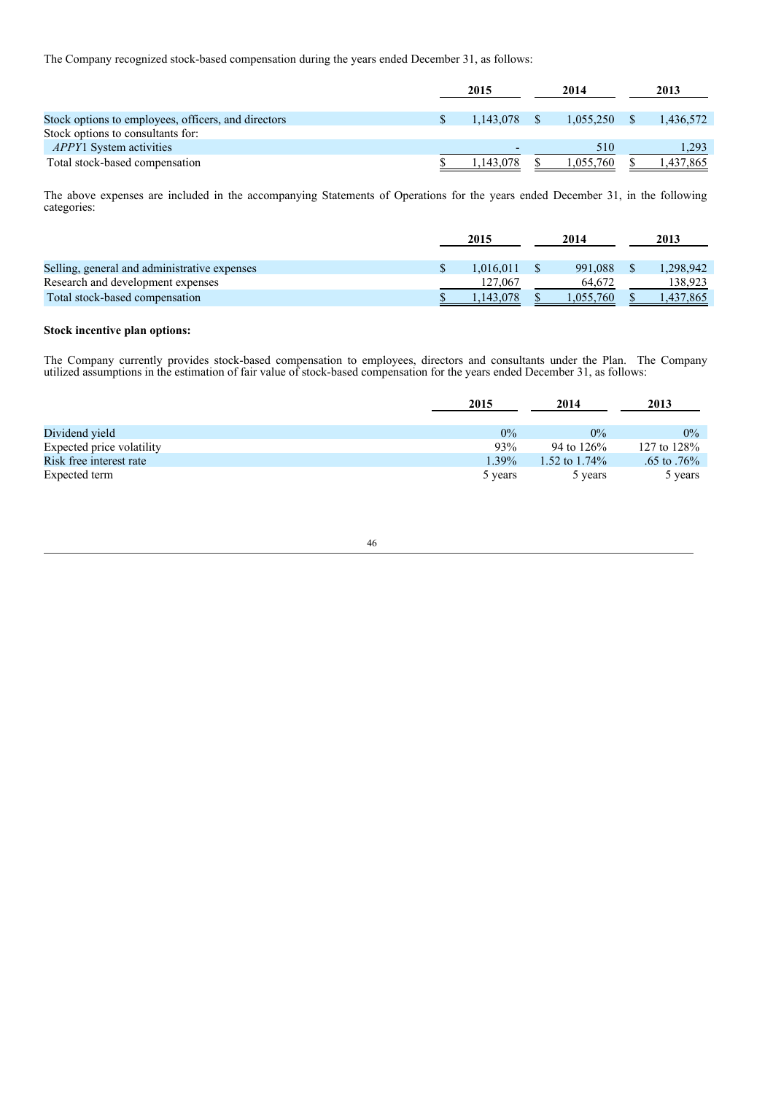The Company recognized stock-based compensation during the years ended December 31, as follows:

|                                                     | 2015 |              | 2014 |           |              | 2013      |
|-----------------------------------------------------|------|--------------|------|-----------|--------------|-----------|
|                                                     |      |              |      |           |              |           |
| Stock options to employees, officers, and directors |      | 1.143.078 \$ |      | 1.055.250 | $^{\circ}$ S | 1.436.572 |
| Stock options to consultants for:                   |      |              |      |           |              |           |
| <i>APPY</i> 1 System activities                     |      |              |      | 510       |              | 1.293     |
| Total stock-based compensation                      |      | 1,143,078    |      | 1,055,760 |              | 437,865.  |

The above expenses are included in the accompanying Statements of Operations for the years ended December 31, in the following categories:

|                                              | 2015      | 2014      | 2013      |
|----------------------------------------------|-----------|-----------|-----------|
| Selling, general and administrative expenses | 1.016.011 | 991.088   | 1,298,942 |
| Research and development expenses            | 127.067   | 64.672    | 138.923   |
| Total stock-based compensation               | 1.143.078 | 1,055,760 | 437,865.  |

# **Stock incentive plan options:**

The Company currently provides stock-based compensation to employees, directors and consultants under the Plan. The Company utilized assumptions in the estimation of fair value of stock-based compensation for the years ended December 31, as follows:

|                           | 2015    | 2014             | 2013          |
|---------------------------|---------|------------------|---------------|
|                           |         |                  |               |
| Dividend yield            | $0\%$   | $0\%$            | $0\%$         |
| Expected price volatility | 93%     | 94 to 126%       | 127 to $128%$ |
| Risk free interest rate   | 1.39%   | 1.52 to $1.74\%$ | .65 to .76%   |
| Expected term             | 5 years | 5 years          | 5 years       |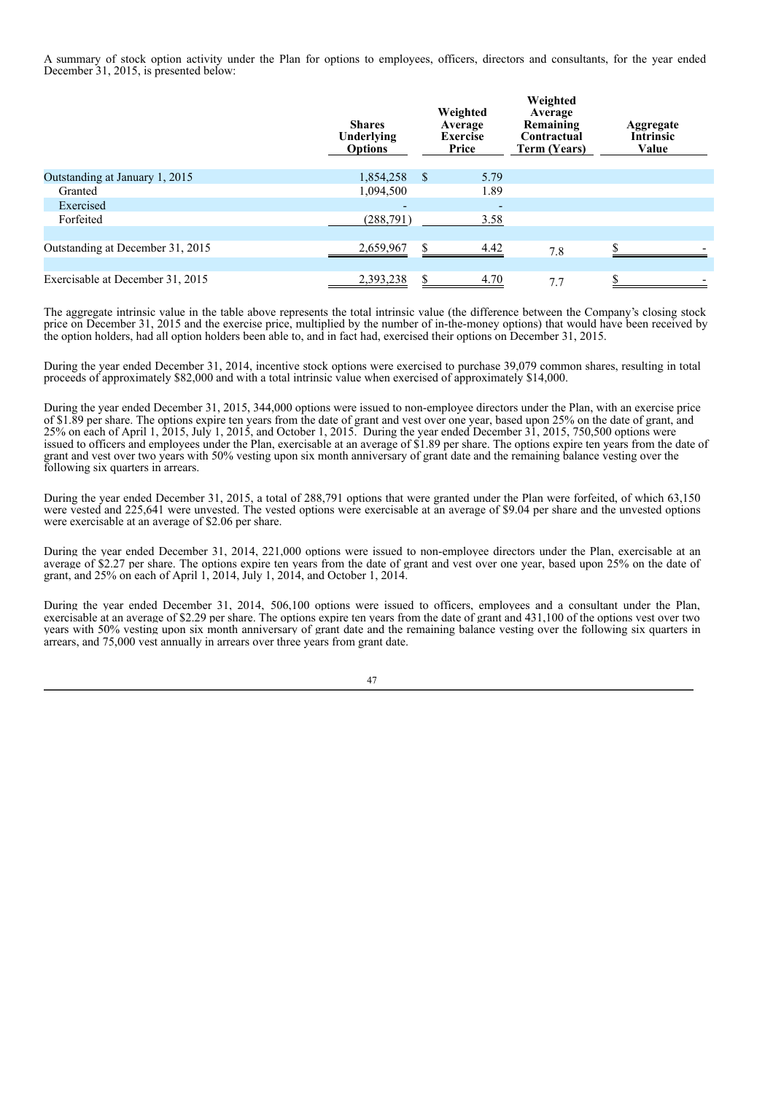A summary of stock option activity under the Plan for options to employees, officers, directors and consultants, for the year ended December 31, 2015, is presented below:

|                                  | <b>Shares</b><br>Underlying<br><b>Options</b> |      | Weighted<br>Average<br><b>Exercise</b><br>Price | Weighted<br>Average<br>Remaining<br>Contractual<br>Term (Years) | Aggregate<br><b>Intrinsic</b><br>Value |  |
|----------------------------------|-----------------------------------------------|------|-------------------------------------------------|-----------------------------------------------------------------|----------------------------------------|--|
| Outstanding at January 1, 2015   | 1,854,258                                     | - \$ | 5.79                                            |                                                                 |                                        |  |
| Granted                          | 1,094,500                                     |      | 1.89                                            |                                                                 |                                        |  |
| Exercised                        | $\overline{\phantom{0}}$                      |      |                                                 |                                                                 |                                        |  |
| Forfeited                        | (288,791)                                     |      | 3.58                                            |                                                                 |                                        |  |
|                                  |                                               |      |                                                 |                                                                 |                                        |  |
| Outstanding at December 31, 2015 | 2,659,967                                     |      | 4.42                                            | 7.8                                                             |                                        |  |
|                                  |                                               |      |                                                 |                                                                 |                                        |  |
| Exercisable at December 31, 2015 | 2,393,238                                     |      | 4.70                                            | 7.7                                                             | Φ                                      |  |
|                                  |                                               |      |                                                 |                                                                 |                                        |  |

The aggregate intrinsic value in the table above represents the total intrinsic value (the difference between the Company's closing stock price on December 31, 2015 and the exercise price, multiplied by the number of in-the-money options) that would have been received by the option holders, had all option holders been able to, and in fact had, exercised their options on December 31, 2015.

During the year ended December 31, 2014, incentive stock options were exercised to purchase 39,079 common shares, resulting in total proceeds of approximately \$82,000 and with a total intrinsic value when exercised of approximately \$14,000.

During the year ended December 31, 2015, 344,000 options were issued to non-employee directors under the Plan, with an exercise price of \$1.89 per share. The options expire ten years from the date of grant and vest over one year, based upon 25% on the date of grant, and 25% on each of April 1, 2015, July 1, 2015, and October 1, 2015. During the year ended December 31, 2015, 750,500 options were issued to officers and employees under the Plan, exercisable at an average of \$1.89 per share. The options expire ten years from the date of grant and vest over two years with 50% vesting upon six month anniversary of grant date and the remaining balance vesting over the following six quarters in arrears.

During the year ended December 31, 2015, a total of 288,791 options that were granted under the Plan were forfeited, of which 63,150 were vested and 225,641 were unvested. The vested options were exercisable at an average of \$9.04 per share and the unvested options were exercisable at an average of \$2.06 per share.

During the year ended December 31, 2014, 221,000 options were issued to non-employee directors under the Plan, exercisable at an average of \$2.27 per share. The options expire ten years from the date of grant and vest over one year, based upon 25% on the date of grant, and 25% on each of April 1, 2014, July 1, 2014, and October 1, 2014.

During the year ended December 31, 2014, 506,100 options were issued to officers, employees and a consultant under the Plan, exercisable at an average of \$2.29 per share. The options expire ten years from the date of grant and 431,100 of the options vest over two years with 50% vesting upon six month anniversary of grant date and the remaining balance vesting over the following six quarters in arrears, and 75,000 vest annually in arrears over three years from grant date.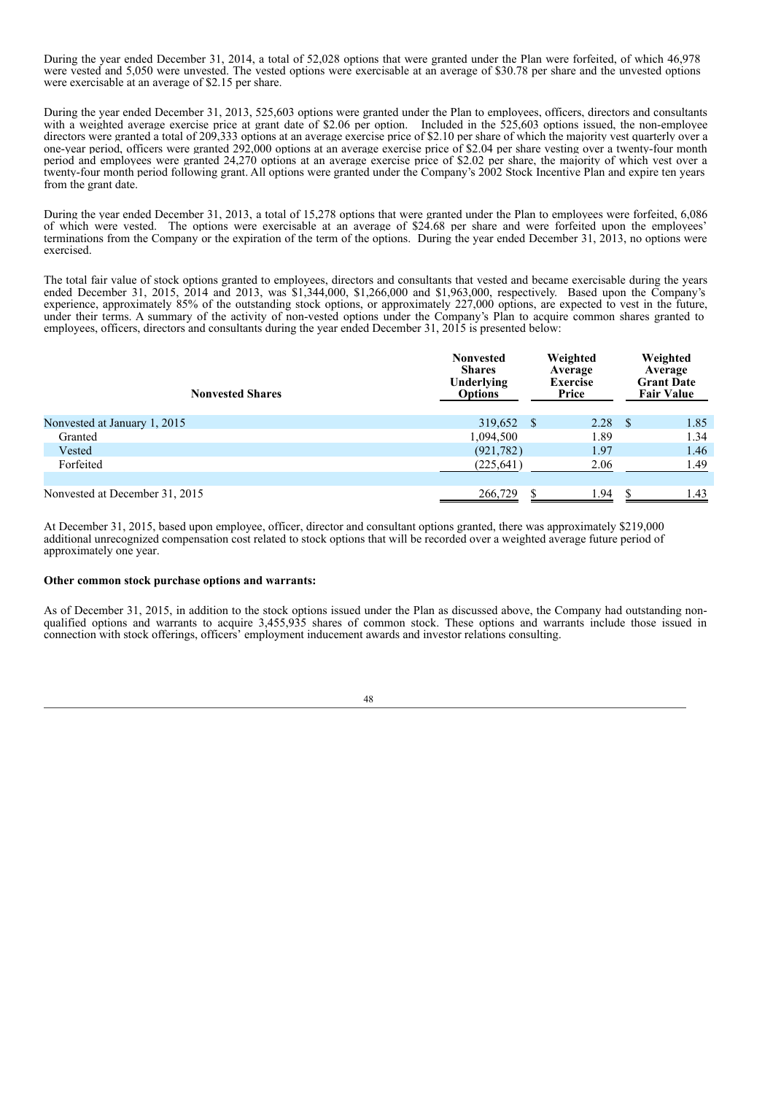During the year ended December 31, 2014, a total of 52,028 options that were granted under the Plan were forfeited, of which 46,978 were vested and 5,050 were unvested. The vested options were exercisable at an average of \$30.78 per share and the unvested options were exercisable at an average of \$2.15 per share.

During the year ended December 31, 2013, 525,603 options were granted under the Plan to employees, officers, directors and consultants with a weighted average exercise price at grant date of \$2.06 per option. Included in the 525,603 options issued, the non-employee directors were granted a total of 209,333 options at an average exercise price of \$2.10 per share of which the majority vest quarterly over a one-year period, officers were granted 292,000 options at an average exercise price of \$2.04 per share vesting over a twenty-four month period and employees were granted 24,270 options at an average exercise price of \$2.02 per share, the majority of which vest over a twenty-four month period following grant. All options were granted under the Company's 2002 Stock Incentive Plan and expire ten years from the grant date.

During the year ended December 31, 2013, a total of 15,278 options that were granted under the Plan to employees were forfeited, 6,086 of which were vested. The options were exercisable at an average of \$24.68 per share and were forfeited upon the employees' terminations from the Company or the expiration of the term of the options. During the year ended December 31, 2013, no options were exercised.

The total fair value of stock options granted to employees, directors and consultants that vested and became exercisable during the years ended December 31, 2015, 2014 and 2013, was \$1,344,000, \$1,266,000 and \$1,963,000, respectively. Based upon the Company's experience, approximately 85% of the outstanding stock options, or approximately 227,000 options, are expected to vest in the future, under their terms. A summary of the activity of non-vested options under the Company's Plan to acquire common shares granted to employees, officers, directors and consultants during the year ended December 31, 2015 is presented below:

| <b>Nonvested Shares</b>        | <b>Nonvested</b><br><b>Shares</b><br>Underlying<br><b>Options</b> | Weighted<br>Average<br><b>Exercise</b><br>Price |      | Weighted<br>Average<br><b>Grant Date</b><br><b>Fair Value</b> |
|--------------------------------|-------------------------------------------------------------------|-------------------------------------------------|------|---------------------------------------------------------------|
| Nonvested at January 1, 2015   | 319,652 \$                                                        | 2.28                                            | - \$ | 1.85                                                          |
| Granted                        | 1,094,500                                                         | 1.89                                            |      | 1.34                                                          |
| Vested                         | (921, 782)                                                        | 1.97                                            |      | 1.46                                                          |
| Forfeited                      | (225, 641)                                                        | 2.06                                            |      | 1.49                                                          |
|                                |                                                                   |                                                 |      |                                                               |
| Nonvested at December 31, 2015 | 266,729                                                           | . 94                                            |      | 1.43                                                          |

At December 31, 2015, based upon employee, officer, director and consultant options granted, there was approximately \$219,000 additional unrecognized compensation cost related to stock options that will be recorded over a weighted average future period of approximately one year.

# **Other common stock purchase options and warrants:**

As of December 31, 2015, in addition to the stock options issued under the Plan as discussed above, the Company had outstanding nonqualified options and warrants to acquire 3,455,935 shares of common stock. These options and warrants include those issued in connection with stock offerings, officers' employment inducement awards and investor relations consulting.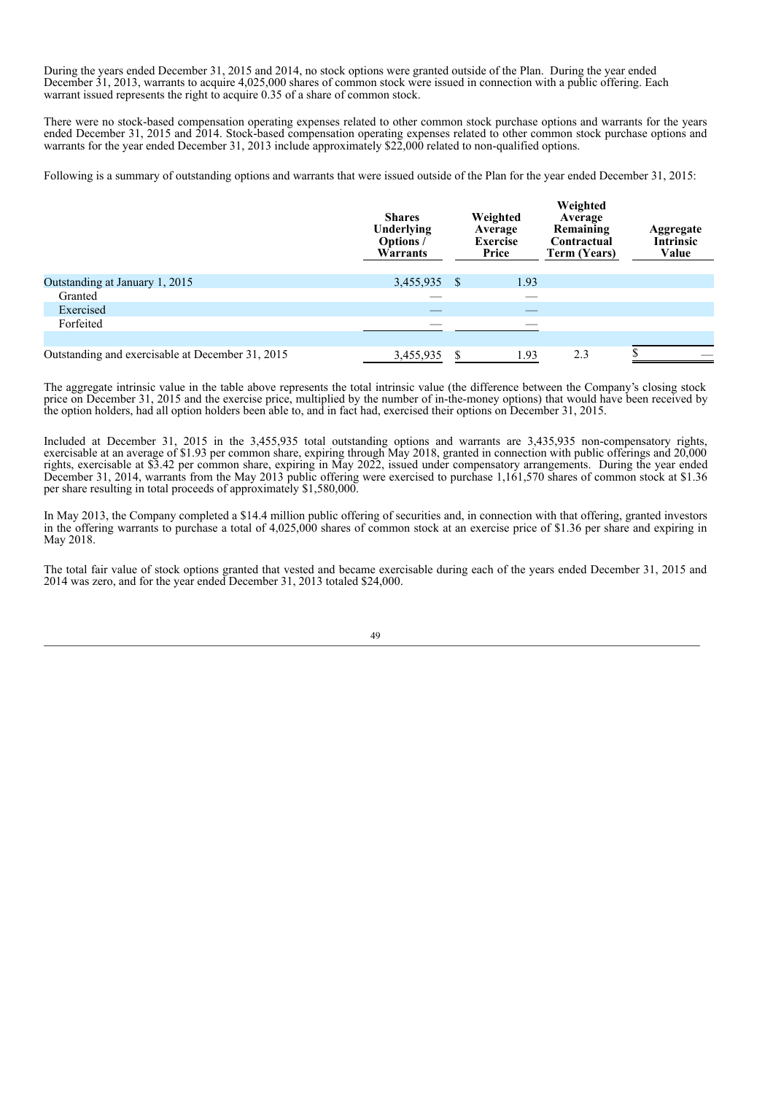During the years ended December 31, 2015 and 2014, no stock options were granted outside of the Plan. During the year ended December 31, 2013, warrants to acquire 4,025,000 shares of common stock were issued in connection with a public offering. Each warrant issued represents the right to acquire 0.35 of a share of common stock.

There were no stock-based compensation operating expenses related to other common stock purchase options and warrants for the years ended December 31, 2015 and 2014. Stock-based compensation operating expenses related to other common stock purchase options and warrants for the year ended December 31, 2013 include approximately \$22,000 related to non-qualified options.

Following is a summary of outstanding options and warrants that were issued outside of the Plan for the year ended December 31, 2015:

|                                                  | <b>Shares</b><br>Underlying<br>Options /<br>Warrants |    | Weighted<br>Average<br>Exercise<br>Price | Weighted<br>Average<br>Remaining<br>Contractual<br>Term (Years) | Aggregate<br>Intrinsic<br>Value |
|--------------------------------------------------|------------------------------------------------------|----|------------------------------------------|-----------------------------------------------------------------|---------------------------------|
| Outstanding at January 1, 2015                   | 3,455,935 \$                                         |    | 1.93                                     |                                                                 |                                 |
| Granted                                          |                                                      |    | __                                       |                                                                 |                                 |
| Exercised                                        |                                                      |    | __                                       |                                                                 |                                 |
| Forfeited                                        |                                                      |    |                                          |                                                                 |                                 |
|                                                  |                                                      |    |                                          |                                                                 |                                 |
| Outstanding and exercisable at December 31, 2015 | 3,455,935                                            | -S | 1.93                                     | 2.3                                                             |                                 |

The aggregate intrinsic value in the table above represents the total intrinsic value (the difference between the Company's closing stock price on December 31, 2015 and the exercise price, multiplied by the number of in-the-money options) that would have been received by the option holders, had all option holders been able to, and in fact had, exercised their options on December 31, 2015.

Included at December 31, 2015 in the 3,455,935 total outstanding options and warrants are 3,435,935 non-compensatory rights, exercisable at an average of \$1.93 per common share, expiring through May 2018, granted in connection with public offerings and 20,000 rights, exercisable at \$3.42 per common share, expiring in May 2022, issued under compensatory arrangements. During the year ended December 31, 2014, warrants from the May 2013 public offering were exercised to purchase 1,161,570 shares of common stock at \$1.36 per share resulting in total proceeds of approximately \$1,580,000.

In May 2013, the Company completed a \$14.4 million public offering of securities and, in connection with that offering, granted investors in the offering warrants to purchase a total of 4,025,000 shares of common stock at an exercise price of \$1.36 per share and expiring in May 2018.

The total fair value of stock options granted that vested and became exercisable during each of the years ended December 31, 2015 and 2014 was zero, and for the year ended December 31, 2013 totaled \$24,000.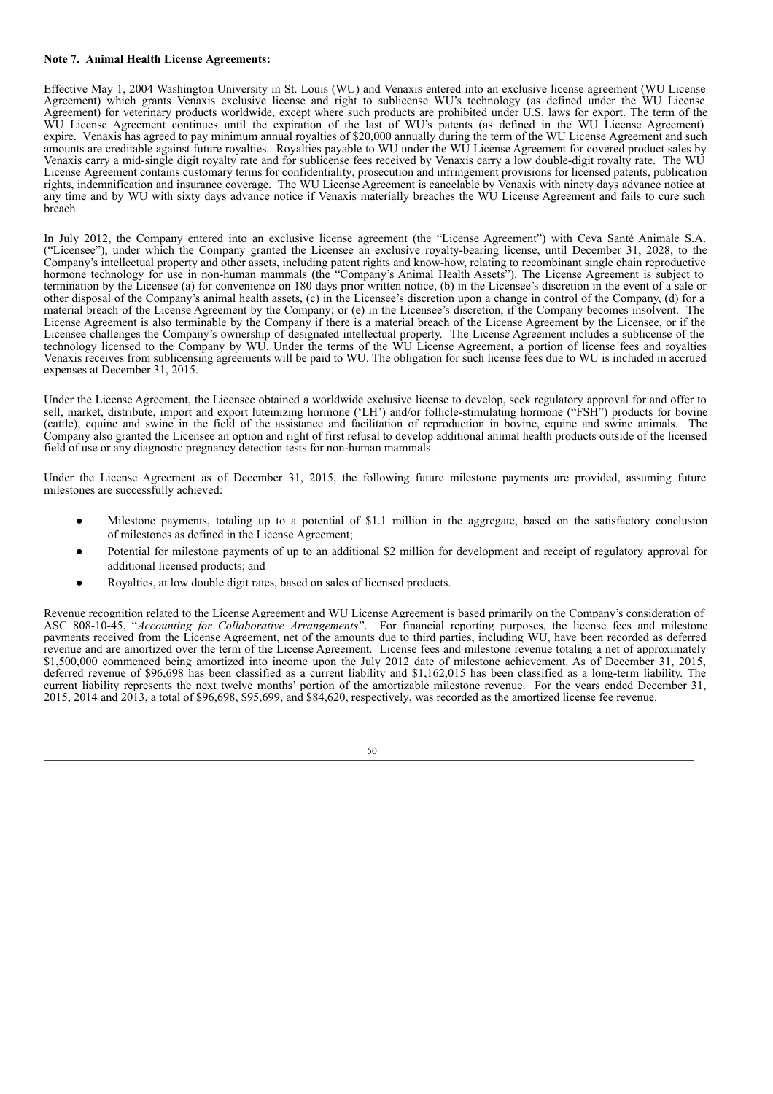## **Note 7. Animal Health License Agreements:**

Effective May 1, 2004 Washington University in St. Louis (WU) and Venaxis entered into an exclusive license agreement (WU License Agreement) which grants Venaxis exclusive license and right to sublicense WU's technology (as defined under the WU License Agreement) for veterinary products worldwide, except where such products are prohibited under U.S. laws for export. The term of the WU License Agreement continues until the expiration of the last of WU's patents (as defined in the WU License Agreement) expire. Venaxis has agreed to pay minimum annual royalties of \$20,000 annually during the term of the WU License Agreement and such amounts are creditable against future royalties. Royalties payable to WU under the WU License Agreement for covered product sales by Venaxis carry a mid-single digit royalty rate and for sublicense fees received by Venaxis carry a low double-digit royalty rate. The WU License Agreement contains customary terms for confidentiality, prosecution and infringement provisions for licensed patents, publication rights, indemnification and insurance coverage. The WU License Agreement is cancelable by Venaxis with ninety days advance notice at any time and by WU with sixty days advance notice if Venaxis materially breaches the WU License Agreement and fails to cure such breach.

In July 2012, the Company entered into an exclusive license agreement (the "License Agreement") with Ceva Santé Animale S.A. ("Licensee"), under which the Company granted the Licensee an exclusive royalty-bearing license, until December 31, 2028, to the Company's intellectual property and other assets, including patent rights and know-how, relating to recombinant single chain reproductive hormone technology for use in non-human mammals (the "Company's Animal Health Assets"). The License Agreement is subject to termination by the Licensee (a) for convenience on 180 days prior written notice, (b) in the Licensee's discretion in the event of a sale or other disposal of the Company's animal health assets, (c) in the Licensee's discretion upon a change in control of the Company, (d) for a material breach of the License Agreement by the Company; or (e) in the Licensee's discretion, if the Company becomes insolvent. The License Agreement is also terminable by the Company if there is a material breach of the License Agreement by the Licensee, or if the Licensee challenges the Company's ownership of designated intellectual property. The License Agreement includes a sublicense of the technology licensed to the Company by WU. Under the terms of the WU License Agreement, a portion of license fees and royalties Venaxis receives from sublicensing agreements will be paid to WU. The obligation for such license fees due to WU is included in accrued expenses at December 31, 2015.

Under the License Agreement, the Licensee obtained a worldwide exclusive license to develop, seek regulatory approval for and offer to sell, market, distribute, import and export luteinizing hormone ('LH') and/or follicle-stimulating hormone ("FSH") products for bovine (cattle), equine and swine in the field of the assistance and facilitation of reproduction in bovine, equine and swine animals. The Company also granted the Licensee an option and right of first refusal to develop additional animal health products outside of the licensed field of use or any diagnostic pregnancy detection tests for non-human mammals.

Under the License Agreement as of December 31, 2015, the following future milestone payments are provided, assuming future milestones are successfully achieved:

- Milestone payments, totaling up to a potential of \$1.1 million in the aggregate, based on the satisfactory conclusion of milestones as defined in the License Agreement;
- Potential for milestone payments of up to an additional \$2 million for development and receipt of regulatory approval for additional licensed products; and
- Royalties, at low double digit rates, based on sales of licensed products.

Revenue recognition related to the License Agreement and WU License Agreement is based primarily on the Company's consideration of ASC 808-10-45, "*Accounting for Collaborative Arrangements*". For financial reporting purposes, the license fees and milestone payments received from the License Agreement, net of the amounts due to third parties, including WU, have been recorded as deferred revenue and are amortized over the term of the License Agreement. License fees and milestone revenue totaling a net of approximately \$1,500,000 commenced being amortized into income upon the July 2012 date of milestone achievement. As of December 31, 2015, deferred revenue of \$96,698 has been classified as a current liability and \$1,162,015 has been classified as a long-term liability. The current liability represents the next twelve months' portion of the amortizable milestone revenue. For the years ended December 31, 2015, 2014 and 2013, a total of \$96,698, \$95,699, and \$84,620, respectively, was recorded as the amortized license fee revenue.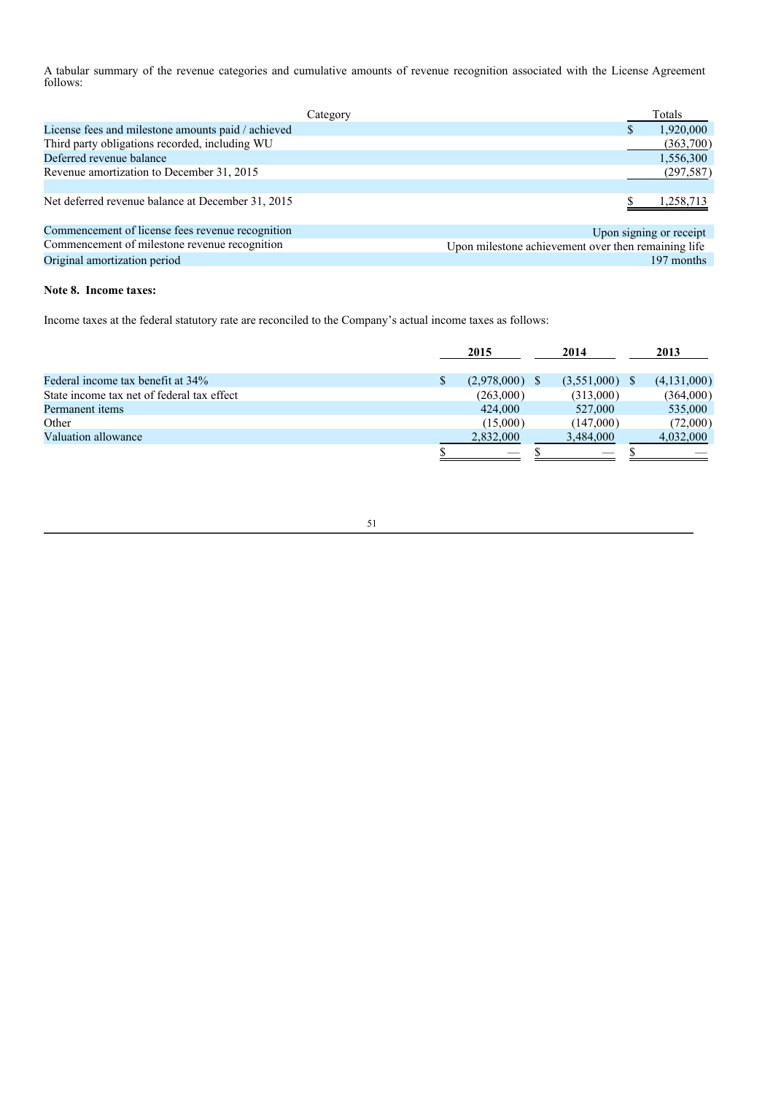A tabular summary of the revenue categories and cumulative amounts of revenue recognition associated with the License Agreement follows:

| Category                                           | Totals                                              |
|----------------------------------------------------|-----------------------------------------------------|
| License fees and milestone amounts paid / achieved | 1,920,000                                           |
| Third party obligations recorded, including WU     | (363,700)                                           |
| Deferred revenue balance                           | 1,556,300                                           |
| Revenue amortization to December 31, 2015          | (297, 587)                                          |
|                                                    |                                                     |
| Net deferred revenue balance at December 31, 2015  | 1,258,713                                           |
|                                                    |                                                     |
| Commencement of license fees revenue recognition   | Upon signing or receipt                             |
| Commencement of milestone revenue recognition      | Upon milestone achievement over then remaining life |
| Original amortization period                       | 197 months                                          |

# **Note 8. Income taxes:**

Income taxes at the federal statutory rate are reconciled to the Company's actual income taxes as follows:

|                                            |   | 2015                     | 2014                     | 2013        |
|--------------------------------------------|---|--------------------------|--------------------------|-------------|
| Federal income tax benefit at 34%          | S | (2,978,000)              | $(3,551,000)$ \$         | (4,131,000) |
| State income tax net of federal tax effect |   | (263,000)                | (313,000)                | (364,000)   |
| Permanent items                            |   | 424,000                  | 527,000                  | 535,000     |
| Other                                      |   | (15,000)                 | (147,000)                | (72,000)    |
| Valuation allowance                        |   | 2,832,000                | 3,484,000                | 4,032,000   |
|                                            |   | $\overline{\phantom{a}}$ | $\overline{\phantom{a}}$ |             |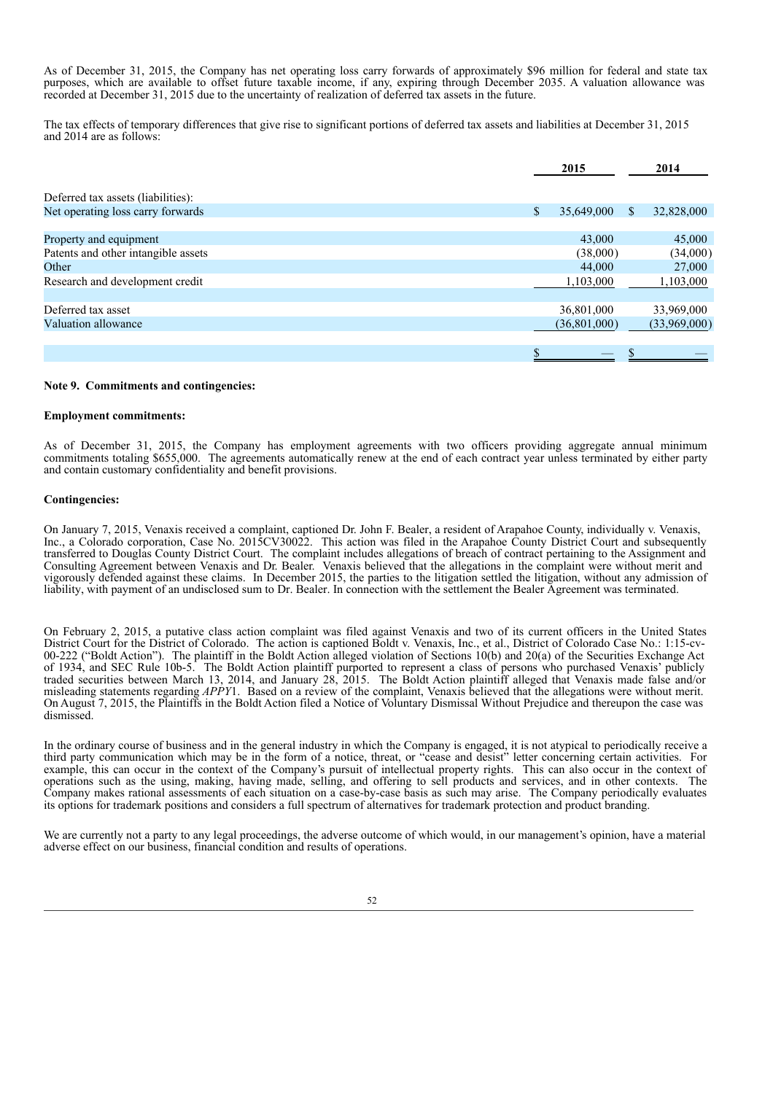As of December 31, 2015, the Company has net operating loss carry forwards of approximately \$96 million for federal and state tax purposes, which are available to offset future taxable income, if any, expiring through December 2035. A valuation allowance was recorded at December 31, 2015 due to the uncertainty of realization of deferred tax assets in the future.

The tax effects of temporary differences that give rise to significant portions of deferred tax assets and liabilities at December 31, 2015 and 2014 are as follows:

|                                     | 2015             |   | 2014         |
|-------------------------------------|------------------|---|--------------|
| Deferred tax assets (liabilities):  |                  |   |              |
| Net operating loss carry forwards   | \$<br>35,649,000 | S | 32,828,000   |
| Property and equipment              | 43,000           |   | 45,000       |
| Patents and other intangible assets | (38,000)         |   | (34,000)     |
| Other                               | 44,000           |   | 27,000       |
| Research and development credit     | 1,103,000        |   | 1,103,000    |
|                                     |                  |   |              |
| Deferred tax asset                  | 36,801,000       |   | 33,969,000   |
| Valuation allowance                 | (36,801,000)     |   | (33,969,000) |
|                                     |                  |   |              |

## **Note 9. Commitments and contingencies:**

#### **Employment commitments:**

As of December 31, 2015, the Company has employment agreements with two officers providing aggregate annual minimum commitments totaling \$655,000. The agreements automatically renew at the end of each contract year unless terminated by either party and contain customary confidentiality and benefit provisions.

#### **Contingencies:**

On January 7, 2015, Venaxis received a complaint, captioned Dr. John F. Bealer, a resident of Arapahoe County, individually v. Venaxis, Inc., a Colorado corporation, Case No. 2015CV30022. This action was filed in the Arapahoe County District Court and subsequently transferred to Douglas County District Court. The complaint includes allegations of breach of contract pertaining to the Assignment and Consulting Agreement between Venaxis and Dr. Bealer. Venaxis believed that the allegations in the complaint were without merit and vigorously defended against these claims. In December 2015, the parties to the litigation settled the litigation, without any admission of liability, with payment of an undisclosed sum to Dr. Bealer. In connection with the settlement the Bealer Agreement was terminated.

On February 2, 2015, a putative class action complaint was filed against Venaxis and two of its current officers in the United States District Court for the District of Colorado. The action is captioned Boldt v. Venaxis, Inc., et al., District of Colorado Case No.: 1:15-cv-00-222 ("Boldt Action"). The plaintiff in the Boldt Action alleged violation of Sections 10(b) and 20(a) of the Securities Exchange Act of 1934, and SEC Rule 10b-5. The Boldt Action plaintiff purported to represent a class of persons who purchased Venaxis' publicly traded securities between March 13, 2014, and January 28, 2015. The Boldt Action plaintiff alleged that Venaxis made false and/or misleading statements regarding *APPY*1. Based on a review of the complaint, Venaxis believed that the allegations were without merit. On August 7, 2015, the Plaintiffs in the Boldt Action filed a Notice of Voluntary Dismissal Without Prejudice and thereupon the case was dismissed.

In the ordinary course of business and in the general industry in which the Company is engaged, it is not atypical to periodically receive a third party communication which may be in the form of a notice, threat, or "cease and desist" letter concerning certain activities. For example, this can occur in the context of the Company's pursuit of intellectual property rights. This can also occur in the context of operations such as the using, making, having made, selling, and offering to sell products and services, and in other contexts. The Company makes rational assessments of each situation on a case-by-case basis as such may arise. The Company periodically evaluates its options for trademark positions and considers a full spectrum of alternatives for trademark protection and product branding.

We are currently not a party to any legal proceedings, the adverse outcome of which would, in our management's opinion, have a material adverse effect on our business, financial condition and results of operations.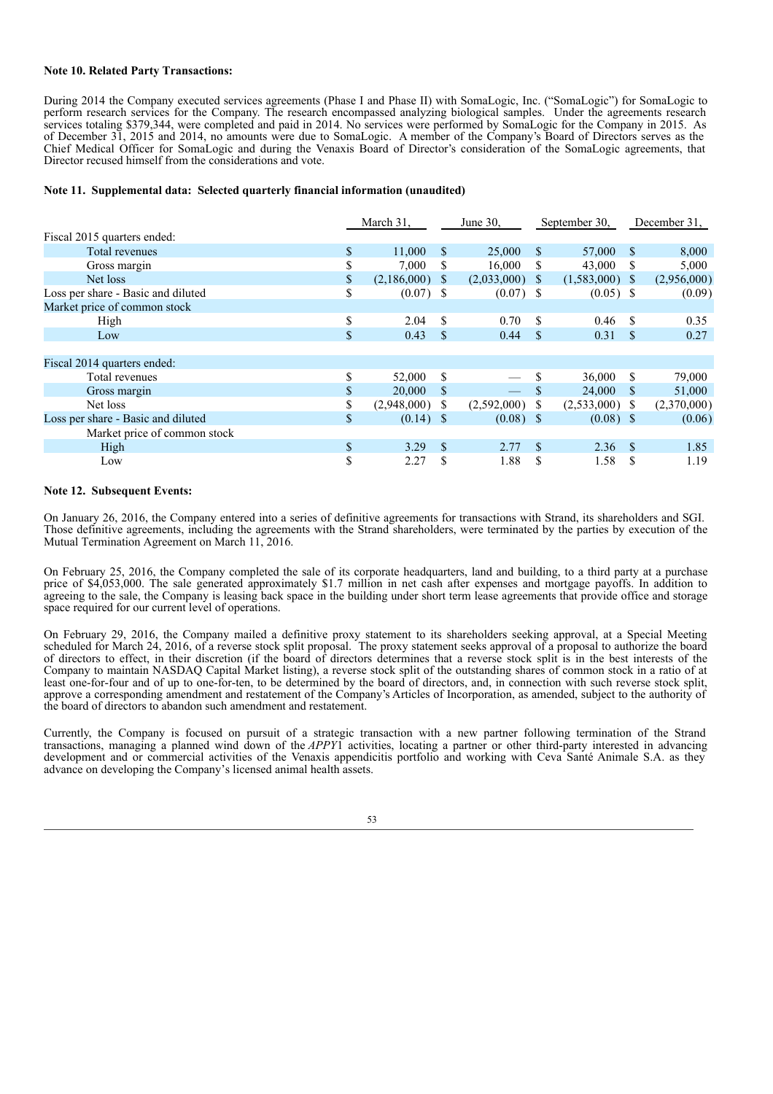#### **Note 10. Related Party Transactions:**

During 2014 the Company executed services agreements (Phase I and Phase II) with SomaLogic, Inc. ("SomaLogic") for SomaLogic to perform research services for the Company. The research encompassed analyzing biological samples. Under the agreements research services totaling \$379,344, were completed and paid in 2014. No services were performed by SomaLogic for the Company in 2015. As of December 31, 2015 and 2014, no amounts were due to SomaLogic. A member of the Company's Board of Directors serves as the Chief Medical Officer for SomaLogic and during the Venaxis Board of Director's consideration of the SomaLogic agreements, that Director recused himself from the considerations and vote.

# **Note 11. Supplemental data: Selected quarterly financial information (unaudited)**

|                                    |               | March 31,        |               | June $30$ , |               | September 30,    |      | December 31, |
|------------------------------------|---------------|------------------|---------------|-------------|---------------|------------------|------|--------------|
| Fiscal 2015 quarters ended:        |               |                  |               |             |               |                  |      |              |
| Total revenues                     | $\mathbb{S}$  | 11,000           | \$.           | 25,000      | <sup>S</sup>  | 57,000           | -S   | 8,000        |
| Gross margin                       | \$            | 7,000            |               | 16,000      | S             | 43,000           | S    | 5,000        |
| Net loss                           | \$            | (2,186,000)      | <sup>\$</sup> | (2,033,000) | -S            | $(1,583,000)$ \$ |      | (2,956,000)  |
| Loss per share - Basic and diluted | \$            | $(0.07)$ \$      |               | (0.07)      | -S            | $(0.05)$ \$      |      | (0.09)       |
| Market price of common stock       |               |                  |               |             |               |                  |      |              |
| High                               | \$            | 2.04             | \$            | 0.70        | S             | 0.46             | \$.  | 0.35         |
| Low                                | $\mathbf{\$}$ | 0.43             | -S            | 0.44        | <sup>\$</sup> | 0.31             | -\$  | 0.27         |
|                                    |               |                  |               |             |               |                  |      |              |
| Fiscal 2014 quarters ended:        |               |                  |               |             |               |                  |      |              |
| Total revenues                     | \$            | 52,000           | \$.           |             |               | 36,000           | S    | 79,000       |
| Gross margin                       | \$            | 20,000           | -S            |             |               | 24,000           | - S  | 51,000       |
| Net loss                           | \$            | $(2,948,000)$ \$ |               | (2,592,000) | \$.           | $(2,533,000)$ \$ |      | (2,370,000)  |
| Loss per share - Basic and diluted | \$            | $(0.14)$ \$      |               | (0.08)      | -S            | $(0.08)$ \$      |      | (0.06)       |
| Market price of common stock       |               |                  |               |             |               |                  |      |              |
| High                               | \$            | 3.29             | \$.           | 2.77        | <sup>\$</sup> | 2.36             | - \$ | 1.85         |
| Low                                | \$            | 2.27             | S             | 1.88        | \$            | 1.58             | S    | 1.19         |

#### **Note 12. Subsequent Events:**

On January 26, 2016, the Company entered into a series of definitive agreements for transactions with Strand, its shareholders and SGI. Those definitive agreements, including the agreements with the Strand shareholders, were terminated by the parties by execution of the Mutual Termination Agreement on March 11, 2016.

On February 25, 2016, the Company completed the sale of its corporate headquarters, land and building, to a third party at a purchase price of \$4,053,000. The sale generated approximately \$1.7 million in net cash after expenses and mortgage payoffs. In addition to agreeing to the sale, the Company is leasing back space in the building under short term lease agreements that provide office and storage space required for our current level of operations.

On February 29, 2016, the Company mailed a definitive proxy statement to its shareholders seeking approval, at a Special Meeting scheduled for March 24, 2016, of a reverse stock split proposal. The proxy statement seeks approval of a proposal to authorize the board of directors to effect, in their discretion (if the board of directors determines that a reverse stock split is in the best interests of the Company to maintain NASDAQ Capital Market listing), a reverse stock split of the outstanding shares of common stock in a ratio of at least one-for-four and of up to one-for-ten, to be determined by the board of directors, and, in connection with such reverse stock split, approve a corresponding amendment and restatement of the Company's Articles of Incorporation, as amended, subject to the authority of the board of directors to abandon such amendment and restatement.

Currently, the Company is focused on pursuit of a strategic transaction with a new partner following termination of the Strand transactions, managing a planned wind down of the *APPY*1 activities, locating a partner or other third-party interested in advancing development and or commercial activities of the Venaxis appendicitis portfolio and working with Ceva Santé Animale S.A. as they advance on developing the Company's licensed animal health assets.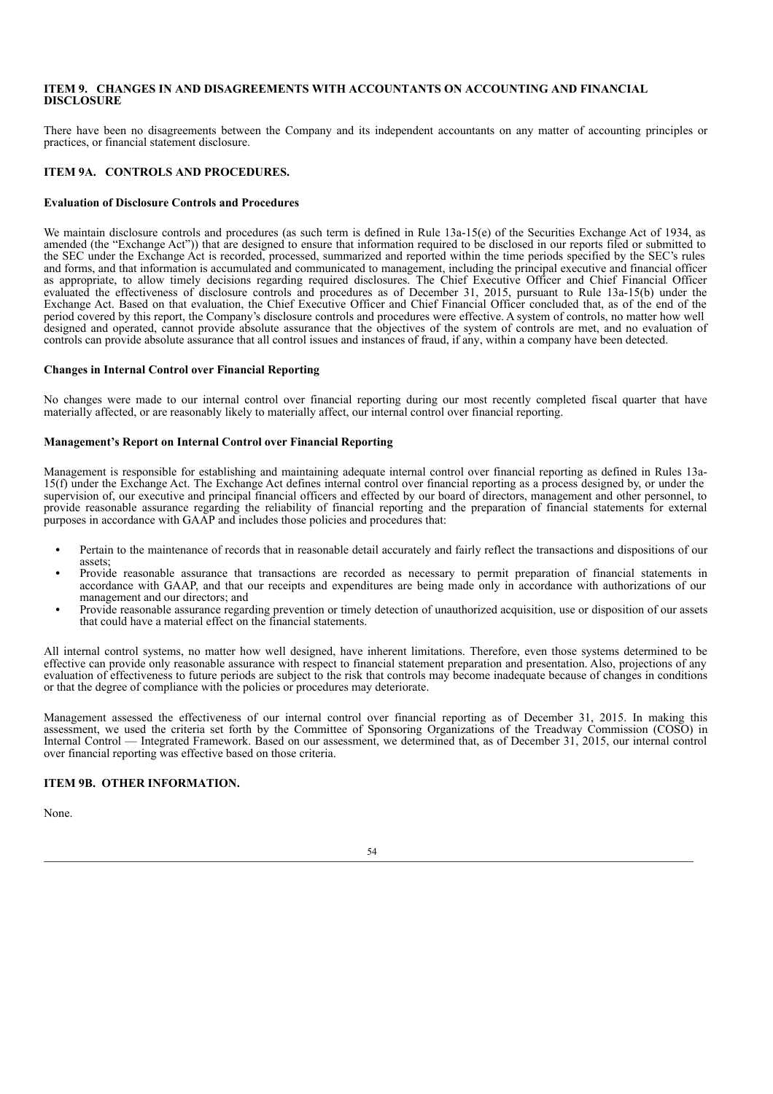## **ITEM 9. CHANGES IN AND DISAGREEMENTS WITH ACCOUNTANTS ON ACCOUNTING AND FINANCIAL DISCLOSURE**

There have been no disagreements between the Company and its independent accountants on any matter of accounting principles or practices, or financial statement disclosure.

# **ITEM 9A. CONTROLS AND PROCEDURES.**

## **Evaluation of Disclosure Controls and Procedures**

We maintain disclosure controls and procedures (as such term is defined in Rule 13a-15(e) of the Securities Exchange Act of 1934, as amended (the "Exchange Act")) that are designed to ensure that information required to be disclosed in our reports filed or submitted to the SEC under the Exchange Act is recorded, processed, summarized and reported within the time periods specified by the SEC's rules and forms, and that information is accumulated and communicated to management, including the principal executive and financial officer as appropriate, to allow timely decisions regarding required disclosures. The Chief Executive Officer and Chief Financial Officer evaluated the effectiveness of disclosure controls and procedures as of December 31, 2015, pursuant to Rule 13a-15(b) under the Exchange Act. Based on that evaluation, the Chief Executive Officer and Chief Financial Officer concluded that, as of the end of the period covered by this report, the Company's disclosure controls and procedures were effective. A system of controls, no matter how well designed and operated, cannot provide absolute assurance that the objectives of the system of controls are met, and no evaluation of controls can provide absolute assurance that all control issues and instances of fraud, if any, within a company have been detected.

## **Changes in Internal Control over Financial Reporting**

No changes were made to our internal control over financial reporting during our most recently completed fiscal quarter that have materially affected, or are reasonably likely to materially affect, our internal control over financial reporting.

## **Management's Report on Internal Control over Financial Reporting**

Management is responsible for establishing and maintaining adequate internal control over financial reporting as defined in Rules 13a-15(f) under the Exchange Act. The Exchange Act defines internal control over financial reporting as a process designed by, or under the supervision of, our executive and principal financial officers and effected by our board of directors, management and other personnel, to provide reasonable assurance regarding the reliability of financial reporting and the preparation of financial statements for external purposes in accordance with GAAP and includes those policies and procedures that:

- **•** Pertain to the maintenance of records that in reasonable detail accurately and fairly reflect the transactions and dispositions of our assets;
- **•** Provide reasonable assurance that transactions are recorded as necessary to permit preparation of financial statements in accordance with GAAP, and that our receipts and expenditures are being made only in accordance with authorizations of our management and our directors; and
- **•** Provide reasonable assurance regarding prevention or timely detection of unauthorized acquisition, use or disposition of our assets that could have a material effect on the financial statements.

All internal control systems, no matter how well designed, have inherent limitations. Therefore, even those systems determined to be effective can provide only reasonable assurance with respect to financial statement preparation and presentation. Also, projections of any evaluation of effectiveness to future periods are subject to the risk that controls may become inadequate because of changes in conditions or that the degree of compliance with the policies or procedures may deteriorate.

Management assessed the effectiveness of our internal control over financial reporting as of December 31, 2015. In making this assessment, we used the criteria set forth by the Committee of Sponsoring Organizations of the Treadway Commission (COSO) in Internal Control — Integrated Framework. Based on our assessment, we determined that, as of December 31, 2015, our internal control over financial reporting was effective based on those criteria.

# **ITEM 9B. OTHER INFORMATION.**

None.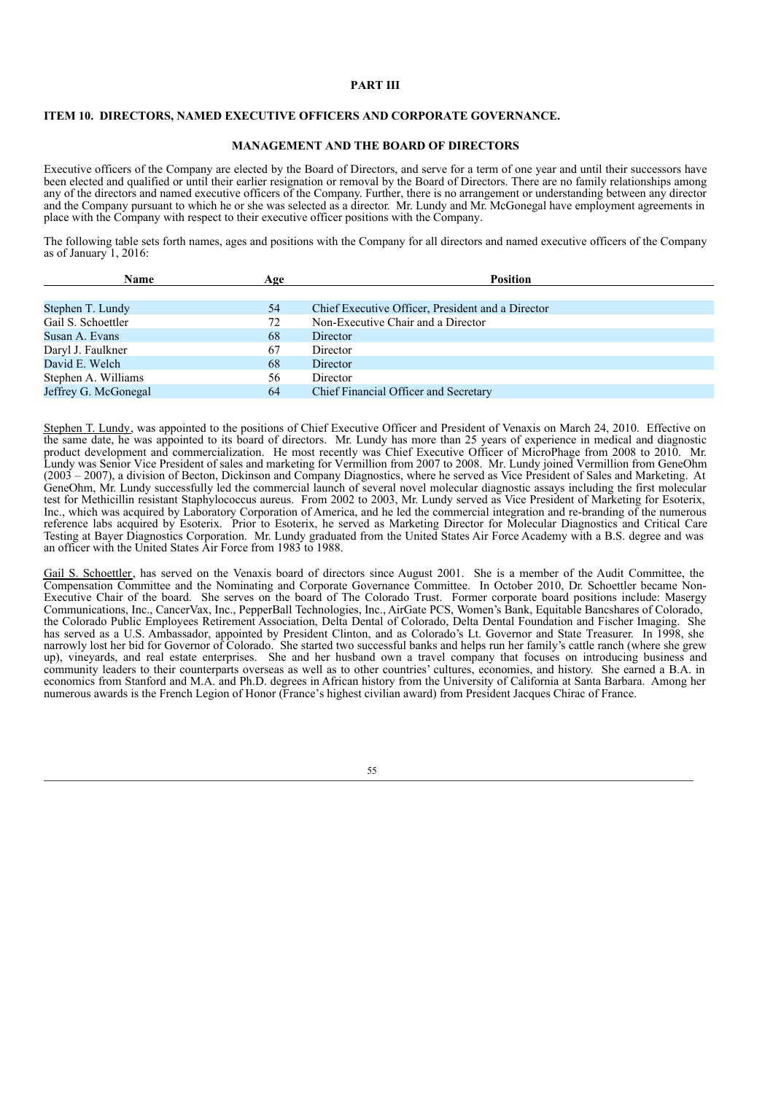## **PART III**

#### **ITEM 10. DIRECTORS, NAMED EXECUTIVE OFFICERS AND CORPORATE GOVERNANCE.**

#### **MANAGEMENT AND THE BOARD OF DIRECTORS**

Executive officers of the Company are elected by the Board of Directors, and serve for a term of one year and until their successors have been elected and qualified or until their earlier resignation or removal by the Board of Directors. There are no family relationships among any of the directors and named executive officers of the Company. Further, there is no arrangement or understanding between any director and the Company pursuant to which he or she was selected as a director. Mr. Lundy and Mr. McGonegal have employment agreements in place with the Company with respect to their executive officer positions with the Company.

The following table sets forth names, ages and positions with the Company for all directors and named executive officers of the Company as of January 1, 2016:

| Name                 | Age | <b>Position</b>                                   |  |
|----------------------|-----|---------------------------------------------------|--|
|                      |     |                                                   |  |
| Stephen T. Lundy     | 54  | Chief Executive Officer, President and a Director |  |
| Gail S. Schoettler   | 72  | Non-Executive Chair and a Director                |  |
| Susan A. Evans       | 68  | Director                                          |  |
| Daryl J. Faulkner    | 67  | Director                                          |  |
| David E. Welch       | 68  | Director                                          |  |
| Stephen A. Williams  | 56  | Director                                          |  |
| Jeffrey G. McGonegal | 64  | Chief Financial Officer and Secretary             |  |
|                      |     |                                                   |  |

Stephen T. Lundy, was appointed to the positions of Chief Executive Officer and President of Venaxis on March 24, 2010. Effective on the same date, he was appointed to its board of directors. Mr. Lundy has more than 25 years of experience in medical and diagnostic product development and commercialization. He most recently was Chief Executive Officer of MicroPhage from 2008 to 2010. Mr. Lundy was Senior Vice President of sales and marketing for Vermillion from 2007 to 2008. Mr. Lundy joined Vermillion from GeneOhm (2003 – 2007), a division of Becton, Dickinson and Company Diagnostics, where he served as Vice President of Sales and Marketing. At GeneOhm, Mr. Lundy successfully led the commercial launch of several novel molecular diagnostic assays including the first molecular test for Methicillin resistant Staphylococcus aureus. From 2002 to 2003, Mr. Lundy served as Vice President of Marketing for Esoterix, Inc., which was acquired by Laboratory Corporation of America, and he led the commercial integration and re-branding of the numerous reference labs acquired by Esoterix. Prior to Esoterix, he served as Marketing Director for Molecular Diagnostics and Critical Care Testing at Bayer Diagnostics Corporation. Mr. Lundy graduated from the United States Air Force Academy with a B.S. degree and was an officer with the United States Air Force from 1983 to 1988.

Gail S. Schoettler, has served on the Venaxis board of directors since August 2001. She is a member of the Audit Committee, the Compensation Committee and the Nominating and Corporate Governance Committee. In October 2010, Dr. Schoettler became Non-Executive Chair of the board. She serves on the board of The Colorado Trust. Former corporate board positions include: Masergy Communications, Inc., CancerVax, Inc., PepperBall Technologies, Inc., AirGate PCS, Women's Bank, Equitable Bancshares of Colorado, the Colorado Public Employees Retirement Association, Delta Dental of Colorado, Delta Dental Foundation and Fischer Imaging. She has served as a U.S. Ambassador, appointed by President Clinton, and as Colorado's Lt. Governor and State Treasurer. In 1998, she narrowly lost her bid for Governor of Colorado. She started two successful banks and helps run her family's cattle ranch (where she grew up), vineyards, and real estate enterprises. She and her husband own a travel company that focuses on introducing business and community leaders to their counterparts overseas as well as to other countries' cultures, economies, and history. She earned a B.A. in economics from Stanford and M.A. and Ph.D. degrees in African history from the University of California at Santa Barbara. Among her numerous awards is the French Legion of Honor (France's highest civilian award) from President Jacques Chirac of France.

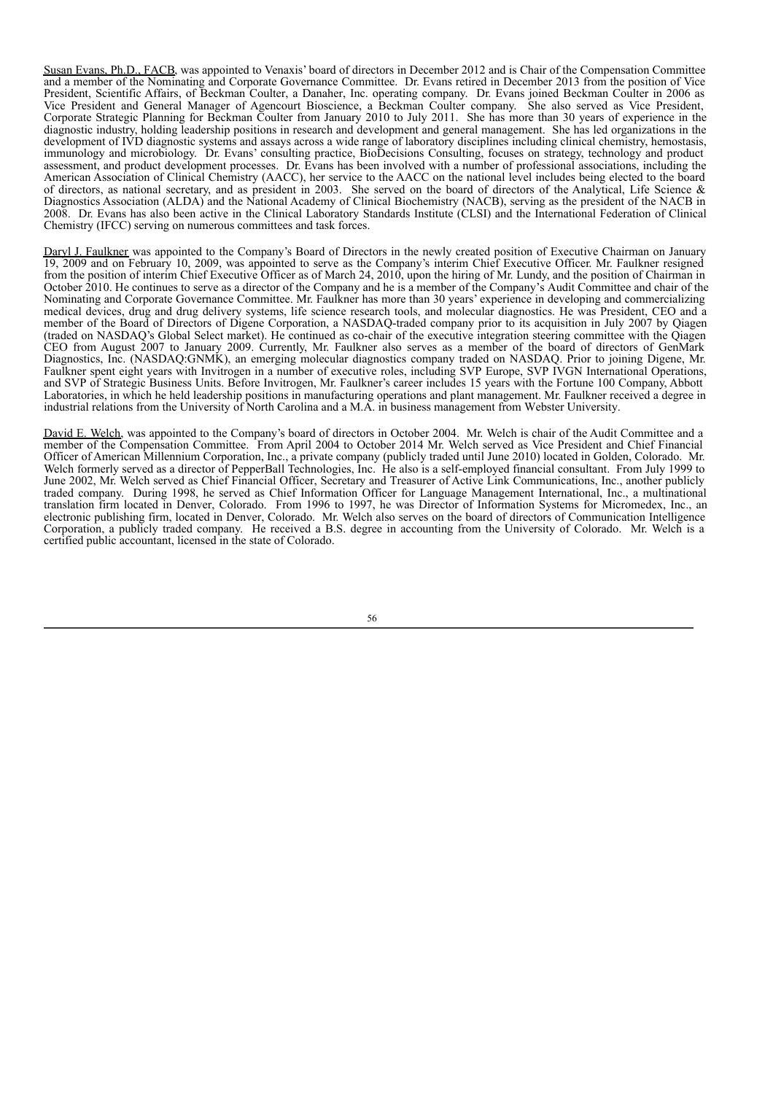Susan Evans, Ph.D., FACB, was appointed to Venaxis'board of directors in December 2012 and is Chair of the Compensation Committee and a member of the Nominating and Corporate Governance Committee. Dr. Evans retired in December 2013 from the position of Vice President, Scientific Affairs, of Beckman Coulter, a Danaher, Inc. operating company. Dr. Evans joined Beckman Coulter in 2006 as Vice President and General Manager of Agencourt Bioscience, a Beckman Coulter company. She also served as Vice President, Corporate Strategic Planning for Beckman Coulter from January 2010 to July 2011. She has more than 30 years of experience in the diagnostic industry, holding leadership positions in research and development and general management. She has led organizations in the development of IVD diagnostic systems and assays across a wide range of laboratory disciplines including clinical chemistry, hemostasis, immunology and microbiology. Dr. Evans' consulting practice, BioDecisions Consulting, focuses on strategy, technology and product assessment, and product development processes. Dr. Evans has been involved with a number of professional associations, including the American Association of Clinical Chemistry (AACC), her service to the AACC on the national level includes being elected to the board of directors, as national secretary, and as president in 2003. She served on the board of directors of the Analytical, Life Science & Diagnostics Association (ALDA) and the National Academy of Clinical Biochemistry (NACB), serving as the president of the NACB in 2008. Dr. Evans has also been active in the Clinical Laboratory Standards Institute (CLSI) and the International Federation of Clinical Chemistry (IFCC) serving on numerous committees and task forces.

Daryl J. Faulkner was appointed to the Company's Board of Directors in the newly created position of Executive Chairman on January 19, 2009 and on February 10, 2009, was appointed to serve as the Company's interim Chief Executive Officer. Mr. Faulkner resigned from the position of interim Chief Executive Officer as of March 24, 2010, upon the hiring of Mr. Lundy, and the position of Chairman in October 2010. He continues to serve as a director of the Company and he is a member of the Company's Audit Committee and chair of the Nominating and Corporate Governance Committee. Mr. Faulkner has more than 30 years' experience in developing and commercializing medical devices, drug and drug delivery systems, life science research tools, and molecular diagnostics. He was President, CEO and a member of the Board of Directors of Digene Corporation, a NASDAQ-traded company prior to its acquisition in July 2007 by Qiagen (traded on NASDAQ's Global Select market). He continued as co-chair of the executive integration steering committee with the Qiagen CEO from August 2007 to January 2009. Currently, Mr. Faulkner also serves as a member of the board of directors of GenMark Diagnostics, Inc. (NASDAQ:GNMK), an emerging molecular diagnostics company traded on NASDAQ. Prior to joining Digene, Mr. Faulkner spent eight years with Invitrogen in a number of executive roles, including SVP Europe, SVP IVGN International Operations, and SVP of Strategic Business Units. Before Invitrogen, Mr. Faulkner's career includes 15 years with the Fortune 100 Company, Abbott Laboratories, in which he held leadership positions in manufacturing operations and plant management. Mr. Faulkner received a degree in industrial relations from the University of North Carolina and a M.A. in business management from Webster University.

David E. Welch, was appointed to the Company's board of directors in October 2004. Mr. Welch is chair of the Audit Committee and a member of the Compensation Committee. From April 2004 to October 2014 Mr. Welch served as Vice President and Chief Financial Officer of American Millennium Corporation, Inc., a private company (publicly traded until June 2010) located in Golden, Colorado. Mr. Welch formerly served as a director of PepperBall Technologies, Inc. He also is a self-employed financial consultant. From July 1999 to June 2002, Mr. Welch served as Chief Financial Officer, Secretary and Treasurer of Active Link Communications, Inc., another publicly traded company. During 1998, he served as Chief Information Officer for Language Management International, Inc., a multinational translation firm located in Denver, Colorado. From 1996 to 1997, he was Director of Information Systems for Micromedex, Inc., an electronic publishing firm, located in Denver, Colorado. Mr. Welch also serves on the board of directors of Communication Intelligence Corporation, a publicly traded company. He received a B.S. degree in accounting from the University of Colorado. Mr. Welch is a certified public accountant, licensed in the state of Colorado.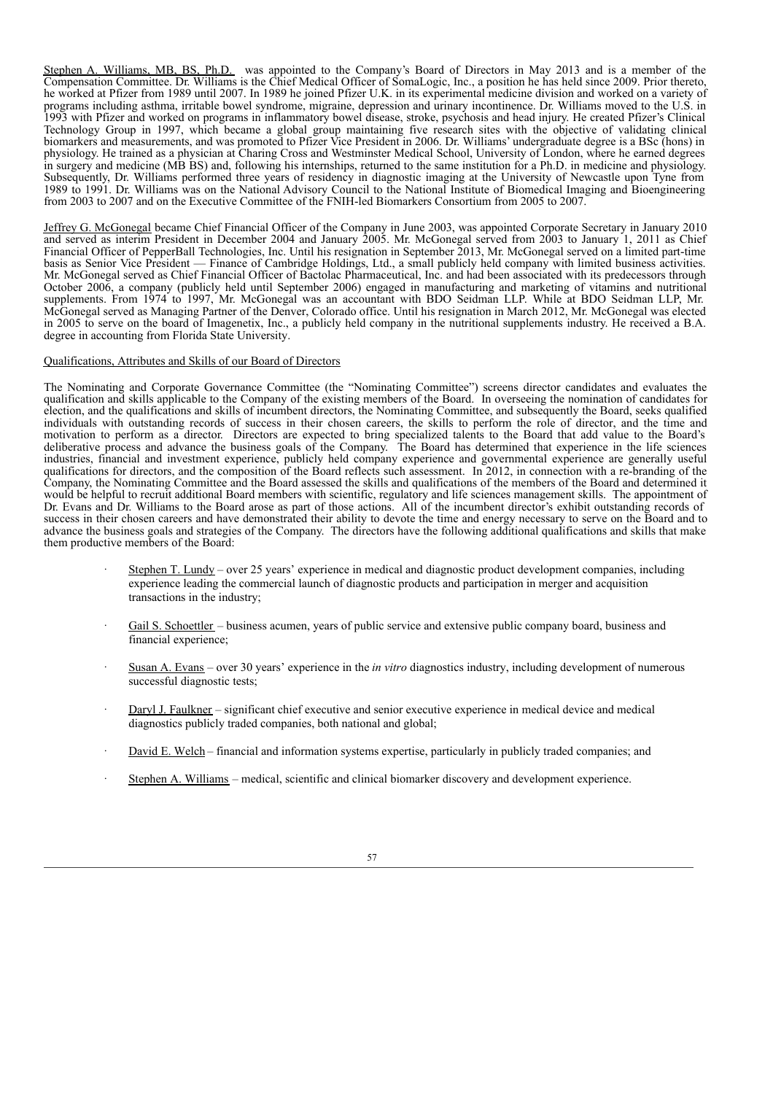Stephen A. Williams, MB, BS, Ph.D. was appointed to the Company's Board of Directors in May 2013 and is a member of the Compensation Committee. Dr. Williams is the Chief Medical Officer of SomaLogic, Inc., a position he has held since 2009. Prior thereto, he worked at Pfizer from 1989 until 2007. In 1989 he joined Pfizer U.K. in its experimental medicine division and worked on a variety of programs including asthma, irritable bowel syndrome, migraine, depression and urinary incontinence. Dr. Williams moved to the U.S. in 1993 with Pfizer and worked on programs in inflammatory bowel disease, stroke, psychosis and head injury. He created Pfizer's Clinical Technology Group in 1997, which became a global group maintaining five research sites with the objective of validating clinical biomarkers and measurements, and was promoted to Pfizer Vice President in 2006. Dr. Williams'undergraduate degree is a BSc (hons) in physiology. He trained as a physician at Charing Cross and Westminster Medical School, University of London, where he earned degrees in surgery and medicine (MB BS) and, following his internships, returned to the same institution for a Ph.D. in medicine and physiology. Subsequently, Dr. Williams performed three years of residency in diagnostic imaging at the University of Newcastle upon Tyne from 1989 to 1991. Dr. Williams was on the National Advisory Council to the National Institute of Biomedical Imaging and Bioengineering from 2003 to 2007 and on the Executive Committee of the FNIH-led Biomarkers Consortium from 2005 to 2007.

Jeffrey G. McGonegal became Chief Financial Officer of the Company in June 2003, was appointed Corporate Secretary in January 2010 and served as interim President in December 2004 and January 2005. Mr. McGonegal served from 2003 to January 1, 2011 as Chief Financial Officer of PepperBall Technologies, Inc. Until his resignation in September 2013, Mr. McGonegal served on a limited part-time basis as Senior Vice President — Finance of Cambridge Holdings, Ltd., a small publicly held company with limited business activities. Mr. McGonegal served as Chief Financial Officer of Bactolac Pharmaceutical, Inc. and had been associated with its predecessors through October 2006, a company (publicly held until September 2006) engaged in manufacturing and marketing of vitamins and nutritional supplements. From 1974 to 1997, Mr. McGonegal was an accountant with BDO Seidman LLP. While at BDO Seidman LLP, Mr. McGonegal served as Managing Partner of the Denver, Colorado office. Until his resignation in March 2012, Mr. McGonegal was elected in 2005 to serve on the board of Imagenetix, Inc., a publicly held company in the nutritional supplements industry. He received a B.A. degree in accounting from Florida State University.

# Qualifications, Attributes and Skills of our Board of Directors

The Nominating and Corporate Governance Committee (the "Nominating Committee") screens director candidates and evaluates the qualification and skills applicable to the Company of the existing members of the Board. In overseeing the nomination of candidates for election, and the qualifications and skills of incumbent directors, the Nominating Committee, and subsequently the Board, seeks qualified individuals with outstanding records of success in their chosen careers, the skills to perform the role of director, and the time and motivation to perform as a director. Directors are expected to bring specialized talents to the Board that add value to the Board's deliberative process and advance the business goals of the Company. The Board has determined that experience in the life sciences industries, financial and investment experience, publicly held company experience and governmental experience are generally useful qualifications for directors, and the composition of the Board reflects such assessment. In 2012, in connection with a re-branding of the Company, the Nominating Committee and the Board assessed the skills and qualifications of the members of the Board and determined it would be helpful to recruit additional Board members with scientific, regulatory and life sciences management skills. The appointment of Dr. Evans and Dr. Williams to the Board arose as part of those actions. All of the incumbent director's exhibit outstanding records of success in their chosen careers and have demonstrated their ability to devote the time and energy necessary to serve on the Board and to advance the business goals and strategies of the Company. The directors have the following additional qualifications and skills that make them productive members of the Board:

- Stephen T. Lundy over 25 years' experience in medical and diagnostic product development companies, including experience leading the commercial launch of diagnostic products and participation in merger and acquisition transactions in the industry;
- Gail S. Schoettler business acumen, years of public service and extensive public company board, business and financial experience;
- · Susan A. Evans over 30 years' experience in the *in vitro* diagnostics industry, including development of numerous successful diagnostic tests;
- Daryl J. Faulkner significant chief executive and senior executive experience in medical device and medical diagnostics publicly traded companies, both national and global;
- · David E. Welch– financial and information systems expertise, particularly in publicly traded companies; and
- Stephen A. Williams medical, scientific and clinical biomarker discovery and development experience.
	- 57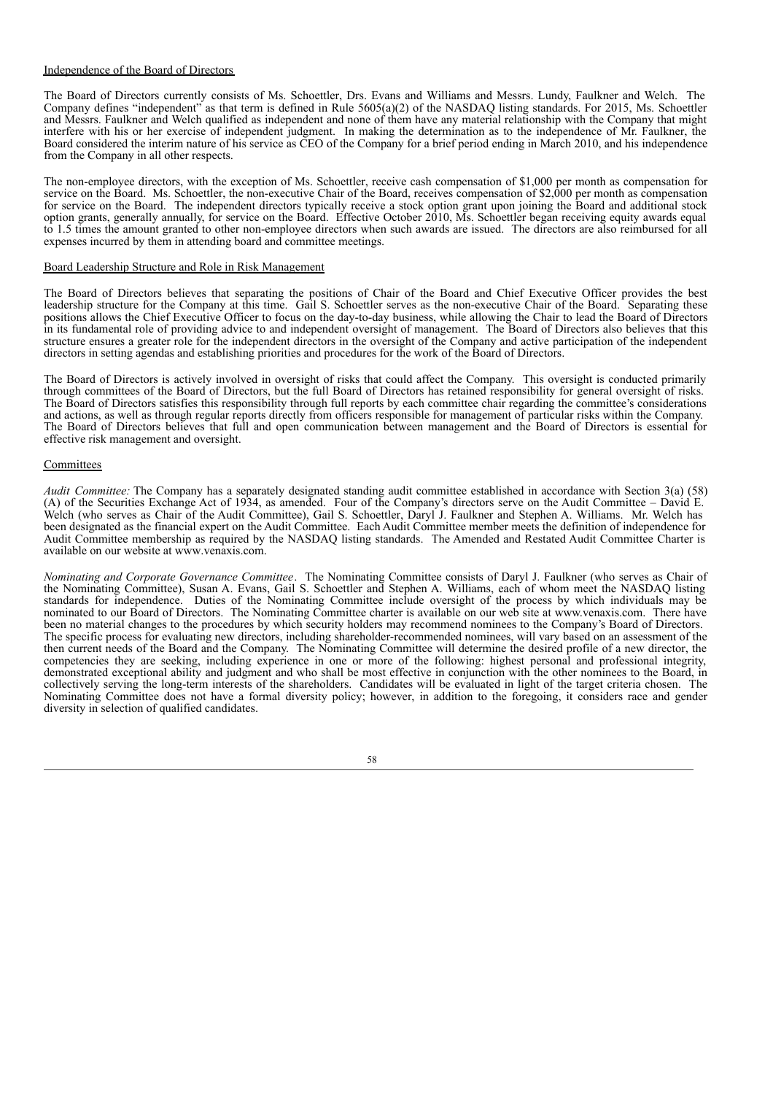#### Independence of the Board of Directors

The Board of Directors currently consists of Ms. Schoettler, Drs. Evans and Williams and Messrs. Lundy, Faulkner and Welch. The Company defines "independent" as that term is defined in Rule  $5605(a)(2)$  of the NASDAQ listing standards. For 2015, Ms. Schoettler and Messrs. Faulkner and Welch qualified as independent and none of them have any material relationship with the Company that might interfere with his or her exercise of independent judgment. In making the determination as to the independence of Mr. Faulkner, the Board considered the interim nature of his service as CEO of the Company for a brief period ending in March 2010, and his independence from the Company in all other respects.

The non-employee directors, with the exception of Ms. Schoettler, receive cash compensation of \$1,000 per month as compensation for service on the Board. Ms. Schoettler, the non-executive Chair of the Board, receives compensation of \$2,000 per month as compensation for service on the Board. The independent directors typically receive a stock option grant upon joining the Board and additional stock option grants, generally annually, for service on the Board. Effective October 2010, Ms. Schoettler began receiving equity awards equal to 1.5 times the amount granted to other non-employee directors when such awards are issued. The directors are also reimbursed for all expenses incurred by them in attending board and committee meetings.

## Board Leadership Structure and Role in Risk Management

The Board of Directors believes that separating the positions of Chair of the Board and Chief Executive Officer provides the best leadership structure for the Company at this time. Gail S. Schoettler serves as the non-executive Chair of the Board. Separating these positions allows the Chief Executive Officer to focus on the day-to-day business, while allowing the Chair to lead the Board of Directors in its fundamental role of providing advice to and independent oversight of management. The Board of Directors also believes that this structure ensures a greater role for the independent directors in the oversight of the Company and active participation of the independent directors in setting agendas and establishing priorities and procedures for the work of the Board of Directors.

The Board of Directors is actively involved in oversight of risks that could affect the Company. This oversight is conducted primarily through committees of the Board of Directors, but the full Board of Directors has retained responsibility for general oversight of risks. The Board of Directors satisfies this responsibility through full reports by each committee chair regarding the committee's considerations and actions, as well as through regular reports directly from officers responsible for management of particular risks within the Company. The Board of Directors believes that full and open communication between management and the Board of Directors is essential for effective risk management and oversight.

## **Committees**

*Audit Committee:* The Company has a separately designated standing audit committee established in accordance with Section 3(a) (58) (A) of the Securities Exchange Act of 1934, as amended. Four of the Company's directors serve on the Audit Committee – David E. Welch (who serves as Chair of the Audit Committee), Gail S. Schoettler, Daryl J. Faulkner and Stephen A. Williams. Mr. Welch has been designated as the financial expert on the Audit Committee. Each Audit Committee member meets the definition of independence for Audit Committee membership as required by the NASDAQ listing standards. The Amended and Restated Audit Committee Charter is available on our website at www.venaxis.com.

*Nominating and Corporate Governance Committee*. The Nominating Committee consists of Daryl J. Faulkner (who serves as Chair of the Nominating Committee), Susan A. Evans, Gail S. Schoettler and Stephen A. Williams, each of whom meet the NASDAQ listing standards for independence. Duties of the Nominating Committee include oversight of the process by which individuals may be nominated to our Board of Directors. The Nominating Committee charter is available on our web site at www.venaxis.com. There have been no material changes to the procedures by which security holders may recommend nominees to the Company's Board of Directors. The specific process for evaluating new directors, including shareholder-recommended nominees, will vary based on an assessment of the then current needs of the Board and the Company. The Nominating Committee will determine the desired profile of a new director, the competencies they are seeking, including experience in one or more of the following: highest personal and professional integrity, demonstrated exceptional ability and judgment and who shall be most effective in conjunction with the other nominees to the Board, in collectively serving the long-term interests of the shareholders. Candidates will be evaluated in light of the target criteria chosen. The Nominating Committee does not have a formal diversity policy; however, in addition to the foregoing, it considers race and gender diversity in selection of qualified candidates.

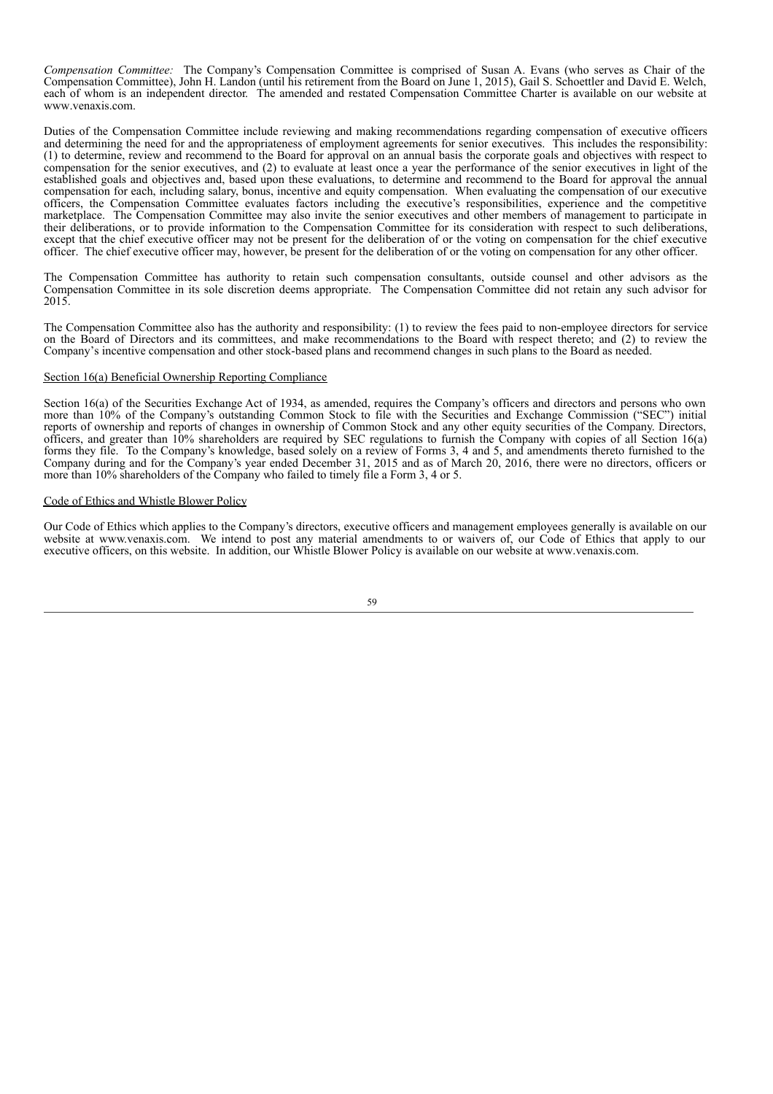*Compensation Committee:* The Company's Compensation Committee is comprised of Susan A. Evans (who serves as Chair of the Compensation Committee), John H. Landon (until his retirement from the Board on June 1, 2015), Gail S. Schoettler and David E. Welch, each of whom is an independent director. The amended and restated Compensation Committee Charter is available on our website at www.venaxis.com.

Duties of the Compensation Committee include reviewing and making recommendations regarding compensation of executive officers and determining the need for and the appropriateness of employment agreements for senior executives. This includes the responsibility: (1) to determine, review and recommend to the Board for approval on an annual basis the corporate goals and objectives with respect to compensation for the senior executives, and (2) to evaluate at least once a year the performance of the senior executives in light of the established goals and objectives and, based upon these evaluations, to determine and recommend to the Board for approval the annual compensation for each, including salary, bonus, incentive and equity compensation. When evaluating the compensation of our executive officers, the Compensation Committee evaluates factors including the executive's responsibilities, experience and the competitive marketplace. The Compensation Committee may also invite the senior executives and other members of management to participate in their deliberations, or to provide information to the Compensation Committee for its consideration with respect to such deliberations, except that the chief executive officer may not be present for the deliberation of or the voting on compensation for the chief executive officer. The chief executive officer may, however, be present for the deliberation of or the voting on compensation for any other officer.

The Compensation Committee has authority to retain such compensation consultants, outside counsel and other advisors as the Compensation Committee in its sole discretion deems appropriate. The Compensation Committee did not retain any such advisor for 2015.

The Compensation Committee also has the authority and responsibility: (1) to review the fees paid to non-employee directors for service on the Board of Directors and its committees, and make recommendations to the Board with respect thereto; and (2) to review the Company's incentive compensation and other stock-based plans and recommend changes in such plans to the Board as needed.

#### Section 16(a) Beneficial Ownership Reporting Compliance

Section 16(a) of the Securities Exchange Act of 1934, as amended, requires the Company's officers and directors and persons who own more than 10% of the Company's outstanding Common Stock to file with the Securities and Exchange Commission ("SEC") initial reports of ownership and reports of changes in ownership of Common Stock and any other equity securities of the Company. Directors, officers, and greater than 10% shareholders are required by SEC regulations to furnish the Company with copies of all Section 16(a) forms they file. To the Company's knowledge, based solely on a review of Forms 3, 4 and 5, and amendments thereto furnished to the Company during and for the Company's year ended December 31, 2015 and as of March 20, 2016, there were no directors, officers or more than 10% shareholders of the Company who failed to timely file a Form 3, 4 or 5.

#### Code of Ethics and Whistle Blower Policy

Our Code of Ethics which applies to the Company's directors, executive officers and management employees generally is available on our website at www.venaxis.com. We intend to post any material amendments to or waivers of, our Code of Ethics that apply to our executive officers, on this website. In addition, our Whistle Blower Policy is available on our website at www.venaxis.com.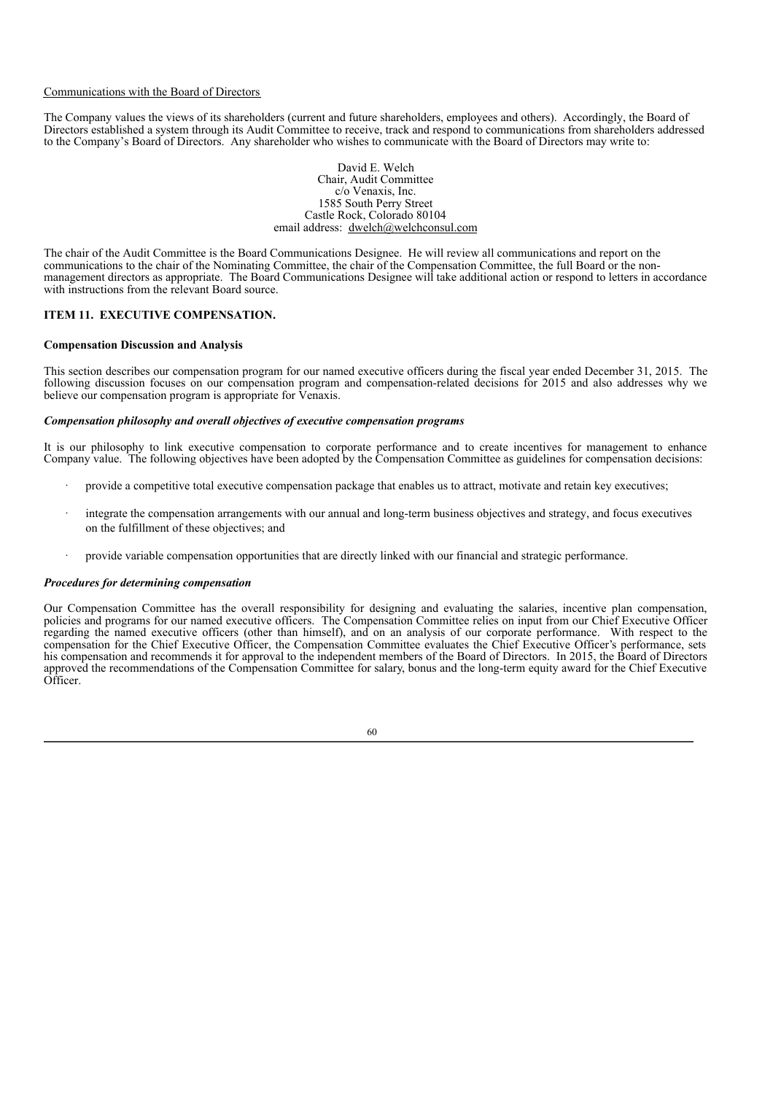# Communications with the Board of Directors

The Company values the views of its shareholders (current and future shareholders, employees and others). Accordingly, the Board of Directors established a system through its Audit Committee to receive, track and respond to communications from shareholders addressed to the Company's Board of Directors. Any shareholder who wishes to communicate with the Board of Directors may write to:

> David E. Welch Chair, Audit Committee c/o Venaxis, Inc. 1585 South Perry Street Castle Rock, Colorado 80104 email address: dwelch@welchconsul.com

The chair of the Audit Committee is the Board Communications Designee. He will review all communications and report on the communications to the chair of the Nominating Committee, the chair of the Compensation Committee, the full Board or the nonmanagement directors as appropriate. The Board Communications Designee will take additional action or respond to letters in accordance with instructions from the relevant Board source.

# **ITEM 11. EXECUTIVE COMPENSATION.**

#### **Compensation Discussion and Analysis**

This section describes our compensation program for our named executive officers during the fiscal year ended December 31, 2015. The following discussion focuses on our compensation program and compensation-related decisions for 2015 and also addresses why we believe our compensation program is appropriate for Venaxis.

# *Compensation philosophy and overall objectives of executive compensation programs*

It is our philosophy to link executive compensation to corporate performance and to create incentives for management to enhance Company value. The following objectives have been adopted by the Compensation Committee as guidelines for compensation decisions:

- provide a competitive total executive compensation package that enables us to attract, motivate and retain key executives;
- integrate the compensation arrangements with our annual and long-term business objectives and strategy, and focus executives on the fulfillment of these objectives; and
- · provide variable compensation opportunities that are directly linked with our financial and strategic performance.

#### *Procedures for determining compensation*

Our Compensation Committee has the overall responsibility for designing and evaluating the salaries, incentive plan compensation, policies and programs for our named executive officers. The Compensation Committee relies on input from our Chief Executive Officer regarding the named executive officers (other than himself), and on an analysis of our corporate performance. With respect to the compensation for the Chief Executive Officer, the Compensation Committee evaluates the Chief Executive Officer's performance, sets his compensation and recommends it for approval to the independent members of the Board of Directors. In 2015, the Board of Directors approved the recommendations of the Compensation Committee for salary, bonus and the long-term equity award for the Chief Executive Officer.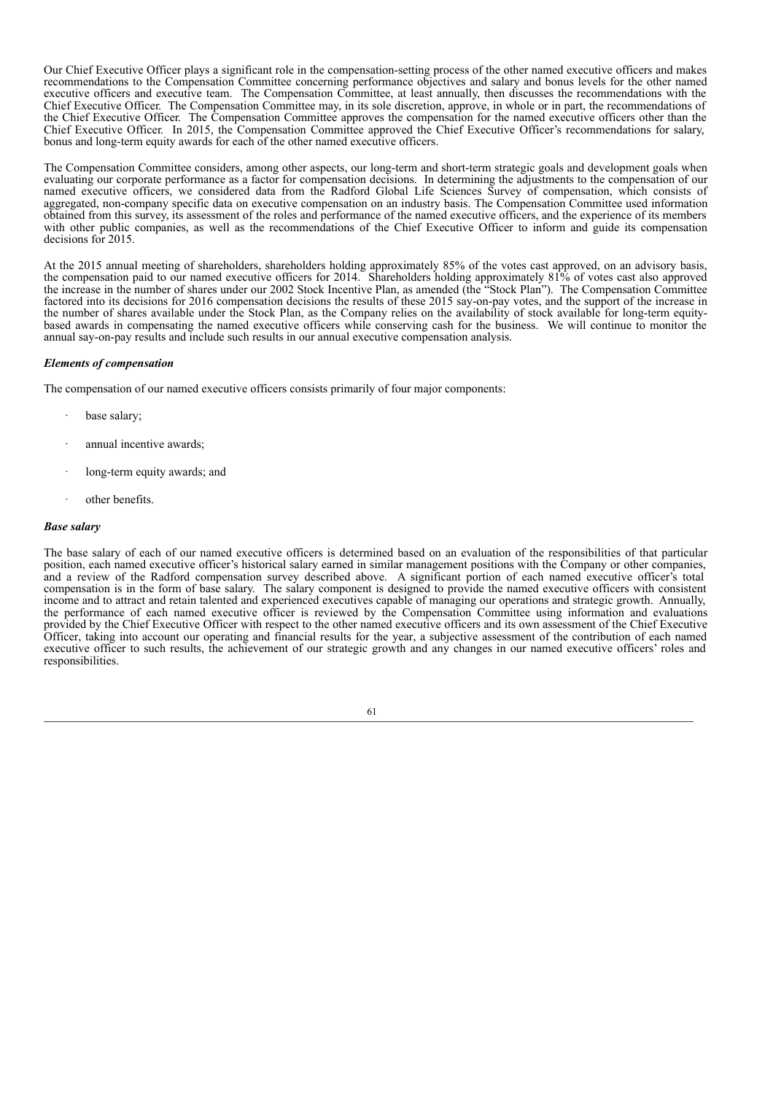Our Chief Executive Officer plays a significant role in the compensation-setting process of the other named executive officers and makes recommendations to the Compensation Committee concerning performance objectives and salary and bonus levels for the other named executive officers and executive team. The Compensation Committee, at least annually, then discusses the recommendations with the Chief Executive Officer. The Compensation Committee may, in its sole discretion, approve, in whole or in part, the recommendations of the Chief Executive Officer. The Compensation Committee approves the compensation for the named executive officers other than the Chief Executive Officer. In 2015, the Compensation Committee approved the Chief Executive Officer's recommendations for salary, bonus and long-term equity awards for each of the other named executive officers.

The Compensation Committee considers, among other aspects, our long-term and short-term strategic goals and development goals when evaluating our corporate performance as a factor for compensation decisions. In determining the adjustments to the compensation of our named executive officers, we considered data from the Radford Global Life Sciences Survey of compensation, which consists of aggregated, non-company specific data on executive compensation on an industry basis. The Compensation Committee used information obtained from this survey, its assessment of the roles and performance of the named executive officers, and the experience of its members with other public companies, as well as the recommendations of the Chief Executive Officer to inform and guide its compensation decisions for 2015.

At the 2015 annual meeting of shareholders, shareholders holding approximately 85% of the votes cast approved, on an advisory basis, the compensation paid to our named executive officers for 2014. Shareholders holding approximately 81% of votes cast also approved the increase in the number of shares under our 2002 Stock Incentive Plan, as amended (the "Stock Plan"). The Compensation Committee factored into its decisions for 2016 compensation decisions the results of these 2015 say-on-pay votes, and the support of the increase in the number of shares available under the Stock Plan, as the Company relies on the availability of stock available for long-term equitybased awards in compensating the named executive officers while conserving cash for the business. We will continue to monitor the annual say-on-pay results and include such results in our annual executive compensation analysis.

## *Elements of compensation*

The compensation of our named executive officers consists primarily of four major components:

- base salary;
- annual incentive awards;
- long-term equity awards; and
- other benefits.

## *Base salary*

The base salary of each of our named executive officers is determined based on an evaluation of the responsibilities of that particular position, each named executive officer's historical salary earned in similar management positions with the Company or other companies, and a review of the Radford compensation survey described above. A significant portion of each named executive officer's total compensation is in the form of base salary. The salary component is designed to provide the named executive officers with consistent income and to attract and retain talented and experienced executives capable of managing our operations and strategic growth. Annually, the performance of each named executive officer is reviewed by the Compensation Committee using information and evaluations provided by the Chief Executive Officer with respect to the other named executive officers and its own assessment of the Chief Executive Officer, taking into account our operating and financial results for the year, a subjective assessment of the contribution of each named executive officer to such results, the achievement of our strategic growth and any changes in our named executive officers' roles and responsibilities.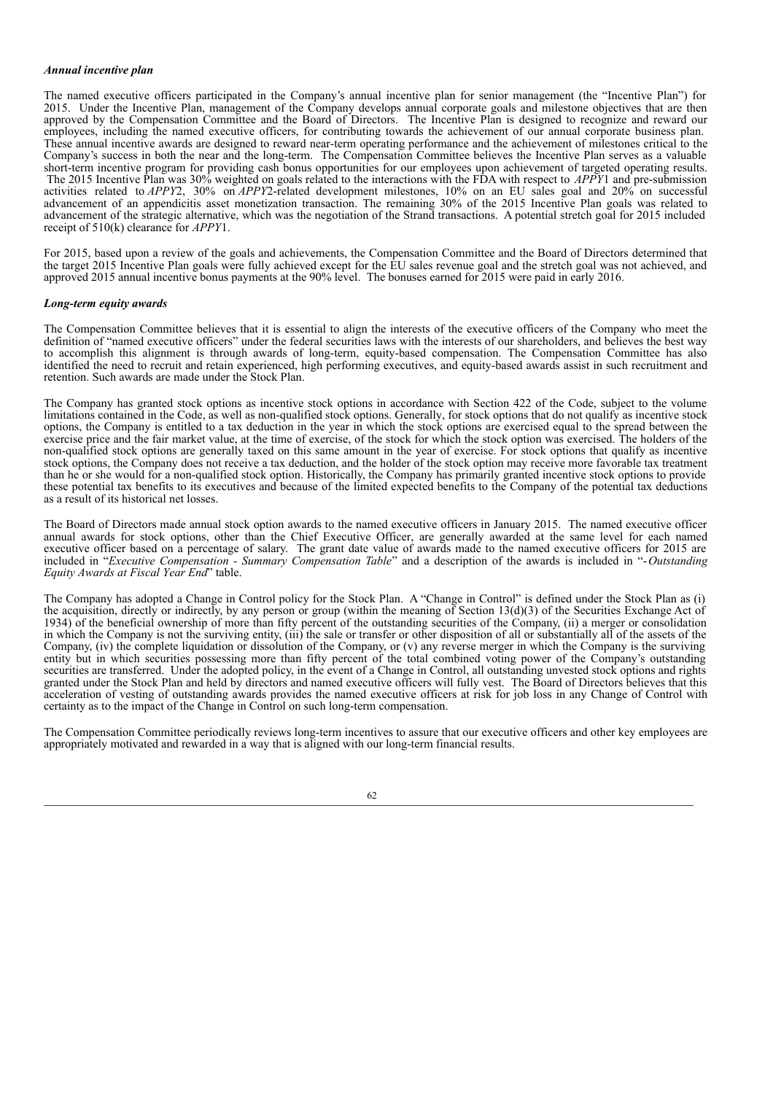#### *Annual incentive plan*

The named executive officers participated in the Company's annual incentive plan for senior management (the "Incentive Plan") for 2015. Under the Incentive Plan, management of the Company develops annual corporate goals and milestone objectives that are then approved by the Compensation Committee and the Board of Directors. The Incentive Plan is designed to recognize and reward our employees, including the named executive officers, for contributing towards the achievement of our annual corporate business plan. These annual incentive awards are designed to reward near-term operating performance and the achievement of milestones critical to the Company's success in both the near and the long-term. The Compensation Committee believes the Incentive Plan serves as a valuable short-term incentive program for providing cash bonus opportunities for our employees upon achievement of targeted operating results. The 2015 Incentive Plan was 30% weighted on goals related to the interactions with the FDA with respect to *APPY*1 and pre-submission activities related to *APPY*2, 30% on *APPY*2-related development milestones, 10% on an EU sales goal and 20% on successful advancement of an appendicitis asset monetization transaction. The remaining 30% of the 2015 Incentive Plan goals was related to advancement of the strategic alternative, which was the negotiation of the Strand transactions. A potential stretch goal for 2015 included receipt of 510(k) clearance for *APPY*1.

For 2015, based upon a review of the goals and achievements, the Compensation Committee and the Board of Directors determined that the target 2015 Incentive Plan goals were fully achieved except for the EU sales revenue goal and the stretch goal was not achieved, and approved 2015 annual incentive bonus payments at the 90% level. The bonuses earned for 2015 were paid in early 2016.

#### *Long-term equity awards*

The Compensation Committee believes that it is essential to align the interests of the executive officers of the Company who meet the definition of "named executive officers" under the federal securities laws with the interests of our shareholders, and believes the best way to accomplish this alignment is through awards of long-term, equity-based compensation. The Compensation Committee has also identified the need to recruit and retain experienced, high performing executives, and equity-based awards assist in such recruitment and retention. Such awards are made under the Stock Plan.

The Company has granted stock options as incentive stock options in accordance with Section 422 of the Code, subject to the volume limitations contained in the Code, as well as non-qualified stock options. Generally, for stock options that do not qualify as incentive stock options, the Company is entitled to a tax deduction in the year in which the stock options are exercised equal to the spread between the exercise price and the fair market value, at the time of exercise, of the stock for which the stock option was exercised. The holders of the non-qualified stock options are generally taxed on this same amount in the year of exercise. For stock options that qualify as incentive stock options, the Company does not receive a tax deduction, and the holder of the stock option may receive more favorable tax treatment than he or she would for a non-qualified stock option. Historically, the Company has primarily granted incentive stock options to provide these potential tax benefits to its executives and because of the limited expected benefits to the Company of the potential tax deductions as a result of its historical net losses.

The Board of Directors made annual stock option awards to the named executive officers in January 2015. The named executive officer annual awards for stock options, other than the Chief Executive Officer, are generally awarded at the same level for each named executive officer based on a percentage of salary. The grant date value of awards made to the named executive officers for 2015 are included in "*Executive Compensation - Summary Compensation Table*" and a description of the awards is included in "-*Outstanding Equity Awards at Fiscal Year End*" table.

The Company has adopted a Change in Control policy for the Stock Plan. A "Change in Control" is defined under the Stock Plan as (i) the acquisition, directly or indirectly, by any person or group (within the meaning of Section 13(d)(3) of the Securities Exchange Act of 1934) of the beneficial ownership of more than fifty percent of the outstanding securities of the Company, (ii) a merger or consolidation in which the Company is not the surviving entity, (iii) the sale or transfer or other disposition of all or substantially all of the assets of the Company, (iv) the complete liquidation or dissolution of the Company, or (v) any reverse merger in which the Company is the surviving entity but in which securities possessing more than fifty percent of the total combined voting power of the Company's outstanding securities are transferred. Under the adopted policy, in the event of a Change in Control, all outstanding unvested stock options and rights granted under the Stock Plan and held by directors and named executive officers will fully vest. The Board of Directors believes that this acceleration of vesting of outstanding awards provides the named executive officers at risk for job loss in any Change of Control with certainty as to the impact of the Change in Control on such long-term compensation.

The Compensation Committee periodically reviews long-term incentives to assure that our executive officers and other key employees are appropriately motivated and rewarded in a way that is aligned with our long-term financial results.

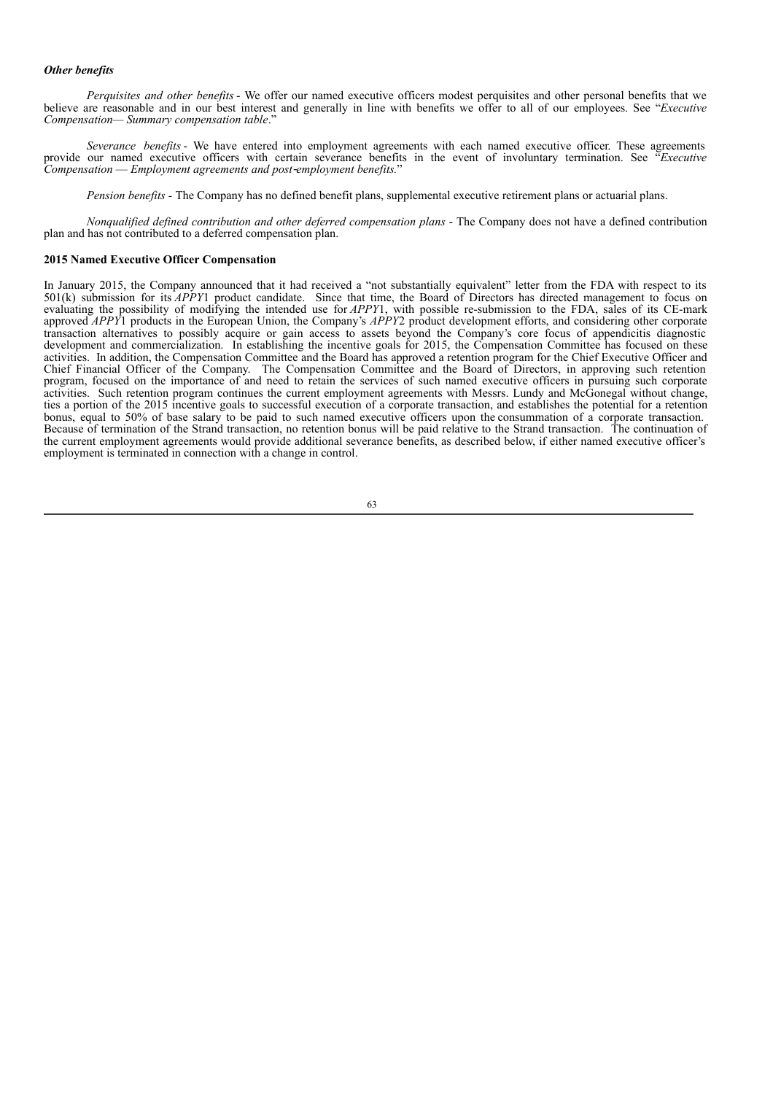#### *Other benefits*

*Perquisites and other benefits* - We offer our named executive officers modest perquisites and other personal benefits that we believe are reasonable and in our best interest and generally in line with benefits we offer to all of our employees. See "*Executive Compensation— Summary compensation table*."

*Severance benefits* - We have entered into employment agreements with each named executive officer. These agreements provide our named executive officers with certain severance benefits in the event of involuntary termination. See "*Executive Compensation* — *Employment agreements and post*‑*employment benefits.*"

*Pension benefits -* The Company has no defined benefit plans, supplemental executive retirement plans or actuarial plans.

*Nonqualified defined contribution and other deferred compensation plans* - The Company does not have a defined contribution plan and has not contributed to a deferred compensation plan.

#### **2015 Named Executive Officer Compensation**

In January 2015, the Company announced that it had received a "not substantially equivalent" letter from the FDA with respect to its 501(k) submission for its *APPY*1 product candidate. Since that time, the Board of Directors has directed management to focus on evaluating the possibility of modifying the intended use for *APPY*1, with possible re-submission to the FDA, sales of its CE-mark approved *APPY*1 products in the European Union, the Company's *APPY*2 product development efforts, and considering other corporate transaction alternatives to possibly acquire or gain access to assets beyond the Company's core focus of appendicitis diagnostic development and commercialization. In establishing the incentive goals for 2015, the Compensation Committee has focused on these activities. In addition, the Compensation Committee and the Board has approved a retention program for the Chief Executive Officer and Chief Financial Officer of the Company. The Compensation Committee and the Board of Directors, in approving such retention program, focused on the importance of and need to retain the services of such named executive officers in pursuing such corporate activities. Such retention program continues the current employment agreements with Messrs. Lundy and McGonegal without change, ties a portion of the 2015 incentive goals to successful execution of a corporate transaction, and establishes the potential for a retention bonus, equal to 50% of base salary to be paid to such named executive officers upon the consummation of a corporate transaction. Because of termination of the Strand transaction, no retention bonus will be paid relative to the Strand transaction. The continuation of the current employment agreements would provide additional severance benefits, as described below, if either named executive officer's employment is terminated in connection with a change in control.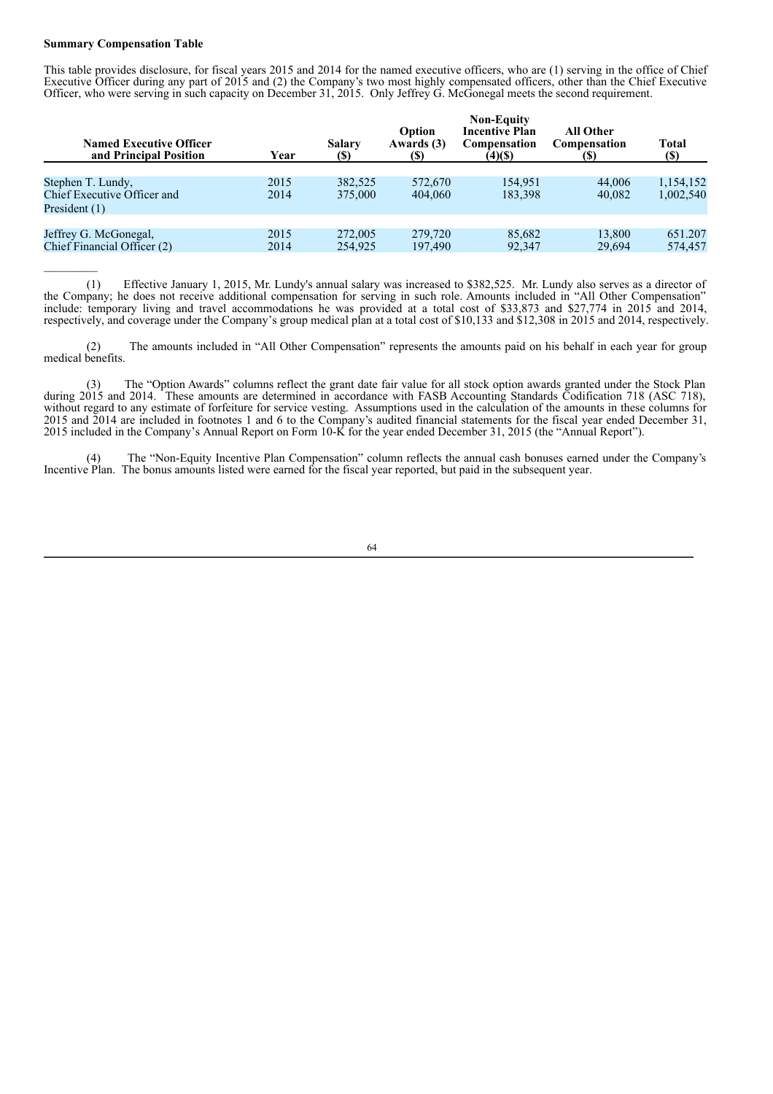## **Summary Compensation Table**

 $\mathcal{L}_\text{max}$ 

This table provides disclosure, for fiscal years 2015 and 2014 for the named executive officers, who are (1) serving in the office of Chief Executive Officer during any part of 2015 and (2) the Company's two most highly compensated officers, other than the Chief Executive Officer, who were serving in such capacity on December 31, 2015. Only Jeffrey G. McGonegal meets the second requirement.

| <b>Named Executive Officer</b><br>and Principal Position | Year | <b>Salary</b><br><b>(\$)</b> | Option<br>Awards (3)<br>(S) | <b>Non-Equity</b><br><b>Incentive Plan</b><br>Compensation<br>$(4)(\$)$ | <b>All Other</b><br>Compensation<br>(S) | <b>Total</b><br><b>(\$)</b> |
|----------------------------------------------------------|------|------------------------------|-----------------------------|-------------------------------------------------------------------------|-----------------------------------------|-----------------------------|
| Stephen T. Lundy,<br>Chief Executive Officer and         | 2015 | 382.525                      | 572,670                     | 154.951                                                                 | 44,006                                  | 1,154,152                   |
| President (1)                                            | 2014 | 375,000                      | 404,060                     | 183.398                                                                 | 40,082                                  | 1,002,540                   |
| Jeffrey G. McGonegal,                                    | 2015 | 272,005                      | 279,720                     | 85.682                                                                  | 13,800                                  | 651.207                     |
| Chief Financial Officer (2)                              | 2014 | 254,925                      | 197,490                     | 92.347                                                                  | 29.694                                  | 574,457                     |

(1) Effective January 1, 2015, Mr. Lundy's annual salary was increased to \$382,525. Mr. Lundy also serves as a director of the Company; he does not receive additional compensation for serving in such role. Amounts included in "All Other Compensation" include: temporary living and travel accommodations he was provided at a total cost of \$33,873 and \$27,774 in 2015 and 2014, respectively, and coverage under the Company's group medical plan at a total cost of \$10,133 and \$12,308 in 2015 and 2014, respectively.

(2) The amounts included in "All Other Compensation" represents the amounts paid on his behalf in each year for group medical benefits.

(3) The "Option Awards" columns reflect the grant date fair value for all stock option awards granted under the Stock Plan during 2015 and 2014. These amounts are determined in accordance with FASB Accounting Standards Codification 718 (ASC 718), without regard to any estimate of forfeiture for service vesting. Assumptions used in the calculation of the amounts in these columns for 2015 and 2014 are included in footnotes 1 and 6 to the Company's audited financial statements for the fiscal year ended December 31, 2015 included in the Company's Annual Report on Form 10-K for the year ended December 31, 2015 (the "Annual Report").

The "Non-Equity Incentive Plan Compensation" column reflects the annual cash bonuses earned under the Company's Incentive Plan. The bonus amounts listed were earned for the fiscal year reported, but paid in the subsequent year.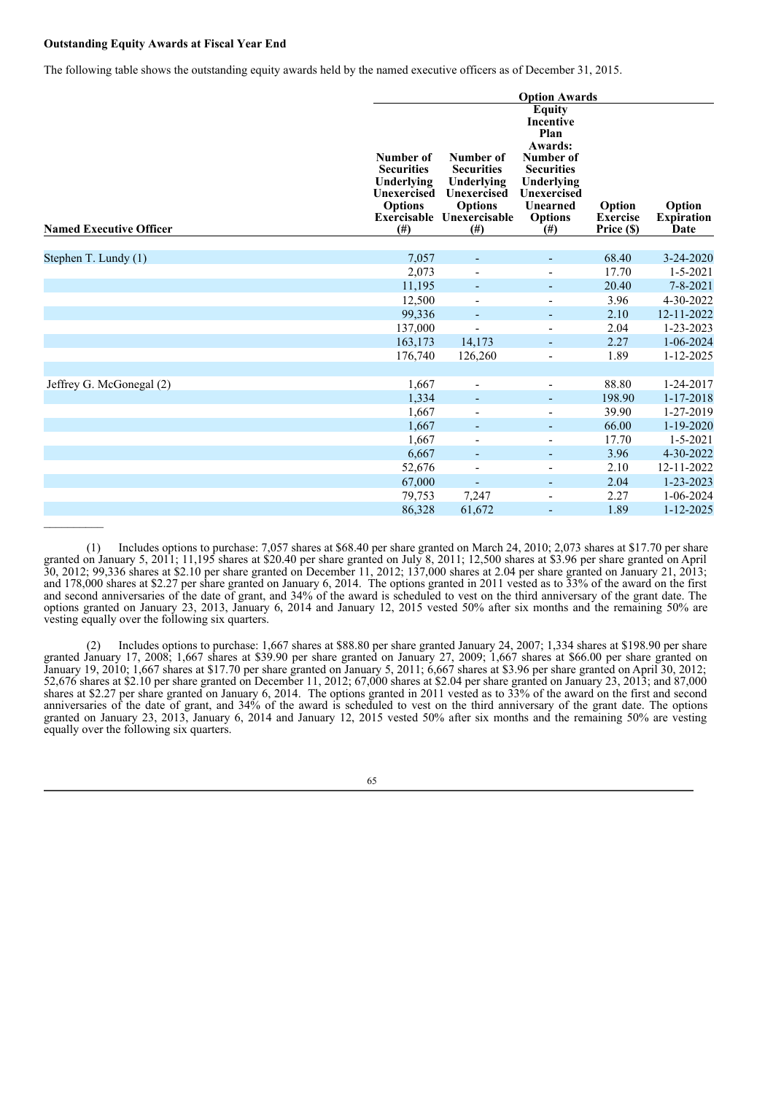#### **Outstanding Equity Awards at Fiscal Year End**

The following table shows the outstanding equity awards held by the named executive officers as of December 31, 2015.

|                                | <b>Option Awards</b>                                                                |                                                                                                                    |                                                                                                                                                  |                                         |                                     |  |  |
|--------------------------------|-------------------------------------------------------------------------------------|--------------------------------------------------------------------------------------------------------------------|--------------------------------------------------------------------------------------------------------------------------------------------------|-----------------------------------------|-------------------------------------|--|--|
| <b>Named Executive Officer</b> | Number of<br><b>Securities</b><br>Underlying<br>Unexercised<br><b>Options</b><br>#) | Number of<br><b>Securities</b><br>Underlying<br>Unexercised<br><b>Options</b><br>Exercisable Unexercisable<br>(f#) | <b>Equity</b><br>Incentive<br>Plan<br>Awards:<br>Number of<br><b>Securities</b><br>Underlying<br>Unexercised<br>Unearned<br><b>Options</b><br>#) | Option<br><b>Exercise</b><br>Price (\$) | Option<br><b>Expiration</b><br>Date |  |  |
|                                |                                                                                     |                                                                                                                    |                                                                                                                                                  |                                         |                                     |  |  |
| Stephen T. Lundy (1)           | 7,057                                                                               |                                                                                                                    |                                                                                                                                                  | 68.40                                   | 3-24-2020                           |  |  |
|                                | 2,073                                                                               | $\overline{\phantom{a}}$                                                                                           | $\overline{\phantom{a}}$                                                                                                                         | 17.70                                   | $1 - 5 - 2021$                      |  |  |
|                                | 11,195                                                                              |                                                                                                                    |                                                                                                                                                  | 20.40                                   | $7 - 8 - 2021$                      |  |  |
|                                | 12,500                                                                              | $\overline{\phantom{a}}$                                                                                           | $\overline{\phantom{a}}$                                                                                                                         | 3.96                                    | 4-30-2022                           |  |  |
|                                | 99,336                                                                              | ٠                                                                                                                  | ٠                                                                                                                                                | 2.10                                    | 12-11-2022                          |  |  |
|                                | 137,000                                                                             |                                                                                                                    | $\overline{\phantom{a}}$                                                                                                                         | 2.04                                    | 1-23-2023                           |  |  |
|                                | 163,173                                                                             | 14,173                                                                                                             | ٠                                                                                                                                                | 2.27                                    | 1-06-2024                           |  |  |
|                                | 176,740                                                                             | 126,260                                                                                                            | $\overline{\phantom{0}}$                                                                                                                         | 1.89                                    | $1 - 12 - 2025$                     |  |  |
| Jeffrey G. McGonegal (2)       | 1,667                                                                               |                                                                                                                    | $\overline{a}$                                                                                                                                   | 88.80                                   | 1-24-2017                           |  |  |
|                                | 1,334                                                                               |                                                                                                                    |                                                                                                                                                  | 198.90                                  | $1 - 17 - 2018$                     |  |  |
|                                | 1,667                                                                               | $\overline{\phantom{a}}$                                                                                           | $\overline{\phantom{a}}$                                                                                                                         | 39.90                                   | 1-27-2019                           |  |  |
|                                | 1,667                                                                               |                                                                                                                    | $\overline{\phantom{0}}$                                                                                                                         | 66.00                                   | $1 - 19 - 2020$                     |  |  |
|                                | 1,667                                                                               | $\overline{\phantom{a}}$                                                                                           | $\overline{\phantom{a}}$                                                                                                                         | 17.70                                   | $1 - 5 - 2021$                      |  |  |
|                                | 6,667                                                                               |                                                                                                                    |                                                                                                                                                  | 3.96                                    | 4-30-2022                           |  |  |
|                                | 52,676                                                                              | $\overline{\phantom{a}}$                                                                                           | $\overline{\phantom{a}}$                                                                                                                         | 2.10                                    | 12-11-2022                          |  |  |
|                                | 67,000                                                                              | $\overline{\phantom{a}}$                                                                                           | ٠                                                                                                                                                | 2.04                                    | $1 - 23 - 2023$                     |  |  |
|                                | 79,753                                                                              | 7,247                                                                                                              | $\overline{\phantom{a}}$                                                                                                                         | 2.27                                    | 1-06-2024                           |  |  |
|                                | 86,328                                                                              | 61,672                                                                                                             | ٠                                                                                                                                                | 1.89                                    | $1 - 12 - 2025$                     |  |  |

(1) Includes options to purchase: 7,057 shares at \$68.40 per share granted on March 24, 2010; 2,073 shares at \$17.70 per share granted on January 5, 2011; 11,195 shares at \$20.40 per share granted on July 8, 2011; 12,500 shares at \$3.96 per share granted on April 30, 2012; 99,336 shares at \$2.10 per share granted on December 11, 2012; 137,000 shares at 2.04 per share granted on January 21, 2013; and 178,000 shares at \$2.27 per share granted on January 6, 2014. The options granted in 2011 vested as to 33% of the award on the first and second anniversaries of the date of grant, and 34% of the award is scheduled to vest on the third anniversary of the grant date. The options granted on January 23, 2013, January 6, 2014 and January 12, 2015 vested 50% after six months and the remaining 50% are vesting equally over the following six quarters.

(2) Includes options to purchase: 1,667 shares at \$88.80 per share granted January 24, 2007; 1,334 shares at \$198.90 per share granted January 17, 2008; 1,667 shares at \$39.90 per share granted on January 27, 2009; 1,667 shares at \$66.00 per share granted on January 19, 2010; 1,667 shares at \$17.70 per share granted on January 5, 2011; 6,667 shares at \$3.96 per share granted on April 30, 2012; 52,676 shares at \$2.10 per share granted on December 11, 2012; 67,000 shares at \$2.04 per share granted on January 23, 2013; and 87,000 shares at \$2.27 per share granted on January 6, 2014. The options granted in 2011 vested as to 33% of the award on the first and second anniversaries of the date of grant, and 34% of the award is scheduled to vest on the third anniversary of the grant date. The options granted on January 23, 2013, January 6, 2014 and January 12, 2015 vested 50% after six months and the remaining 50% are vesting equally over the following six quarters.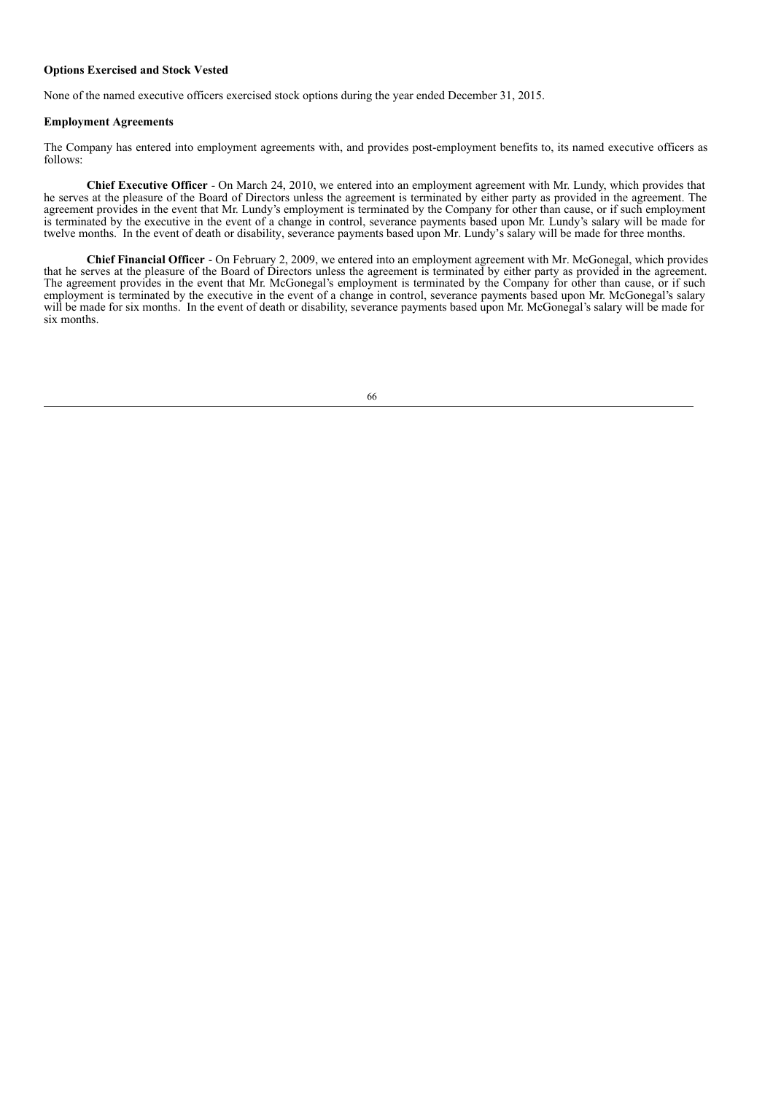## **Options Exercised and Stock Vested**

None of the named executive officers exercised stock options during the year ended December 31, 2015.

#### **Employment Agreements**

The Company has entered into employment agreements with, and provides post-employment benefits to, its named executive officers as follows:

**Chief Executive Officer** *-* On March 24, 2010, we entered into an employment agreement with Mr. Lundy, which provides that he serves at the pleasure of the Board of Directors unless the agreement is terminated by either party as provided in the agreement. The agreement provides in the event that Mr. Lundy's employment is terminated by the Company for other than cause, or if such employment is terminated by the executive in the event of a change in control, severance payments based upon Mr. Lundy's salary will be made for twelve months. In the event of death or disability, severance payments based upon Mr. Lundy's salary will be made for three months.

**Chief Financial Officer** - On February 2, 2009, we entered into an employment agreement with Mr. McGonegal, which provides that he serves at the pleasure of the Board of Directors unless the agreement is terminated by either party as provided in the agreement. The agreement provides in the event that Mr. McGonegal's employment is terminated by the Company for other than cause, or if such employment is terminated by the executive in the event of a change in control, severance payments based upon Mr. McGonegal's salary will be made for six months. In the event of death or disability, severance payments based upon Mr. McGonegal's salary will be made for six months.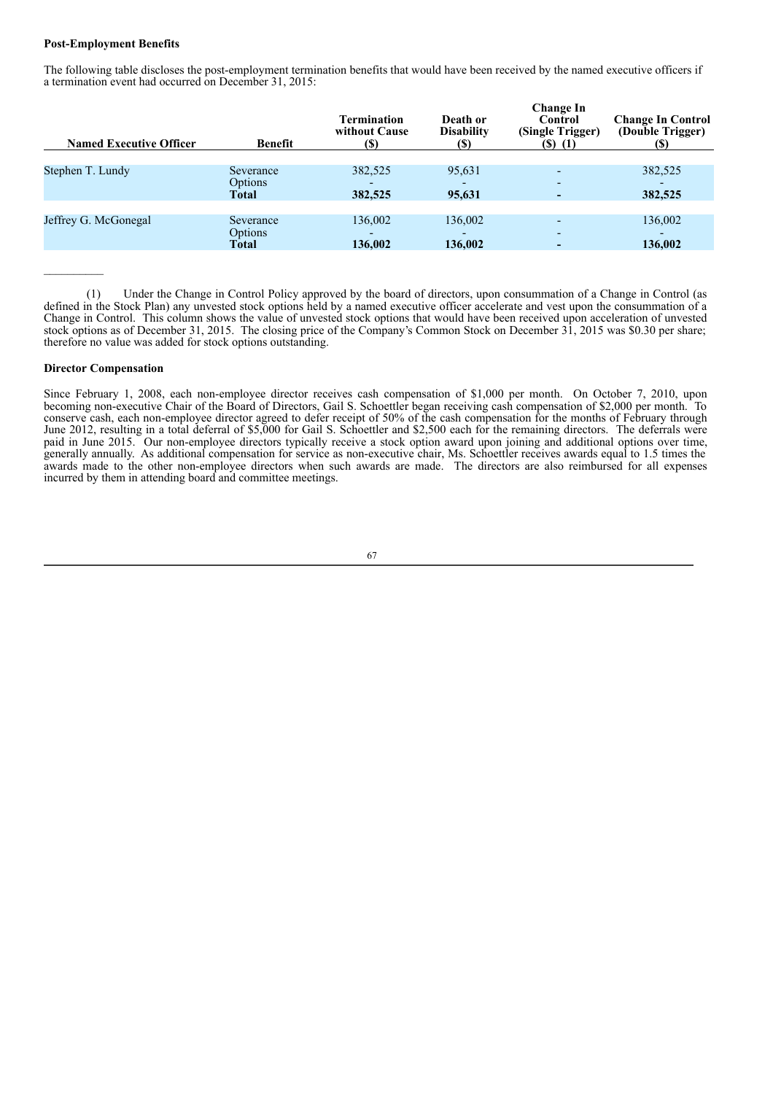# **Post-Employment Benefits**

The following table discloses the post-employment termination benefits that would have been received by the named executive officers if a termination event had occurred on December 31, 2015:

| <b>Named Executive Officer</b> | <b>Benefit</b>                       | <b>Termination</b><br>without Cause<br><b>(\$)</b> | Death or<br><b>Disability</b><br>(S) | Change In<br>Control<br>(Single Trigger)<br>$(5)$ $(1)$ | <b>Change In Control</b><br>(Double Trigger)<br>(\$) |
|--------------------------------|--------------------------------------|----------------------------------------------------|--------------------------------------|---------------------------------------------------------|------------------------------------------------------|
| Stephen T. Lundy               | Severance<br>Options<br><b>Total</b> | 382,525<br>$\overline{\phantom{0}}$<br>382,525     | 95,631<br>95.631                     |                                                         | 382,525<br>382,525                                   |
| Jeffrey G. McGonegal           | Severance<br>Options<br><b>Total</b> | 136,002<br>136,002                                 | 136,002<br>136,002                   | ۰                                                       | 136,002<br>136,002                                   |

(1) Under the Change in Control Policy approved by the board of directors, upon consummation of a Change in Control (as defined in the Stock Plan) any unvested stock options held by a named executive officer accelerate and vest upon the consummation of a Change in Control. This column shows the value of unvested stock options that would have been received upon acceleration of unvested stock options as of December 31, 2015. The closing price of the Company's Common Stock on December 31, 2015 was \$0.30 per share; therefore no value was added for stock options outstanding.

#### **Director Compensation**

Since February 1, 2008, each non-employee director receives cash compensation of \$1,000 per month. On October 7, 2010, upon becoming non-executive Chair of the Board of Directors, Gail S. Schoettler began receiving cash compensation of \$2,000 per month. To conserve cash, each non-employee director agreed to defer receipt of 50% of the cash compensation for the months of February through June 2012, resulting in a total deferral of \$5,000 for Gail S. Schoettler and \$2,500 each for the remaining directors. The deferrals were paid in June 2015. Our non-employee directors typically receive a stock option award upon joining and additional options over time, generally annually. As additional compensation for service as non-executive chair, Ms. Schoettler receives awards equal to 1.5 times the awards made to the other non-employee directors when such awards are made. The directors are also reimbursed for all expenses incurred by them in attending board and committee meetings.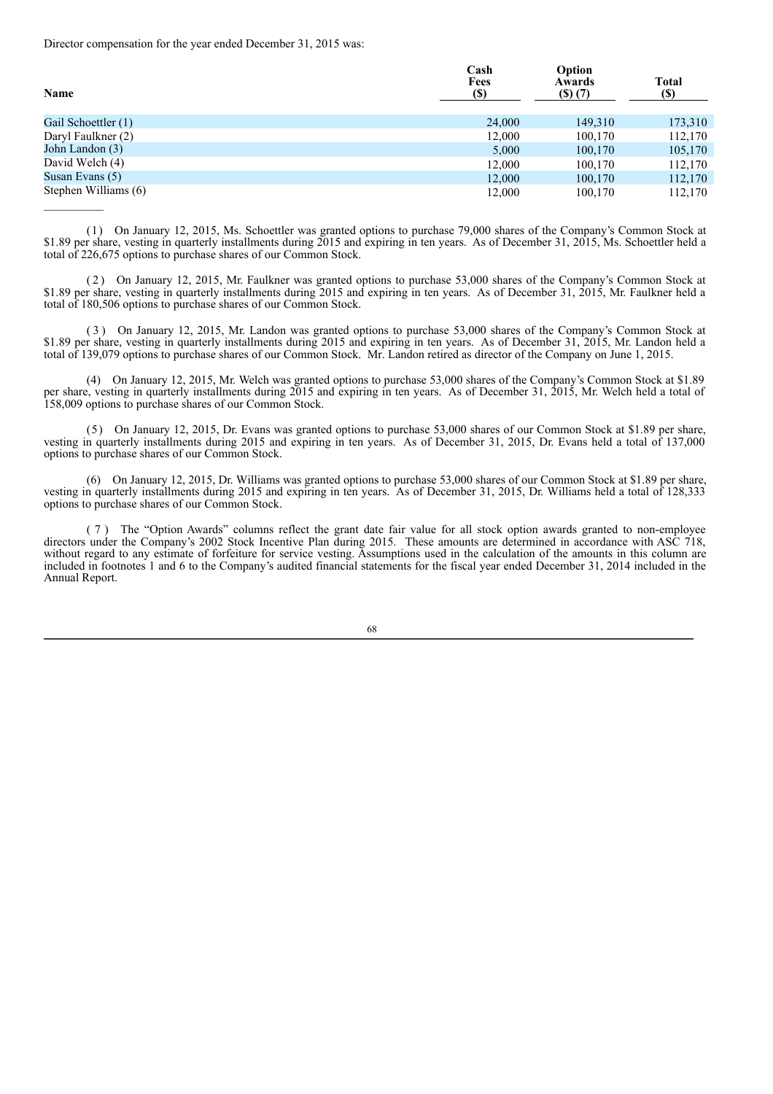Director compensation for the year ended December 31, 2015 was:

| Name                 | Cash<br>Fees<br>(S) | Option<br>Awards<br>$($ \$) $(7)$ | <b>Total</b><br><b>(\$)</b> |
|----------------------|---------------------|-----------------------------------|-----------------------------|
| Gail Schoettler (1)  | 24,000              | 149.310                           | 173,310                     |
| Daryl Faulkner (2)   | 12,000              | 100,170                           | 112,170                     |
| John Landon (3)      | 5,000               | 100,170                           | 105,170                     |
| David Welch (4)      | 12,000              | 100,170                           | 112,170                     |
| Susan Evans $(5)$    | 12,000              | 100,170                           | 112,170                     |
| Stephen Williams (6) | 12,000              | 100,170                           | 112,170                     |

(1) On January 12, 2015, Ms. Schoettler was granted options to purchase 79,000 shares of the Company's Common Stock at \$1.89 per share, vesting in quarterly installments during 2015 and expiring in ten years. As of December 31, 2015, Ms. Schoettler held a total of 226,675 options to purchase shares of our Common Stock.

(2) On January 12, 2015, Mr. Faulkner was granted options to purchase 53,000 shares of the Company's Common Stock at \$1.89 per share, vesting in quarterly installments during 2015 and expiring in ten years. As of December 31, 2015, Mr. Faulkner held a total of 180,506 options to purchase shares of our Common Stock.

( 3 ) On January 12, 2015, Mr. Landon was granted options to purchase 53,000 shares of the Company's Common Stock at \$1.89 per share, vesting in quarterly installments during 2015 and expiring in ten years. As of December 31, 2015, Mr. Landon held a total of 139,079 options to purchase shares of our Common Stock. Mr. Landon retired as director of the Company on June 1, 2015.

(4) On January 12, 2015, Mr. Welch was granted options to purchase 53,000 shares of the Company's Common Stock at \$1.89 per share, vesting in quarterly installments during 2015 and expiring in ten years. As of December 31, 2015, Mr. Welch held a total of 158,009 options to purchase shares of our Common Stock.

(5) On January 12, 2015, Dr. Evans was granted options to purchase 53,000 shares of our Common Stock at \$1.89 per share, vesting in quarterly installments during 2015 and expiring in ten years. As of December 31, 2015, Dr. Evans held a total of 137,000 options to purchase shares of our Common Stock.

(6) On January 12, 2015, Dr. Williams was granted options to purchase 53,000 shares of our Common Stock at \$1.89 per share, vesting in quarterly installments during 2015 and expiring in ten years. As of December 31, 2015, Dr. Williams held a total of 128,333 options to purchase shares of our Common Stock.

( 7 ) The "Option Awards" columns reflect the grant date fair value for all stock option awards granted to non-employee directors under the Company's 2002 Stock Incentive Plan during 2015. These amounts are determined in accordance with ASC 718, without regard to any estimate of forfeiture for service vesting. Assumptions used in the calculation of the amounts in this column are included in footnotes 1 and 6 to the Company's audited financial statements for the fiscal year ended December 31, 2014 included in the Annual Report.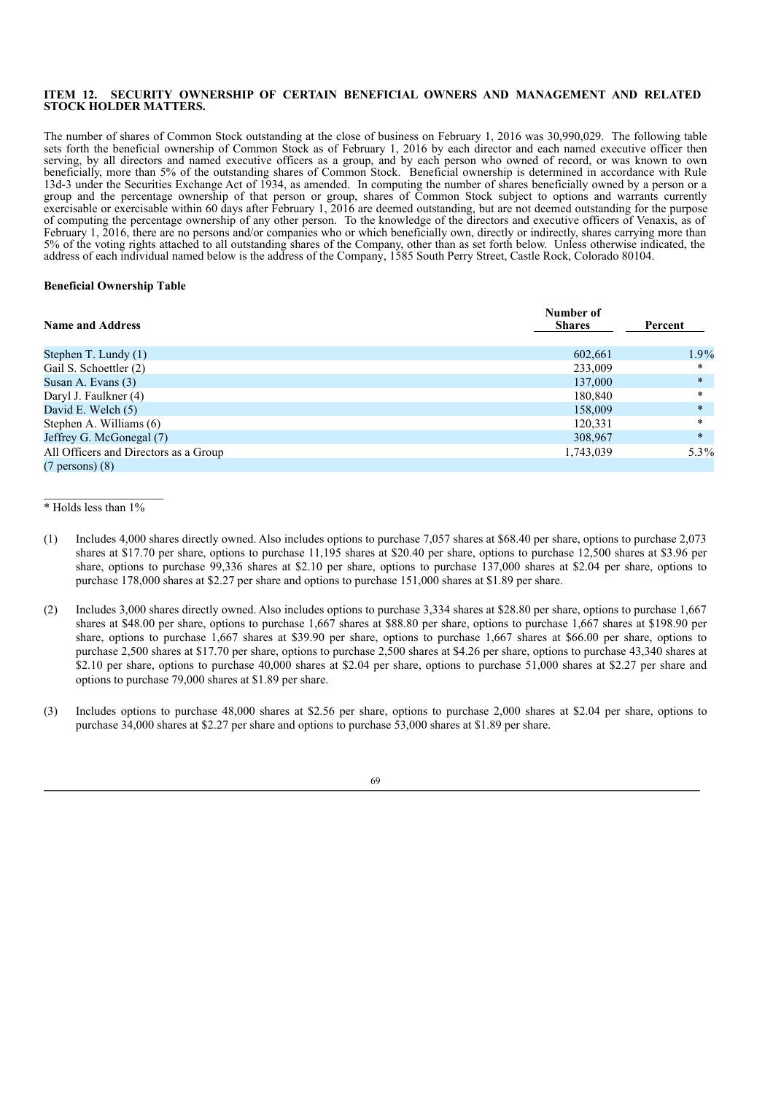## **ITEM 12. SECURITY OWNERSHIP OF CERTAIN BENEFICIAL OWNERS AND MANAGEMENT AND RELATED STOCK HOLDER MATTERS.**

The number of shares of Common Stock outstanding at the close of business on February 1, 2016 was 30,990,029. The following table sets forth the beneficial ownership of Common Stock as of February 1, 2016 by each director and each named executive officer then serving, by all directors and named executive officers as a group, and by each person who owned of record, or was known to own beneficially, more than 5% of the outstanding shares of Common Stock. Beneficial ownership is determined in accordance with Rule 13d-3 under the Securities Exchange Act of 1934, as amended. In computing the number of shares beneficially owned by a person or a group and the percentage ownership of that person or group, shares of Common Stock subject to options and warrants currently exercisable or exercisable within 60 days after February 1, 2016 are deemed outstanding, but are not deemed outstanding for the purpose of computing the percentage ownership of any other person. To the knowledge of the directors and executive officers of Venaxis, as of February 1, 2016, there are no persons and/or companies who or which beneficially own, directly or indirectly, shares carrying more than 5% of the voting rights attached to all outstanding shares of the Company, other than as set forth below. Unless otherwise indicated, the address of each individual named below is the address of the Company, 1585 South Perry Street, Castle Rock, Colorado 80104.

## **Beneficial Ownership Table**

|                                       | Number of     |         |
|---------------------------------------|---------------|---------|
| <b>Name and Address</b>               | <b>Shares</b> | Percent |
|                                       |               |         |
| Stephen T. Lundy (1)                  | 602,661       | $1.9\%$ |
| Gail S. Schoettler (2)                | 233,009       | $\ast$  |
| Susan A. Evans (3)                    | 137,000       | $\ast$  |
| Daryl J. Faulkner (4)                 | 180,840       | $*$     |
| David E. Welch (5)                    | 158,009       | $*$     |
| Stephen A. Williams (6)               | 120,331       | $*$     |
| Jeffrey G. McGonegal (7)              | 308,967       | $*$     |
| All Officers and Directors as a Group | 1,743,039     | $5.3\%$ |
| $(7 \text{ persons}) (8)$             |               |         |

\* Holds less than 1%

- (1) Includes 4,000 shares directly owned. Also includes options to purchase 7,057 shares at \$68.40 per share, options to purchase 2,073 shares at \$17.70 per share, options to purchase 11,195 shares at \$20.40 per share, options to purchase 12,500 shares at \$3.96 per share, options to purchase 99,336 shares at \$2.10 per share, options to purchase 137,000 shares at \$2.04 per share, options to purchase 178,000 shares at \$2.27 per share and options to purchase 151,000 shares at \$1.89 per share.
- (2) Includes 3,000 shares directly owned. Also includes options to purchase 3,334 shares at \$28.80 per share, options to purchase 1,667 shares at \$48.00 per share, options to purchase 1,667 shares at \$88.80 per share, options to purchase 1,667 shares at \$198.90 per share, options to purchase 1,667 shares at \$39.90 per share, options to purchase 1,667 shares at \$66.00 per share, options to purchase 2,500 shares at \$17.70 per share, options to purchase 2,500 shares at \$4.26 per share, options to purchase 43,340 shares at \$2.10 per share, options to purchase 40,000 shares at \$2.04 per share, options to purchase 51,000 shares at \$2.27 per share and options to purchase 79,000 shares at \$1.89 per share.
- (3) Includes options to purchase 48,000 shares at \$2.56 per share, options to purchase 2,000 shares at \$2.04 per share, options to purchase 34,000 shares at \$2.27 per share and options to purchase 53,000 shares at \$1.89 per share.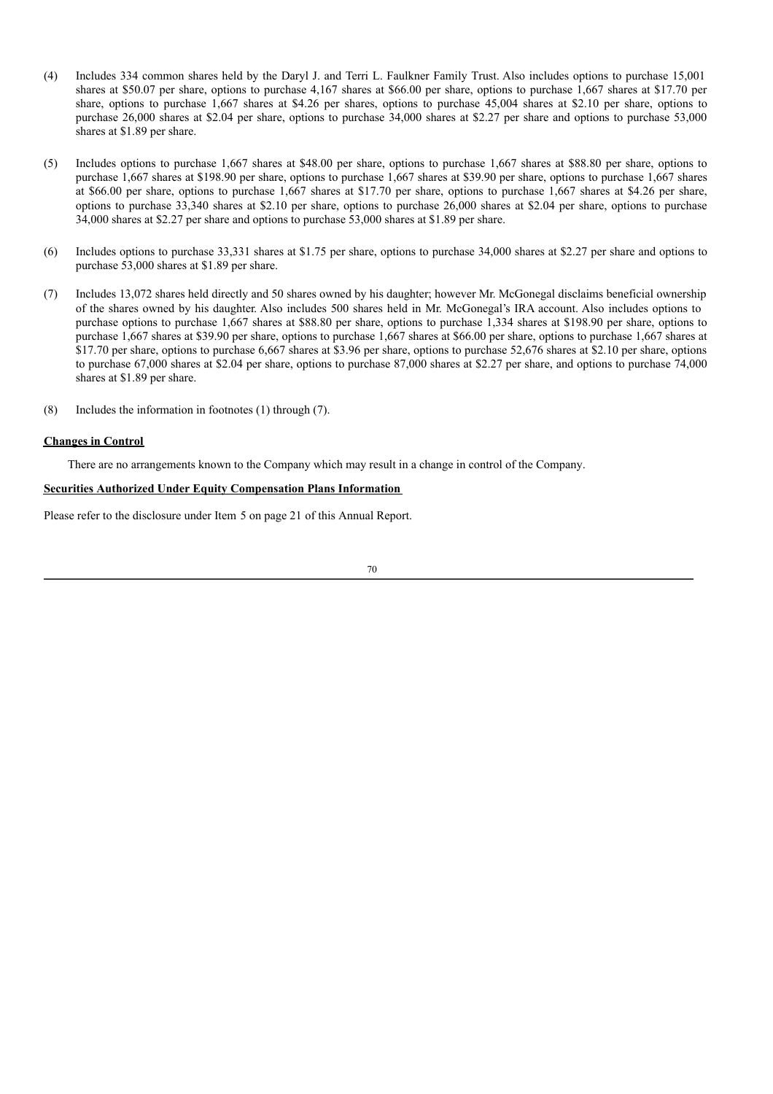- (4) Includes 334 common shares held by the Daryl J. and Terri L. Faulkner Family Trust. Also includes options to purchase 15,001 shares at \$50.07 per share, options to purchase 4,167 shares at \$66.00 per share, options to purchase 1,667 shares at \$17.70 per share, options to purchase 1,667 shares at \$4.26 per shares, options to purchase 45,004 shares at \$2.10 per share, options to purchase 26,000 shares at \$2.04 per share, options to purchase 34,000 shares at \$2.27 per share and options to purchase 53,000 shares at \$1.89 per share.
- (5) Includes options to purchase 1,667 shares at \$48.00 per share, options to purchase 1,667 shares at \$88.80 per share, options to purchase 1,667 shares at \$198.90 per share, options to purchase 1,667 shares at \$39.90 per share, options to purchase 1,667 shares at \$66.00 per share, options to purchase 1,667 shares at \$17.70 per share, options to purchase 1,667 shares at \$4.26 per share, options to purchase 33,340 shares at \$2.10 per share, options to purchase 26,000 shares at \$2.04 per share, options to purchase 34,000 shares at \$2.27 per share and options to purchase 53,000 shares at \$1.89 per share.
- (6) Includes options to purchase 33,331 shares at \$1.75 per share, options to purchase 34,000 shares at \$2.27 per share and options to purchase 53,000 shares at \$1.89 per share.
- (7) Includes 13,072 shares held directly and 50 shares owned by his daughter; however Mr. McGonegal disclaims beneficial ownership of the shares owned by his daughter. Also includes 500 shares held in Mr. McGonegal's IRA account. Also includes options to purchase options to purchase 1,667 shares at \$88.80 per share, options to purchase 1,334 shares at \$198.90 per share, options to purchase 1,667 shares at \$39.90 per share, options to purchase 1,667 shares at \$66.00 per share, options to purchase 1,667 shares at \$17.70 per share, options to purchase 6,667 shares at \$3.96 per share, options to purchase 52,676 shares at \$2.10 per share, options to purchase 67,000 shares at \$2.04 per share, options to purchase 87,000 shares at \$2.27 per share, and options to purchase 74,000 shares at \$1.89 per share.
- (8) Includes the information in footnotes (1) through (7).

## **Changes in Control**

There are no arrangements known to the Company which may result in a change in control of the Company.

# **Securities Authorized Under Equity Compensation Plans Information**

Please refer to the disclosure under Item 5 on page 21 of this Annual Report.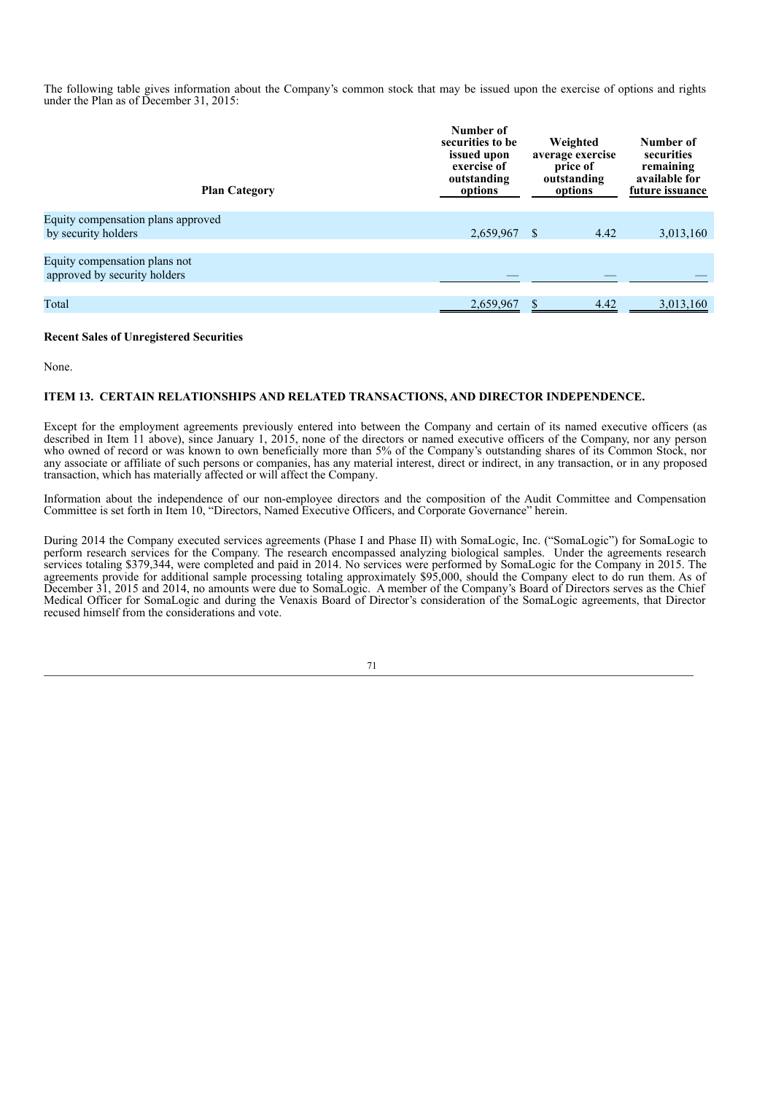The following table gives information about the Company's common stock that may be issued upon the exercise of options and rights under the Plan as of December 31, 2015:

| <b>Plan Category</b>                                          | Number of<br>securities to be<br>issued upon<br>exercise of<br>outstanding<br>options | Weighted<br>average exercise<br>price of<br>outstanding<br>options | Number of<br>securities<br>remaining<br>available for<br>future issuance |
|---------------------------------------------------------------|---------------------------------------------------------------------------------------|--------------------------------------------------------------------|--------------------------------------------------------------------------|
| Equity compensation plans approved                            |                                                                                       |                                                                    |                                                                          |
| by security holders                                           | 2,659,967                                                                             | 4.42<br>- S                                                        | 3,013,160                                                                |
| Equity compensation plans not<br>approved by security holders |                                                                                       |                                                                    |                                                                          |
|                                                               |                                                                                       |                                                                    |                                                                          |
| Total                                                         | 2,659,967                                                                             | 4.42                                                               | 3,013,160                                                                |

#### **Recent Sales of Unregistered Securities**

None.

# **ITEM 13. CERTAIN RELATIONSHIPS AND RELATED TRANSACTIONS, AND DIRECTOR INDEPENDENCE.**

Except for the employment agreements previously entered into between the Company and certain of its named executive officers (as described in Item 11 above), since January 1, 2015, none of the directors or named executive officers of the Company, nor any person who owned of record or was known to own beneficially more than 5% of the Company's outstanding shares of its Common Stock, nor any associate or affiliate of such persons or companies, has any material interest, direct or indirect, in any transaction, or in any proposed transaction, which has materially affected or will affect the Company.

Information about the independence of our non-employee directors and the composition of the Audit Committee and Compensation Committee is set forth in Item 10, "Directors, Named Executive Officers, and Corporate Governance" herein.

During 2014 the Company executed services agreements (Phase I and Phase II) with SomaLogic, Inc. ("SomaLogic") for SomaLogic to perform research services for the Company. The research encompassed analyzing biological samples. Under the agreements research services totaling \$379,344, were completed and paid in 2014. No services were performed by SomaLogic for the Company in 2015. The agreements provide for additional sample processing totaling approximately \$95,000, should the Company elect to do run them. As of December 31, 2015 and 2014, no amounts were due to SomaLogic. A member of the Company's Board of Directors serves as the Chief Medical Officer for SomaLogic and during the Venaxis Board of Director's consideration of the SomaLogic agreements, that Director recused himself from the considerations and vote.

71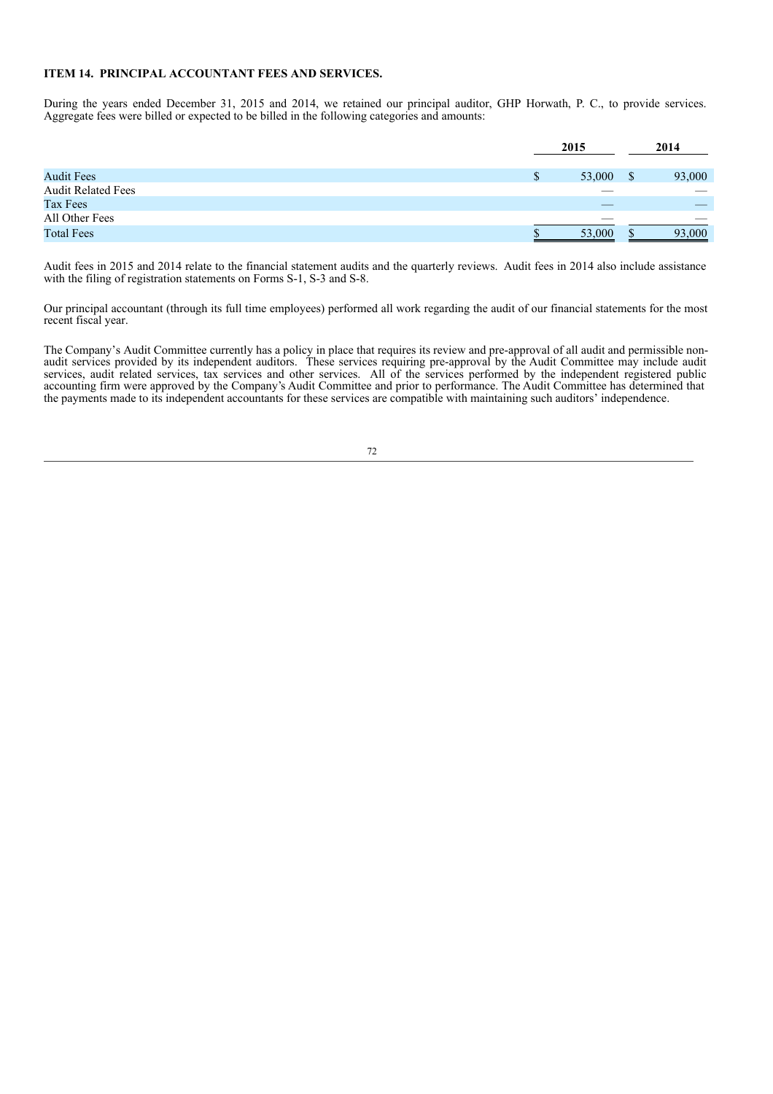# **ITEM 14. PRINCIPAL ACCOUNTANT FEES AND SERVICES.**

During the years ended December 31, 2015 and 2014, we retained our principal auditor, GHP Horwath, P. C., to provide services. Aggregate fees were billed or expected to be billed in the following categories and amounts:

|                           |               | 2015   |      | 2014                     |
|---------------------------|---------------|--------|------|--------------------------|
| <b>Audit Fees</b>         | <sup>\$</sup> | 53,000 | - \$ | 93,000                   |
| <b>Audit Related Fees</b> |               | __     |      | $\overline{\phantom{a}}$ |
| Tax Fees                  |               |        |      |                          |
| All Other Fees            |               | __     |      | ___                      |
| <b>Total Fees</b>         |               | 53,000 |      | 93,000                   |

Audit fees in 2015 and 2014 relate to the financial statement audits and the quarterly reviews. Audit fees in 2014 also include assistance with the filing of registration statements on Forms S-1, S-3 and S-8.

Our principal accountant (through its full time employees) performed all work regarding the audit of our financial statements for the most recent fiscal year.

The Company's Audit Committee currently has a policy in place that requires its review and pre-approval of all audit and permissible nonaudit services provided by its independent auditors. These services requiring pre-approval by the Audit Committee may include audit services, audit related services, tax services and other services. All of the services performed by the independent registered public accounting firm were approved by the Company's Audit Committee and prior to performance. The Audit Committee has determined that the payments made to its independent accountants for these services are compatible with maintaining such auditors' independence.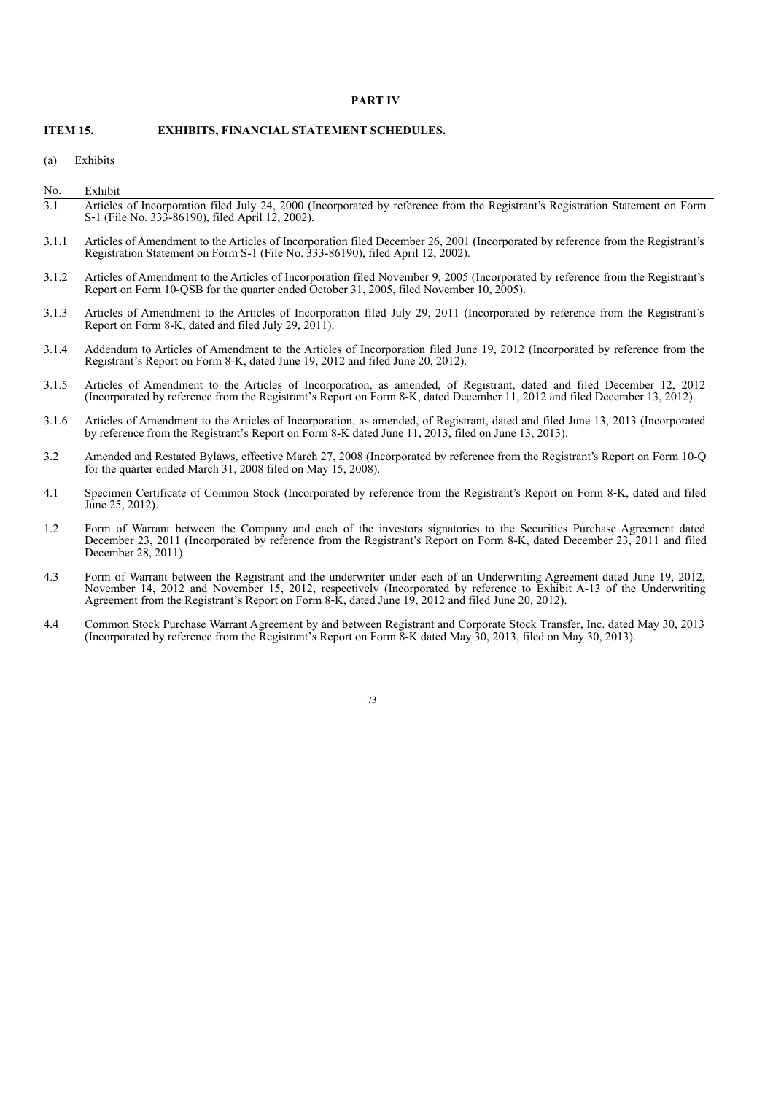# **PART IV**

## **ITEM 15. EXHIBITS, FINANCIAL STATEMENT SCHEDULES.**

(a) Exhibits

No. Exhibit<br> $\frac{1}{3.1}$  Articles

- 3.1 Articles of Incorporation filed July 24, 2000 (Incorporated by reference from the Registrant's Registration Statement on Form S‑1 (File No. 333-86190), filed April 12, 2002).
- 3.1.1 Articles of Amendment to the Articles of Incorporation filed December 26, 2001 (Incorporated by reference from the Registrant's Registration Statement on Form S-1 (File No. 333-86190), filed April 12, 2002).
- 3.1.2 Articles of Amendment to the Articles of Incorporation filed November 9, 2005 (Incorporated by reference from the Registrant's Report on Form 10-QSB for the quarter ended October 31, 2005, filed November 10, 2005).
- 3.1.3 Articles of Amendment to the Articles of Incorporation filed July 29, 2011 (Incorporated by reference from the Registrant's Report on Form 8-K, dated and filed July 29, 2011).
- 3.1.4 Addendum to Articles of Amendment to the Articles of Incorporation filed June 19, 2012 (Incorporated by reference from the Registrant's Report on Form 8-K, dated June 19, 2012 and filed June 20, 2012).
- 3.1.5 Articles of Amendment to the Articles of Incorporation, as amended, of Registrant, dated and filed December 12, 2012 (Incorporated by reference from the Registrant's Report on Form 8-K, dated December 11, 2012 and filed December 13, 2012).
- 3.1.6 Articles of Amendment to the Articles of Incorporation, as amended, of Registrant, dated and filed June 13, 2013 (Incorporated by reference from the Registrant's Report on Form 8-K dated June 11, 2013, filed on June 13, 2013).
- 3.2 Amended and Restated Bylaws, effective March 27, 2008 (Incorporated by reference from the Registrant's Report on Form 10-Q for the quarter ended March 31, 2008 filed on May 15, 2008).
- 4.1 Specimen Certificate of Common Stock (Incorporated by reference from the Registrant's Report on Form 8‑K, dated and filed June 25, 2012).
- 1.2 Form of Warrant between the Company and each of the investors signatories to the Securities Purchase Agreement dated December 23, 2011 (Incorporated by reference from the Registrant's Report on Form 8-K, dated December 23, 2011 and filed December 28, 2011).
- 4.3 Form of Warrant between the Registrant and the underwriter under each of an Underwriting Agreement dated June 19, 2012, November 14, 2012 and November 15, 2012, respectively (Incorporated by reference to Exhibit A-13 of the Underwriting Agreement from the Registrant's Report on Form 8‑K, dated June 19, 2012 and filed June 20, 2012).
- 4.4 Common Stock Purchase Warrant Agreement by and between Registrant and Corporate Stock Transfer, Inc. dated May 30, 2013 (Incorporated by reference from the Registrant's Report on Form 8-K dated May 30, 2013, filed on May 30, 2013).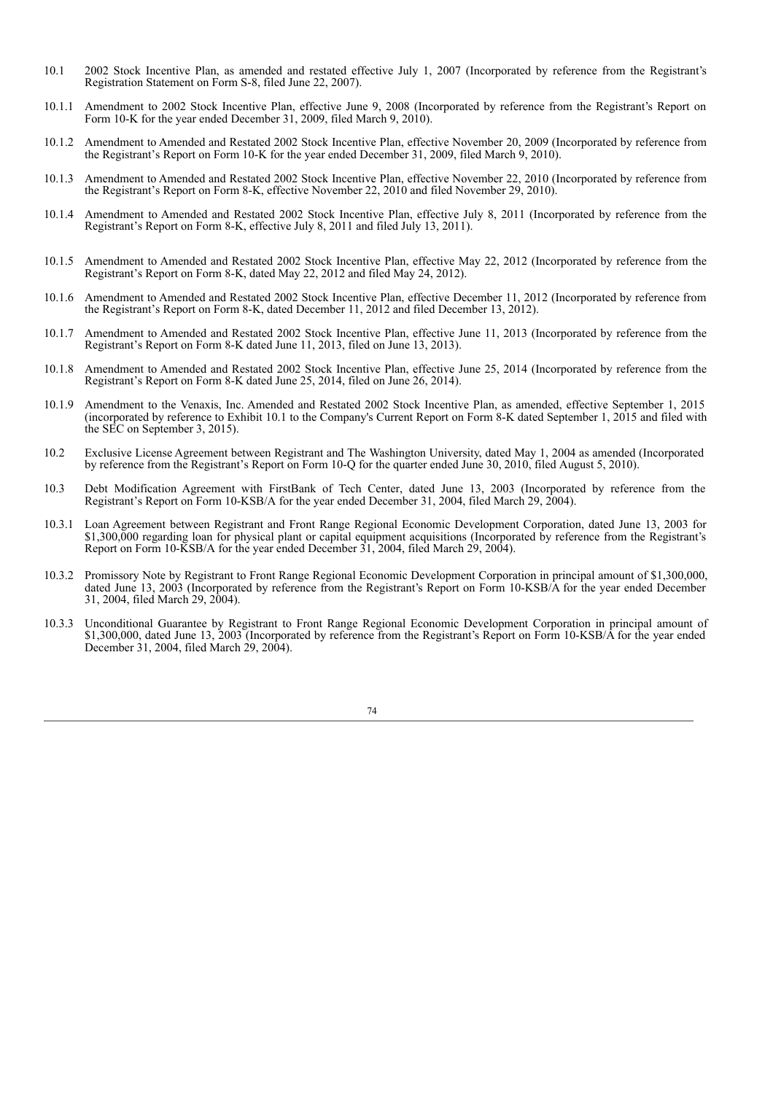- 10.1 2002 Stock Incentive Plan, as amended and restated effective July 1, 2007 (Incorporated by reference from the Registrant's Registration Statement on Form S-8, filed June 22, 2007).
- 10.1.1 Amendment to 2002 Stock Incentive Plan, effective June 9, 2008 (Incorporated by reference from the Registrant's Report on Form 10-K for the year ended December 31, 2009, filed March 9, 2010).
- 10.1.2 Amendment to Amended and Restated 2002 Stock Incentive Plan, effective November 20, 2009 (Incorporated by reference from the Registrant's Report on Form 10-K for the year ended December 31, 2009, filed March 9, 2010).
- 10.1.3 Amendment to Amended and Restated 2002 Stock Incentive Plan, effective November 22, 2010 (Incorporated by reference from the Registrant's Report on Form 8-K, effective November 22, 2010 and filed November 29, 2010).
- 10.1.4 Amendment to Amended and Restated 2002 Stock Incentive Plan, effective July 8, 2011 (Incorporated by reference from the Registrant's Report on Form 8-K, effective July 8, 2011 and filed July 13, 2011).
- 10.1.5 Amendment to Amended and Restated 2002 Stock Incentive Plan, effective May 22, 2012 (Incorporated by reference from the Registrant's Report on Form 8-K, dated May 22, 2012 and filed May 24, 2012).
- 10.1.6 Amendment to Amended and Restated 2002 Stock Incentive Plan, effective December 11, 2012 (Incorporated by reference from the Registrant's Report on Form 8-K, dated December 11, 2012 and filed December 13, 2012).
- 10.1.7 Amendment to Amended and Restated 2002 Stock Incentive Plan, effective June 11, 2013 (Incorporated by reference from the Registrant's Report on Form 8-K dated June 11, 2013, filed on June 13, 2013).
- 10.1.8 Amendment to Amended and Restated 2002 Stock Incentive Plan, effective June 25, 2014 (Incorporated by reference from the Registrant's Report on Form 8-K dated June 25, 2014, filed on June 26, 2014).
- 10.1.9 Amendment to the Venaxis, Inc. Amended and Restated 2002 Stock Incentive Plan, as amended, effective September 1, 2015 (incorporated by reference to Exhibit 10.1 to the Company's Current Report on Form 8-K dated September 1, 2015 and filed with the SEC on September 3, 2015).
- 10.2 Exclusive License Agreement between Registrant and The Washington University, dated May 1, 2004 as amended (Incorporated by reference from the Registrant's Report on Form 10-Q for the quarter ended June 30, 2010, filed August 5, 2010).
- 10.3 Debt Modification Agreement with FirstBank of Tech Center, dated June 13, 2003 (Incorporated by reference from the Registrant's Report on Form 10-KSB/A for the year ended December 31, 2004, filed March 29, 2004).
- 10.3.1 Loan Agreement between Registrant and Front Range Regional Economic Development Corporation, dated June 13, 2003 for \$1,300,000 regarding loan for physical plant or capital equipment acquisitions (Incorporated by reference from the Registrant's Report on Form 10-KSB/A for the year ended December 31, 2004, filed March 29, 2004).
- 10.3.2 Promissory Note by Registrant to Front Range Regional Economic Development Corporation in principal amount of \$1,300,000, dated June 13, 2003 (Incorporated by reference from the Registrant's Report on Form 10-KSB/A for the year ended December 31, 2004, filed March 29, 2004).
- 10.3.3 Unconditional Guarantee by Registrant to Front Range Regional Economic Development Corporation in principal amount of \$1,300,000, dated June 13, 2003 (Incorporated by reference from the Registrant's Report on Form 10-KSB/A for the year ended December 31, 2004, filed March 29, 2004).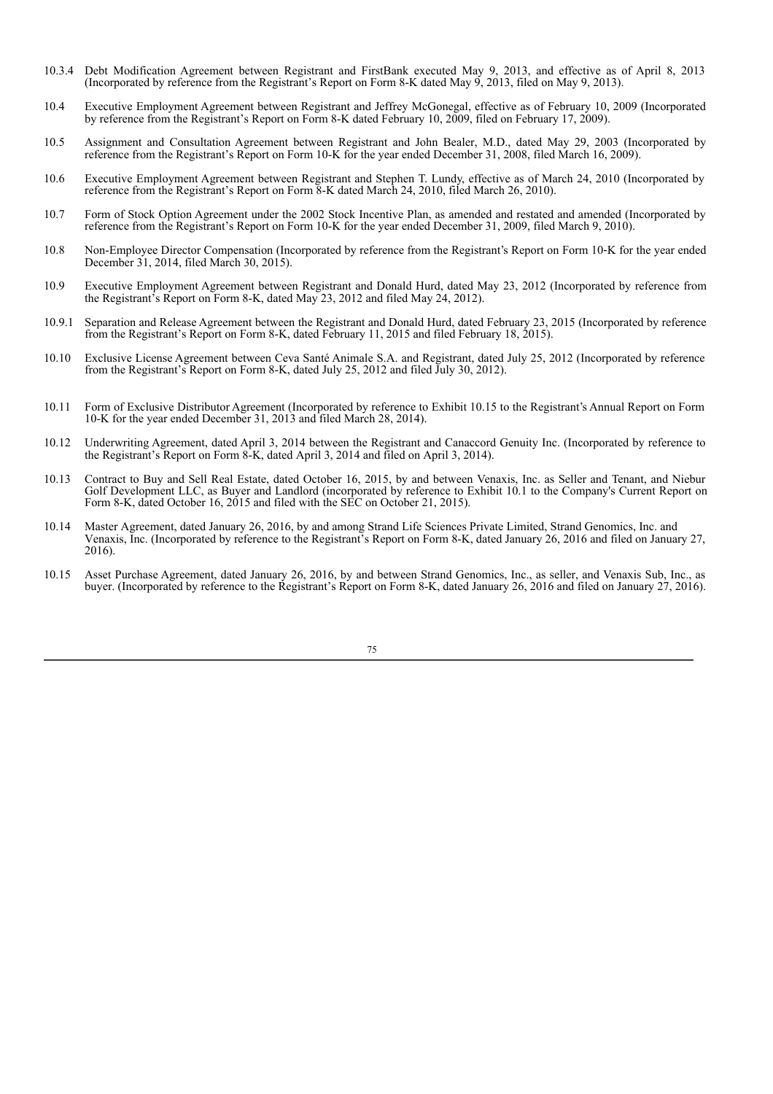- 10.3.4 Debt Modification Agreement between Registrant and FirstBank executed May 9, 2013, and effective as of April 8, 2013 (Incorporated by reference from the Registrant's Report on Form 8-K dated May 9, 2013, filed on May 9, 2013).
- 10.4 Executive Employment Agreement between Registrant and Jeffrey McGonegal, effective as of February 10, 2009 (Incorporated by reference from the Registrant's Report on Form 8-K dated February 10, 2009, filed on February 17, 2009).
- 10.5 Assignment and Consultation Agreement between Registrant and John Bealer, M.D., dated May 29, 2003 (Incorporated by reference from the Registrant's Report on Form 10-K for the year ended December 31, 2008, filed March 16, 2009).
- 10.6 Executive Employment Agreement between Registrant and Stephen T. Lundy, effective as of March 24, 2010 (Incorporated by reference from the Registrant's Report on Form 8-K dated March 24, 2010, filed March 26, 2010).
- 10.7 Form of Stock Option Agreement under the 2002 Stock Incentive Plan, as amended and restated and amended (Incorporated by reference from the Registrant's Report on Form 10-K for the year ended December 31, 2009, filed March 9, 2010).
- 10.8 Non-Employee Director Compensation (Incorporated by reference from the Registrant's Report on Form 10‑K for the year ended December 31, 2014, filed March 30, 2015).
- 10.9 Executive Employment Agreement between Registrant and Donald Hurd, dated May 23, 2012 (Incorporated by reference from the Registrant's Report on Form 8-K, dated May 23, 2012 and filed May 24, 2012).
- 10.9.1 Separation and Release Agreement between the Registrant and Donald Hurd, dated February 23, 2015 (Incorporated by reference from the Registrant's Report on Form 8-K, dated February 11, 2015 and filed February 18, 2015).
- 10.10 Exclusive License Agreement between Ceva Santé Animale S.A. and Registrant, dated July 25, 2012 (Incorporated by reference from the Registrant's Report on Form 8-K, dated July 25, 2012 and filed July 30, 2012).
- 10.11 Form of Exclusive Distributor Agreement (Incorporated by reference to Exhibit 10.15 to the Registrant's Annual Report on Form 10-K for the year ended December 31, 2013 and filed March 28, 2014).
- 10.12 Underwriting Agreement, dated April 3, 2014 between the Registrant and Canaccord Genuity Inc. (Incorporated by reference to the Registrant's Report on Form 8-K, dated April 3, 2014 and filed on April 3, 2014).
- 10.13 Contract to Buy and Sell Real Estate, dated October 16, 2015, by and between Venaxis, Inc. as Seller and Tenant, and Niebur Golf Development LLC, as Buyer and Landlord (incorporated by reference to Exhibit 10.1 to the Company's Current Report on Form 8-K, dated October 16, 2015 and filed with the SEC on October 21, 2015).
- 10.14 Master Agreement, dated January 26, 2016, by and among Strand Life Sciences Private Limited, Strand Genomics, Inc. and Venaxis, Inc. (Incorporated by reference to the Registrant's Report on Form 8-K, dated January 26, 2016 and filed on January 27, 2016).
- 10.15 Asset Purchase Agreement, dated January 26, 2016, by and between Strand Genomics, Inc., as seller, and Venaxis Sub, Inc., as buyer. (Incorporated by reference to the Registrant's Report on Form 8-K, dated January 26, 2016 and filed on January 27, 2016).

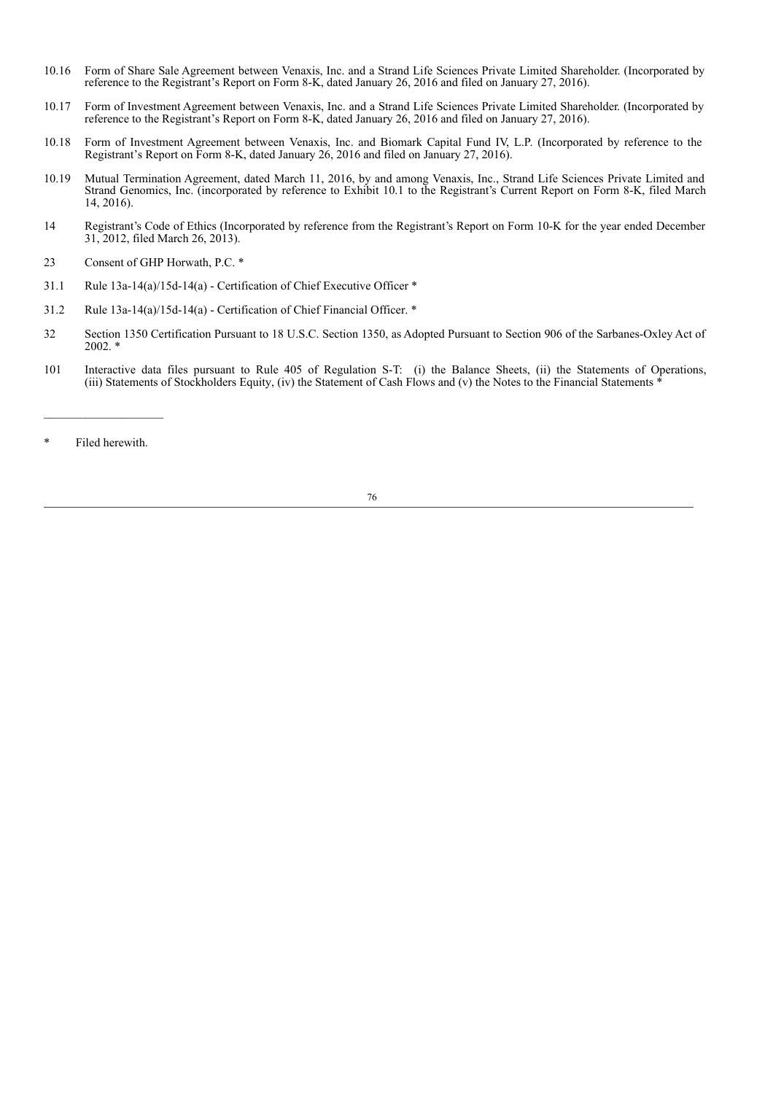- 10.16 Form of Share Sale Agreement between Venaxis, Inc. and a Strand Life Sciences Private Limited Shareholder. (Incorporated by reference to the Registrant's Report on Form 8-K, dated January 26, 2016 and filed on January 27, 2016).
- 10.17 Form of Investment Agreement between Venaxis, Inc. and a Strand Life Sciences Private Limited Shareholder. (Incorporated by reference to the Registrant's Report on Form 8-K, dated January 26, 2016 and filed on January 27, 2016).
- 10.18 Form of Investment Agreement between Venaxis, Inc. and Biomark Capital Fund IV, L.P. (Incorporated by reference to the Registrant's Report on Form 8-K, dated January 26, 2016 and filed on January 27, 2016).
- 10.19 Mutual Termination Agreement, dated March 11, 2016, by and among Venaxis, Inc., Strand Life Sciences Private Limited and Strand Genomics, Inc. (incorporated by reference to Exhibit 10.1 to the Registrant's Current Report on Form 8-K, filed March 14, 2016).
- 14 Registrant's Code of Ethics (Incorporated by reference from the Registrant's Report on Form 10-K for the year ended December 31, 2012, filed March 26, 2013).
- 23 Consent of GHP Horwath, P.C. \*
- 31.1 Rule 13a-14(a)/15d-14(a) Certification of Chief Executive Officer \*
- 31.2 Rule 13a-14(a)/15d-14(a) Certification of Chief Financial Officer. \*
- 32 Section 1350 Certification Pursuant to 18 U.S.C. Section 1350, as Adopted Pursuant to Section 906 of the Sarbanes-Oxley Act of 2002. \*
- 101 Interactive data files pursuant to Rule 405 of Regulation S-T: (i) the Balance Sheets, (ii) the Statements of Operations, (iii) Statements of Stockholders Equity, (iv) the Statement of Cash Flows and (v) the Notes to the Financial Statements  $*$

Filed herewith.

<sup>76</sup>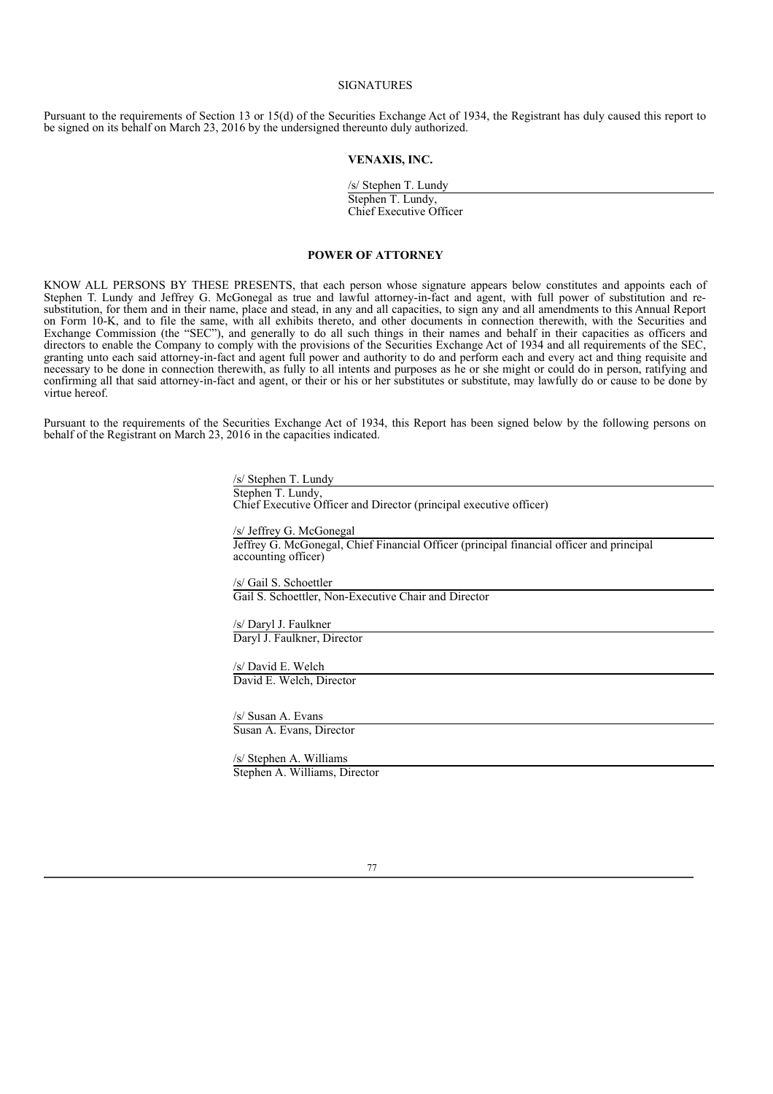### SIGNATURES

Pursuant to the requirements of Section 13 or 15(d) of the Securities Exchange Act of 1934, the Registrant has duly caused this report to be signed on its behalf on March 23, 2016 by the undersigned thereunto duly authorized.

# **VENAXIS, INC.**

/s/ Stephen T. Lundy

Stephen T. Lundy, Chief Executive Officer

### **POWER OF ATTORNEY**

KNOW ALL PERSONS BY THESE PRESENTS, that each person whose signature appears below constitutes and appoints each of Stephen T. Lundy and Jeffrey G. McGonegal as true and lawful attorney-in-fact and agent, with full power of substitution and resubstitution, for them and in their name, place and stead, in any and all capacities, to sign any and all amendments to this Annual Report on Form 10-K, and to file the same, with all exhibits thereto, and other documents in connection therewith, with the Securities and Exchange Commission (the "SEC"), and generally to do all such things in their names and behalf in their capacities as officers and directors to enable the Company to comply with the provisions of the Securities Exchange Act of 1934 and all requirements of the SEC, granting unto each said attorney-in-fact and agent full power and authority to do and perform each and every act and thing requisite and necessary to be done in connection therewith, as fully to all intents and purposes as he or she might or could do in person, ratifying and confirming all that said attorney-in-fact and agent, or their or his or her substitutes or substitute, may lawfully do or cause to be done by virtue hereof.

Pursuant to the requirements of the Securities Exchange Act of 1934, this Report has been signed below by the following persons on behalf of the Registrant on March 23, 2016 in the capacities indicated.

| /s/ Stephen T. Lundy                                                                     |
|------------------------------------------------------------------------------------------|
| Stephen T. Lundy,                                                                        |
| Chief Executive Officer and Director (principal executive officer)                       |
|                                                                                          |
| /s/ Jeffrey G. McGonegal                                                                 |
| Jeffrey G. McGonegal, Chief Financial Officer (principal financial officer and principal |
| accounting officer)                                                                      |
|                                                                                          |
| /s/ Gail S. Schoettler                                                                   |
| Gail S. Schoettler, Non-Executive Chair and Director                                     |
|                                                                                          |
| /s/ Daryl J. Faulkner                                                                    |
| Daryl J. Faulkner, Director                                                              |
|                                                                                          |
| /s/ David E. Welch                                                                       |
| David E. Welch, Director                                                                 |
|                                                                                          |
|                                                                                          |
| /s/ Susan A. Evans                                                                       |
| Susan A. Evans, Director                                                                 |
|                                                                                          |
| /s/ Stephen A. Williams                                                                  |
| Stephen A. Williams, Director                                                            |
|                                                                                          |
|                                                                                          |
|                                                                                          |
|                                                                                          |

77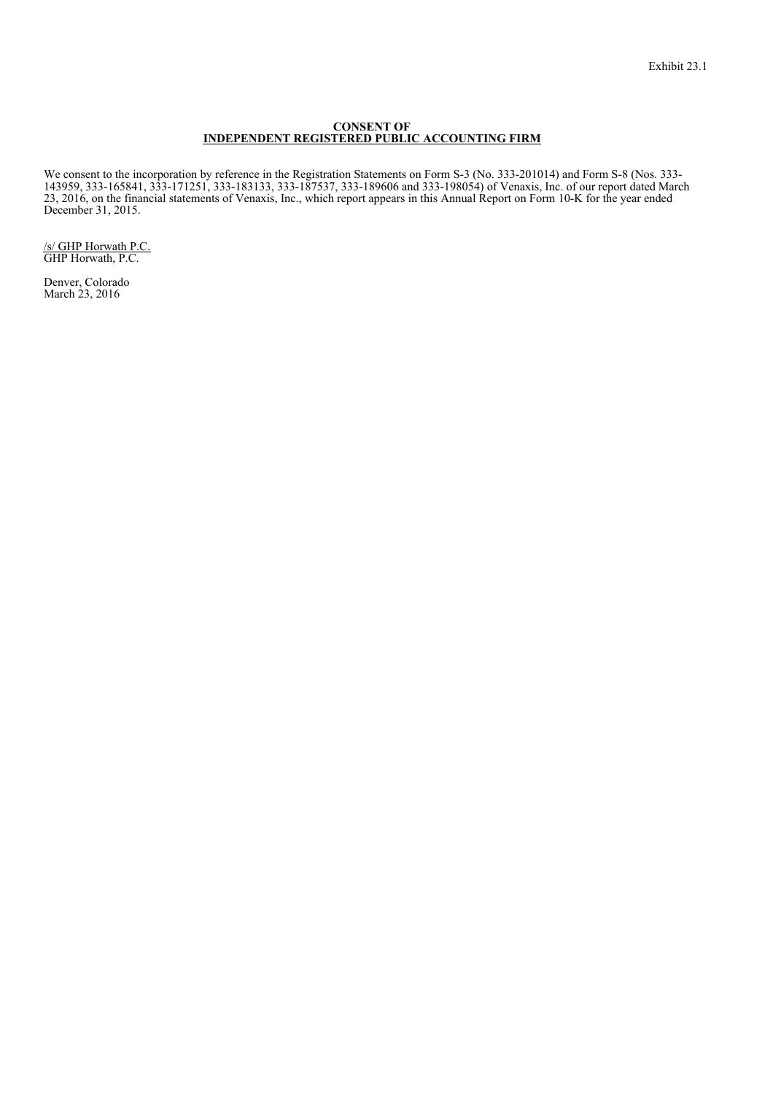### **CONSENT OF INDEPENDENT REGISTERED PUBLIC ACCOUNTING FIRM**

We consent to the incorporation by reference in the Registration Statements on Form S-3 (No. 333-201014) and Form S-8 (Nos. 333- 143959, 333-165841, 333-171251, 333-183133, 333-187537, 333-189606 and 333-198054) of Venaxis, Inc. of our report dated March 23, 2016, on the financial statements of Venaxis, Inc., which report appears in this Annual Report on Form 10-K for the year ended December 31, 2015.

/s/ GHP Horwath P.C. GHP Horwath, P.C.

Denver, Colorado March 23, 2016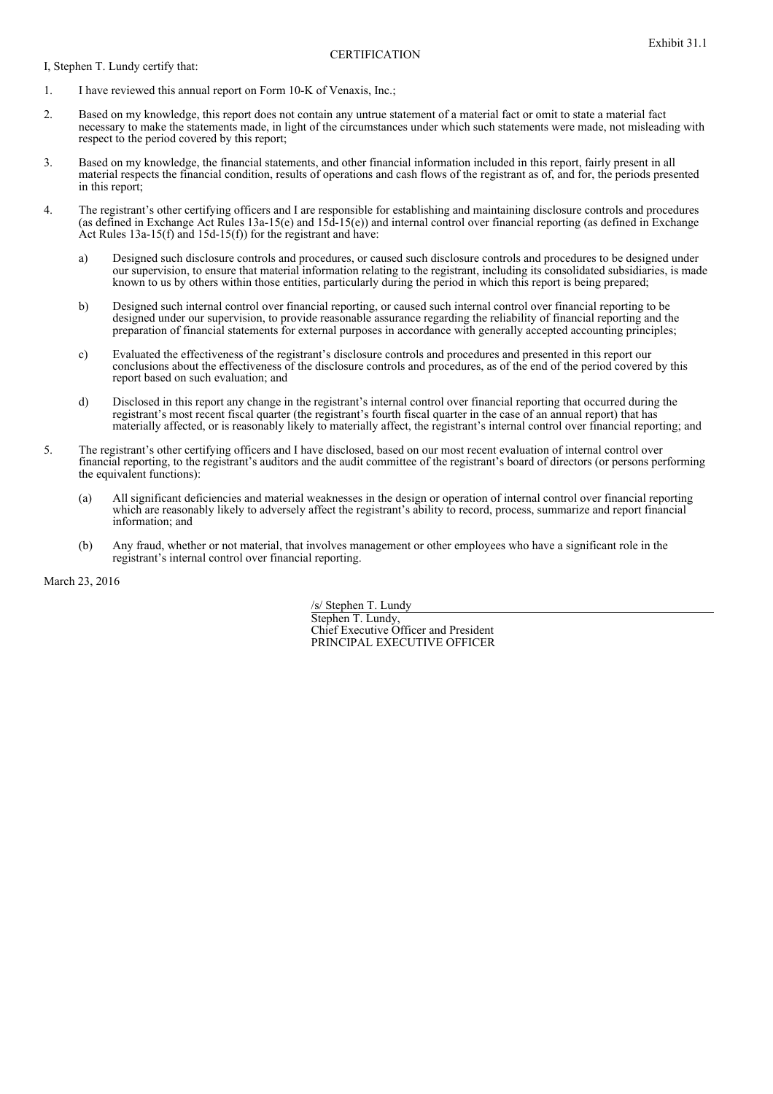### **CERTIFICATION**

I, Stephen T. Lundy certify that:

- 1. I have reviewed this annual report on Form 10-K of Venaxis, Inc.;
- 2. Based on my knowledge, this report does not contain any untrue statement of a material fact or omit to state a material fact necessary to make the statements made, in light of the circumstances under which such statements were made, not misleading with respect to the period covered by this report;
- 3. Based on my knowledge, the financial statements, and other financial information included in this report, fairly present in all material respects the financial condition, results of operations and cash flows of the registrant as of, and for, the periods presented in this report;
- 4. The registrant's other certifying officers and I are responsible for establishing and maintaining disclosure controls and procedures (as defined in Exchange Act Rules 13a-15(e) and 15d-15(e)) and internal control over financial reporting (as defined in Exchange Act Rules 13a-15(f) and 15d-15(f)) for the registrant and have:
	- a) Designed such disclosure controls and procedures, or caused such disclosure controls and procedures to be designed under our supervision, to ensure that material information relating to the registrant, including its consolidated subsidiaries, is made known to us by others within those entities, particularly during the period in which this report is being prepared;
	- b) Designed such internal control over financial reporting, or caused such internal control over financial reporting to be designed under our supervision, to provide reasonable assurance regarding the reliability of financial reporting and the preparation of financial statements for external purposes in accordance with generally accepted accounting principles;
	- c) Evaluated the effectiveness of the registrant's disclosure controls and procedures and presented in this report our conclusions about the effectiveness of the disclosure controls and procedures, as of the end of the period covered by this report based on such evaluation; and
	- d) Disclosed in this report any change in the registrant's internal control over financial reporting that occurred during the registrant's most recent fiscal quarter (the registrant's fourth fiscal quarter in the case of an annual report) that has materially affected, or is reasonably likely to materially affect, the registrant's internal control over financial reporting; and
- 5. The registrant's other certifying officers and I have disclosed, based on our most recent evaluation of internal control over financial reporting, to the registrant's auditors and the audit committee of the registrant's board of directors (or persons performing the equivalent functions):
	- (a) All significant deficiencies and material weaknesses in the design or operation of internal control over financial reporting which are reasonably likely to adversely affect the registrant's ability to record, process, summarize and report financial information; and
	- (b) Any fraud, whether or not material, that involves management or other employees who have a significant role in the registrant's internal control over financial reporting.

March 23, 2016

/s/ Stephen T. Lundy Stephen T. Lundy, Chief Executive Officer and President PRINCIPAL EXECUTIVE OFFICER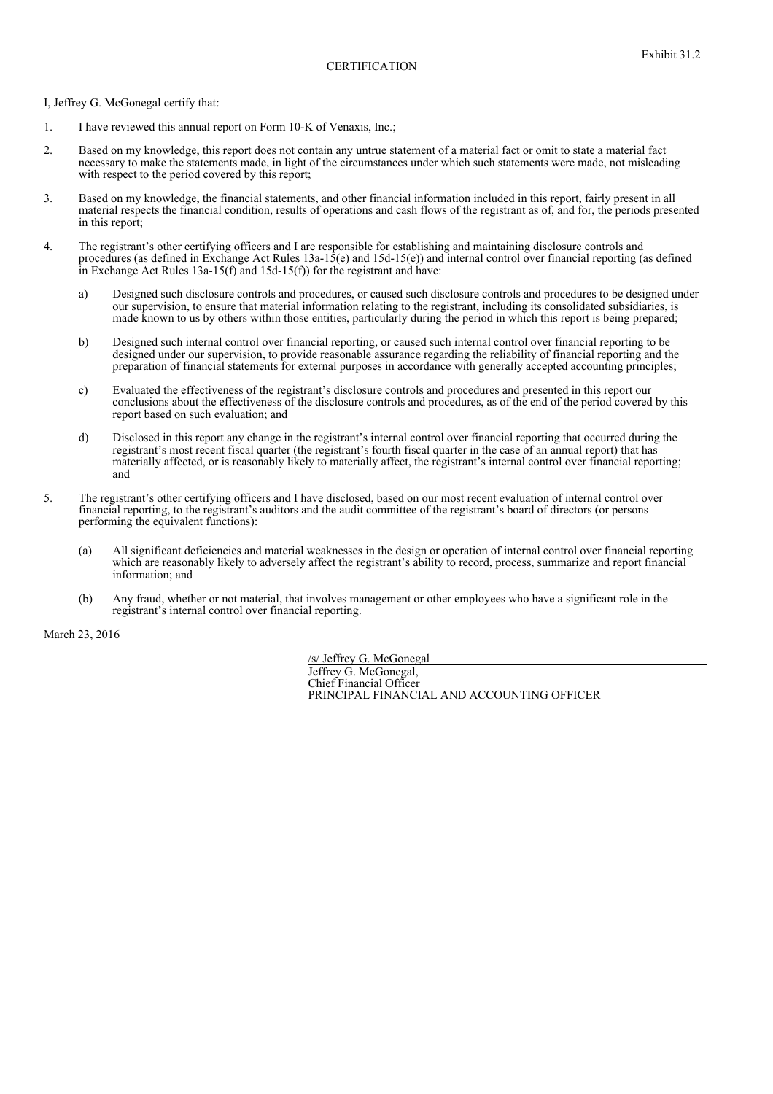I, Jeffrey G. McGonegal certify that:

- 1. I have reviewed this annual report on Form 10-K of Venaxis, Inc.;
- 2. Based on my knowledge, this report does not contain any untrue statement of a material fact or omit to state a material fact necessary to make the statements made, in light of the circumstances under which such statements were made, not misleading with respect to the period covered by this report;
- 3. Based on my knowledge, the financial statements, and other financial information included in this report, fairly present in all material respects the financial condition, results of operations and cash flows of the registrant as of, and for, the periods presented in this report;
- 4. The registrant's other certifying officers and I are responsible for establishing and maintaining disclosure controls and procedures (as defined in Exchange Act Rules  $13a-15(e)$  and  $15d-15(e)$ ) and internal control over financial reporting (as defined in Exchange Act Rules  $13a-15(f)$  and  $15d-15(f)$  for the registrant and have:
	- a) Designed such disclosure controls and procedures, or caused such disclosure controls and procedures to be designed under our supervision, to ensure that material information relating to the registrant, including its consolidated subsidiaries, is made known to us by others within those entities, particularly during the period in which this report is being prepared;
	- b) Designed such internal control over financial reporting, or caused such internal control over financial reporting to be designed under our supervision, to provide reasonable assurance regarding the reliability of financial reporting and the preparation of financial statements for external purposes in accordance with generally accepted accounting principles;
	- c) Evaluated the effectiveness of the registrant's disclosure controls and procedures and presented in this report our conclusions about the effectiveness of the disclosure controls and procedures, as of the end of the period covered by this report based on such evaluation; and
	- d) Disclosed in this report any change in the registrant's internal control over financial reporting that occurred during the registrant's most recent fiscal quarter (the registrant's fourth fiscal quarter in the case of an annual report) that has materially affected, or is reasonably likely to materially affect, the registrant's internal control over financial reporting; and
- 5. The registrant's other certifying officers and I have disclosed, based on our most recent evaluation of internal control over financial reporting, to the registrant's auditors and the audit committee of the registrant's board of directors (or persons performing the equivalent functions):
	- (a) All significant deficiencies and material weaknesses in the design or operation of internal control over financial reporting which are reasonably likely to adversely affect the registrant's ability to record, process, summarize and report financial information; and
	- (b) Any fraud, whether or not material, that involves management or other employees who have a significant role in the registrant's internal control over financial reporting.

March 23, 2016

/s/ Jeffrey G. McGonegal Jeffrey G. McGonegal, Chief Financial Officer PRINCIPAL FINANCIAL AND ACCOUNTING OFFICER